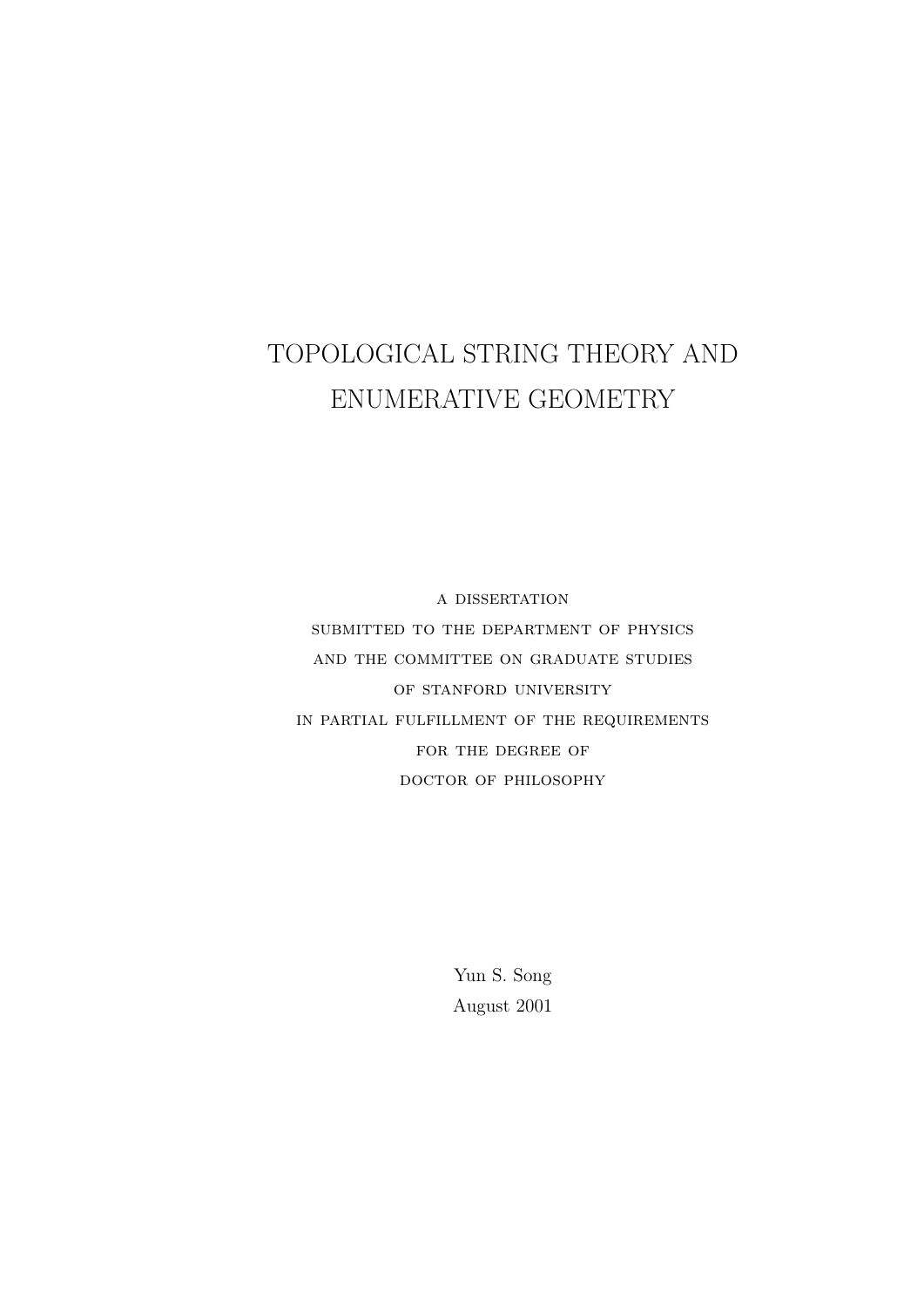# TOPOLOGICAL STRING THEORY AND ENUMERATIVE GEOMETRY

a dissertation submitted to the department of physics and the committee on graduate studies OF STANFORD UNIVERSITY in partial fulfillment of the requirements FOR THE DEGREE OF doctor of philosophy

> Yun S. Song August 2001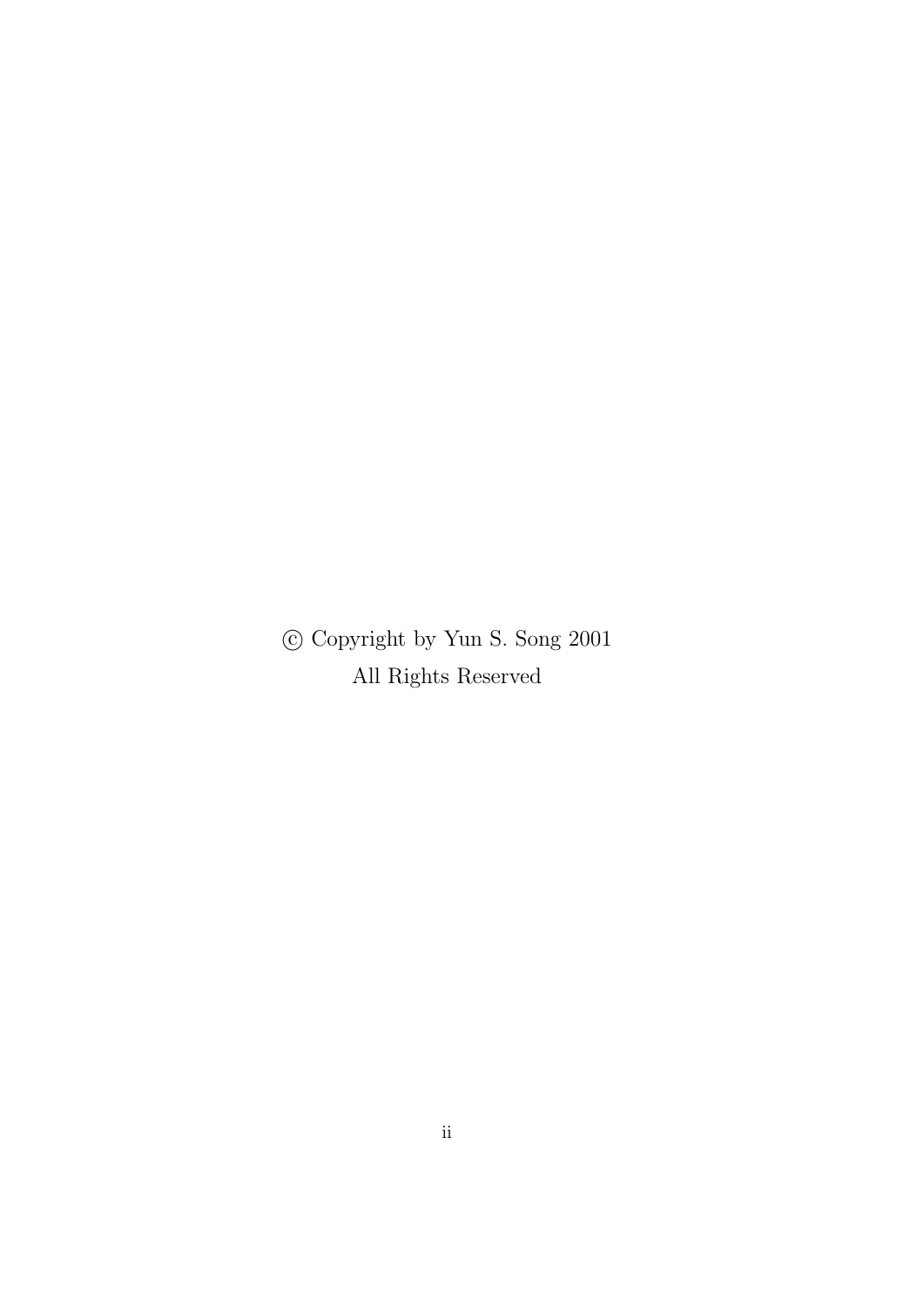c Copyright by Yun S. Song 2001 All Rights Reserved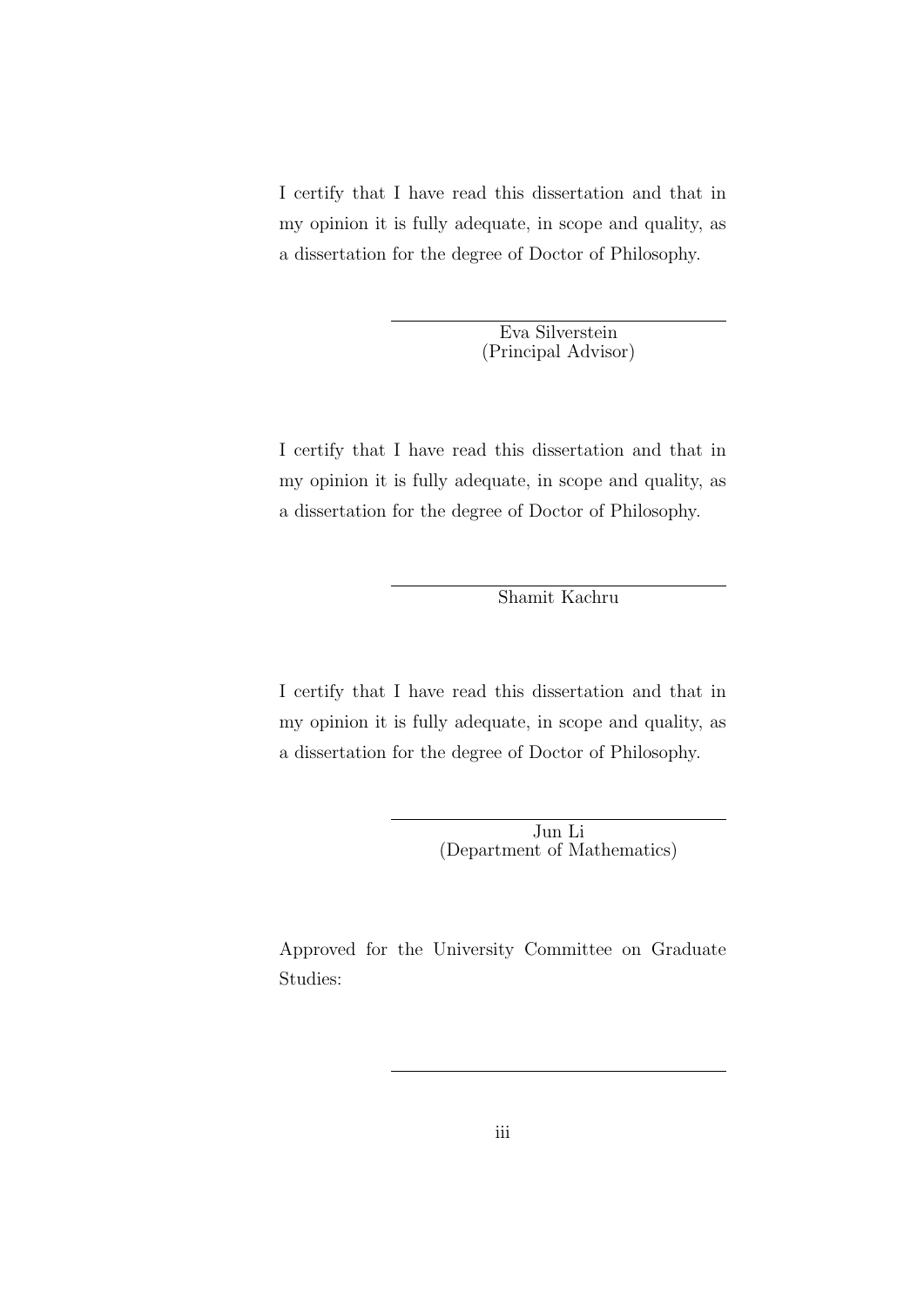I certify that I have read this dissertation and that in my opinion it is fully adequate, in scope and quality, as a dissertation for the degree of Doctor of Philosophy.

> Eva Silverstein (Principal Advisor)

I certify that I have read this dissertation and that in my opinion it is fully adequate, in scope and quality, as a dissertation for the degree of Doctor of Philosophy.

Shamit Kachru

I certify that I have read this dissertation and that in my opinion it is fully adequate, in scope and quality, as a dissertation for the degree of Doctor of Philosophy.

> Jun Li (Department of Mathematics)

Approved for the University Committee on Graduate Studies: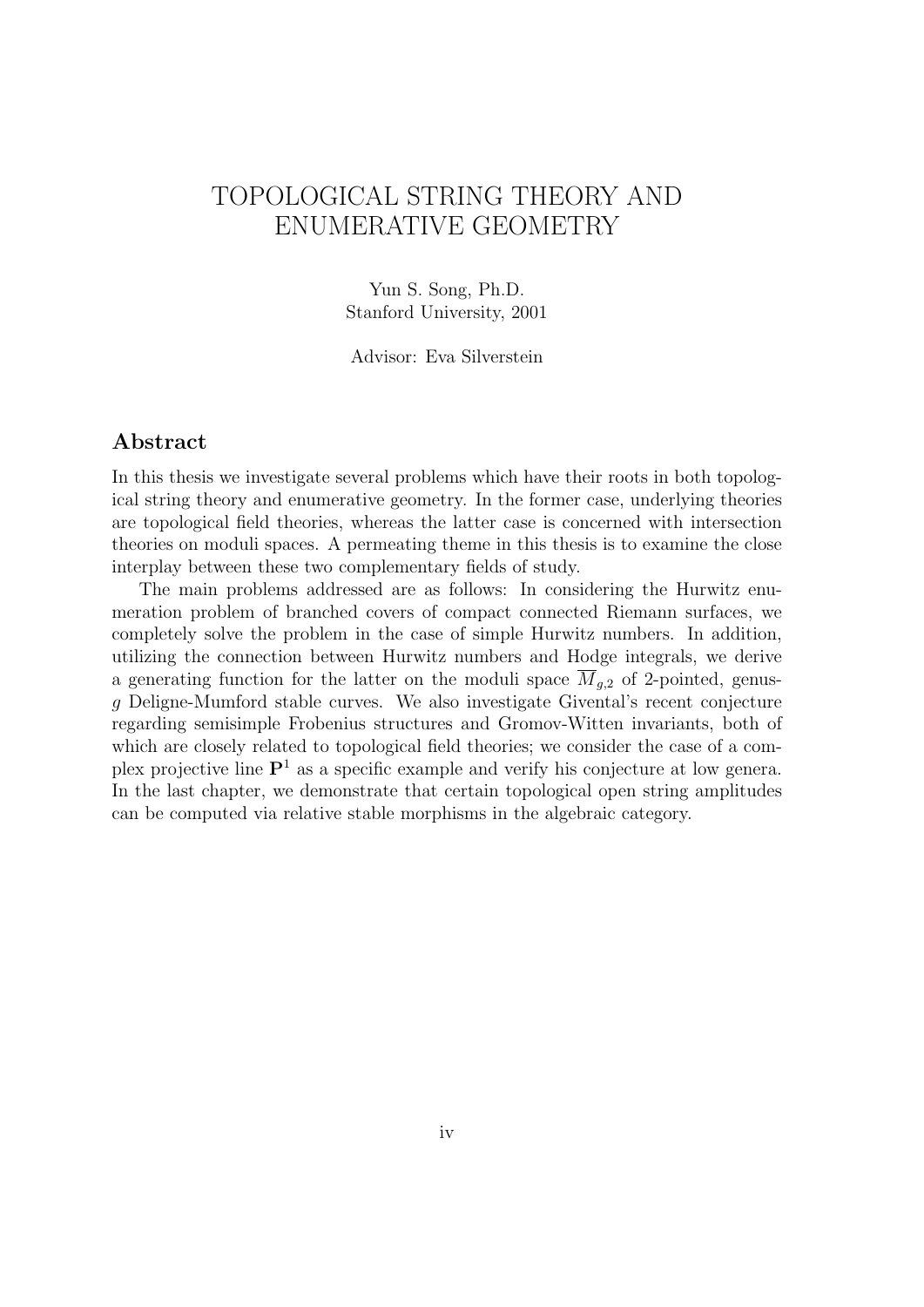# TOPOLOGICAL STRING THEORY AND ENUMERATIVE GEOMETRY

Yun S. Song, Ph.D. Stanford University, 2001

Advisor: Eva Silverstein

## Abstract

In this thesis we investigate several problems which have their roots in both topological string theory and enumerative geometry. In the former case, underlying theories are topological field theories, whereas the latter case is concerned with intersection theories on moduli spaces. A permeating theme in this thesis is to examine the close interplay between these two complementary fields of study.

The main problems addressed are as follows: In considering the Hurwitz enumeration problem of branched covers of compact connected Riemann surfaces, we completely solve the problem in the case of simple Hurwitz numbers. In addition, utilizing the connection between Hurwitz numbers and Hodge integrals, we derive a generating function for the latter on the moduli space  $\overline{M}_{q,2}$  of 2-pointed, genusg Deligne-Mumford stable curves. We also investigate Givental's recent conjecture regarding semisimple Frobenius structures and Gromov-Witten invariants, both of which are closely related to topological field theories; we consider the case of a complex projective line  $\mathbf{P}^1$  as a specific example and verify his conjecture at low genera. In the last chapter, we demonstrate that certain topological open string amplitudes can be computed via relative stable morphisms in the algebraic category.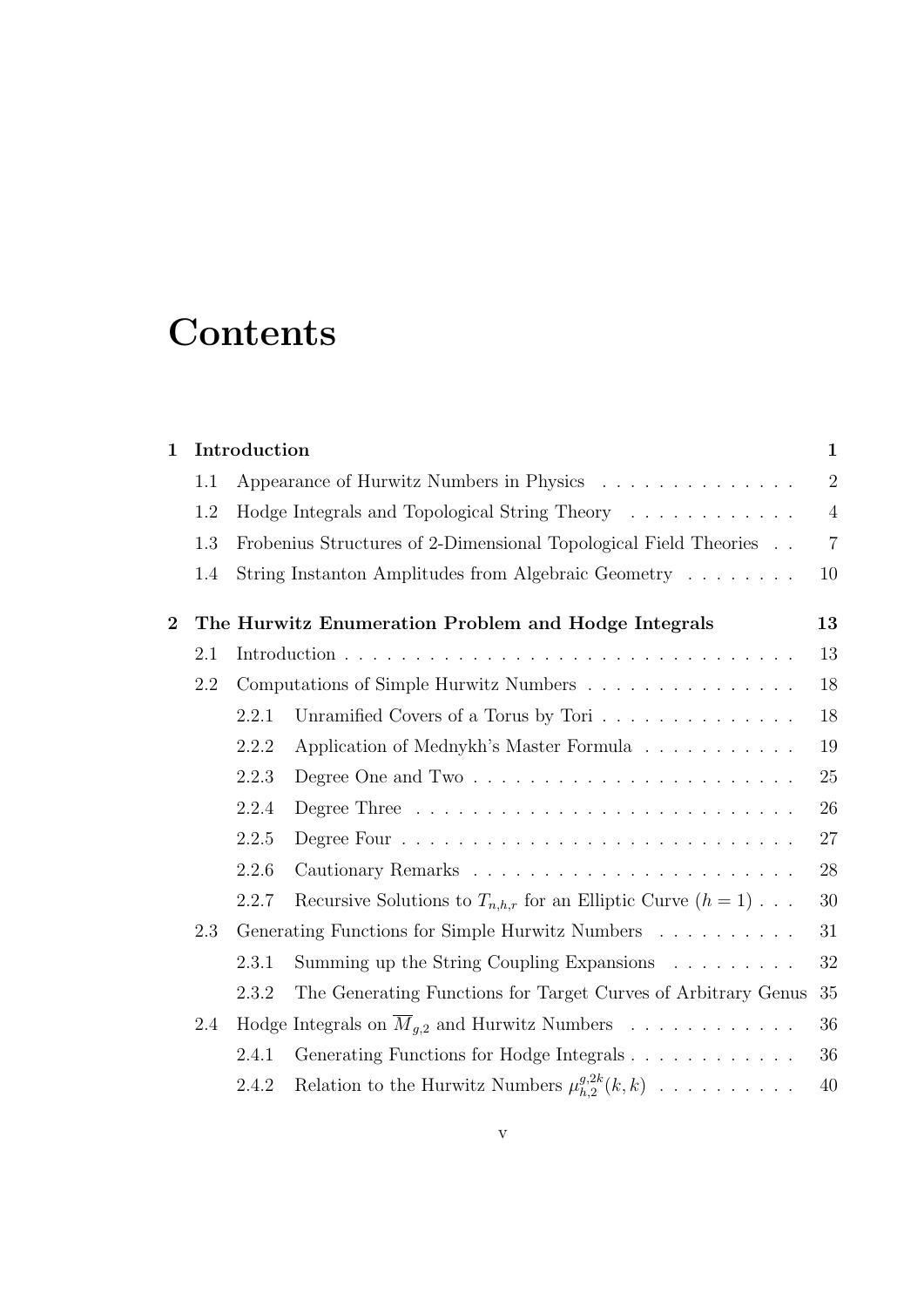# **Contents**

| Introduction<br>$\mathbf 1$                                |     | $\mathbf{1}$ |                                                                           |                |
|------------------------------------------------------------|-----|--------------|---------------------------------------------------------------------------|----------------|
|                                                            | 1.1 |              | Appearance of Hurwitz Numbers in Physics                                  | $\overline{2}$ |
|                                                            | 1.2 |              | Hodge Integrals and Topological String Theory                             | $\overline{4}$ |
|                                                            | 1.3 |              | Frobenius Structures of 2-Dimensional Topological Field Theories          | $\overline{7}$ |
|                                                            | 1.4 |              | String Instanton Amplitudes from Algebraic Geometry                       | 10             |
| $\overline{2}$                                             |     |              | The Hurwitz Enumeration Problem and Hodge Integrals                       | 13             |
|                                                            | 2.1 |              |                                                                           | 13             |
|                                                            | 2.2 |              | Computations of Simple Hurwitz Numbers                                    | 18             |
|                                                            |     | 2.2.1        | Unramified Covers of a Torus by Tori                                      | 18             |
|                                                            |     | 2.2.2        | Application of Mednykh's Master Formula                                   | 19             |
|                                                            |     | 2.2.3        |                                                                           | 25             |
|                                                            |     | 2.2.4        |                                                                           | 26             |
|                                                            |     | 2.2.5        |                                                                           | 27             |
|                                                            |     | 2.2.6        |                                                                           | 28             |
|                                                            |     | 2.2.7        | Recursive Solutions to $T_{n,h,r}$ for an Elliptic Curve $(h = 1) \ldots$ | 30             |
| $2.3\,$<br>Generating Functions for Simple Hurwitz Numbers |     |              | 31                                                                        |                |
|                                                            |     | 2.3.1        | Summing up the String Coupling Expansions                                 | 32             |
|                                                            |     | 2.3.2        | The Generating Functions for Target Curves of Arbitrary Genus             | 35             |
|                                                            | 2.4 |              | Hodge Integrals on $\overline{M}_{q,2}$ and Hurwitz Numbers               | 36             |
|                                                            |     | 2.4.1        | Generating Functions for Hodge Integrals                                  | 36             |
|                                                            |     | 2.4.2        | Relation to the Hurwitz Numbers $\mu_{h,2}^{g,2k}(k,k)$                   | $40\,$         |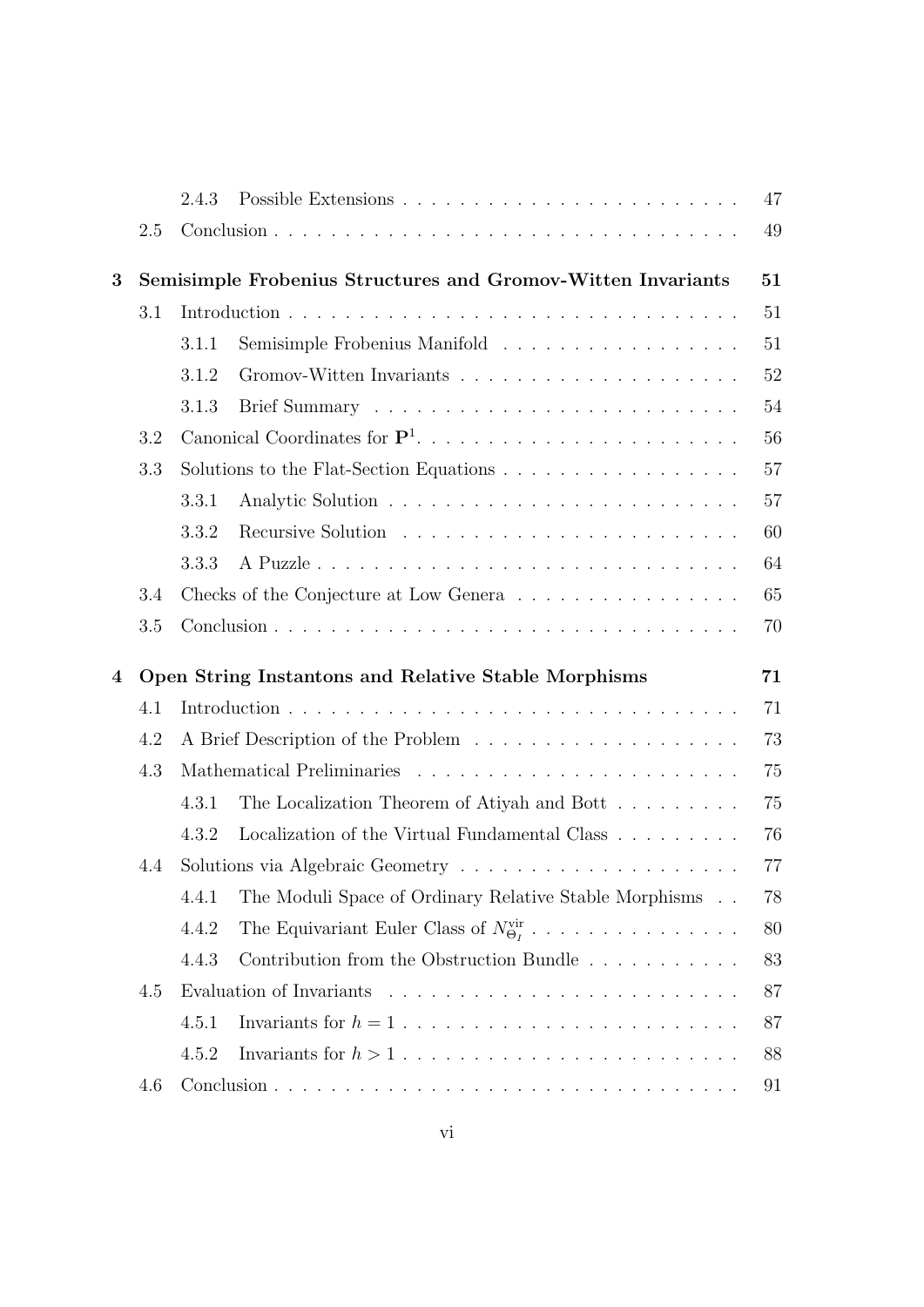|   |                                                              | 2.4.3 |                                                                                        | 47       |  |  |
|---|--------------------------------------------------------------|-------|----------------------------------------------------------------------------------------|----------|--|--|
|   | 2.5                                                          |       |                                                                                        | 49       |  |  |
| 3 | Semisimple Frobenius Structures and Gromov-Witten Invariants |       |                                                                                        |          |  |  |
|   | 3.1                                                          |       |                                                                                        | 51       |  |  |
|   |                                                              | 3.1.1 | Semisimple Frobenius Manifold                                                          | 51       |  |  |
|   |                                                              | 3.1.2 |                                                                                        | 52       |  |  |
|   |                                                              | 3.1.3 |                                                                                        | 54       |  |  |
|   | 3.2                                                          |       |                                                                                        | 56       |  |  |
|   | 3.3                                                          |       |                                                                                        | 57       |  |  |
|   |                                                              | 3.3.1 |                                                                                        | 57       |  |  |
|   |                                                              | 3.3.2 |                                                                                        | 60       |  |  |
|   |                                                              | 3.3.3 |                                                                                        | 64       |  |  |
|   | 3.4                                                          |       | Checks of the Conjecture at Low Genera                                                 | 65       |  |  |
|   | 3.5                                                          |       |                                                                                        | 70       |  |  |
| 4 | Open String Instantons and Relative Stable Morphisms<br>71   |       |                                                                                        |          |  |  |
|   | 4.1                                                          |       |                                                                                        | 71       |  |  |
|   | 4.2                                                          | 73    |                                                                                        |          |  |  |
|   | 4.3                                                          |       |                                                                                        | 75       |  |  |
|   |                                                              | 4.3.1 | The Localization Theorem of Atiyah and Bott                                            | 75       |  |  |
|   |                                                              | 4.3.2 | Localization of the Virtual Fundamental Class                                          | 76       |  |  |
|   | 4.4                                                          |       |                                                                                        | 77       |  |  |
|   |                                                              | 4.4.1 | The Moduli Space of Ordinary Relative Stable Morphisms                                 | 78       |  |  |
|   |                                                              | 4.4.2 | The Equivariant Euler Class of $N^{\text{vir}}_{\Theta_I}$                             | 80       |  |  |
|   |                                                              |       |                                                                                        |          |  |  |
|   |                                                              |       |                                                                                        |          |  |  |
|   | 4.5                                                          | 4.4.3 | Contribution from the Obstruction Bundle                                               | 83       |  |  |
|   |                                                              |       |                                                                                        | 87       |  |  |
|   |                                                              | 4.5.1 | Invariants for $h = 1, \ldots, \ldots, \ldots, \ldots, \ldots, \ldots, \ldots, \ldots$ | 87       |  |  |
|   | 4.6                                                          | 4.5.2 |                                                                                        | 88<br>91 |  |  |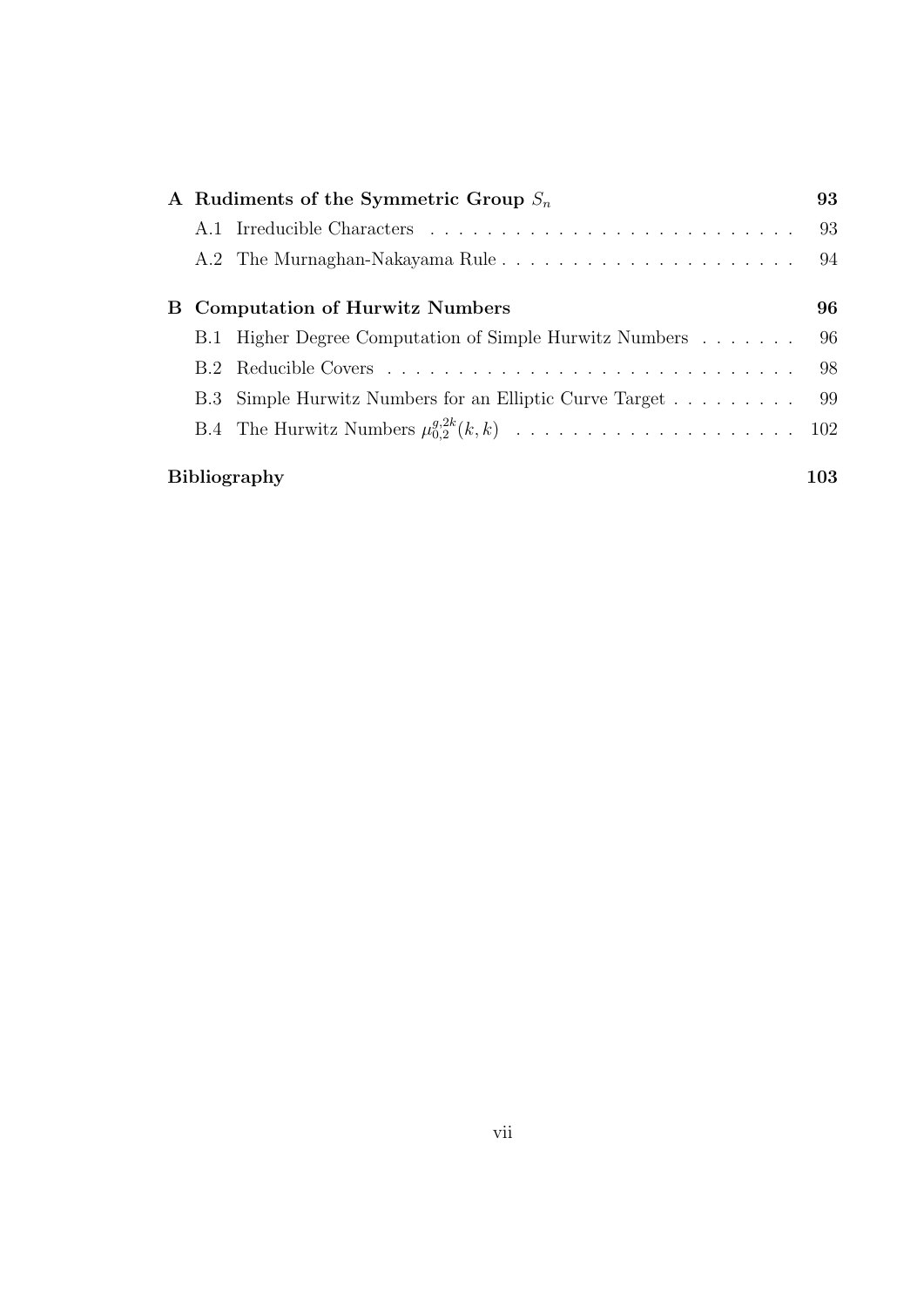| A Rudiments of the Symmetric Group $S_n$ |  |                                                            | 93  |  |
|------------------------------------------|--|------------------------------------------------------------|-----|--|
|                                          |  |                                                            | 93  |  |
|                                          |  |                                                            | 94  |  |
|                                          |  | <b>B</b> Computation of Hurwitz Numbers                    | 96  |  |
|                                          |  | B.1 Higher Degree Computation of Simple Hurwitz Numbers    | 96  |  |
|                                          |  |                                                            | 98  |  |
|                                          |  | B.3 Simple Hurwitz Numbers for an Elliptic Curve Target 99 |     |  |
|                                          |  |                                                            |     |  |
|                                          |  | <b>Bibliography</b>                                        | 103 |  |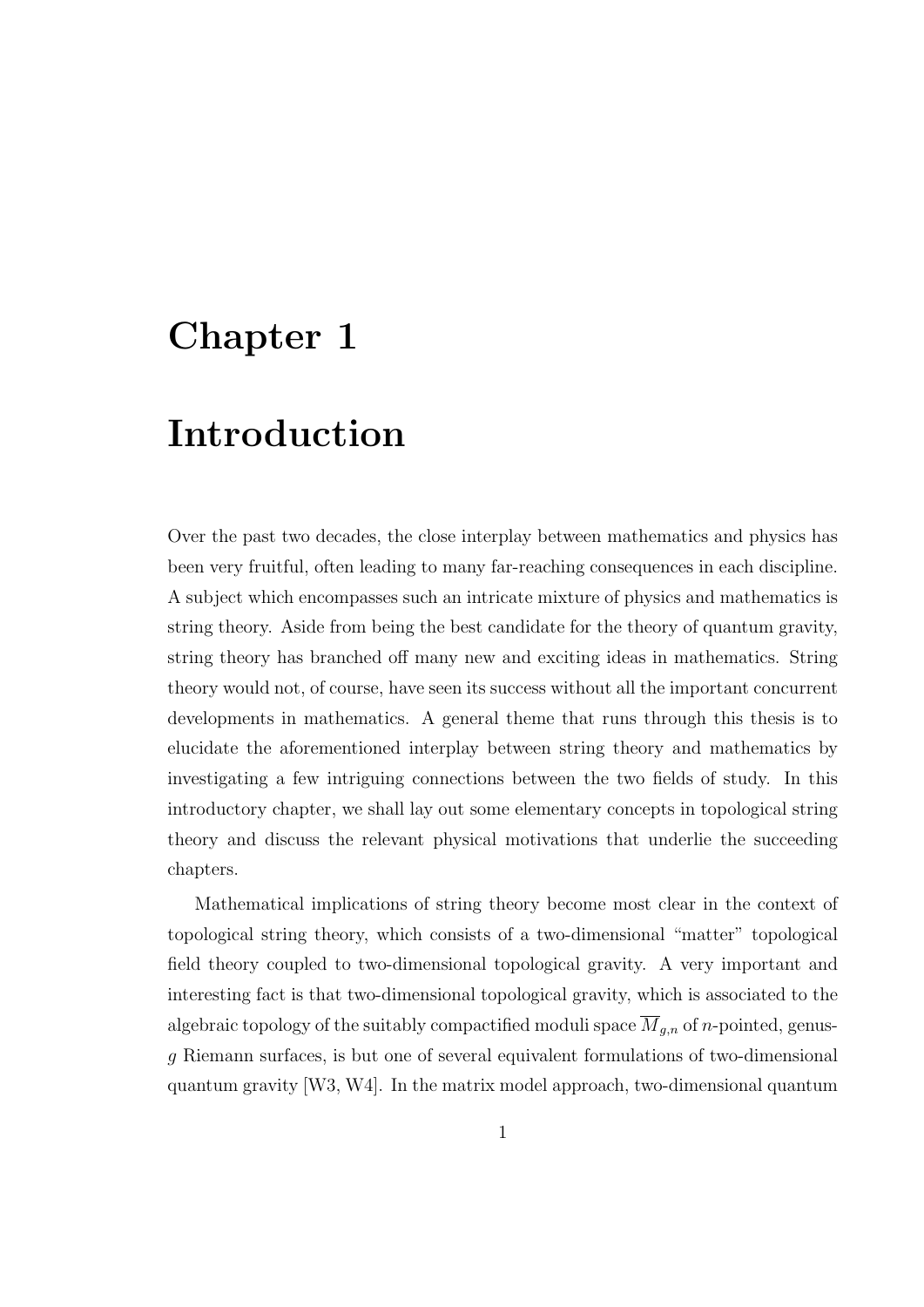# Chapter 1

# Introduction

Over the past two decades, the close interplay between mathematics and physics has been very fruitful, often leading to many far-reaching consequences in each discipline. A subject which encompasses such an intricate mixture of physics and mathematics is string theory. Aside from being the best candidate for the theory of quantum gravity, string theory has branched off many new and exciting ideas in mathematics. String theory would not, of course, have seen its success without all the important concurrent developments in mathematics. A general theme that runs through this thesis is to elucidate the aforementioned interplay between string theory and mathematics by investigating a few intriguing connections between the two fields of study. In this introductory chapter, we shall lay out some elementary concepts in topological string theory and discuss the relevant physical motivations that underlie the succeeding chapters.

Mathematical implications of string theory become most clear in the context of topological string theory, which consists of a two-dimensional "matter" topological field theory coupled to two-dimensional topological gravity. A very important and interesting fact is that two-dimensional topological gravity, which is associated to the algebraic topology of the suitably compactified moduli space  $\overline{M}_{g,n}$  of *n*-pointed, genusg Riemann surfaces, is but one of several equivalent formulations of two-dimensional quantum gravity [W3, W4]. In the matrix model approach, two-dimensional quantum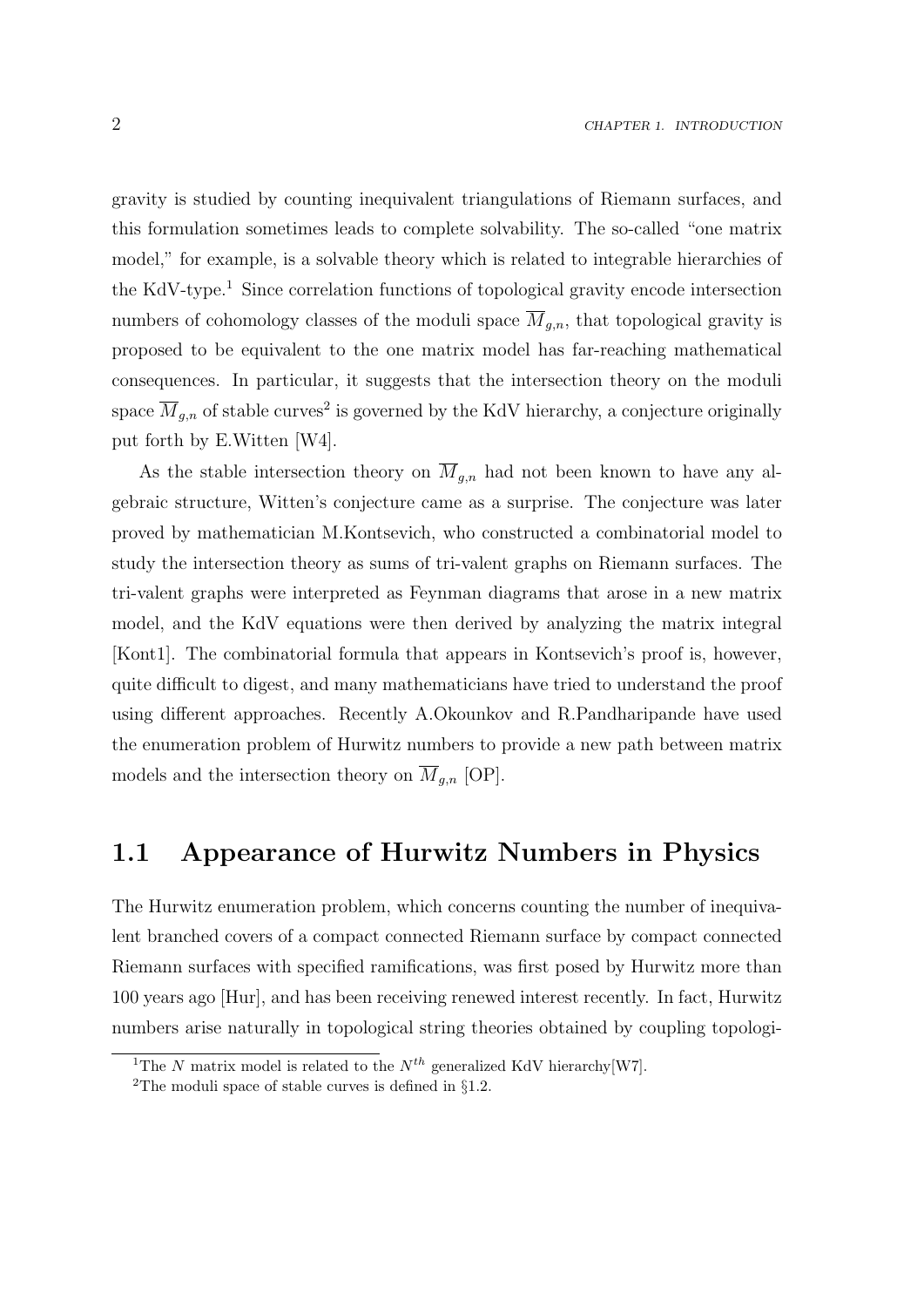gravity is studied by counting inequivalent triangulations of Riemann surfaces, and this formulation sometimes leads to complete solvability. The so-called "one matrix model," for example, is a solvable theory which is related to integrable hierarchies of the KdV-type.<sup>1</sup> Since correlation functions of topological gravity encode intersection numbers of cohomology classes of the moduli space  $\overline{M}_{a,n}$ , that topological gravity is proposed to be equivalent to the one matrix model has far-reaching mathematical consequences. In particular, it suggests that the intersection theory on the moduli space  $\overline{M}_{g,n}$  of stable curves<sup>2</sup> is governed by the KdV hierarchy, a conjecture originally put forth by E.Witten [W4].

As the stable intersection theory on  $\overline{M}_{g,n}$  had not been known to have any algebraic structure, Witten's conjecture came as a surprise. The conjecture was later proved by mathematician M.Kontsevich, who constructed a combinatorial model to study the intersection theory as sums of tri-valent graphs on Riemann surfaces. The tri-valent graphs were interpreted as Feynman diagrams that arose in a new matrix model, and the KdV equations were then derived by analyzing the matrix integral [Kont1]. The combinatorial formula that appears in Kontsevich's proof is, however, quite difficult to digest, and many mathematicians have tried to understand the proof using different approaches. Recently A.Okounkov and R.Pandharipande have used the enumeration problem of Hurwitz numbers to provide a new path between matrix models and the intersection theory on  $\overline{M}_{g,n}$  [OP].

# 1.1 Appearance of Hurwitz Numbers in Physics

The Hurwitz enumeration problem, which concerns counting the number of inequivalent branched covers of a compact connected Riemann surface by compact connected Riemann surfaces with specified ramifications, was first posed by Hurwitz more than 100 years ago [Hur], and has been receiving renewed interest recently. In fact, Hurwitz numbers arise naturally in topological string theories obtained by coupling topologi-

<sup>&</sup>lt;sup>1</sup>The N matrix model is related to the  $N^{th}$  generalized KdV hierarchy[W7].

<sup>&</sup>lt;sup>2</sup>The moduli space of stable curves is defined in  $\S1.2$ .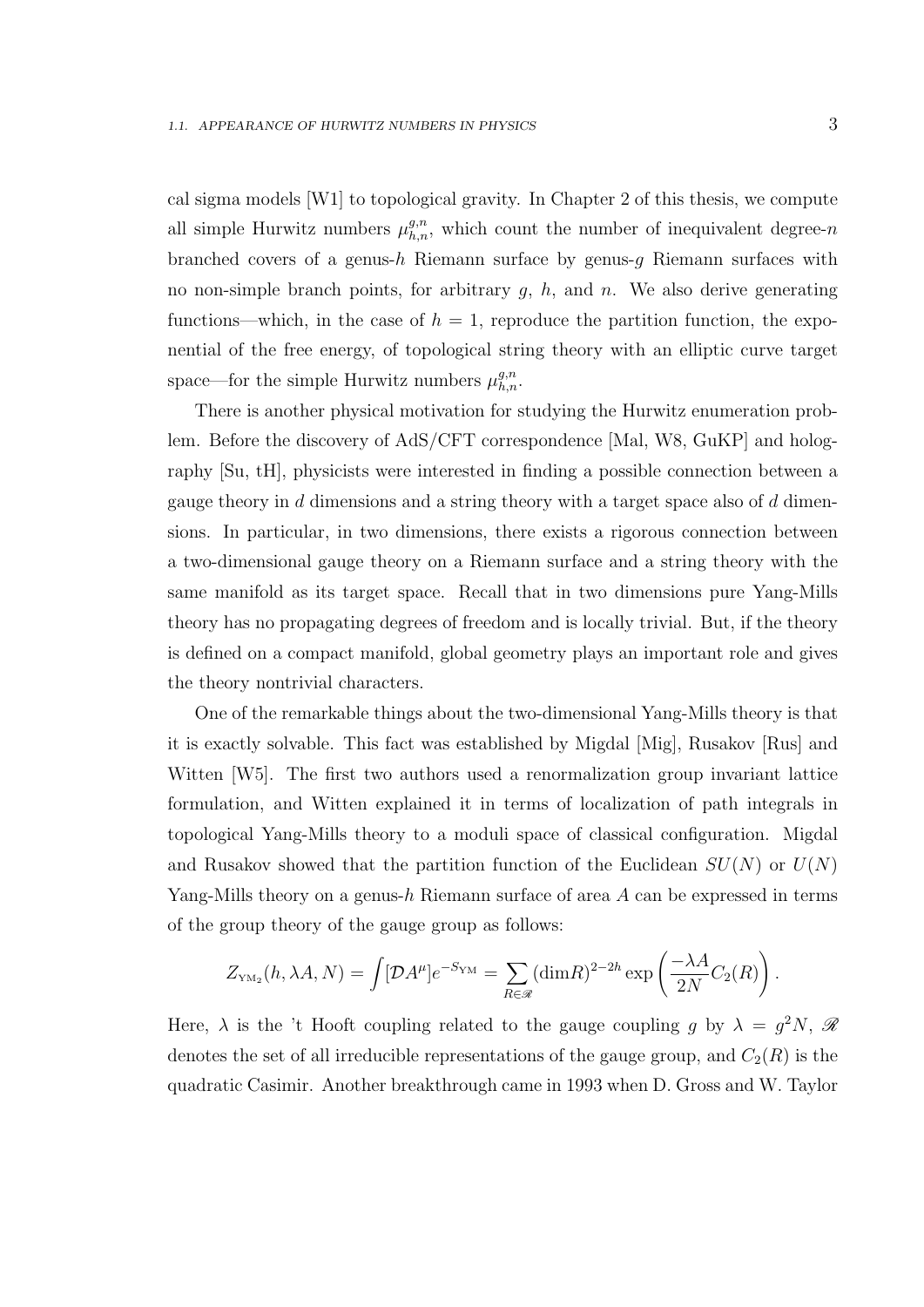cal sigma models [W1] to topological gravity. In Chapter 2 of this thesis, we compute all simple Hurwitz numbers  $\mu_{h,n}^{g,n}$ , which count the number of inequivalent degree-n branched covers of a genus- $h$  Riemann surface by genus- $g$  Riemann surfaces with no non-simple branch points, for arbitrary  $g$ ,  $h$ , and  $n$ . We also derive generating functions—which, in the case of  $h = 1$ , reproduce the partition function, the exponential of the free energy, of topological string theory with an elliptic curve target space—for the simple Hurwitz numbers  $\mu_{h,n}^{g,n}$ .

There is another physical motivation for studying the Hurwitz enumeration problem. Before the discovery of AdS/CFT correspondence [Mal, W8, GuKP] and holography [Su, tH], physicists were interested in finding a possible connection between a gauge theory in  $d$  dimensions and a string theory with a target space also of  $d$  dimensions. In particular, in two dimensions, there exists a rigorous connection between a two-dimensional gauge theory on a Riemann surface and a string theory with the same manifold as its target space. Recall that in two dimensions pure Yang-Mills theory has no propagating degrees of freedom and is locally trivial. But, if the theory is defined on a compact manifold, global geometry plays an important role and gives the theory nontrivial characters.

One of the remarkable things about the two-dimensional Yang-Mills theory is that it is exactly solvable. This fact was established by Migdal [Mig], Rusakov [Rus] and Witten [W5]. The first two authors used a renormalization group invariant lattice formulation, and Witten explained it in terms of localization of path integrals in topological Yang-Mills theory to a moduli space of classical configuration. Migdal and Rusakov showed that the partition function of the Euclidean  $SU(N)$  or  $U(N)$ Yang-Mills theory on a genus-h Riemann surface of area  $A$  can be expressed in terms of the group theory of the gauge group as follows:

$$
Z_{\scriptscriptstyle \rm YM_2}(h, \lambda A, N) = \int [\mathcal{D}A^\mu] e^{-S_{\scriptscriptstyle \rm YM}} = \sum_{R\in\mathscr{R}} (\text{dim}R)^{2-2h}\exp\left(\frac{-\lambda A}{2N}C_2(R)\right).
$$

Here,  $\lambda$  is the 't Hooft coupling related to the gauge coupling g by  $\lambda = g^2 N$ ,  $\Re$ denotes the set of all irreducible representations of the gauge group, and  $C_2(R)$  is the quadratic Casimir. Another breakthrough came in 1993 when D. Gross and W. Taylor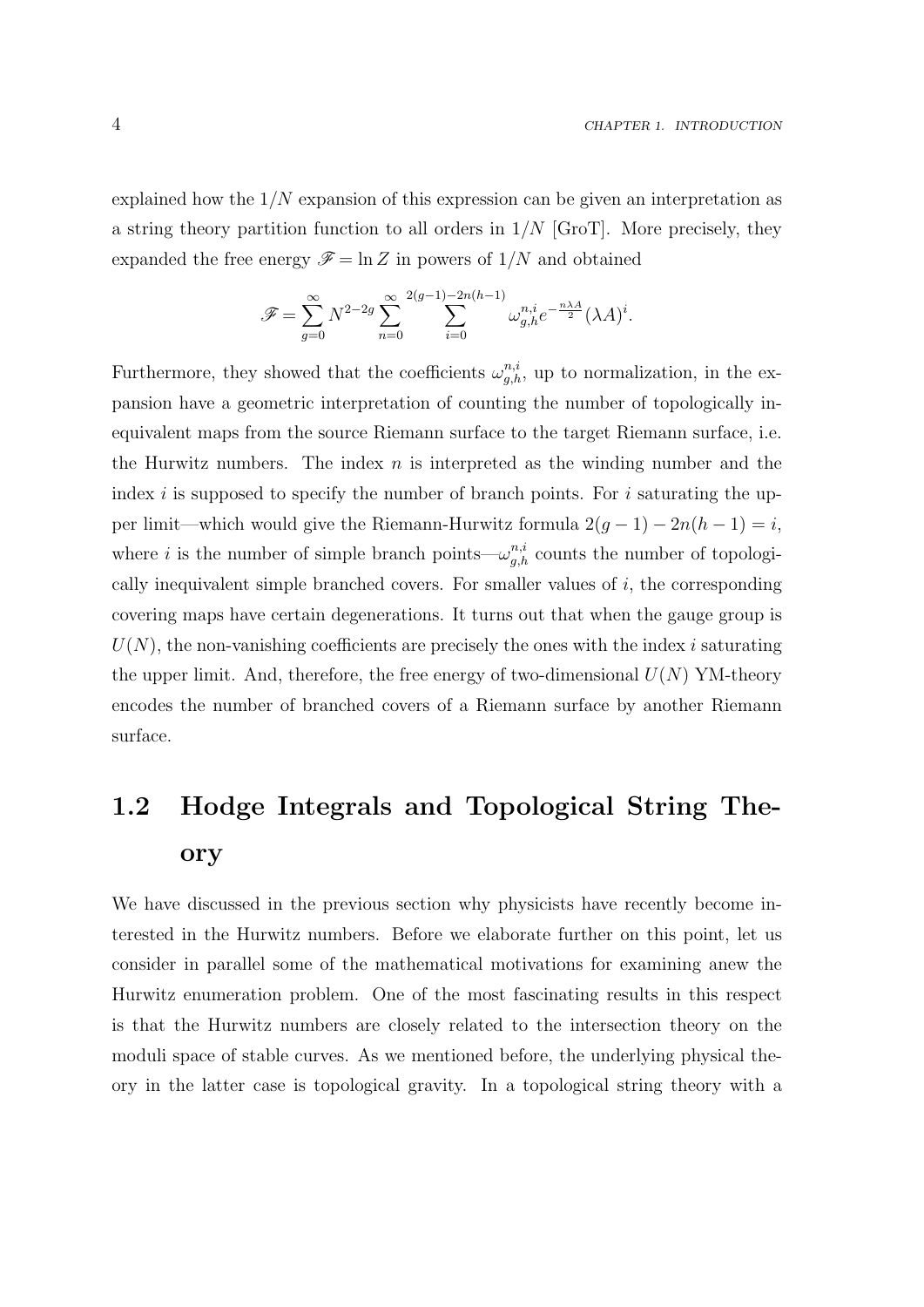explained how the  $1/N$  expansion of this expression can be given an interpretation as a string theory partition function to all orders in  $1/N$  [GroT]. More precisely, they expanded the free energy  $\mathscr{F} = \ln Z$  in powers of  $1/N$  and obtained

$$
\mathscr{F}=\sum_{g=0}^\infty N^{2-2g}\sum_{n=0}^\infty \sum_{i=0}^{2(g-1)-2n(h-1)}\omega_{g,h}^{n,i}e^{-\frac{n\lambda A}{2}}(\lambda A)^i.
$$

Furthermore, they showed that the coefficients  $\omega_{g,h}^{n,i}$ , up to normalization, in the expansion have a geometric interpretation of counting the number of topologically inequivalent maps from the source Riemann surface to the target Riemann surface, i.e. the Hurwitz numbers. The index  $n$  is interpreted as the winding number and the index i is supposed to specify the number of branch points. For i saturating the upper limit—which would give the Riemann-Hurwitz formula  $2(g-1) - 2n(h-1) = i$ , where *i* is the number of simple branch points— $\omega_{g,h}^{n,i}$  counts the number of topologically inequivalent simple branched covers. For smaller values of  $i$ , the corresponding covering maps have certain degenerations. It turns out that when the gauge group is  $U(N)$ , the non-vanishing coefficients are precisely the ones with the index i saturating the upper limit. And, therefore, the free energy of two-dimensional  $U(N)$  YM-theory encodes the number of branched covers of a Riemann surface by another Riemann surface.

# 1.2 Hodge Integrals and Topological String Theory

We have discussed in the previous section why physicists have recently become interested in the Hurwitz numbers. Before we elaborate further on this point, let us consider in parallel some of the mathematical motivations for examining anew the Hurwitz enumeration problem. One of the most fascinating results in this respect is that the Hurwitz numbers are closely related to the intersection theory on the moduli space of stable curves. As we mentioned before, the underlying physical theory in the latter case is topological gravity. In a topological string theory with a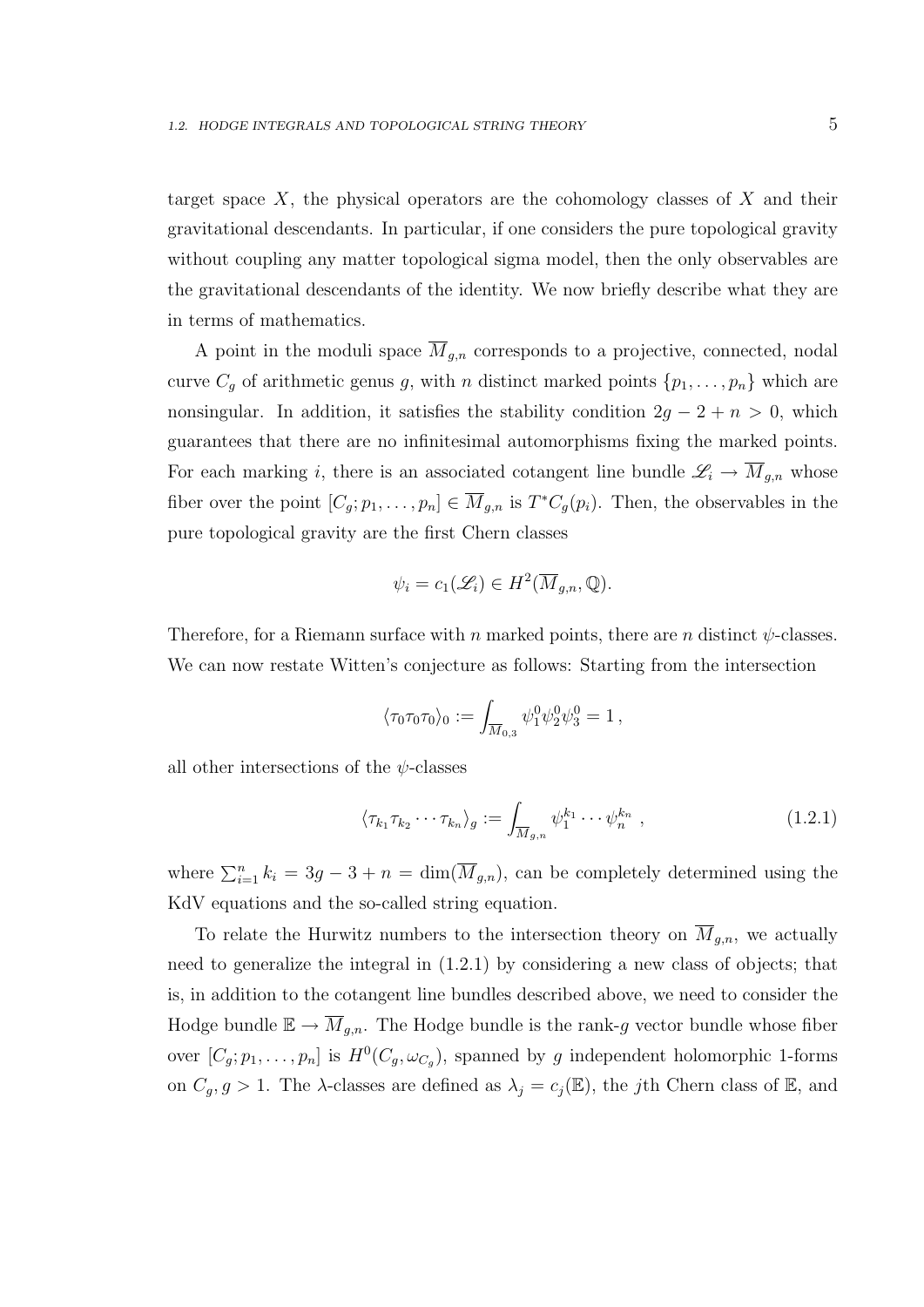target space X, the physical operators are the cohomology classes of X and their gravitational descendants. In particular, if one considers the pure topological gravity without coupling any matter topological sigma model, then the only observables are the gravitational descendants of the identity. We now briefly describe what they are in terms of mathematics.

A point in the moduli space  $\overline{M}_{g,n}$  corresponds to a projective, connected, nodal curve  $C_g$  of arithmetic genus g, with n distinct marked points  $\{p_1, \ldots, p_n\}$  which are nonsingular. In addition, it satisfies the stability condition  $2g - 2 + n > 0$ , which guarantees that there are no infinitesimal automorphisms fixing the marked points. For each marking i, there is an associated cotangent line bundle  $\mathscr{L}_i \to \overline{M}_{g,n}$  whose fiber over the point  $[C_g; p_1, \ldots, p_n] \in \overline{M}_{g,n}$  is  $T^*C_g(p_i)$ . Then, the observables in the pure topological gravity are the first Chern classes

$$
\psi_i = c_1(\mathscr{L}_i) \in H^2(\overline{M}_{g,n}, \mathbb{Q}).
$$

Therefore, for a Riemann surface with n marked points, there are n distinct  $\psi$ -classes. We can now restate Witten's conjecture as follows: Starting from the intersection

$$
\langle \tau_0 \tau_0 \tau_0 \rangle_0 := \int_{\overline{M}_{0,3}} \psi_1^0 \psi_2^0 \psi_3^0 = 1 \,,
$$

all other intersections of the  $\psi$ -classes

$$
\langle \tau_{k_1} \tau_{k_2} \cdots \tau_{k_n} \rangle_g := \int_{\overline{M}_{g,n}} \psi_1^{k_1} \cdots \psi_n^{k_n} , \qquad (1.2.1)
$$

where  $\sum_{i=1}^n k_i = 3g - 3 + n = \dim(\overline{M}_{g,n})$ , can be completely determined using the KdV equations and the so-called string equation.

To relate the Hurwitz numbers to the intersection theory on  $\overline{M}_{q,n}$ , we actually need to generalize the integral in (1.2.1) by considering a new class of objects; that is, in addition to the cotangent line bundles described above, we need to consider the Hodge bundle  $\mathbb{E} \to \overline{M}_{g,n}$ . The Hodge bundle is the rank-g vector bundle whose fiber over  $[C_g; p_1, \ldots, p_n]$  is  $H^0(C_g, \omega_{C_g})$ , spanned by g independent holomorphic 1-forms on  $C_g$ ,  $g > 1$ . The  $\lambda$ -classes are defined as  $\lambda_j = c_j(\mathbb{E})$ , the jth Chern class of  $\mathbb{E}$ , and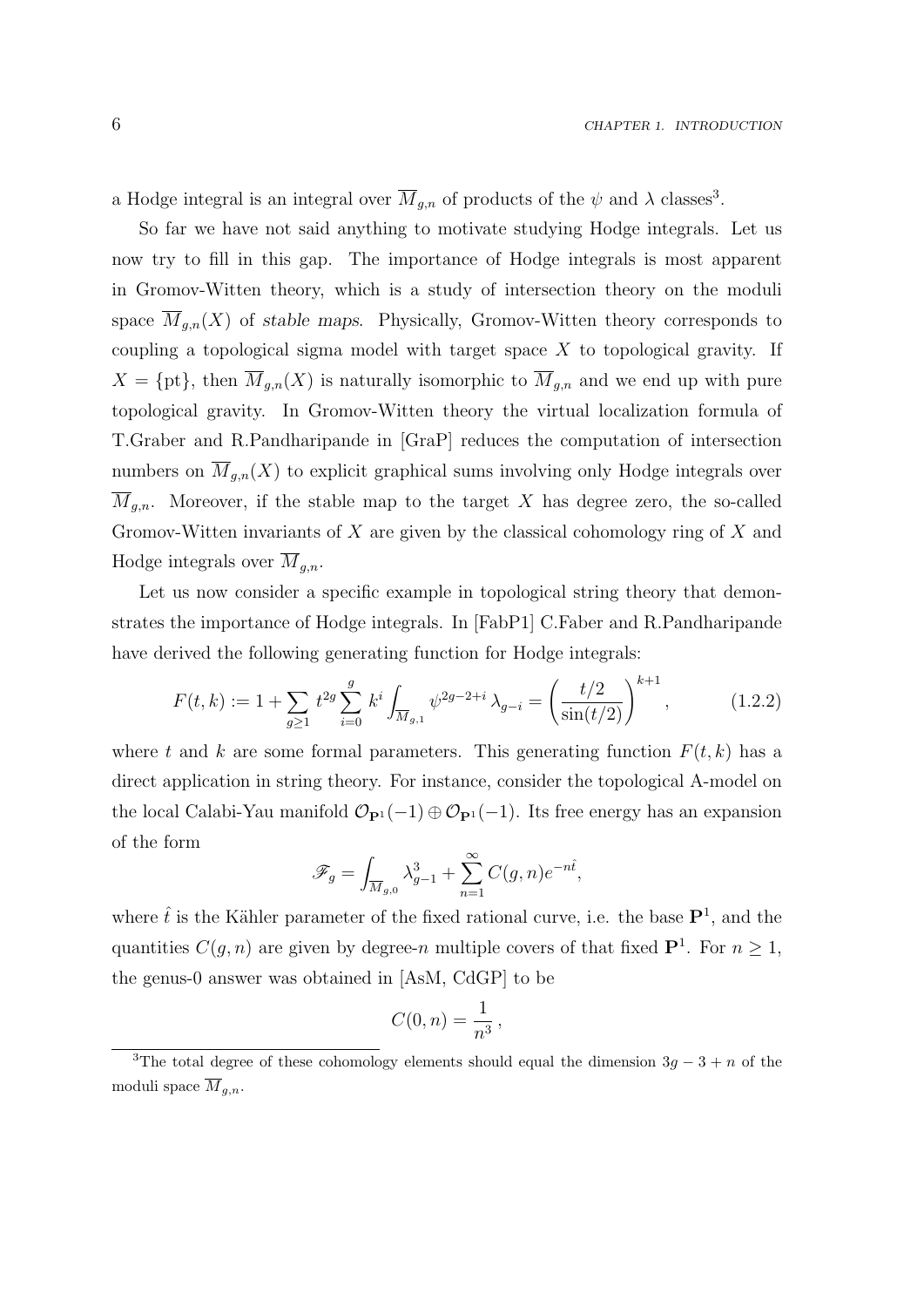a Hodge integral is an integral over  $\overline{M}_{g,n}$  of products of the  $\psi$  and  $\lambda$  classes<sup>3</sup>.

So far we have not said anything to motivate studying Hodge integrals. Let us now try to fill in this gap. The importance of Hodge integrals is most apparent in Gromov-Witten theory, which is a study of intersection theory on the moduli space  $\overline{M}_{g,n}(X)$  of stable maps. Physically, Gromov-Witten theory corresponds to coupling a topological sigma model with target space  $X$  to topological gravity. If  $X = \{pt\}$ , then  $\overline{M}_{g,n}(X)$  is naturally isomorphic to  $\overline{M}_{g,n}$  and we end up with pure topological gravity. In Gromov-Witten theory the virtual localization formula of T.Graber and R.Pandharipande in [GraP] reduces the computation of intersection numbers on  $\overline{M}_{g,n}(X)$  to explicit graphical sums involving only Hodge integrals over  $\overline{M}_{g,n}$ . Moreover, if the stable map to the target X has degree zero, the so-called Gromov-Witten invariants of X are given by the classical cohomology ring of X and Hodge integrals over  $\overline{M}_{q,n}$ .

Let us now consider a specific example in topological string theory that demonstrates the importance of Hodge integrals. In [FabP1] C.Faber and R.Pandharipande have derived the following generating function for Hodge integrals:

$$
F(t,k) := 1 + \sum_{g \ge 1} t^{2g} \sum_{i=0}^{g} k^i \int_{\overline{M}_{g,1}} \psi^{2g-2+i} \lambda_{g-i} = \left(\frac{t/2}{\sin(t/2)}\right)^{k+1}, \quad (1.2.2)
$$

where t and k are some formal parameters. This generating function  $F(t, k)$  has a direct application in string theory. For instance, consider the topological A-model on the local Calabi-Yau manifold  $\mathcal{O}_{\mathbf{P}^1}(-1) \oplus \mathcal{O}_{\mathbf{P}^1}(-1)$ . Its free energy has an expansion of the form

$$
\mathscr{F}_g=\int_{\overline{M}_{g,0}}\lambda_{g-1}^3+\sum_{n=1}^\infty C(g,n)e^{-n\hat{t}},
$$

where  $\hat{t}$  is the Kähler parameter of the fixed rational curve, i.e. the base  $\mathbf{P}^1$ , and the quantities  $C(g, n)$  are given by degree-n multiple covers of that fixed  $\mathbf{P}^1$ . For  $n \geq 1$ , the genus-0 answer was obtained in [AsM, CdGP] to be

$$
C(0,n) = \frac{1}{n^3},
$$

<sup>&</sup>lt;sup>3</sup>The total degree of these cohomology elements should equal the dimension  $3q - 3 + n$  of the moduli space  $\overline{M}_{q,n}$ .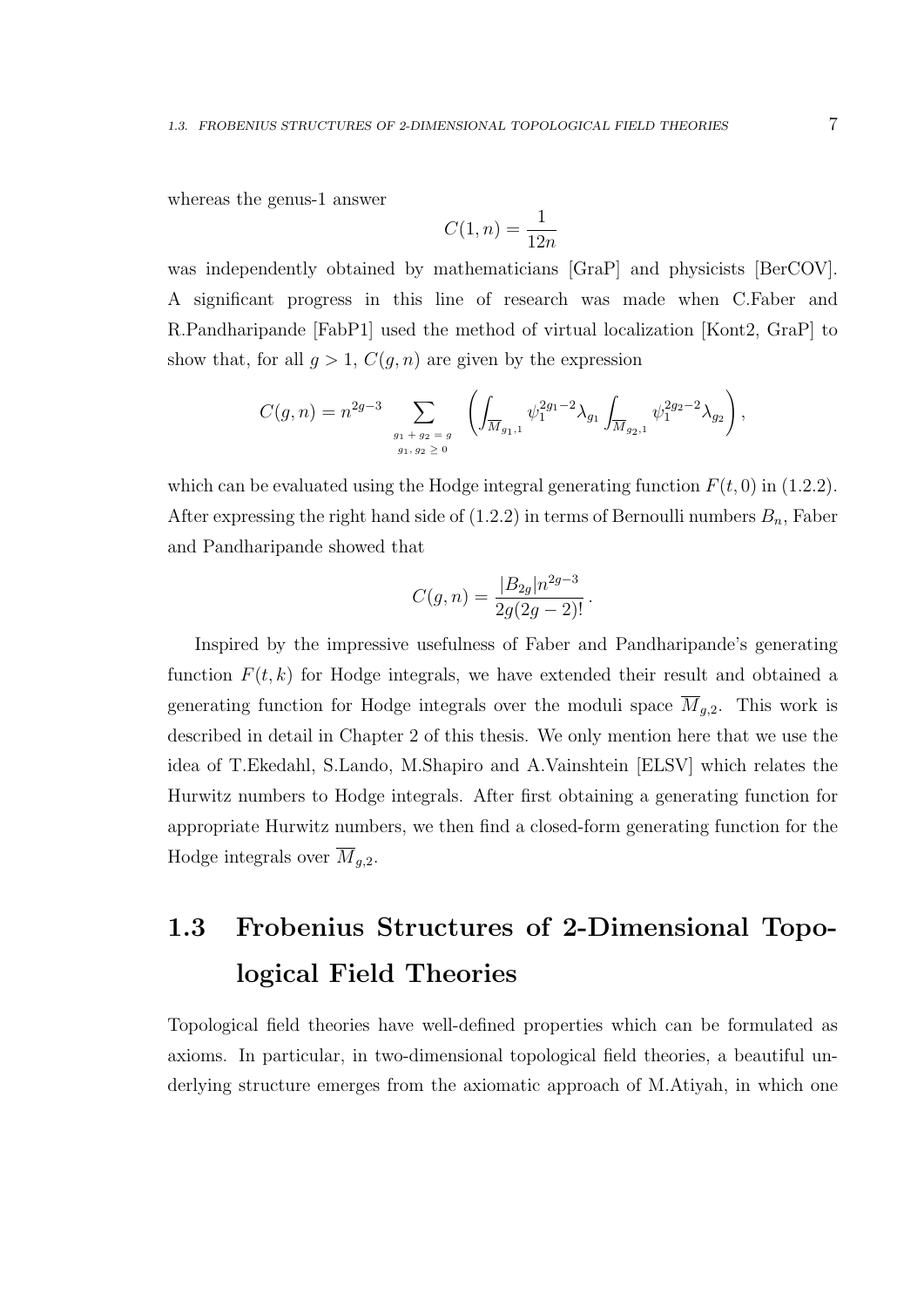whereas the genus-1 answer

$$
C(1, n) = \frac{1}{12n}
$$

was independently obtained by mathematicians [GraP] and physicists [BerCOV]. A significant progress in this line of research was made when C.Faber and R.Pandharipande [FabP1] used the method of virtual localization [Kont2, GraP] to show that, for all  $g > 1$ ,  $C(g, n)$  are given by the expression

$$
C(g,n) = n^{2g-3} \sum_{\substack{g_1+g_2=g\\ g_1,g_2\geq 0}} \left( \int_{\overline{M}_{g_1,1}} \psi_1^{2g_1-2} \lambda_{g_1} \int_{\overline{M}_{g_2,1}} \psi_1^{2g_2-2} \lambda_{g_2} \right),
$$

which can be evaluated using the Hodge integral generating function  $F(t, 0)$  in (1.2.2). After expressing the right hand side of  $(1.2.2)$  in terms of Bernoulli numbers  $B_n$ , Faber and Pandharipande showed that

$$
C(g,n) = \frac{|B_{2g}|n^{2g-3}}{2g(2g-2)!}.
$$

Inspired by the impressive usefulness of Faber and Pandharipande's generating function  $F(t, k)$  for Hodge integrals, we have extended their result and obtained a generating function for Hodge integrals over the moduli space  $M_{q,2}$ . This work is described in detail in Chapter 2 of this thesis. We only mention here that we use the idea of T.Ekedahl, S.Lando, M.Shapiro and A.Vainshtein [ELSV] which relates the Hurwitz numbers to Hodge integrals. After first obtaining a generating function for appropriate Hurwitz numbers, we then find a closed-form generating function for the Hodge integrals over  $\overline{M}_{q,2}$ .

# 1.3 Frobenius Structures of 2-Dimensional Topological Field Theories

Topological field theories have well-defined properties which can be formulated as axioms. In particular, in two-dimensional topological field theories, a beautiful underlying structure emerges from the axiomatic approach of M.Atiyah, in which one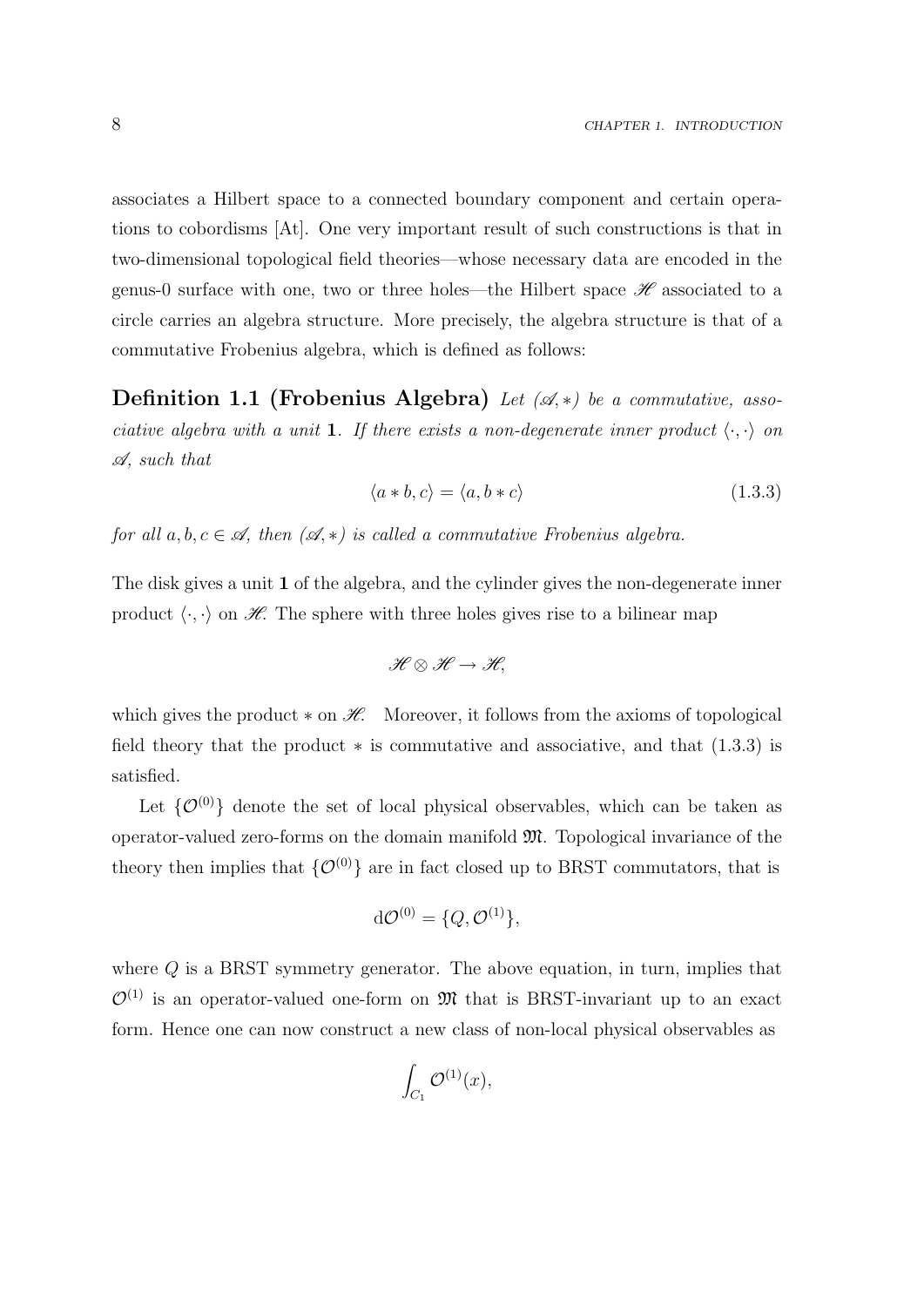associates a Hilbert space to a connected boundary component and certain operations to cobordisms [At]. One very important result of such constructions is that in two-dimensional topological field theories—whose necessary data are encoded in the genus-0 surface with one, two or three holes—the Hilbert space  $\mathscr H$  associated to a circle carries an algebra structure. More precisely, the algebra structure is that of a commutative Frobenius algebra, which is defined as follows:

**Definition 1.1 (Frobenius Algebra)** Let  $(\mathcal{A}, *)$  be a commutative, associative algebra with a unit 1. If there exists a non-degenerate inner product  $\langle \cdot, \cdot \rangle$  on A, such that

$$
\langle a \ast b, c \rangle = \langle a, b \ast c \rangle \tag{1.3.3}
$$

for all  $a, b, c \in \mathscr{A}$ , then  $(\mathscr{A}, *)$  is called a commutative Frobenius algebra.

The disk gives a unit 1 of the algebra, and the cylinder gives the non-degenerate inner product  $\langle \cdot, \cdot \rangle$  on  $\mathcal{H}$ . The sphere with three holes gives rise to a bilinear map

$$
\mathscr{H}\otimes\mathscr{H}\to\mathscr{H},
$$

which gives the product  $*$  on  $H$ . Moreover, it follows from the axioms of topological field theory that the product  $*$  is commutative and associative, and that  $(1.3.3)$  is satisfied.

Let  $\{\mathcal{O}^{(0)}\}$  denote the set of local physical observables, which can be taken as operator-valued zero-forms on the domain manifold M. Topological invariance of the theory then implies that  $\{O^{(0)}\}$  are in fact closed up to BRST commutators, that is

$$
d\mathcal{O}^{(0)} = \{Q, \mathcal{O}^{(1)}\},\
$$

where Q is a BRST symmetry generator. The above equation, in turn, implies that  $\mathcal{O}^{(1)}$  is an operator-valued one-form on M that is BRST-invariant up to an exact form. Hence one can now construct a new class of non-local physical observables as

$$
\int_{C_1} \mathcal{O}^{(1)}(x),
$$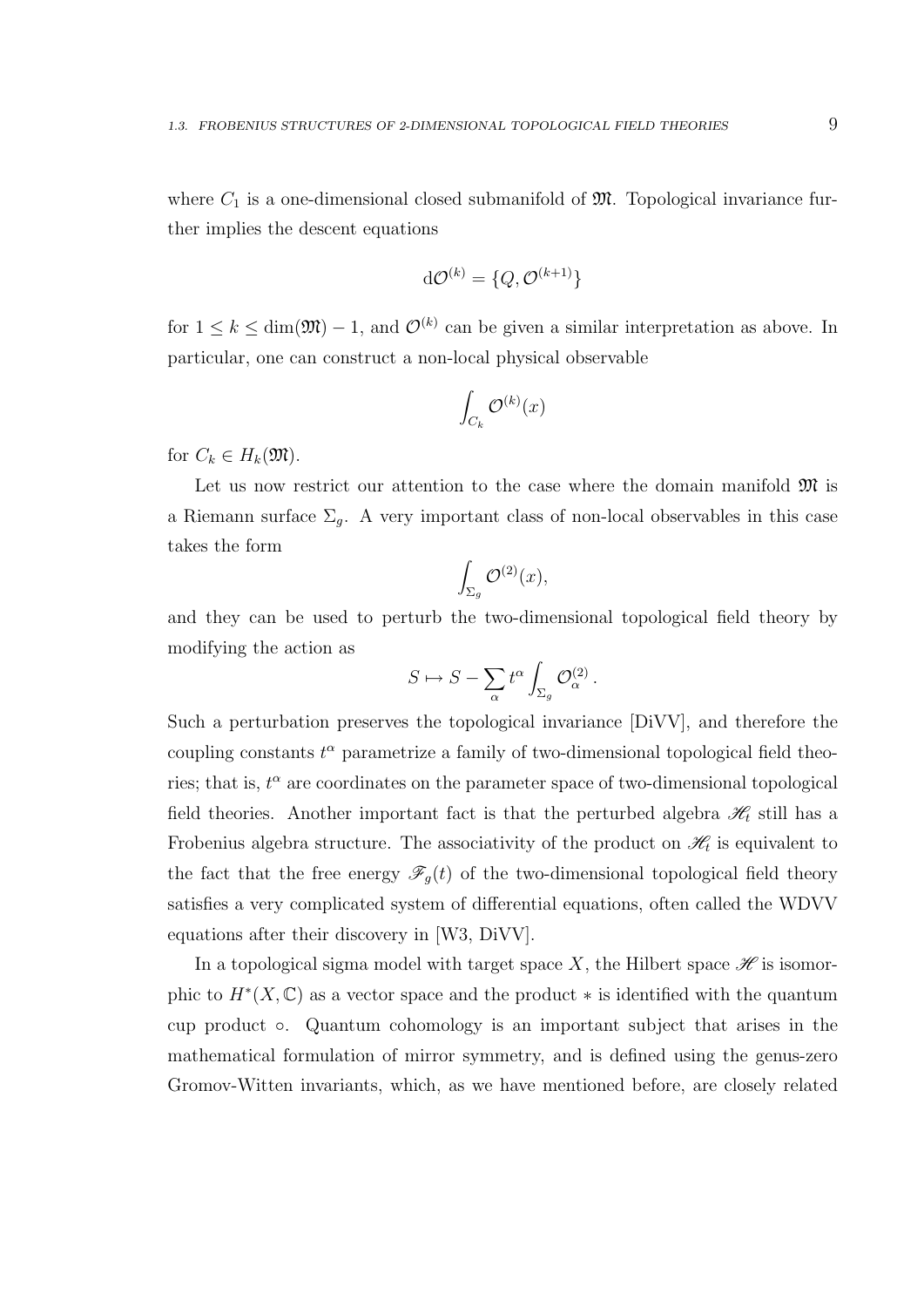where  $C_1$  is a one-dimensional closed submanifold of  $\mathfrak{M}$ . Topological invariance further implies the descent equations

$$
\mathrm{d}\mathcal{O}^{(k)} = \{Q, \mathcal{O}^{(k+1)}\}
$$

for  $1 \leq k \leq \dim(\mathfrak{M}) - 1$ , and  $\mathcal{O}^{(k)}$  can be given a similar interpretation as above. In particular, one can construct a non-local physical observable

$$
\int_{C_k} \mathcal{O}^{(k)}(x)
$$

for  $C_k \in H_k(\mathfrak{M})$ .

Let us now restrict our attention to the case where the domain manifold  $\mathfrak{M}$  is a Riemann surface  $\Sigma_g$ . A very important class of non-local observables in this case takes the form

$$
\int_{\Sigma_g} \mathcal{O}^{(2)}(x),
$$

and they can be used to perturb the two-dimensional topological field theory by modifying the action as

$$
S \mapsto S - \sum_{\alpha} t^{\alpha} \int_{\Sigma_g} \mathcal{O}_{\alpha}^{(2)}.
$$

Such a perturbation preserves the topological invariance [DiVV], and therefore the coupling constants  $t^{\alpha}$  parametrize a family of two-dimensional topological field theories; that is,  $t^{\alpha}$  are coordinates on the parameter space of two-dimensional topological field theories. Another important fact is that the perturbed algebra  $\mathcal{H}_t$  still has a Frobenius algebra structure. The associativity of the product on  $\mathcal{H}_t$  is equivalent to the fact that the free energy  $\mathscr{F}_g(t)$  of the two-dimensional topological field theory satisfies a very complicated system of differential equations, often called the WDVV equations after their discovery in [W3, DiVV].

In a topological sigma model with target space X, the Hilbert space  $\mathscr H$  is isomorphic to  $H^*(X,\mathbb{C})$  as a vector space and the product  $*$  is identified with the quantum cup product ◦. Quantum cohomology is an important subject that arises in the mathematical formulation of mirror symmetry, and is defined using the genus-zero Gromov-Witten invariants, which, as we have mentioned before, are closely related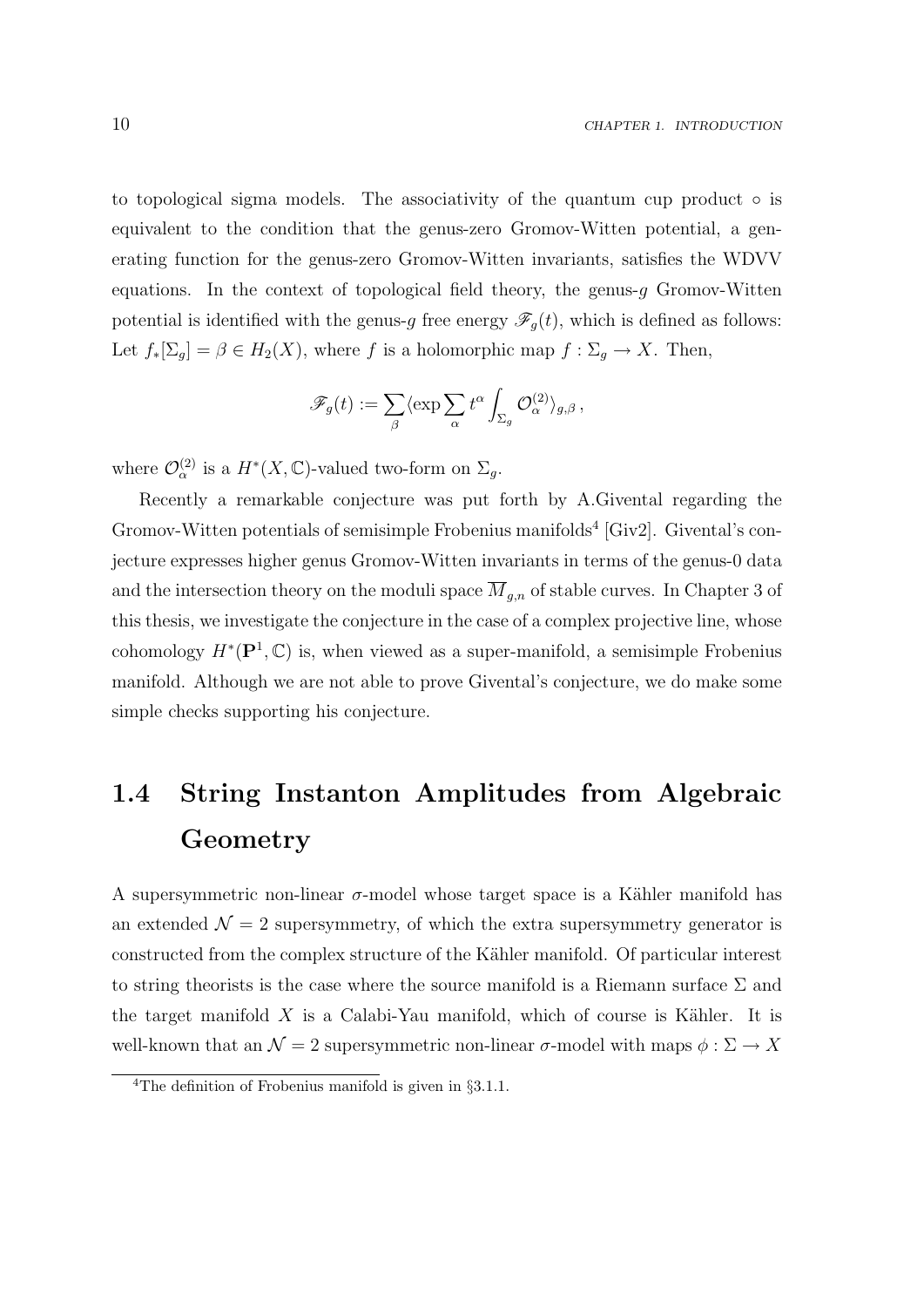to topological sigma models. The associativity of the quantum cup product  $\circ$  is equivalent to the condition that the genus-zero Gromov-Witten potential, a generating function for the genus-zero Gromov-Witten invariants, satisfies the WDVV equations. In the context of topological field theory, the genus- $q$  Gromov-Witten potential is identified with the genus-g free energy  $\mathscr{F}_g(t)$ , which is defined as follows: Let  $f_*[\Sigma_g] = \beta \in H_2(X)$ , where f is a holomorphic map  $f : \Sigma_g \to X$ . Then,

$$
\mathscr{F}_g(t) := \sum_{\beta} \langle \exp \sum_{\alpha} t^{\alpha} \int_{\Sigma_g} \mathcal{O}_{\alpha}^{(2)} \rangle_{g,\beta},
$$

where  $\mathcal{O}_{\alpha}^{(2)}$  is a  $H^*(X,\mathbb{C})$ -valued two-form on  $\Sigma_g$ .

Recently a remarkable conjecture was put forth by A.Givental regarding the Gromov-Witten potentials of semisimple Frobenius manifolds<sup>4</sup> [Giv2]. Givental's conjecture expresses higher genus Gromov-Witten invariants in terms of the genus-0 data and the intersection theory on the moduli space  $\overline{M}_{g,n}$  of stable curves. In Chapter 3 of this thesis, we investigate the conjecture in the case of a complex projective line, whose cohomology  $H^*(\mathbf{P}^1, \mathbb{C})$  is, when viewed as a super-manifold, a semisimple Frobenius manifold. Although we are not able to prove Givental's conjecture, we do make some simple checks supporting his conjecture.

# 1.4 String Instanton Amplitudes from Algebraic Geometry

A supersymmetric non-linear  $\sigma$ -model whose target space is a Kähler manifold has an extended  $\mathcal{N} = 2$  supersymmetry, of which the extra supersymmetry generator is constructed from the complex structure of the Kähler manifold. Of particular interest to string theorists is the case where the source manifold is a Riemann surface  $\Sigma$  and the target manifold  $X$  is a Calabi-Yau manifold, which of course is Kähler. It is well-known that an  $\mathcal{N} = 2$  supersymmetric non-linear  $\sigma$ -model with maps  $\phi : \Sigma \to X$ 

<sup>&</sup>lt;sup>4</sup>The definition of Frobenius manifold is given in  $\S 3.1.1$ .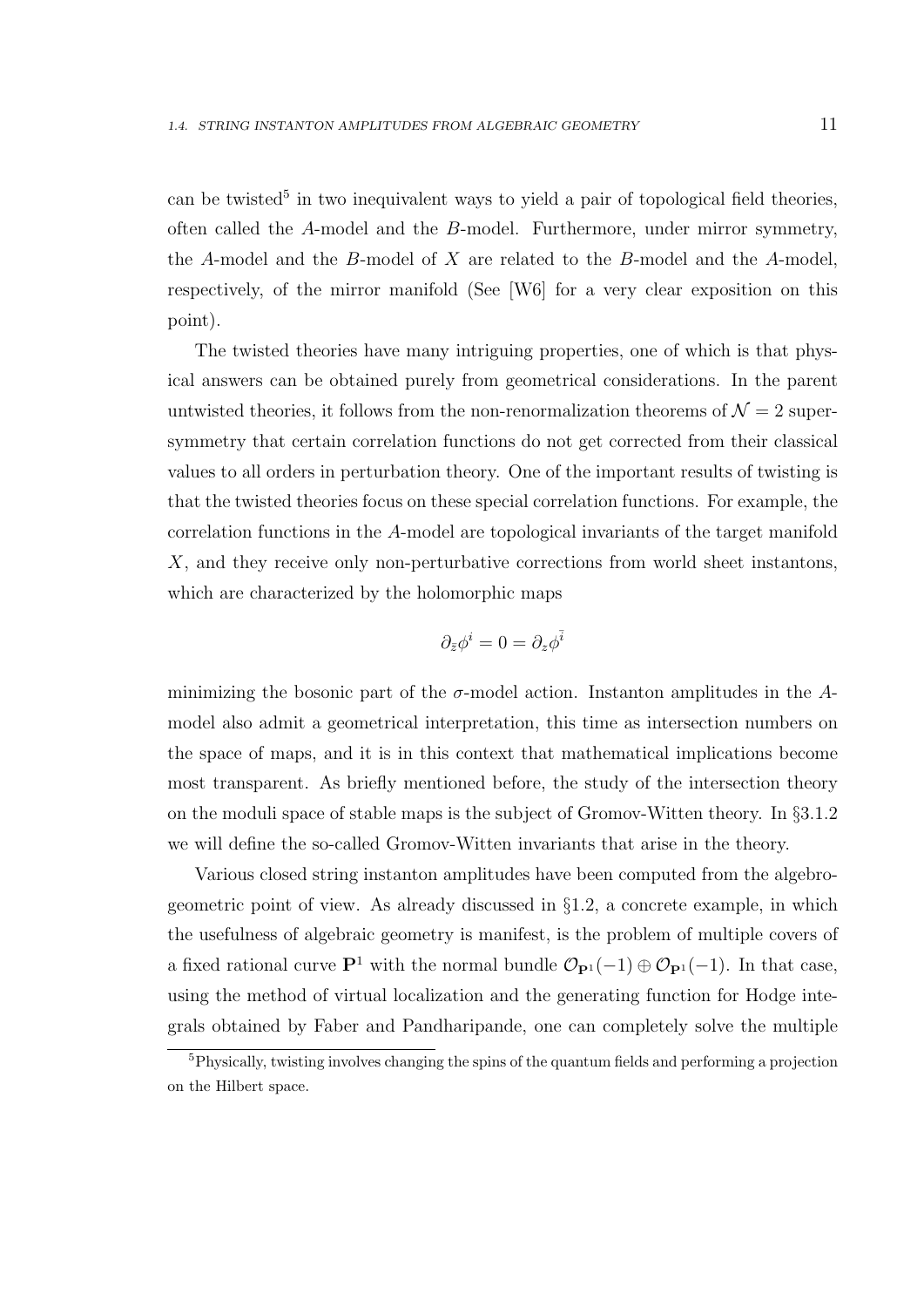can be twisted<sup>5</sup> in two inequivalent ways to yield a pair of topological field theories, often called the A-model and the B-model. Furthermore, under mirror symmetry, the A-model and the B-model of X are related to the B-model and the A-model, respectively, of the mirror manifold (See [W6] for a very clear exposition on this point).

The twisted theories have many intriguing properties, one of which is that physical answers can be obtained purely from geometrical considerations. In the parent untwisted theories, it follows from the non-renormalization theorems of  $\mathcal{N}=2$  supersymmetry that certain correlation functions do not get corrected from their classical values to all orders in perturbation theory. One of the important results of twisting is that the twisted theories focus on these special correlation functions. For example, the correlation functions in the A-model are topological invariants of the target manifold X, and they receive only non-perturbative corrections from world sheet instantons, which are characterized by the holomorphic maps

$$
\partial_{\bar{z}}\phi^i=0=\partial_z\phi^{\bar{i}}
$$

minimizing the bosonic part of the  $\sigma$ -model action. Instanton amplitudes in the Amodel also admit a geometrical interpretation, this time as intersection numbers on the space of maps, and it is in this context that mathematical implications become most transparent. As briefly mentioned before, the study of the intersection theory on the moduli space of stable maps is the subject of Gromov-Witten theory. In §3.1.2 we will define the so-called Gromov-Witten invariants that arise in the theory.

Various closed string instanton amplitudes have been computed from the algebrogeometric point of view. As already discussed in §1.2, a concrete example, in which the usefulness of algebraic geometry is manifest, is the problem of multiple covers of a fixed rational curve  $\mathbf{P}^1$  with the normal bundle  $\mathcal{O}_{\mathbf{P}^1}(-1) \oplus \mathcal{O}_{\mathbf{P}^1}(-1)$ . In that case, using the method of virtual localization and the generating function for Hodge integrals obtained by Faber and Pandharipande, one can completely solve the multiple

<sup>&</sup>lt;sup>5</sup>Physically, twisting involves changing the spins of the quantum fields and performing a projection on the Hilbert space.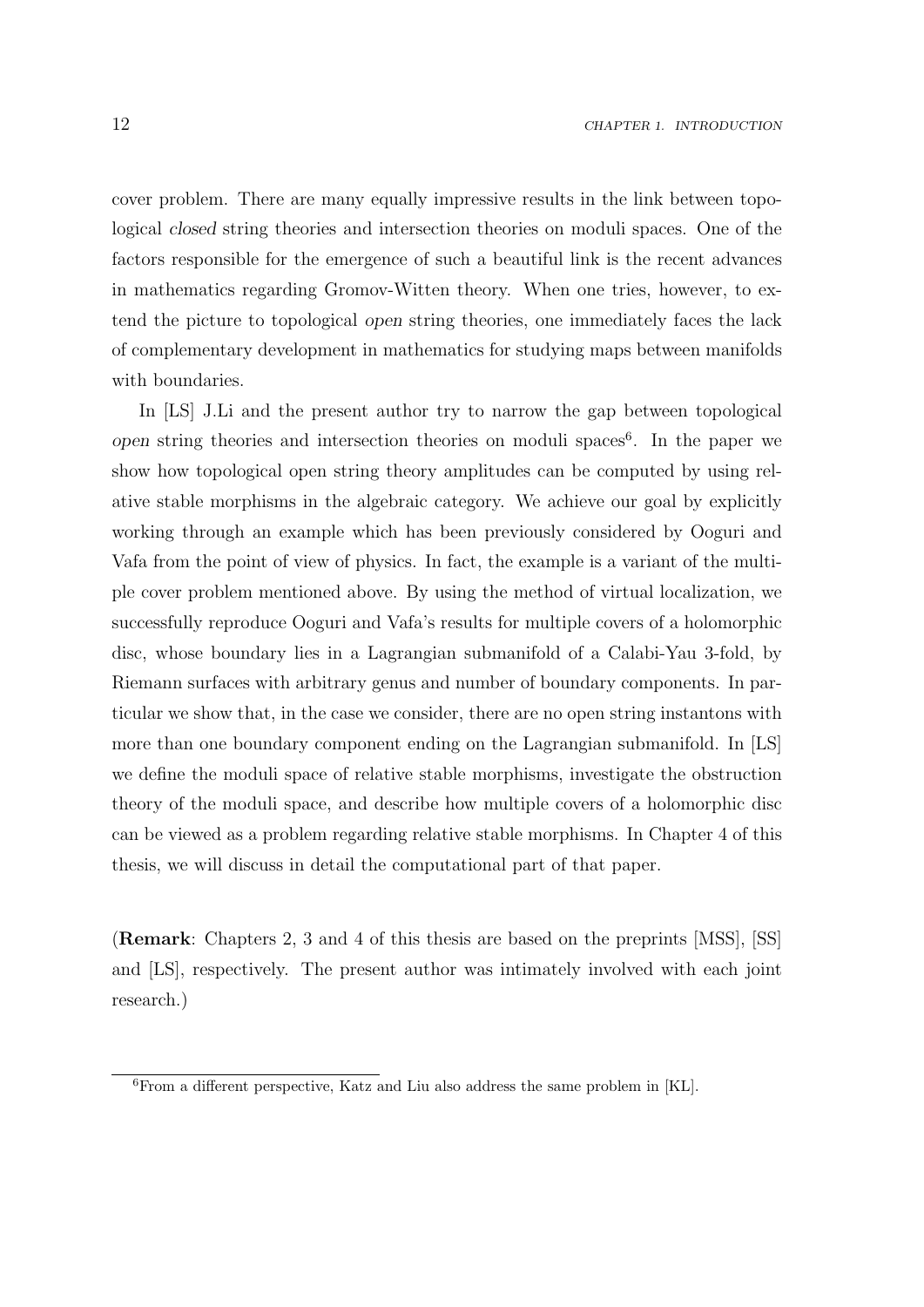cover problem. There are many equally impressive results in the link between topological closed string theories and intersection theories on moduli spaces. One of the factors responsible for the emergence of such a beautiful link is the recent advances in mathematics regarding Gromov-Witten theory. When one tries, however, to extend the picture to topological open string theories, one immediately faces the lack of complementary development in mathematics for studying maps between manifolds with boundaries.

In [LS] J.Li and the present author try to narrow the gap between topological open string theories and intersection theories on moduli spaces<sup>6</sup>. In the paper we show how topological open string theory amplitudes can be computed by using relative stable morphisms in the algebraic category. We achieve our goal by explicitly working through an example which has been previously considered by Ooguri and Vafa from the point of view of physics. In fact, the example is a variant of the multiple cover problem mentioned above. By using the method of virtual localization, we successfully reproduce Ooguri and Vafa's results for multiple covers of a holomorphic disc, whose boundary lies in a Lagrangian submanifold of a Calabi-Yau 3-fold, by Riemann surfaces with arbitrary genus and number of boundary components. In particular we show that, in the case we consider, there are no open string instantons with more than one boundary component ending on the Lagrangian submanifold. In [LS] we define the moduli space of relative stable morphisms, investigate the obstruction theory of the moduli space, and describe how multiple covers of a holomorphic disc can be viewed as a problem regarding relative stable morphisms. In Chapter 4 of this thesis, we will discuss in detail the computational part of that paper.

(Remark: Chapters 2, 3 and 4 of this thesis are based on the preprints [MSS], [SS] and [LS], respectively. The present author was intimately involved with each joint research.)

 $6$ From a different perspective, Katz and Liu also address the same problem in [KL].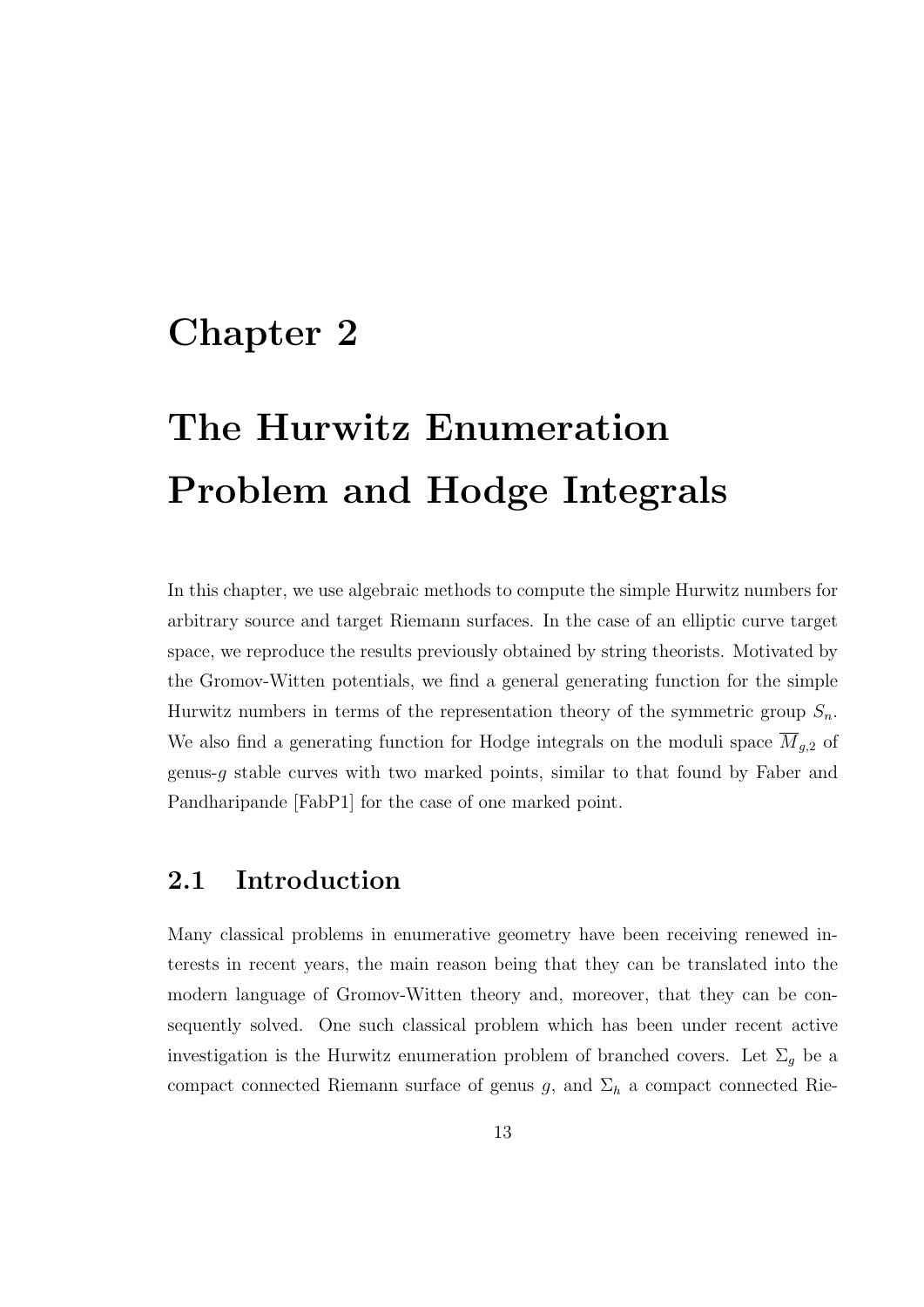# Chapter 2

# The Hurwitz Enumeration Problem and Hodge Integrals

In this chapter, we use algebraic methods to compute the simple Hurwitz numbers for arbitrary source and target Riemann surfaces. In the case of an elliptic curve target space, we reproduce the results previously obtained by string theorists. Motivated by the Gromov-Witten potentials, we find a general generating function for the simple Hurwitz numbers in terms of the representation theory of the symmetric group  $S_n$ . We also find a generating function for Hodge integrals on the moduli space  $\overline{M}_{g,2}$  of genus- $g$  stable curves with two marked points, similar to that found by Faber and Pandharipande [FabP1] for the case of one marked point.

# 2.1 Introduction

Many classical problems in enumerative geometry have been receiving renewed interests in recent years, the main reason being that they can be translated into the modern language of Gromov-Witten theory and, moreover, that they can be consequently solved. One such classical problem which has been under recent active investigation is the Hurwitz enumeration problem of branched covers. Let  $\Sigma_g$  be a compact connected Riemann surface of genus g, and  $\Sigma_h$  a compact connected Rie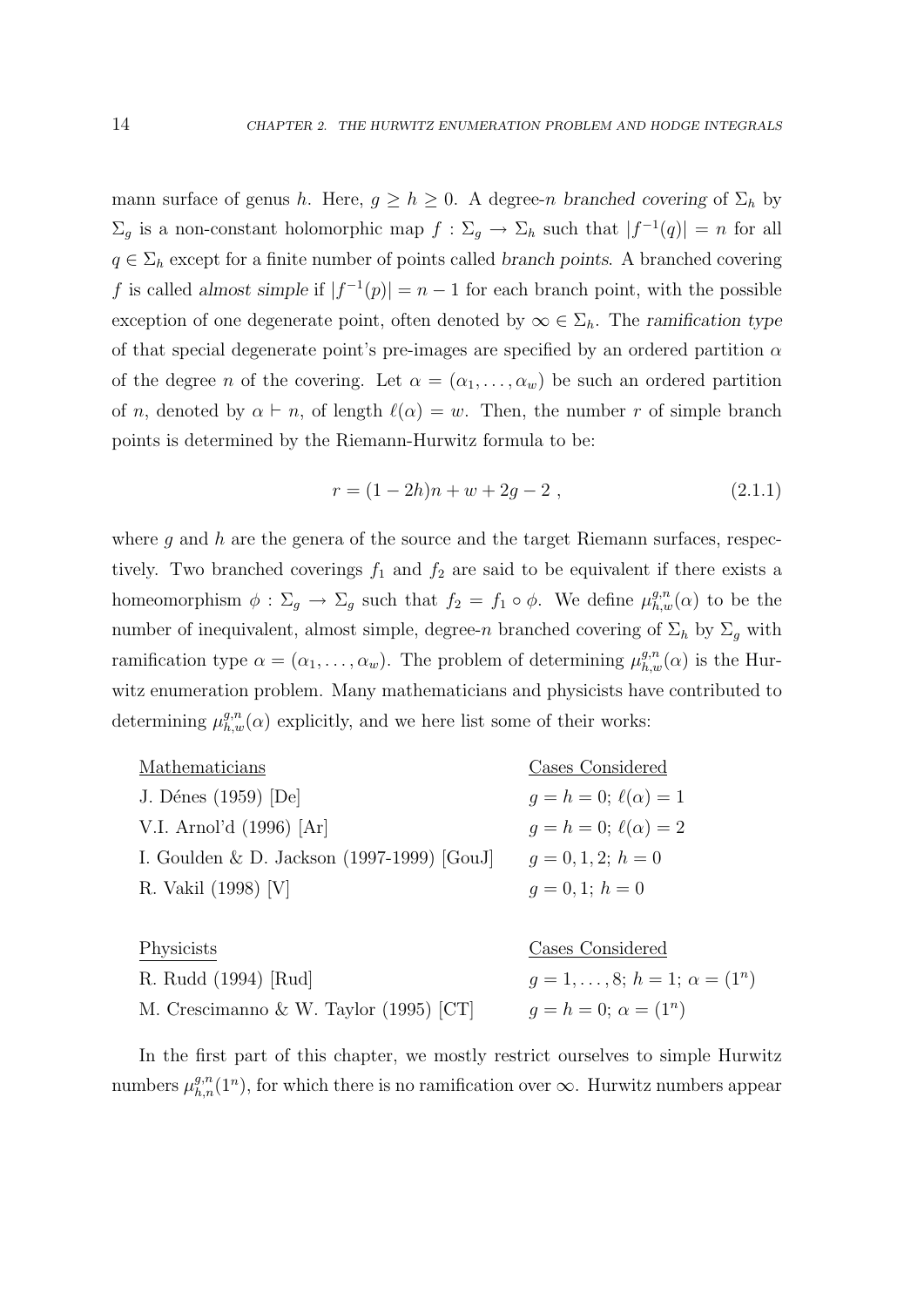mann surface of genus h. Here,  $g \ge h \ge 0$ . A degree-n branched covering of  $\Sigma_h$  by  $\Sigma_g$  is a non-constant holomorphic map  $f: \Sigma_g \to \Sigma_h$  such that  $|f^{-1}(q)| = n$  for all  $q \in \Sigma_h$  except for a finite number of points called branch points. A branched covering f is called almost simple if  $|f^{-1}(p)| = n - 1$  for each branch point, with the possible exception of one degenerate point, often denoted by  $\infty \in \Sigma_h$ . The ramification type of that special degenerate point's pre-images are specified by an ordered partition  $\alpha$ of the degree n of the covering. Let  $\alpha = (\alpha_1, \ldots, \alpha_w)$  be such an ordered partition of n, denoted by  $\alpha \vdash n$ , of length  $\ell(\alpha) = w$ . Then, the number r of simple branch points is determined by the Riemann-Hurwitz formula to be:

$$
r = (1 - 2h)n + w + 2g - 2,
$$
\n(2.1.1)

where q and  $h$  are the genera of the source and the target Riemann surfaces, respectively. Two branched coverings  $f_1$  and  $f_2$  are said to be equivalent if there exists a homeomorphism  $\phi : \Sigma_g \to \Sigma_g$  such that  $f_2 = f_1 \circ \phi$ . We define  $\mu_{h,w}^{g,n}(\alpha)$  to be the number of inequivalent, almost simple, degree-n branched covering of  $\Sigma_h$  by  $\Sigma_g$  with ramification type  $\alpha = (\alpha_1, \dots, \alpha_w)$ . The problem of determining  $\mu_{h,w}^{g,n}(\alpha)$  is the Hurwitz enumeration problem. Many mathematicians and physicists have contributed to determining  $\mu_{h,w}^{g,n}(\alpha)$  explicitly, and we here list some of their works:

| Mathematicians                               | Cases Considered              |
|----------------------------------------------|-------------------------------|
| J. Dénes (1959) [De]                         | $q = h = 0; \ell(\alpha) = 1$ |
| V.I. Arnol'd (1996) [Ar]                     | $q = h = 0; \ell(\alpha) = 2$ |
| I. Goulden & D. Jackson $(1997-1999)$ [GouJ] | $q=0,1,2; h=0$                |
| R. Vakil (1998) [V]                          | $q=0,1; h=0$                  |
|                                              |                               |

| Physicists                             | Cases Considered                          |
|----------------------------------------|-------------------------------------------|
| R. Rudd (1994) [Rud]                   | $g = 1, \ldots, 8; h = 1; \alpha = (1^n)$ |
| M. Crescimanno & W. Taylor (1995) [CT] | $q = h = 0; \alpha = (1^n)$               |

In the first part of this chapter, we mostly restrict ourselves to simple Hurwitz numbers  $\mu_{h,n}^{g,n}(1^n)$ , for which there is no ramification over  $\infty$ . Hurwitz numbers appear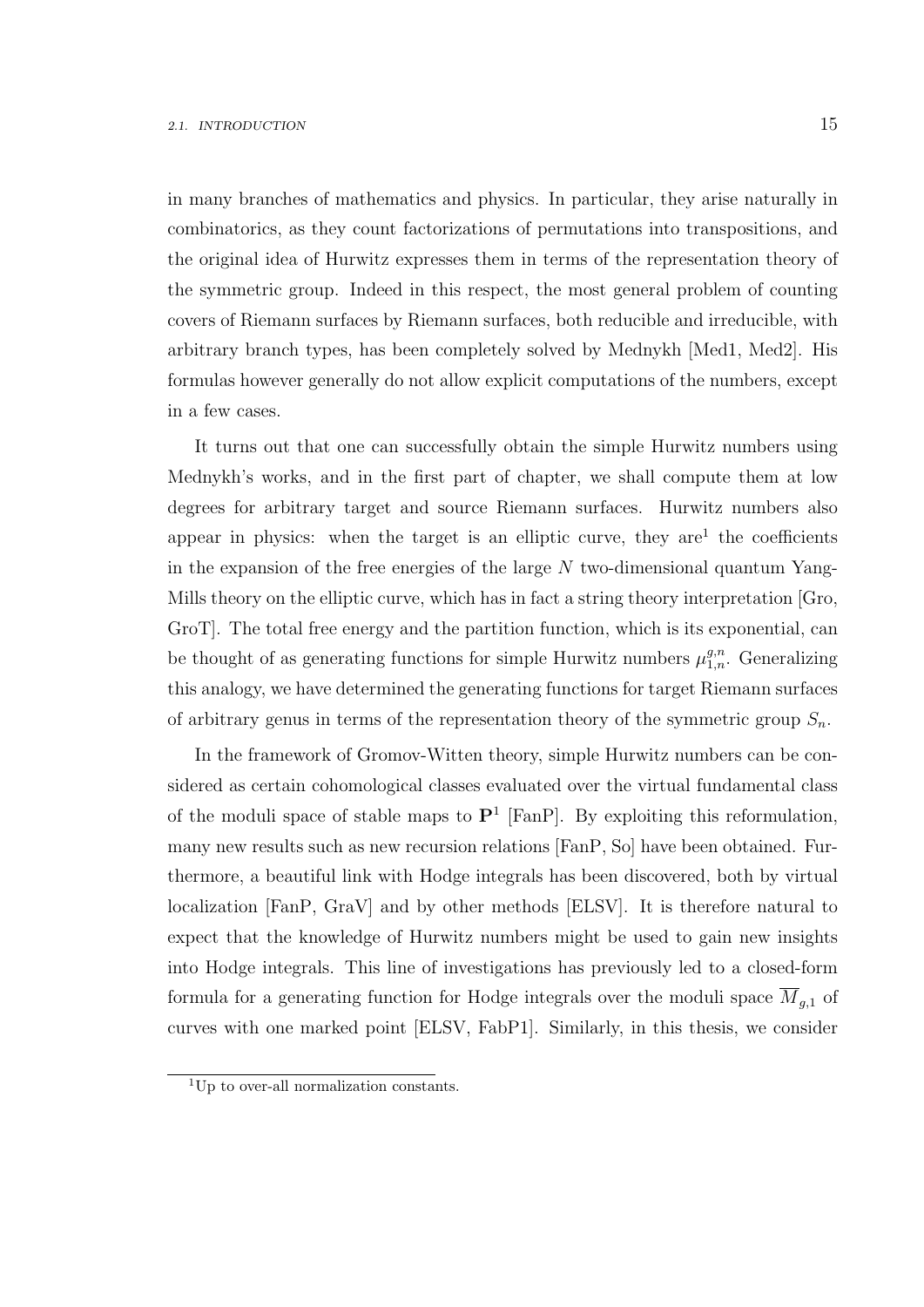in many branches of mathematics and physics. In particular, they arise naturally in combinatorics, as they count factorizations of permutations into transpositions, and the original idea of Hurwitz expresses them in terms of the representation theory of the symmetric group. Indeed in this respect, the most general problem of counting covers of Riemann surfaces by Riemann surfaces, both reducible and irreducible, with arbitrary branch types, has been completely solved by Mednykh [Med1, Med2]. His formulas however generally do not allow explicit computations of the numbers, except in a few cases.

It turns out that one can successfully obtain the simple Hurwitz numbers using Mednykh's works, and in the first part of chapter, we shall compute them at low degrees for arbitrary target and source Riemann surfaces. Hurwitz numbers also appear in physics: when the target is an elliptic curve, they are<sup>1</sup> the coefficients in the expansion of the free energies of the large  $N$  two-dimensional quantum Yang-Mills theory on the elliptic curve, which has in fact a string theory interpretation [Gro, GroT]. The total free energy and the partition function, which is its exponential, can be thought of as generating functions for simple Hurwitz numbers  $\mu_{1,n}^{g,n}$ . Generalizing this analogy, we have determined the generating functions for target Riemann surfaces of arbitrary genus in terms of the representation theory of the symmetric group  $S_n$ .

In the framework of Gromov-Witten theory, simple Hurwitz numbers can be considered as certain cohomological classes evaluated over the virtual fundamental class of the moduli space of stable maps to  $\mathbf{P}^1$  [FanP]. By exploiting this reformulation, many new results such as new recursion relations [FanP, So] have been obtained. Furthermore, a beautiful link with Hodge integrals has been discovered, both by virtual localization [FanP, GraV] and by other methods [ELSV]. It is therefore natural to expect that the knowledge of Hurwitz numbers might be used to gain new insights into Hodge integrals. This line of investigations has previously led to a closed-form formula for a generating function for Hodge integrals over the moduli space  $\overline{M}_{g,1}$  of curves with one marked point [ELSV, FabP1]. Similarly, in this thesis, we consider

<sup>&</sup>lt;sup>1</sup>Up to over-all normalization constants.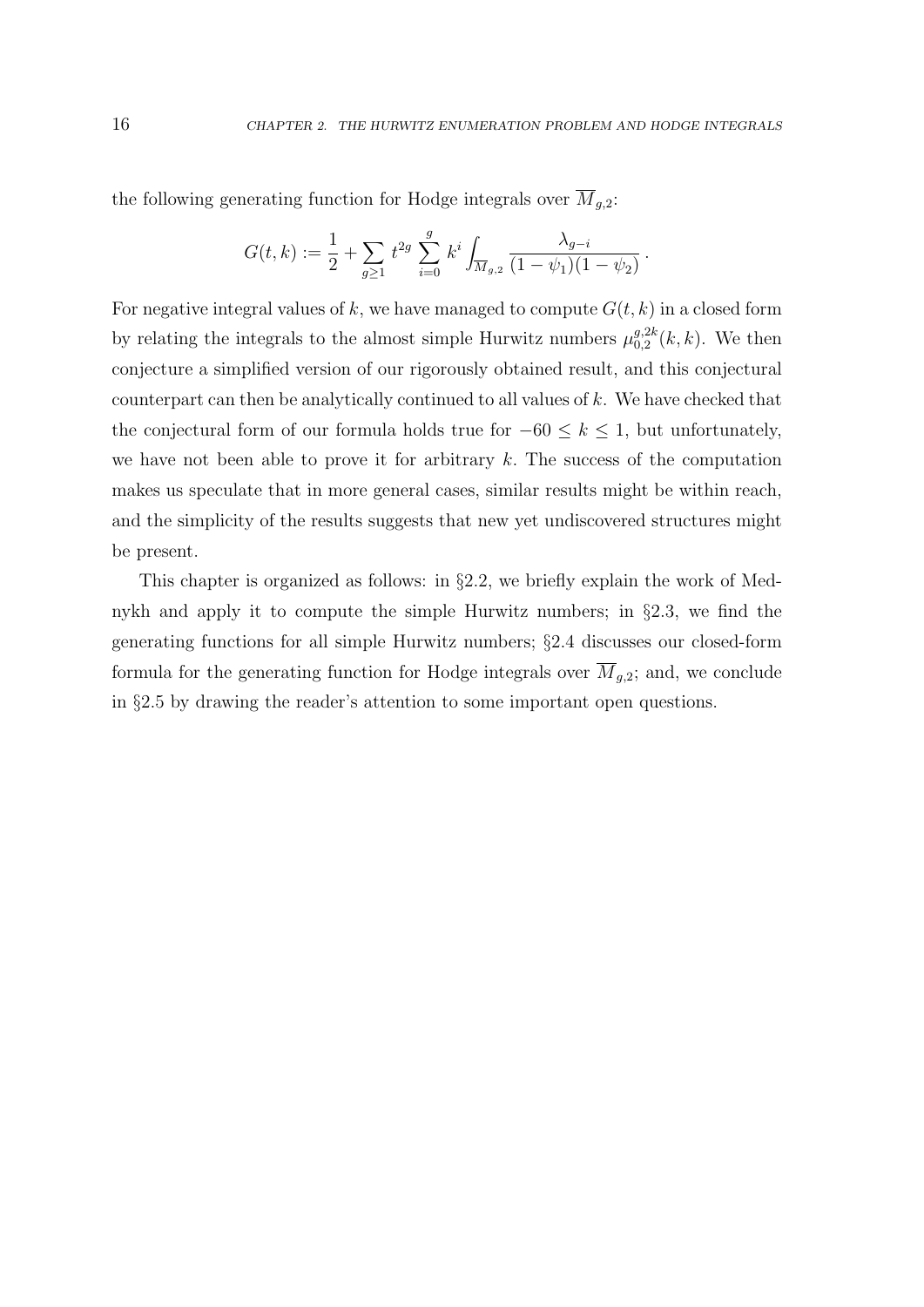the following generating function for Hodge integrals over  $\overline{M}_{g,2}$ :

$$
G(t,k) := \frac{1}{2} + \sum_{g \ge 1} t^{2g} \sum_{i=0}^g k^i \int_{\overline{M}_{g,2}} \frac{\lambda_{g-i}}{(1 - \psi_1)(1 - \psi_2)}.
$$

For negative integral values of k, we have managed to compute  $G(t, k)$  in a closed form by relating the integrals to the almost simple Hurwitz numbers  $\mu_{0,2}^{g,2k}$  $_{0,2}^{g,2k}(k,k)$ . We then conjecture a simplified version of our rigorously obtained result, and this conjectural counterpart can then be analytically continued to all values of  $k$ . We have checked that the conjectural form of our formula holds true for  $-60 \le k \le 1$ , but unfortunately, we have not been able to prove it for arbitrary  $k$ . The success of the computation makes us speculate that in more general cases, similar results might be within reach, and the simplicity of the results suggests that new yet undiscovered structures might be present.

This chapter is organized as follows: in §2.2, we briefly explain the work of Mednykh and apply it to compute the simple Hurwitz numbers; in §2.3, we find the generating functions for all simple Hurwitz numbers; §2.4 discusses our closed-form formula for the generating function for Hodge integrals over  $\overline{M}_{g,2}$ ; and, we conclude in §2.5 by drawing the reader's attention to some important open questions.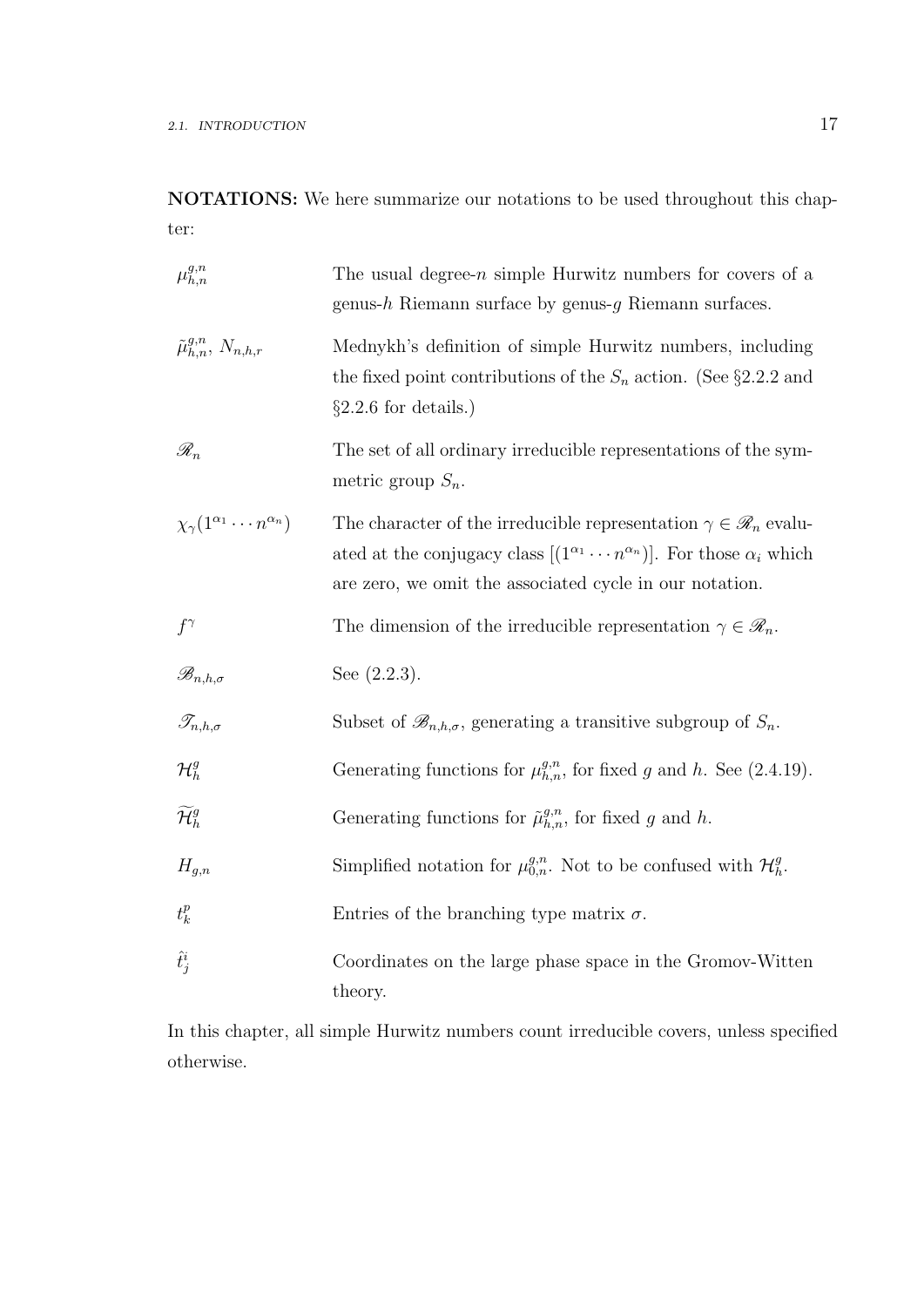NOTATIONS: We here summarize our notations to be used throughout this chapter:

| $\mu_{h,n}^{g,n}$                                | The usual degree- $n$ simple Hurwitz numbers for covers of a<br>genus-h Riemann surface by genus- $g$ Riemann surfaces.                                                                                                                         |
|--------------------------------------------------|-------------------------------------------------------------------------------------------------------------------------------------------------------------------------------------------------------------------------------------------------|
| $\tilde{\mu}_{h,n}^{g,n}, N_{n,h,r}$             | Mednykh's definition of simple Hurwitz numbers, including<br>the fixed point contributions of the $S_n$ action. (See §2.2.2 and<br>$\S2.2.6$ for details.)                                                                                      |
| $\mathscr{R}_n$                                  | The set of all ordinary irreducible representations of the sym-<br>metric group $S_n$ .                                                                                                                                                         |
| $\chi_{\gamma}(1^{\alpha_1}\cdots n^{\alpha_n})$ | The character of the irreducible representation $\gamma \in \mathcal{R}_n$ evalu-<br>ated at the conjugacy class $[(1^{\alpha_1} \cdots n^{\alpha_n})]$ . For those $\alpha_i$ which<br>are zero, we omit the associated cycle in our notation. |
| $f^{\gamma}$                                     | The dimension of the irreducible representation $\gamma \in \mathscr{R}_n$ .                                                                                                                                                                    |
| $\mathscr{B}_{n,h,\sigma}$                       | See $(2.2.3)$ .                                                                                                                                                                                                                                 |
| $\mathscr{T}_{n,h,\sigma}$                       | Subset of $\mathscr{B}_{n,h,\sigma}$ , generating a transitive subgroup of $S_n$ .                                                                                                                                                              |
| $\mathcal{H}^g_h$                                | Generating functions for $\mu_{h,n}^{g,n}$ , for fixed g and h. See (2.4.19).                                                                                                                                                                   |
| $\widetilde{\mathcal{H}}_h^g$                    | Generating functions for $\tilde{\mu}_{h,n}^{g,n}$ , for fixed g and h.                                                                                                                                                                         |
| $H_{g,n}$                                        | Simplified notation for $\mu_{0,n}^{g,n}$ . Not to be confused with $\mathcal{H}_h^g$ .                                                                                                                                                         |
| $t_k^p$                                          | Entries of the branching type matrix $\sigma$ .                                                                                                                                                                                                 |
| $\hat{t}_j^i$                                    | Coordinates on the large phase space in the Gromov-Witten<br>theory.                                                                                                                                                                            |

In this chapter, all simple Hurwitz numbers count irreducible covers, unless specified otherwise.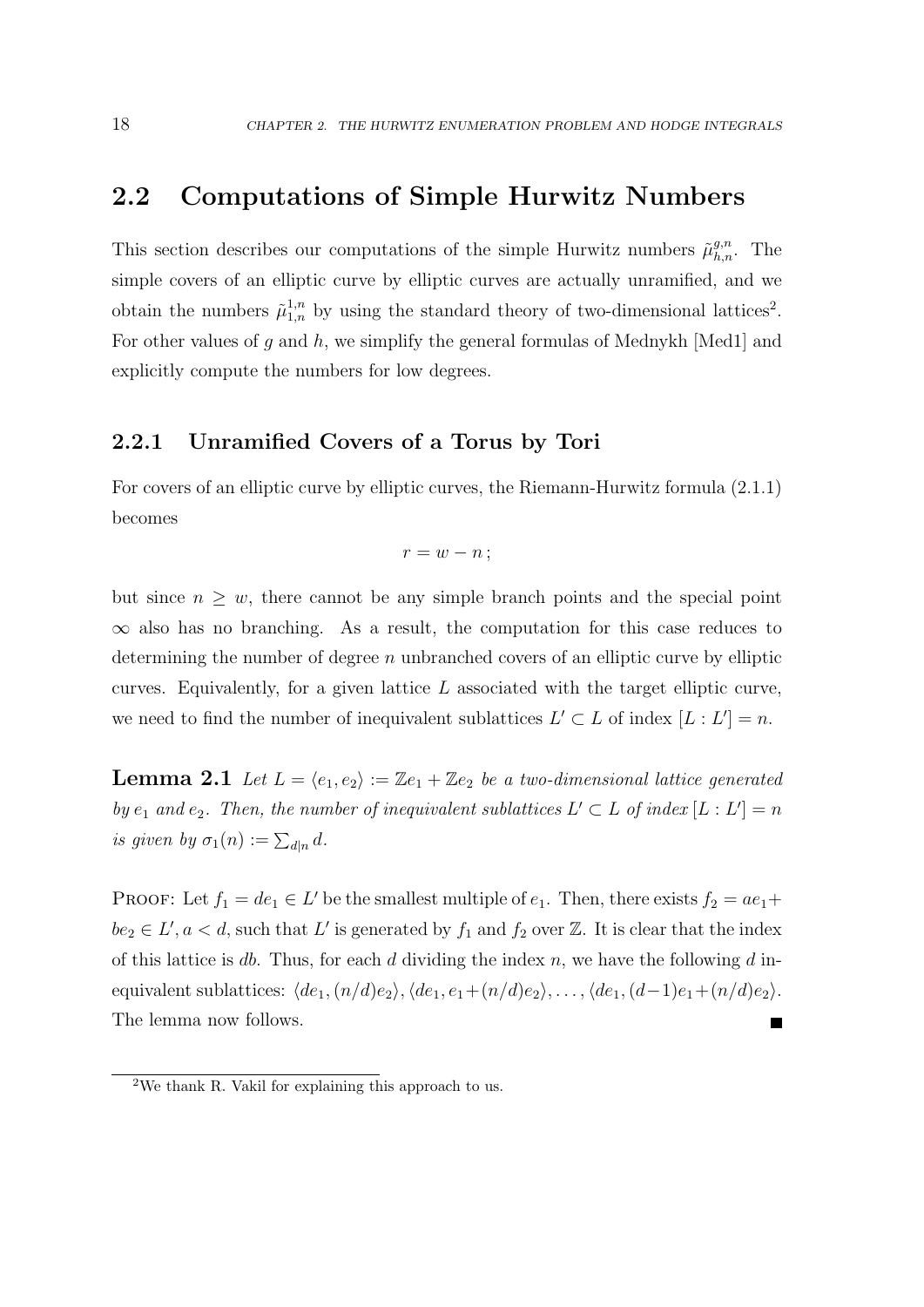## 2.2 Computations of Simple Hurwitz Numbers

This section describes our computations of the simple Hurwitz numbers  $\tilde{\mu}_{h,n}^{g,n}$ . The simple covers of an elliptic curve by elliptic curves are actually unramified, and we obtain the numbers  $\tilde{\mu}_{1,n}^{1,n}$  by using the standard theory of two-dimensional lattices<sup>2</sup>. For other values of g and h, we simplify the general formulas of Mednykh [Med1] and explicitly compute the numbers for low degrees.

## 2.2.1 Unramified Covers of a Torus by Tori

For covers of an elliptic curve by elliptic curves, the Riemann-Hurwitz formula (2.1.1) becomes

$$
r=w-n;
$$

but since  $n \geq w$ , there cannot be any simple branch points and the special point  $\infty$  also has no branching. As a result, the computation for this case reduces to determining the number of degree  $n$  unbranched covers of an elliptic curve by elliptic curves. Equivalently, for a given lattice  $L$  associated with the target elliptic curve, we need to find the number of inequivalent sublattices  $L' \subset L$  of index  $[L: L'] = n$ .

**Lemma 2.1** Let  $L = \langle e_1, e_2 \rangle := \mathbb{Z}e_1 + \mathbb{Z}e_2$  be a two-dimensional lattice generated by  $e_1$  and  $e_2$ . Then, the number of inequivalent sublattices  $L' \subset L$  of index  $[L: L'] = n$ is given by  $\sigma_1(n) := \sum_{d|n} d$ .

PROOF: Let  $f_1 = de_1 \in L'$  be the smallest multiple of  $e_1$ . Then, there exists  $f_2 = ae_1 +$  $be_2 \in L', a < d$ , such that L' is generated by  $f_1$  and  $f_2$  over Z. It is clear that the index of this lattice is db. Thus, for each d dividing the index n, we have the following d inequivalent sublattices:  $\langle de_1,(n/d)e_2\rangle, \langle de_1, e_1+(n/d)e_2\rangle, \ldots, \langle de_1,(d-1)e_1+(n/d)e_2\rangle.$ The lemma now follows.

<sup>&</sup>lt;sup>2</sup>We thank R. Vakil for explaining this approach to us.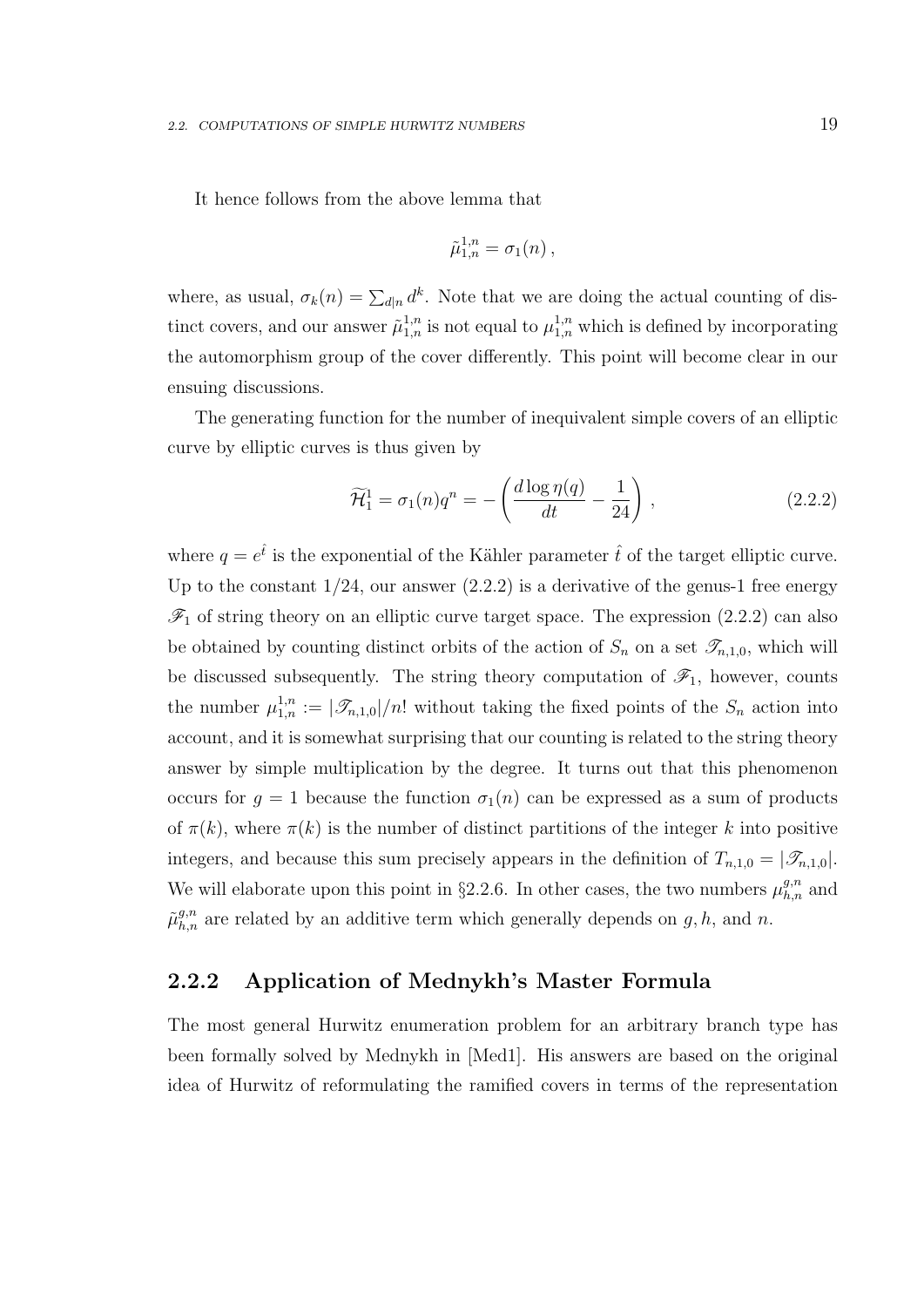It hence follows from the above lemma that

$$
\tilde{\mu}_{1,n}^{1,n} = \sigma_1(n) ,
$$

where, as usual,  $\sigma_k(n) = \sum_{d|n} d^k$ . Note that we are doing the actual counting of distinct covers, and our answer  $\tilde{\mu}_{1,n}^{1,n}$  is not equal to  $\mu_{1,n}^{1,n}$  which is defined by incorporating the automorphism group of the cover differently. This point will become clear in our ensuing discussions.

The generating function for the number of inequivalent simple covers of an elliptic curve by elliptic curves is thus given by

$$
\widetilde{\mathcal{H}}_1^1 = \sigma_1(n)q^n = -\left(\frac{d\log \eta(q)}{dt} - \frac{1}{24}\right),\tag{2.2.2}
$$

where  $q = e^{\hat{t}}$  is the exponential of the Kähler parameter  $\hat{t}$  of the target elliptic curve. Up to the constant  $1/24$ , our answer  $(2.2.2)$  is a derivative of the genus-1 free energy  $\mathscr{F}_1$  of string theory on an elliptic curve target space. The expression (2.2.2) can also be obtained by counting distinct orbits of the action of  $S_n$  on a set  $\mathscr{T}_{n,1,0}$ , which will be discussed subsequently. The string theory computation of  $\mathscr{F}_1$ , however, counts the number  $\mu_{1,n}^{1,n} := |\mathcal{F}_{n,1,0}|/n!$  without taking the fixed points of the  $S_n$  action into account, and it is somewhat surprising that our counting is related to the string theory answer by simple multiplication by the degree. It turns out that this phenomenon occurs for  $g = 1$  because the function  $\sigma_1(n)$  can be expressed as a sum of products of  $\pi(k)$ , where  $\pi(k)$  is the number of distinct partitions of the integer k into positive integers, and because this sum precisely appears in the definition of  $T_{n,1,0} = |\mathcal{T}_{n,1,0}|$ . We will elaborate upon this point in §2.2.6. In other cases, the two numbers  $\mu_{h,n}^{g,n}$  and  $\tilde{\mu}_{h,n}^{g,n}$  are related by an additive term which generally depends on  $g, h$ , and  $n$ .

## 2.2.2 Application of Mednykh's Master Formula

The most general Hurwitz enumeration problem for an arbitrary branch type has been formally solved by Mednykh in [Med1]. His answers are based on the original idea of Hurwitz of reformulating the ramified covers in terms of the representation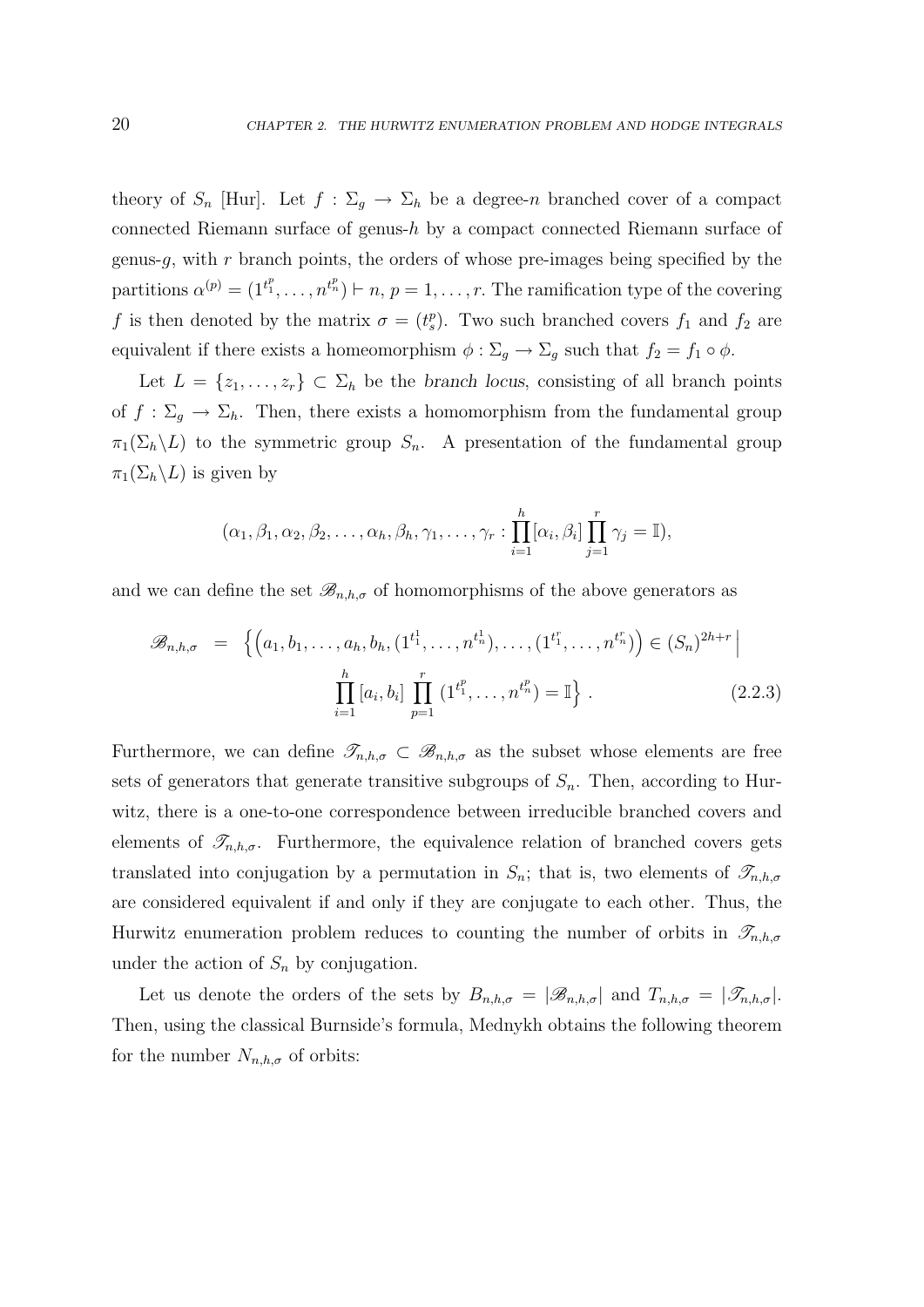theory of  $S_n$  [Hur]. Let  $f : \Sigma_q \to \Sigma_h$  be a degree-n branched cover of a compact connected Riemann surface of genus-h by a compact connected Riemann surface of genus-q, with r branch points, the orders of whose pre-images being specified by the partitions  $\alpha^{(p)} = (1^{t_1^p}, \ldots, n^{t_n^p}) \vdash n, p = 1, \ldots, r$ . The ramification type of the covering f is then denoted by the matrix  $\sigma = (t_s^p)$ . Two such branched covers  $f_1$  and  $f_2$  are equivalent if there exists a homeomorphism  $\phi : \Sigma_g \to \Sigma_g$  such that  $f_2 = f_1 \circ \phi$ .

Let  $L = \{z_1, \ldots, z_r\} \subset \Sigma_h$  be the branch locus, consisting of all branch points of  $f : \Sigma_g \to \Sigma_h$ . Then, there exists a homomorphism from the fundamental group  $\pi_1(\Sigma_h \backslash L)$  to the symmetric group  $S_n$ . A presentation of the fundamental group  $\pi_1(\Sigma_h \backslash L)$  is given by

$$
(\alpha_1, \beta_1, \alpha_2, \beta_2, \ldots, \alpha_h, \beta_h, \gamma_1, \ldots, \gamma_r : \prod_{i=1}^h [\alpha_i, \beta_i] \prod_{j=1}^r \gamma_j = \mathbb{I}),
$$

and we can define the set  $\mathscr{B}_{n,h,\sigma}$  of homomorphisms of the above generators as

$$
\mathscr{B}_{n,h,\sigma} = \left\{ \left( a_1, b_1, \dots, a_h, b_h, (1^{t_1^1}, \dots, n^{t_n^1}), \dots, (1^{t_1^r}, \dots, n^{t_n^r}) \right) \in (S_n)^{2h+r} \; \middle| \; \prod_{i=1}^h \left[ a_i, b_i \right] \prod_{p=1}^r \left( 1^{t_1^p}, \dots, n^{t_n^p} \right) = \mathbb{I} \right\} . \tag{2.2.3}
$$

Furthermore, we can define  $\mathscr{T}_{n,h,\sigma} \subset \mathscr{B}_{n,h,\sigma}$  as the subset whose elements are free sets of generators that generate transitive subgroups of  $S_n$ . Then, according to Hurwitz, there is a one-to-one correspondence between irreducible branched covers and elements of  $\mathscr{T}_{n,h,\sigma}$ . Furthermore, the equivalence relation of branched covers gets translated into conjugation by a permutation in  $S_n$ ; that is, two elements of  $\mathscr{T}_{n,h,\sigma}$ are considered equivalent if and only if they are conjugate to each other. Thus, the Hurwitz enumeration problem reduces to counting the number of orbits in  $\mathscr{T}_{n,h,\sigma}$ under the action of  $S_n$  by conjugation.

Let us denote the orders of the sets by  $B_{n,h,\sigma} = |\mathscr{B}_{n,h,\sigma}|$  and  $T_{n,h,\sigma} = |\mathscr{T}_{n,h,\sigma}|$ . Then, using the classical Burnside's formula, Mednykh obtains the following theorem for the number  $N_{n,h,\sigma}$  of orbits: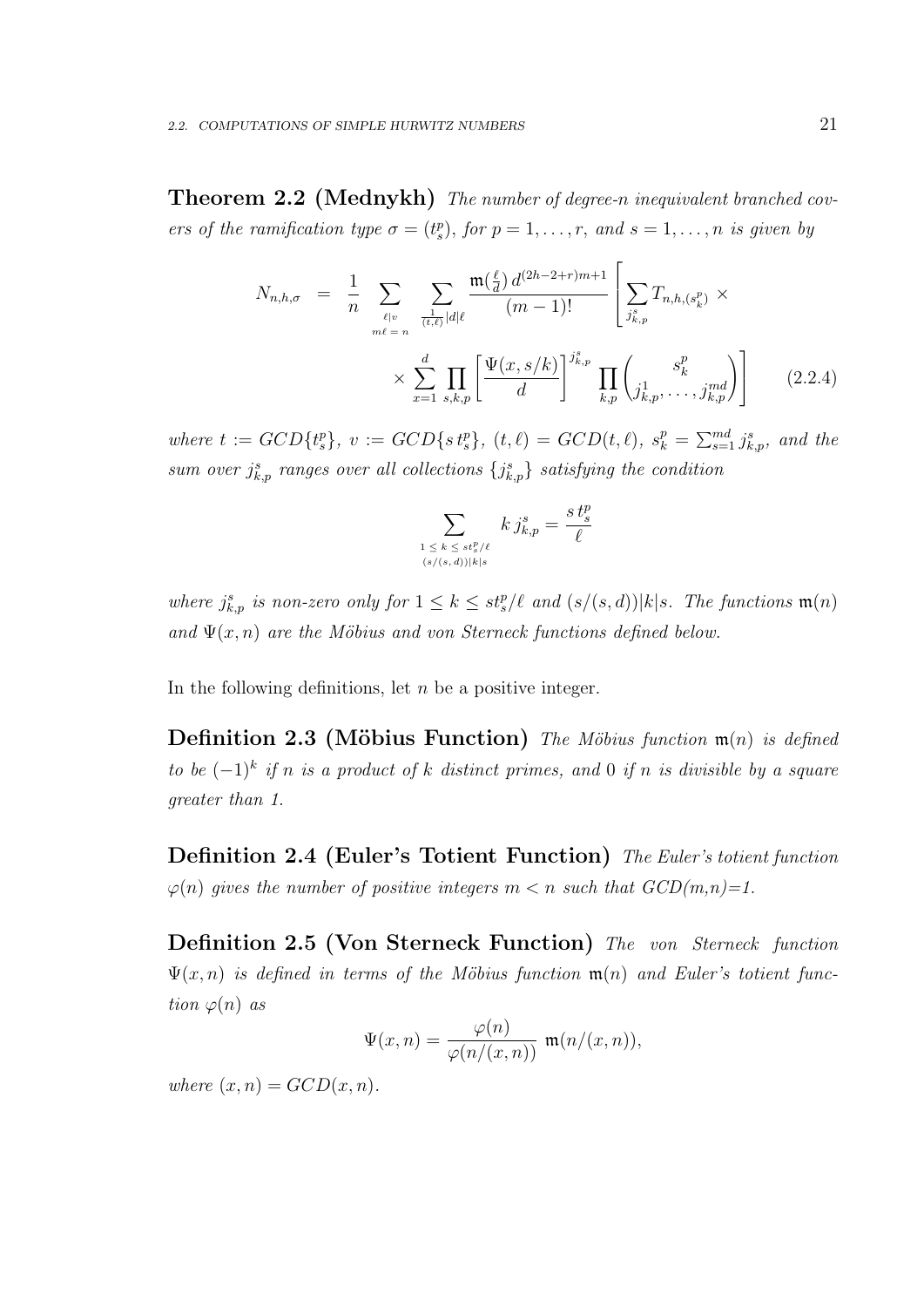**Theorem 2.2 (Mednykh)** The number of degree-n inequivalent branched covers of the ramification type  $\sigma = (t_s^p)$ , for  $p = 1, \ldots, r$ , and  $s = 1, \ldots, n$  is given by

$$
N_{n,h,\sigma} = \frac{1}{n} \sum_{\ell \mid v \atop m\ell = n} \sum_{\frac{1}{(t,\ell)}|d|\ell} \frac{\mathfrak{m}(\frac{\ell}{d}) d^{(2h-2+r)m+1}}{(m-1)!} \left[ \sum_{j_{k,p}^s} T_{n,h,(s_k^p)} \times \times \sum_{x=1}^d \prod_{s,k,p} \left[ \frac{\Psi(x,s/k)}{d} \right]^{j_{k,p}^s} \prod_{k,p} \binom{s_k^p}{j_{k,p}^1, \ldots, j_{k,p}^{md}} \right] \tag{2.2.4}
$$

where  $t := GCD{t_s^p}$ ,  $v := GCD{s_t^p}$ ,  $(t, \ell) = GCD(t, \ell)$ ,  $s_k^p = \sum_{s=1}^{md} j_{k,p}^s$ , and the sum over  $j_{k,p}^s$  ranges over all collections  $\{j_{k,p}^s\}$  satisfying the condition

$$
\sum_{\substack{1 \leq k \leq st_s^p/\ell \\ (s/(s,d))|k|s}} k j_{k,p}^s = \frac{st_s^p}{\ell}
$$

where  $j_{k,p}^s$  is non-zero only for  $1 \leq k \leq st_s^p/\ell$  and  $(s/(s,d))|k|s$ . The functions  $\mathfrak{m}(n)$ and  $\Psi(x, n)$  are the Möbius and von Sterneck functions defined below.

In the following definitions, let  $n$  be a positive integer.

**Definition 2.3 (Möbius Function)** The Möbius function  $\mathfrak{m}(n)$  is defined to be  $(-1)^k$  if n is a product of k distinct primes, and 0 if n is divisible by a square greater than 1.

Definition 2.4 (Euler's Totient Function) The Euler's totient function  $\varphi(n)$  gives the number of positive integers  $m < n$  such that  $GCD(m,n)=1$ .

Definition 2.5 (Von Sterneck Function) The von Sterneck function  $\Psi(x, n)$  is defined in terms of the Möbius function  $\mathfrak{m}(n)$  and Euler's totient function  $\varphi(n)$  as

$$
\Psi(x,n) = \frac{\varphi(n)}{\varphi(n/(x,n))} \ \mathfrak{m}(n/(x,n)),
$$

where  $(x, n) = GCD(x, n)$ .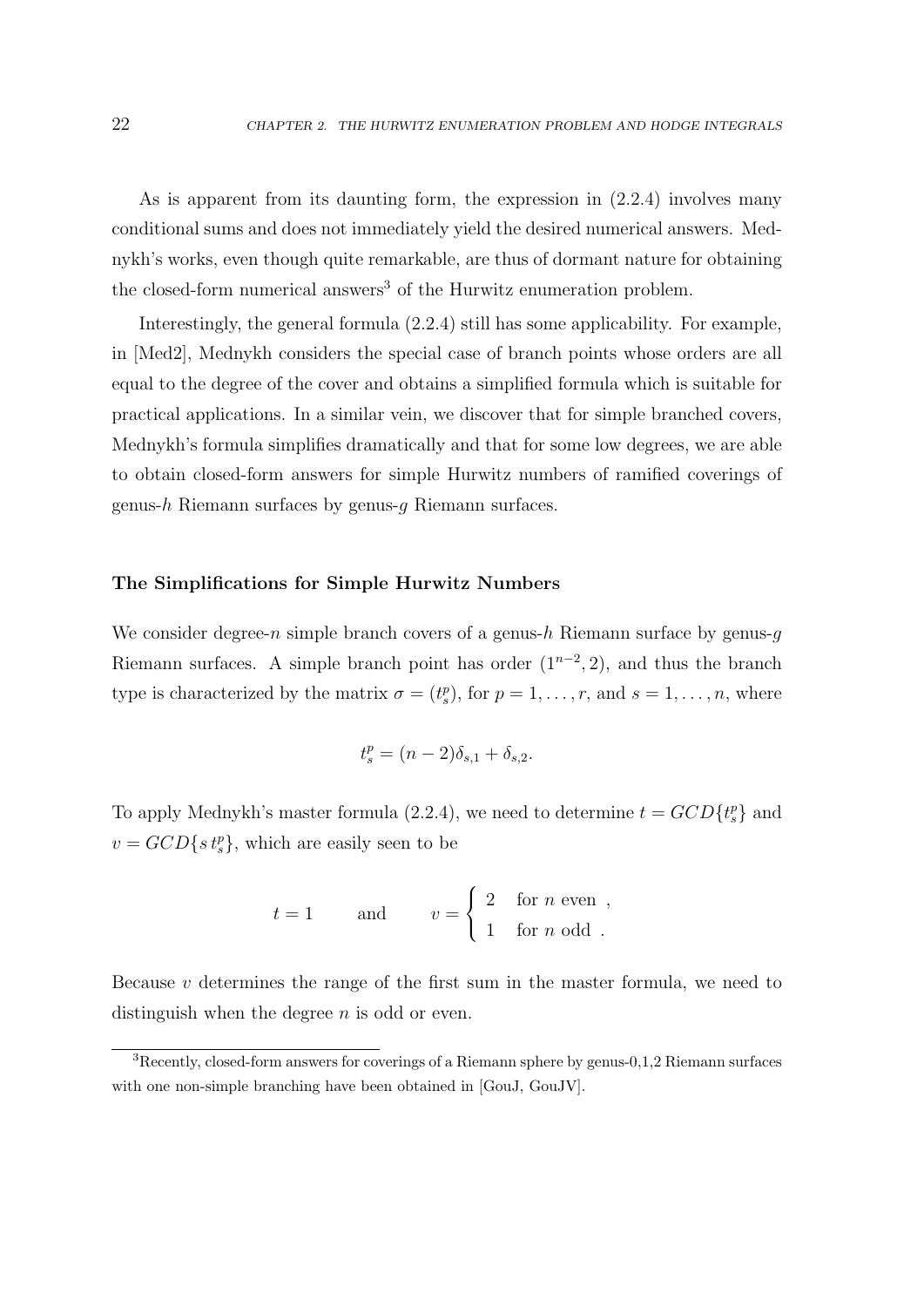As is apparent from its daunting form, the expression in (2.2.4) involves many conditional sums and does not immediately yield the desired numerical answers. Mednykh's works, even though quite remarkable, are thus of dormant nature for obtaining the closed-form numerical answers<sup>3</sup> of the Hurwitz enumeration problem.

Interestingly, the general formula (2.2.4) still has some applicability. For example, in [Med2], Mednykh considers the special case of branch points whose orders are all equal to the degree of the cover and obtains a simplified formula which is suitable for practical applications. In a similar vein, we discover that for simple branched covers, Mednykh's formula simplifies dramatically and that for some low degrees, we are able to obtain closed-form answers for simple Hurwitz numbers of ramified coverings of genus-h Riemann surfaces by genus-q Riemann surfaces.

#### The Simplifications for Simple Hurwitz Numbers

We consider degree-n simple branch covers of a genus-h Riemann surface by genus- $q$ Riemann surfaces. A simple branch point has order  $(1^{n-2}, 2)$ , and thus the branch type is characterized by the matrix  $\sigma = (t_s^p)$ , for  $p = 1, \ldots, r$ , and  $s = 1, \ldots, n$ , where

$$
t_s^p = (n-2)\delta_{s,1} + \delta_{s,2}.
$$

To apply Mednykh's master formula (2.2.4), we need to determine  $t = GCD{t_s^p}$  and  $v = GCD\{s t_s^p\}$ , which are easily seen to be

$$
t = 1
$$
 and  $v = \begin{cases} 2 & \text{for } n \text{ even}, \\ 1 & \text{for } n \text{ odd}. \end{cases}$ 

Because  $v$  determines the range of the first sum in the master formula, we need to distinguish when the degree  $n$  is odd or even.

<sup>3</sup>Recently, closed-form answers for coverings of a Riemann sphere by genus-0,1,2 Riemann surfaces with one non-simple branching have been obtained in [GouJ, GouJV].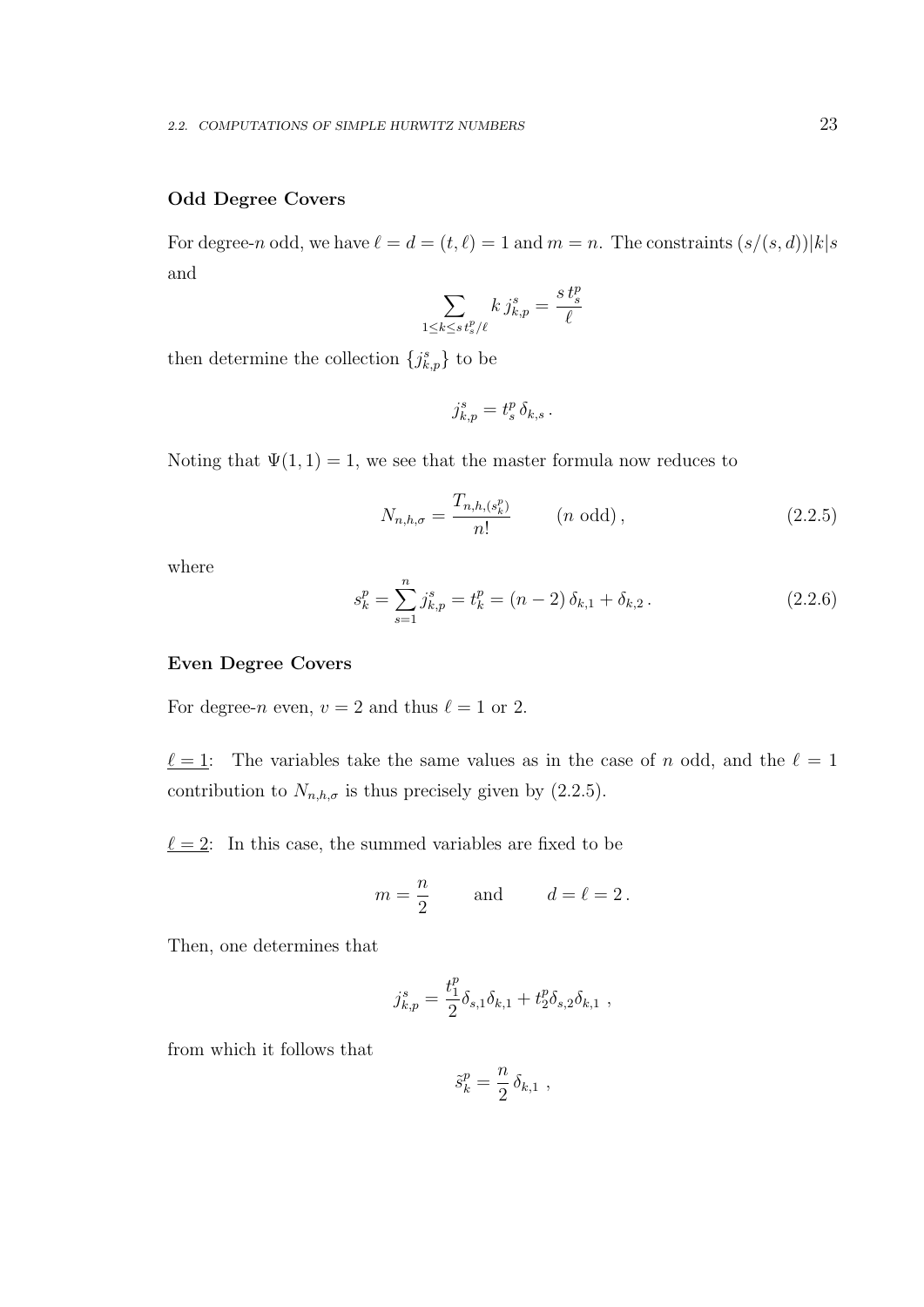## Odd Degree Covers

For degree-n odd, we have  $\ell = d = (t, \ell) = 1$  and  $m = n$ . The constraints  $(s/(s, d))|k|s$ and

$$
\sum_{1\leq k\leq s}\tfrac{1}{t_{s}^{p}/\ell}k\,j_{k,p}^{s}=\frac{s\,t_{s}^{p}}{\ell}
$$

then determine the collection  $\{j_{k,p}^s\}$  to be

$$
j_{k,p}^s = t_s^p \, \delta_{k,s} \, .
$$

Noting that  $\Psi(1,1) = 1$ , we see that the master formula now reduces to

$$
N_{n,h,\sigma} = \frac{T_{n,h,(s_k^p)}}{n!} \qquad (n \text{ odd}),
$$
 (2.2.5)

where

$$
s_k^p = \sum_{s=1}^n j_{k,p}^s = t_k^p = (n-2)\,\delta_{k,1} + \delta_{k,2} \,. \tag{2.2.6}
$$

#### Even Degree Covers

For degree-n even,  $v = 2$  and thus  $\ell = 1$  or 2.

 $\ell = 1$ : The variables take the same values as in the case of n odd, and the  $\ell = 1$ contribution to  $N_{n,h,\sigma}$  is thus precisely given by (2.2.5).

 $\ell = 2$ : In this case, the summed variables are fixed to be

$$
m = \frac{n}{2}
$$
 and  $d = \ell = 2$ .

Then, one determines that

$$
j_{k,p}^s = \frac{t_1^p}{2} \delta_{s,1} \delta_{k,1} + t_2^p \delta_{s,2} \delta_{k,1} ,
$$

from which it follows that

$$
\tilde{s}_k^p = \frac{n}{2} \, \delta_{k,1} \ ,
$$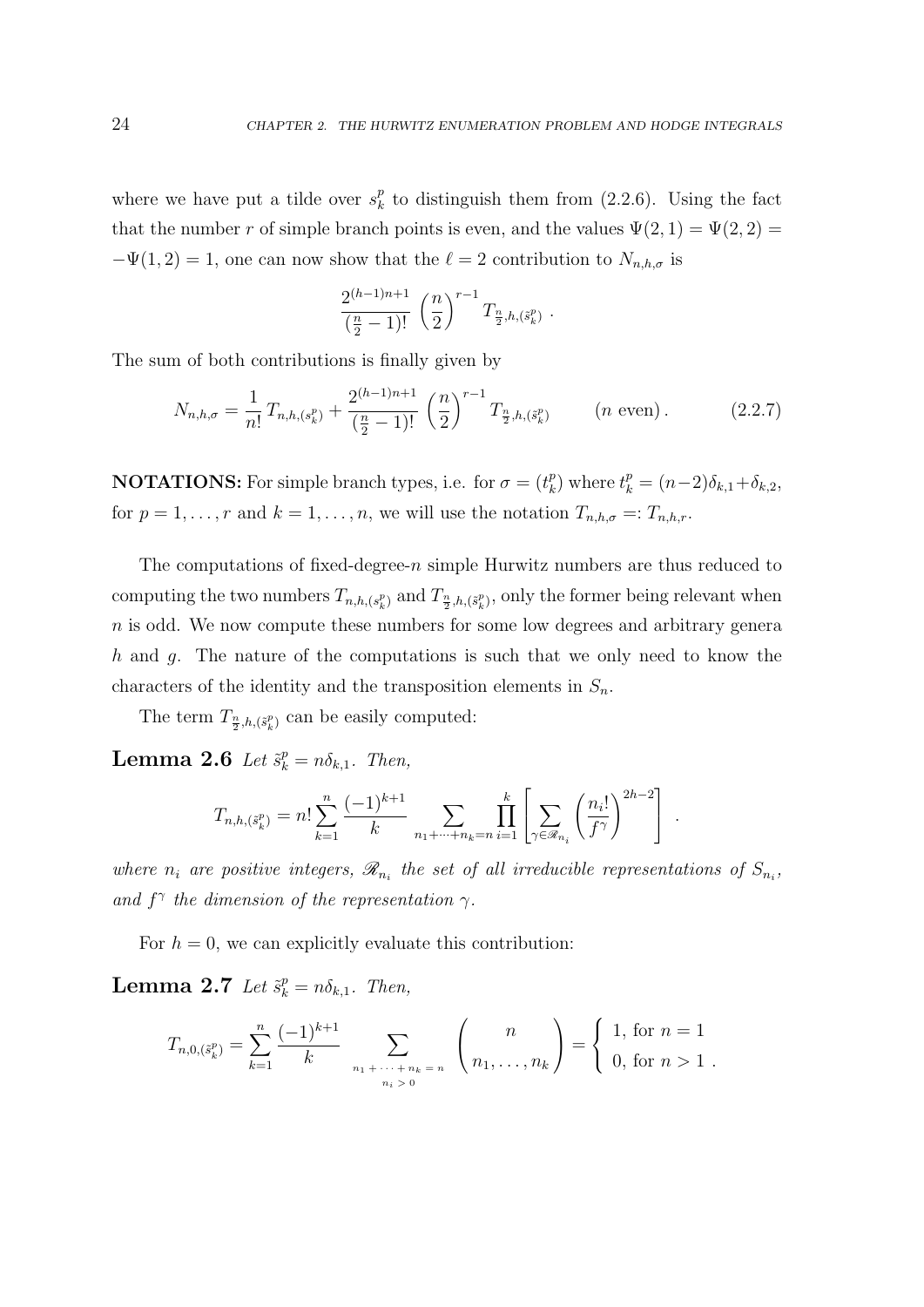where we have put a tilde over  $s_k^p$  $\frac{p}{k}$  to distinguish them from (2.2.6). Using the fact that the number r of simple branch points is even, and the values  $\Psi(2,1) = \Psi(2,2) =$  $-\Psi(1, 2) = 1$ , one can now show that the  $\ell = 2$  contribution to  $N_{n,h,\sigma}$  is

$$
\frac{2^{(h-1)n+1}}{\left(\frac{n}{2}-1\right)!} \left(\frac{n}{2}\right)^{r-1} T_{\frac{n}{2},h,\left(\tilde{s}_k^p\right)} \ .
$$

The sum of both contributions is finally given by

$$
N_{n,h,\sigma} = \frac{1}{n!} T_{n,h,(s_k^p)} + \frac{2^{(h-1)n+1}}{\left(\frac{n}{2} - 1\right)!} \left(\frac{n}{2}\right)^{r-1} T_{\frac{n}{2},h,(s_k^p)} \qquad (n \text{ even}). \tag{2.2.7}
$$

**NOTATIONS:** For simple branch types, i.e. for  $\sigma = (t_k^p)$  $k_{k}^{p}$ ) where  $t_{k}^{p} = (n-2)\delta_{k,1} + \delta_{k,2}$ , for  $p = 1, \ldots, r$  and  $k = 1, \ldots, n$ , we will use the notation  $T_{n,h,\sigma} =: T_{n,h,r}$ .

The computations of fixed-degree- $n$  simple Hurwitz numbers are thus reduced to computing the two numbers  $T_{n,h,(s_k^p)}$  and  $T_{\frac{n}{2},h,(s_k^p)}$ , only the former being relevant when n is odd. We now compute these numbers for some low degrees and arbitrary genera h and q. The nature of the computations is such that we only need to know the characters of the identity and the transposition elements in  $S_n$ .

The term  $T_{\frac{n}{2},h,(\tilde{s}_{k}^{p})}$  can be easily computed:

**Lemma 2.6** Let  $\tilde{s}_k^p = n \delta_{k,1}$ . Then,

$$
T_{n,h,(\tilde{s}_k^p)} = n! \sum_{k=1}^n \frac{(-1)^{k+1}}{k} \sum_{n_1 + \dots + n_k = n} \prod_{i=1}^k \left[ \sum_{\gamma \in \mathcal{R}_{n_i}} \left( \frac{n_i!}{f^{\gamma}} \right)^{2h-2} \right].
$$

where  $n_i$  are positive integers,  $\mathscr{R}_{n_i}$  the set of all irreducible representations of  $S_{n_i}$ , and  $f^{\gamma}$  the dimension of the representation  $\gamma$ .

For  $h = 0$ , we can explicitly evaluate this contribution:

**Lemma 2.7** Let  $\tilde{s}_k^p = n\delta_{k,1}$ . Then,

$$
T_{n,0,(\tilde{s}_k^p)} = \sum_{k=1}^n \frac{(-1)^{k+1}}{k} \sum_{\substack{n_1 + \dots + n_k = n \\ n_i > 0}} \binom{n}{n_1, \dots, n_k} = \begin{cases} 1, & \text{for } n = 1 \\ 0, & \text{for } n > 1 \end{cases}
$$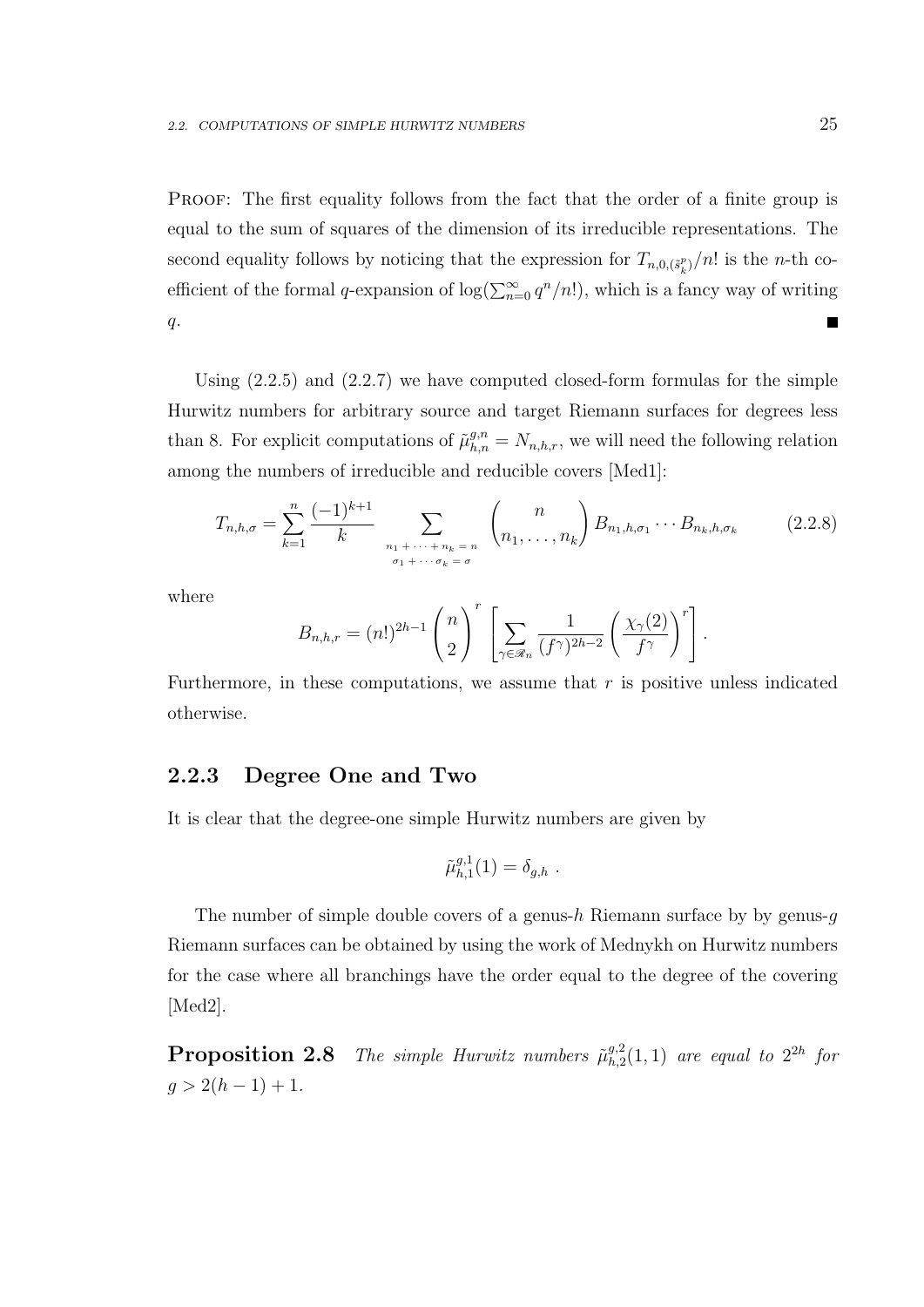PROOF: The first equality follows from the fact that the order of a finite group is equal to the sum of squares of the dimension of its irreducible representations. The second equality follows by noticing that the expression for  $T_{n,0,(\tilde{s}_k^p)}/n!$  is the *n*-th coefficient of the formal q-expansion of  $\log(\sum_{n=0}^{\infty} q^n/n!)$ , which is a fancy way of writing  $q$ .

Using (2.2.5) and (2.2.7) we have computed closed-form formulas for the simple Hurwitz numbers for arbitrary source and target Riemann surfaces for degrees less than 8. For explicit computations of  $\tilde{\mu}_{h,n}^{g,n} = N_{n,h,r}$ , we will need the following relation among the numbers of irreducible and reducible covers [Med1]:

$$
T_{n,h,\sigma} = \sum_{k=1}^{n} \frac{(-1)^{k+1}}{k} \sum_{\substack{n_1 + \dots + n_k = n \\ \sigma_1 + \dots + \sigma_k = \sigma}} \binom{n}{n_1, \dots, n_k} B_{n_1,h,\sigma_1} \cdots B_{n_k,h,\sigma_k}
$$
 (2.2.8)

where

$$
B_{n,h,r} = (n!)^{2h-1} {n \choose 2}^r \left[ \sum_{\gamma \in \mathscr{R}_n} \frac{1}{(f^{\gamma})^{2h-2}} \left( \frac{\chi_{\gamma}(2)}{f^{\gamma}} \right)^r \right].
$$

Furthermore, in these computations, we assume that  $r$  is positive unless indicated otherwise.

## 2.2.3 Degree One and Two

It is clear that the degree-one simple Hurwitz numbers are given by

$$
\tilde{\mu}_{h,1}^{g,1}(1) = \delta_{g,h} \ .
$$

The number of simple double covers of a genus-h Riemann surface by by genus- $q$ Riemann surfaces can be obtained by using the work of Mednykh on Hurwitz numbers for the case where all branchings have the order equal to the degree of the covering [Med2].

**Proposition 2.8** The simple Hurwitz numbers  $\tilde{\mu}_{h,2}^{g,2}$  $\binom{g,2}{h,2}(1,1)$  are equal to  $2^{2h}$  for  $g > 2(h-1) + 1.$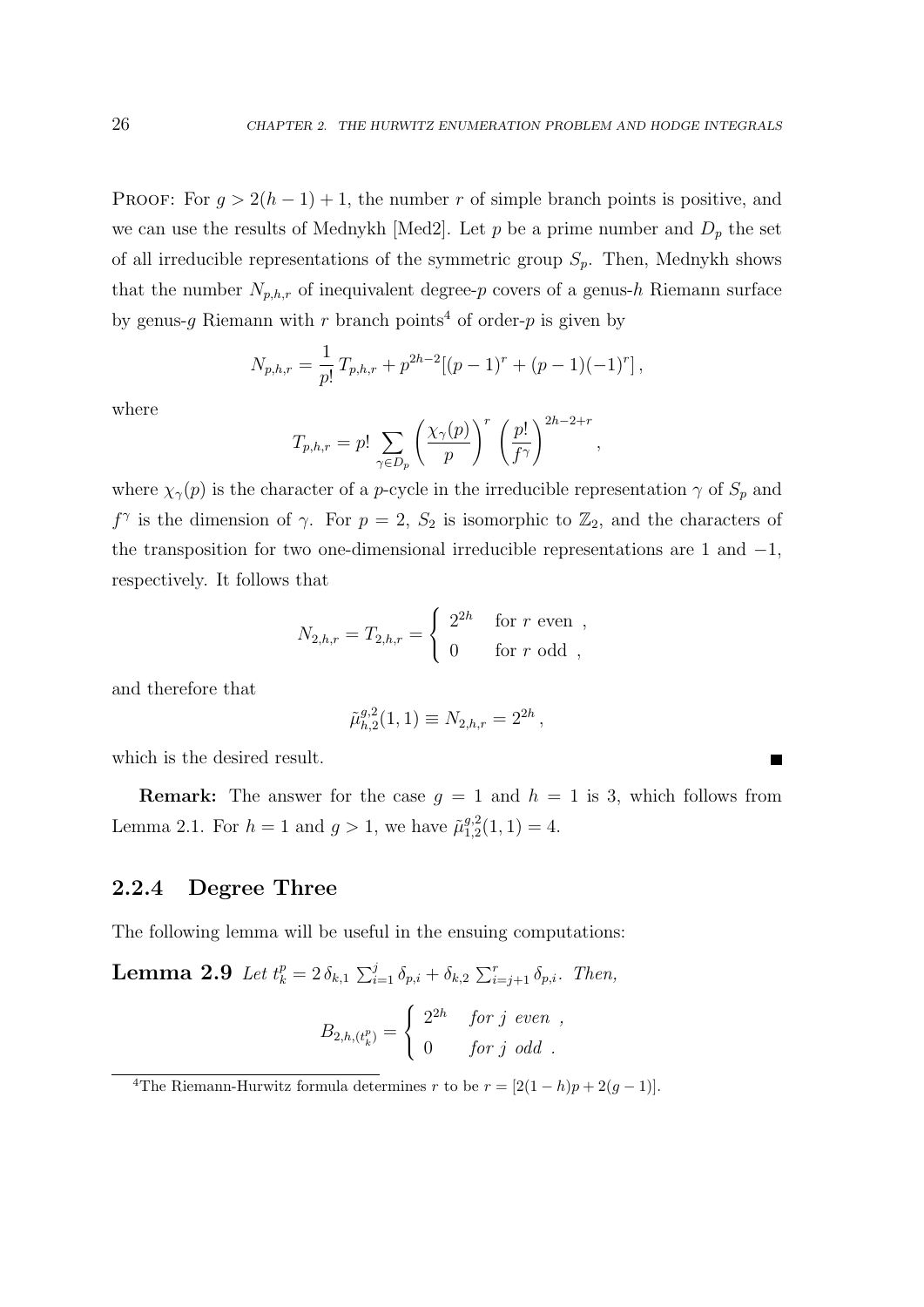PROOF: For  $g > 2(h-1) + 1$ , the number r of simple branch points is positive, and we can use the results of Mednykh [Med2]. Let p be a prime number and  $D_p$  the set of all irreducible representations of the symmetric group  $S_p$ . Then, Mednykh shows that the number  $N_{p,h,r}$  of inequivalent degree-p covers of a genus-h Riemann surface by genus-q Riemann with r branch points<sup>4</sup> of order-p is given by

$$
N_{p,h,r} = \frac{1}{p!} T_{p,h,r} + p^{2h-2} [(p-1)^r + (p-1)(-1)^r],
$$

where

$$
T_{p,h,r} = p! \sum_{\gamma \in D_p} \left(\frac{\chi_{\gamma}(p)}{p}\right)^r \left(\frac{p!}{f^{\gamma}}\right)^{2h-2+r},
$$

where  $\chi_{\gamma}(p)$  is the character of a *p*-cycle in the irreducible representation  $\gamma$  of  $S_p$  and  $f^{\gamma}$  is the dimension of  $\gamma$ . For  $p=2, S_2$  is isomorphic to  $\mathbb{Z}_2$ , and the characters of the transposition for two one-dimensional irreducible representations are 1 and  $-1$ , respectively. It follows that

$$
N_{2,h,r} = T_{2,h,r} = \begin{cases} 2^{2h} & \text{for } r \text{ even },\\ 0 & \text{for } r \text{ odd }, \end{cases}
$$

and therefore that

$$
\tilde{\mu}_{h,2}^{g,2}(1,1) \equiv N_{2,h,r} = 2^{2h},
$$

which is the desired result.

**Remark:** The answer for the case  $g = 1$  and  $h = 1$  is 3, which follows from Lemma 2.1. For  $h = 1$  and  $g > 1$ , we have  $\tilde{\mu}_{1,2}^{g,2}$  $_{1,2}^{g,2}(1,1)=4.$ 

## 2.2.4 Degree Three

The following lemma will be useful in the ensuing computations:

**Lemma 2.9** Let  $t_k^p = 2 \delta_{k,1} \sum_{i=1}^j \delta_{p,i} + \delta_{k,2} \sum_{i=j+1}^r \delta_{p,i}$ . Then,

$$
B_{2,h,(t_k^p)} = \begin{cases} 2^{2h} & \text{for } j \text{ even },\\ 0 & \text{for } j \text{ odd } . \end{cases}
$$

<sup>&</sup>lt;sup>4</sup>The Riemann-Hurwitz formula determines r to be  $r = [2(1-h)p + 2(g-1)].$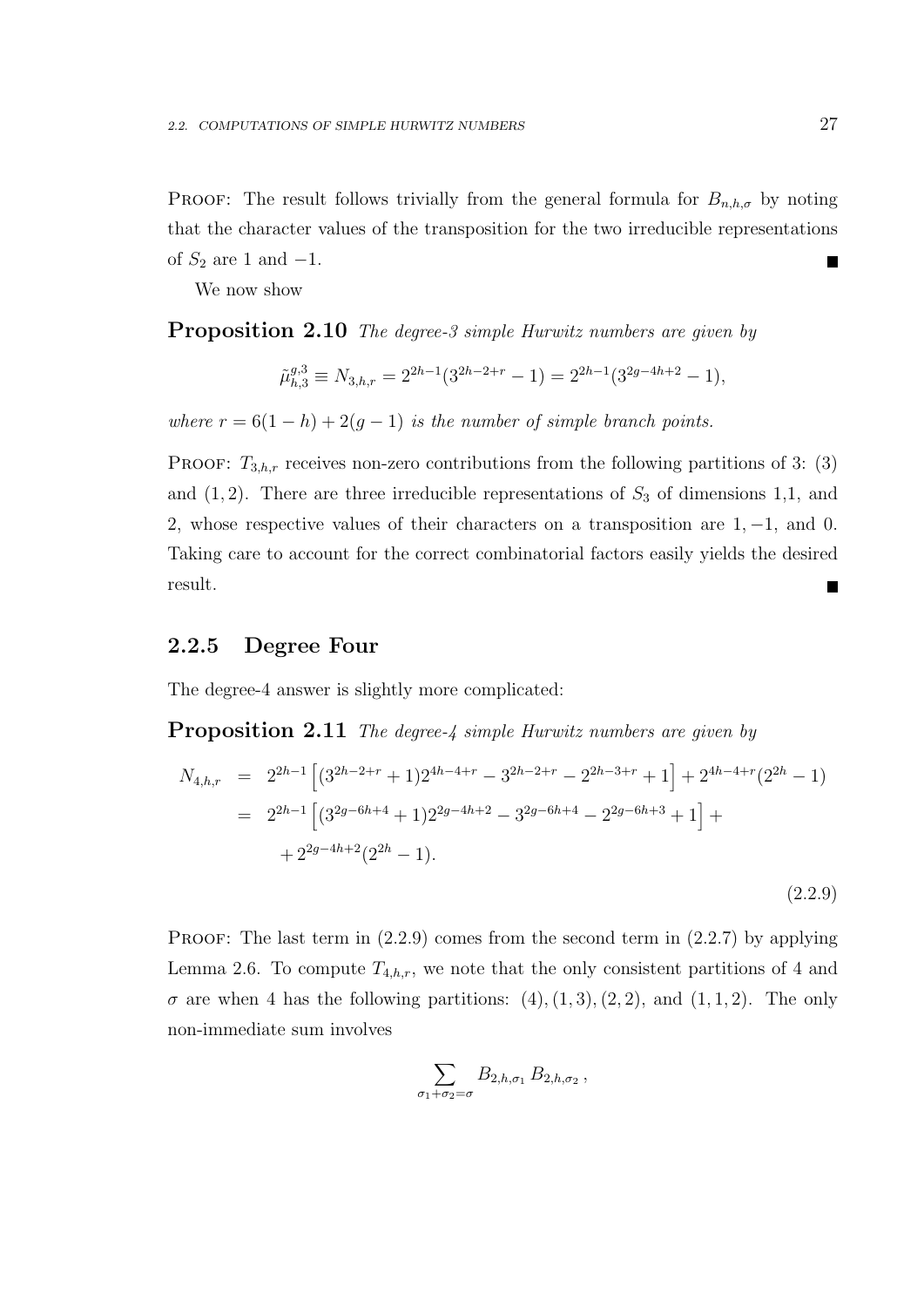PROOF: The result follows trivially from the general formula for  $B_{n,h,\sigma}$  by noting that the character values of the transposition for the two irreducible representations of  $S_2$  are 1 and  $-1$ .  $\blacksquare$ 

We now show

**Proposition 2.10** The degree-3 simple Hurwitz numbers are given by

$$
\tilde{\mu}_{h,3}^{g,3}\equiv N_{3,h,r}=2^{2h-1}(3^{2h-2+r}-1)=2^{2h-1}(3^{2g-4h+2}-1),
$$

where  $r = 6(1-h) + 2(g-1)$  is the number of simple branch points.

**PROOF:**  $T_{3,h,r}$  receives non-zero contributions from the following partitions of 3: (3) and  $(1, 2)$ . There are three irreducible representations of  $S_3$  of dimensions 1,1, and 2, whose respective values of their characters on a transposition are 1, −1, and 0. Taking care to account for the correct combinatorial factors easily yields the desired result. П

## 2.2.5 Degree Four

The degree-4 answer is slightly more complicated:

**Proposition 2.11** The degree-4 simple Hurwitz numbers are given by

$$
N_{4,h,r} = 2^{2h-1} \left[ (3^{2h-2+r} + 1)2^{4h-4+r} - 3^{2h-2+r} - 2^{2h-3+r} + 1 \right] + 2^{4h-4+r} (2^{2h} - 1)
$$
  
=  $2^{2h-1} \left[ (3^{2g-6h+4} + 1)2^{2g-4h+2} - 3^{2g-6h+4} - 2^{2g-6h+3} + 1 \right] +$   
+  $2^{2g-4h+2} (2^{2h} - 1).$ 

PROOF: The last term in  $(2.2.9)$  comes from the second term in  $(2.2.7)$  by applying Lemma 2.6. To compute  $T_{4,h,r}$ , we note that the only consistent partitions of 4 and  $\sigma$  are when 4 has the following partitions:  $(4), (1, 3), (2, 2),$  and  $(1, 1, 2)$ . The only non-immediate sum involves

$$
\sum_{1+\sigma_2=\sigma} B_{2,h,\sigma_1} B_{2,h,\sigma_2}
$$

 $\sigma$ 

(2.2.9)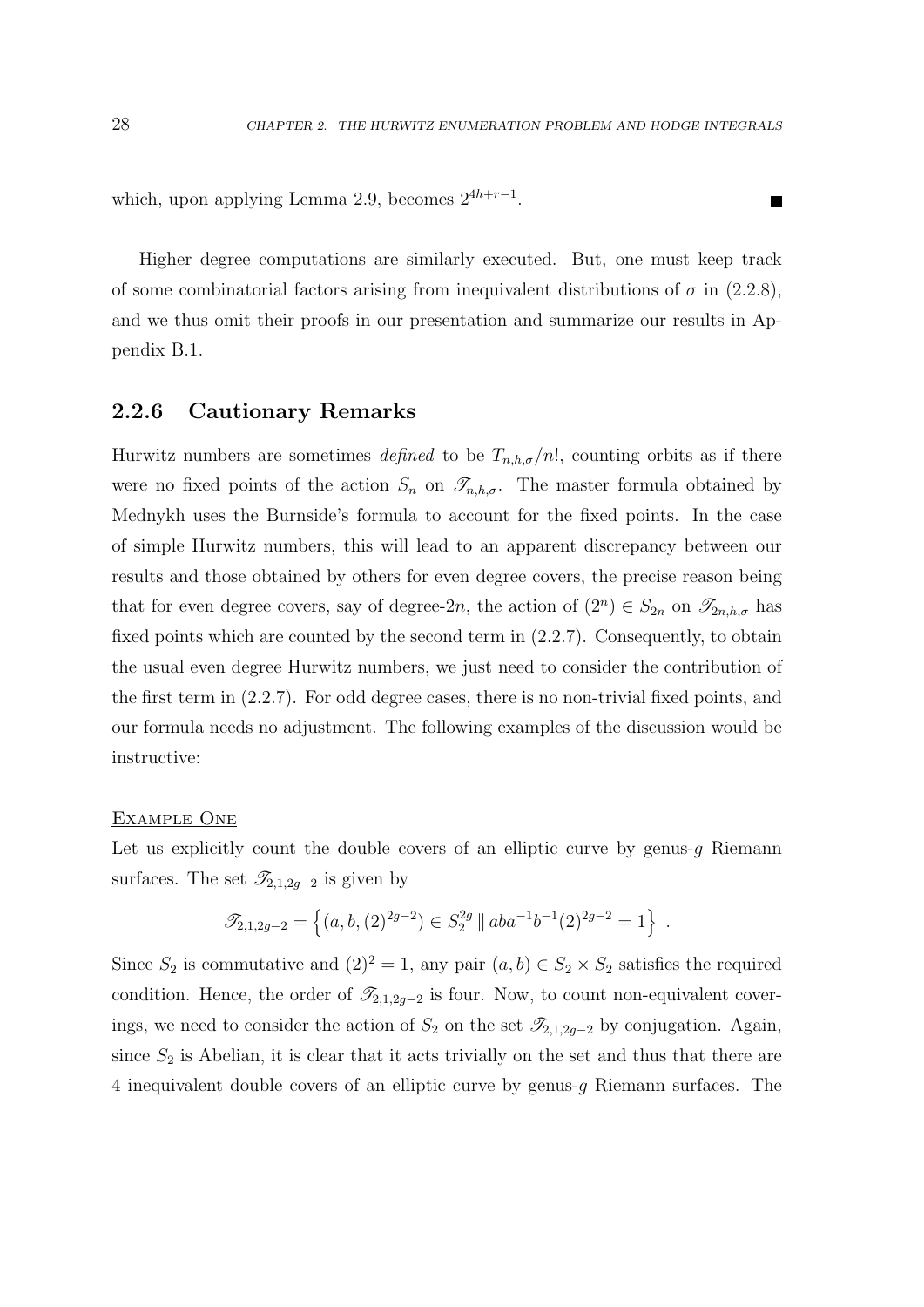**The Second** 

which, upon applying Lemma 2.9, becomes  $2^{4h+r-1}$ .

Higher degree computations are similarly executed. But, one must keep track of some combinatorial factors arising from inequivalent distributions of  $\sigma$  in (2.2.8), and we thus omit their proofs in our presentation and summarize our results in Appendix B.1.

## 2.2.6 Cautionary Remarks

Hurwitz numbers are sometimes defined to be  $T_{n,h,\sigma}/n!$ , counting orbits as if there were no fixed points of the action  $S_n$  on  $\mathscr{T}_{n,h,\sigma}$ . The master formula obtained by Mednykh uses the Burnside's formula to account for the fixed points. In the case of simple Hurwitz numbers, this will lead to an apparent discrepancy between our results and those obtained by others for even degree covers, the precise reason being that for even degree covers, say of degree-2n, the action of  $(2^n) \in S_{2n}$  on  $\mathcal{I}_{2n,h,\sigma}$  has fixed points which are counted by the second term in (2.2.7). Consequently, to obtain the usual even degree Hurwitz numbers, we just need to consider the contribution of the first term in (2.2.7). For odd degree cases, there is no non-trivial fixed points, and our formula needs no adjustment. The following examples of the discussion would be instructive:

#### Example One

Let us explicitly count the double covers of an elliptic curve by genus-q Riemann surfaces. The set  $\mathscr{T}_{2,1,2g-2}$  is given by

$$
\mathscr{T}_{2,1,2g-2} = \left\{ (a,b,(2)^{2g-2}) \in S_2^{2g} \mid \mid aba^{-1}b^{-1}(2)^{2g-2} = 1 \right\} .
$$

Since  $S_2$  is commutative and  $(2)^2 = 1$ , any pair  $(a, b) \in S_2 \times S_2$  satisfies the required condition. Hence, the order of  $\mathscr{T}_{2,1,2g-2}$  is four. Now, to count non-equivalent coverings, we need to consider the action of  $S_2$  on the set  $\mathscr{T}_{2,1,2g-2}$  by conjugation. Again, since  $S_2$  is Abelian, it is clear that it acts trivially on the set and thus that there are 4 inequivalent double covers of an elliptic curve by genus-g Riemann surfaces. The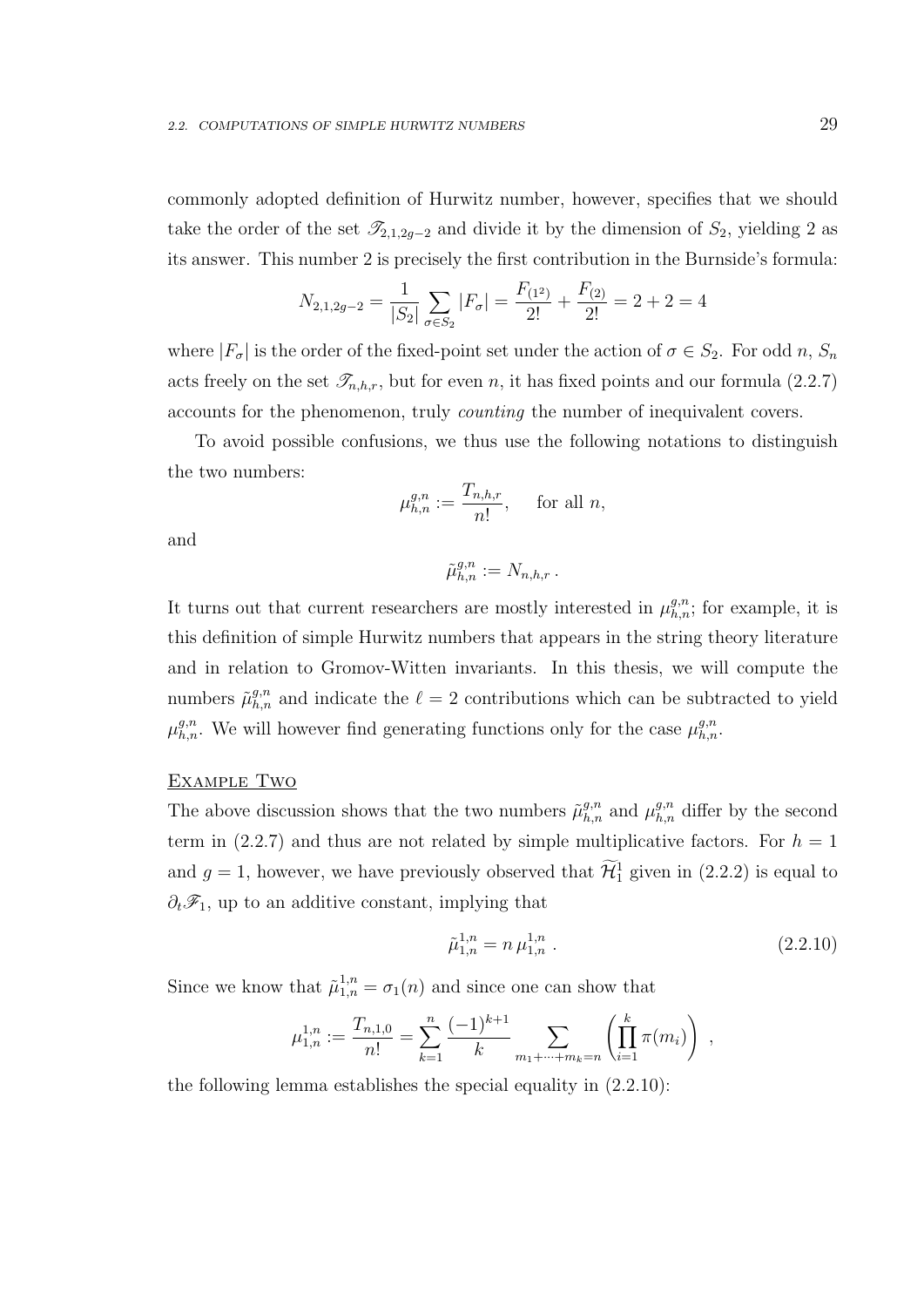commonly adopted definition of Hurwitz number, however, specifies that we should take the order of the set  $\mathscr{T}_{2,1,2g-2}$  and divide it by the dimension of  $S_2$ , yielding 2 as its answer. This number 2 is precisely the first contribution in the Burnside's formula:

$$
N_{2,1,2g-2} = \frac{1}{|S_2|} \sum_{\sigma \in S_2} |F_{\sigma}| = \frac{F_{(1^2)}}{2!} + \frac{F_{(2)}}{2!} = 2 + 2 = 4
$$

where  $|F_{\sigma}|$  is the order of the fixed-point set under the action of  $\sigma \in S_2$ . For odd n,  $S_n$ acts freely on the set  $\mathcal{T}_{n,h,r}$ , but for even n, it has fixed points and our formula (2.2.7) accounts for the phenomenon, truly counting the number of inequivalent covers.

To avoid possible confusions, we thus use the following notations to distinguish the two numbers:

$$
\mu_{h,n}^{g,n} := \frac{T_{n,h,r}}{n!}, \quad \text{ for all } n,
$$

and

$$
\tilde{\mu}_{h,n}^{g,n} := N_{n,h,r} \, .
$$

It turns out that current researchers are mostly interested in  $\mu_{h,n}^{g,n}$ ; for example, it is this definition of simple Hurwitz numbers that appears in the string theory literature and in relation to Gromov-Witten invariants. In this thesis, we will compute the numbers  $\tilde{\mu}_{h,n}^{g,n}$  and indicate the  $\ell = 2$  contributions which can be subtracted to yield  $\mu_{h,n}^{g,n}$ . We will however find generating functions only for the case  $\mu_{h,n}^{g,n}$ .

#### EXAMPLE TWO

The above discussion shows that the two numbers  $\tilde{\mu}_{h,n}^{g,n}$  and  $\mu_{h,n}^{g,n}$  differ by the second term in (2.2.7) and thus are not related by simple multiplicative factors. For  $h = 1$ and  $g = 1$ , however, we have previously observed that  $\mathcal{H}_1^1$  given in (2.2.2) is equal to  $\partial_t\mathcal{F}_1$ , up to an additive constant, implying that

$$
\tilde{\mu}_{1,n}^{1,n} = n \,\mu_{1,n}^{1,n} \,. \tag{2.2.10}
$$

Since we know that  $\tilde{\mu}_{1,n}^{1,n} = \sigma_1(n)$  and since one can show that

$$
\mu_{1,n}^{1,n} := \frac{T_{n,1,0}}{n!} = \sum_{k=1}^n \frac{(-1)^{k+1}}{k} \sum_{m_1 + \dots + m_k = n} \left( \prod_{i=1}^k \pi(m_i) \right) ,
$$

the following lemma establishes the special equality in (2.2.10):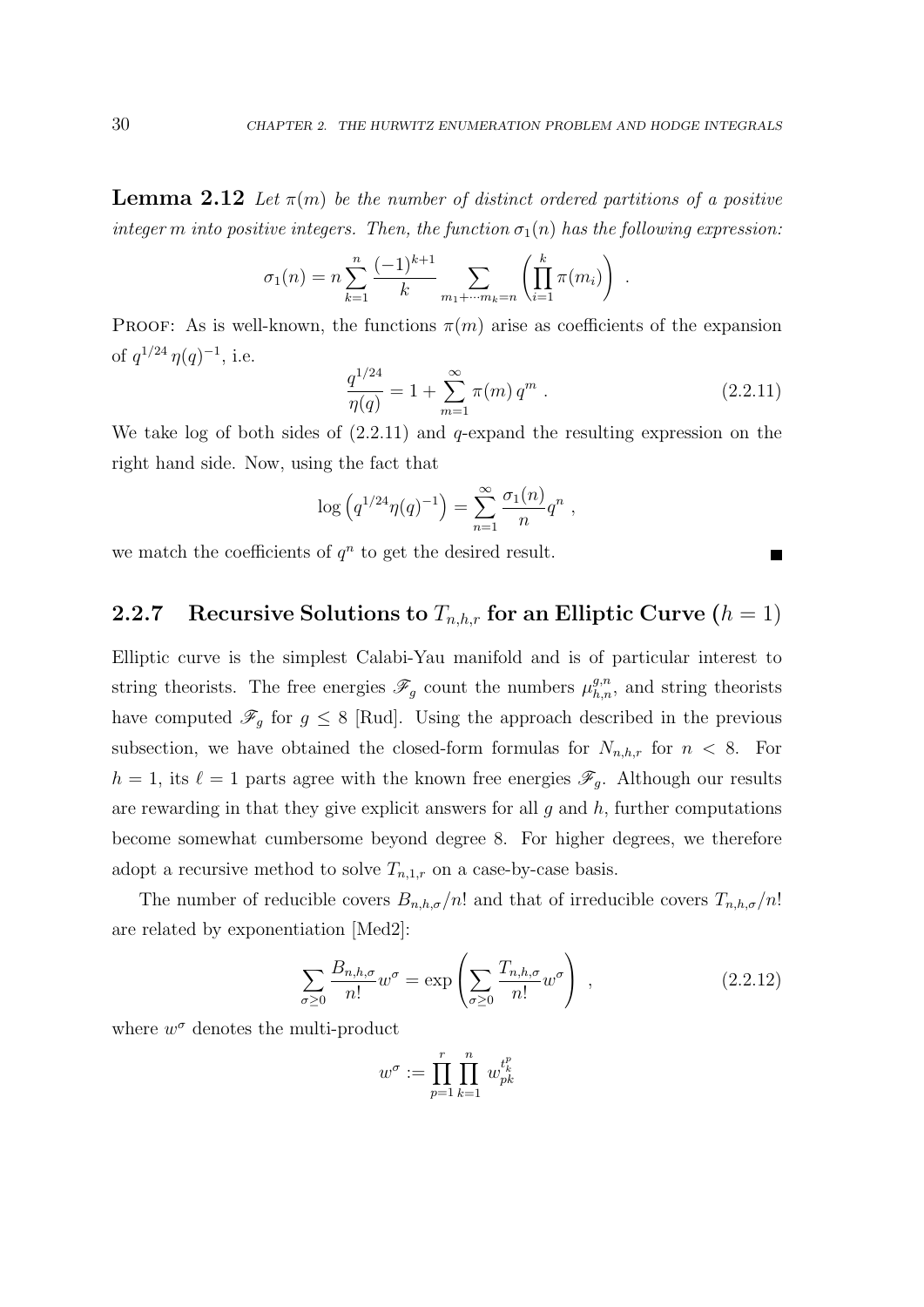**Lemma 2.12** Let  $\pi(m)$  be the number of distinct ordered partitions of a positive integer m into positive integers. Then, the function  $\sigma_1(n)$  has the following expression:

$$
\sigma_1(n) = n \sum_{k=1}^n \frac{(-1)^{k+1}}{k} \sum_{m_1 + \dots + m_k = n} \left( \prod_{i=1}^k \pi(m_i) \right) .
$$

PROOF: As is well-known, the functions  $\pi(m)$  arise as coefficients of the expansion of  $q^{1/24} \eta(q)^{-1}$ , i.e.

$$
\frac{q^{1/24}}{\eta(q)} = 1 + \sum_{m=1}^{\infty} \pi(m) q^m . \qquad (2.2.11)
$$

 $\blacksquare$ 

We take log of both sides of  $(2.2.11)$  and q-expand the resulting expression on the right hand side. Now, using the fact that

$$
\log (q^{1/24} \eta(q)^{-1}) = \sum_{n=1}^{\infty} \frac{\sigma_1(n)}{n} q^n ,
$$

we match the coefficients of  $q^n$  to get the desired result.

### 2.2.7 Recursive Solutions to  $T_{n,h,r}$  for an Elliptic Curve  $(h = 1)$

Elliptic curve is the simplest Calabi-Yau manifold and is of particular interest to string theorists. The free energies  $\mathscr{F}_g$  count the numbers  $\mu_{h,n}^{g,n}$ , and string theorists have computed  $\mathscr{F}_g$  for  $g \leq 8$  [Rud]. Using the approach described in the previous subsection, we have obtained the closed-form formulas for  $N_{n,h,r}$  for  $n < 8$ . For  $h = 1$ , its  $\ell = 1$  parts agree with the known free energies  $\mathscr{F}_q$ . Although our results are rewarding in that they give explicit answers for all  $q$  and  $h$ , further computations become somewhat cumbersome beyond degree 8. For higher degrees, we therefore adopt a recursive method to solve  $T_{n,1,r}$  on a case-by-case basis.

The number of reducible covers  $B_{n,h,\sigma}/n!$  and that of irreducible covers  $T_{n,h,\sigma}/n!$ are related by exponentiation [Med2]:

$$
\sum_{\sigma \ge 0} \frac{B_{n,h,\sigma}}{n!} w^{\sigma} = \exp\left(\sum_{\sigma \ge 0} \frac{T_{n,h,\sigma}}{n!} w^{\sigma}\right) , \qquad (2.2.12)
$$

where  $w^{\sigma}$  denotes the multi-product

$$
w^{\sigma} := \prod_{p=1}^{r} \prod_{k=1}^{n} w_{pk}^{t_{k}^{p}}
$$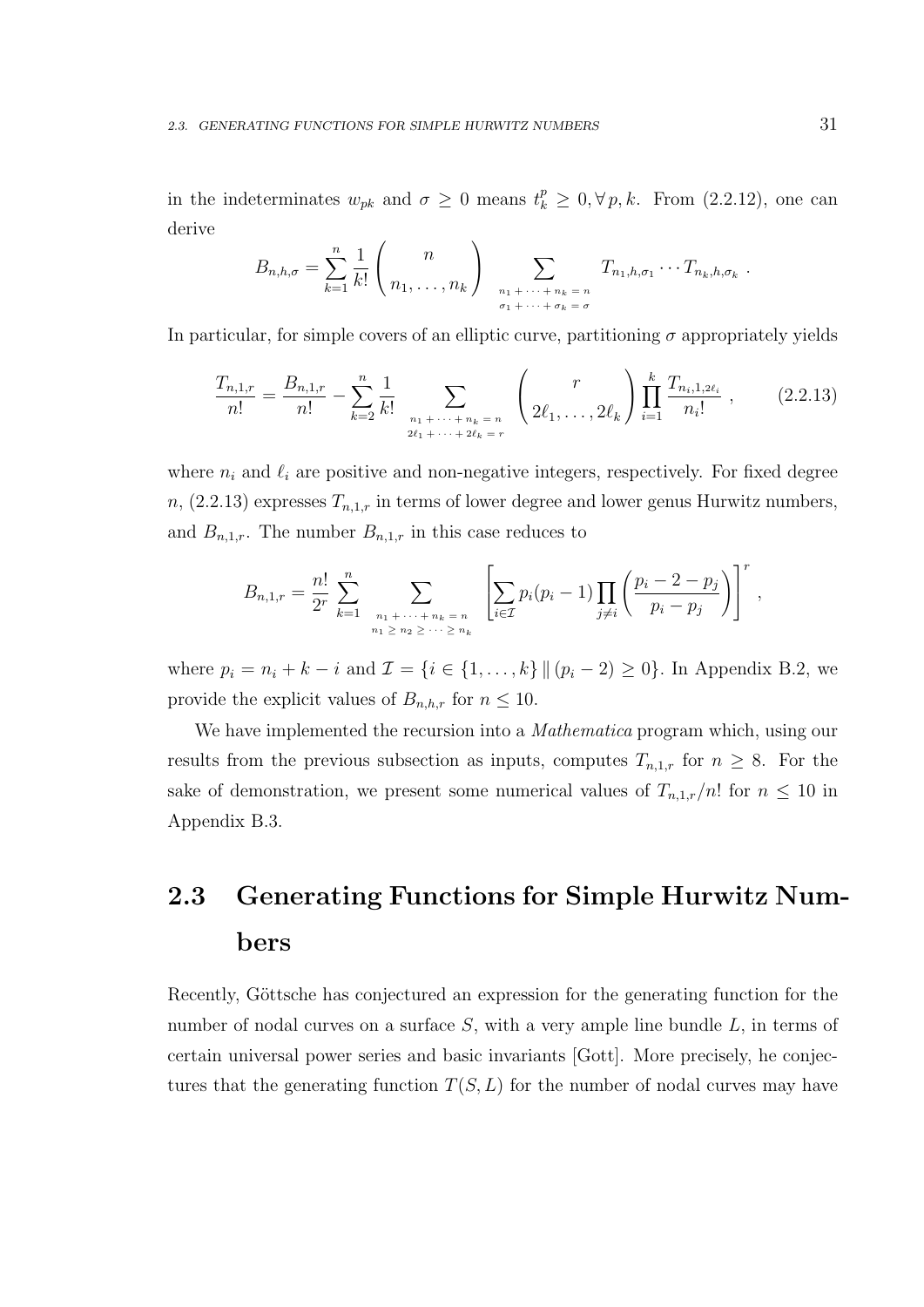in the indeterminates  $w_{pk}$  and  $\sigma \geq 0$  means  $t_k^p \geq 0, \forall p, k$ . From (2.2.12), one can derive

$$
B_{n,h,\sigma} = \sum_{k=1}^n \frac{1}{k!} \binom{n}{n_1,\ldots,n_k} \sum_{\substack{n_1+\cdots+n_k=n \ \sigma_1+\cdots+\sigma_k=\sigma}} T_{n_1,h,\sigma_1}\cdots T_{n_k,h,\sigma_k}.
$$

In particular, for simple covers of an elliptic curve, partitioning  $\sigma$  appropriately yields

$$
\frac{T_{n,1,r}}{n!} = \frac{B_{n,1,r}}{n!} - \sum_{k=2}^{n} \frac{1}{k!} \sum_{\substack{n_1 + \dots + n_k = n \\ 2\ell_1 + \dots + 2\ell_k = r}} \binom{r}{2\ell_1, \dots, 2\ell_k} \prod_{i=1}^{k} \frac{T_{n_i,1,2\ell_i}}{n_i!},
$$
\n(2.2.13)

where  $n_i$  and  $\ell_i$  are positive and non-negative integers, respectively. For fixed degree  $n, (2.2.13)$  expresses  $T_{n,1,r}$  in terms of lower degree and lower genus Hurwitz numbers, and  $B_{n,1,r}$ . The number  $B_{n,1,r}$  in this case reduces to

$$
B_{n,1,r} = \frac{n!}{2^r} \sum_{k=1}^n \sum_{\substack{n_1 + \dots + n_k = n \\ n_1 \ge n_2 \ge \dots \ge n_k}} \left[ \sum_{i \in \mathcal{I}} p_i (p_i - 1) \prod_{j \ne i} \left( \frac{p_i - 2 - p_j}{p_i - p_j} \right) \right]^r,
$$

where  $p_i = n_i + k - i$  and  $\mathcal{I} = \{i \in \{1, ..., k\} \mid (p_i - 2) \geq 0\}$ . In Appendix B.2, we provide the explicit values of  $B_{n,h,r}$  for  $n \leq 10$ .

We have implemented the recursion into a *Mathematica* program which, using our results from the previous subsection as inputs, computes  $T_{n,1,r}$  for  $n \geq 8$ . For the sake of demonstration, we present some numerical values of  $T_{n,1,r}/n!$  for  $n \leq 10$  in Appendix B.3.

# 2.3 Generating Functions for Simple Hurwitz Numbers

Recently, Göttsche has conjectured an expression for the generating function for the number of nodal curves on a surface  $S$ , with a very ample line bundle  $L$ , in terms of certain universal power series and basic invariants [Gott]. More precisely, he conjectures that the generating function  $T(S, L)$  for the number of nodal curves may have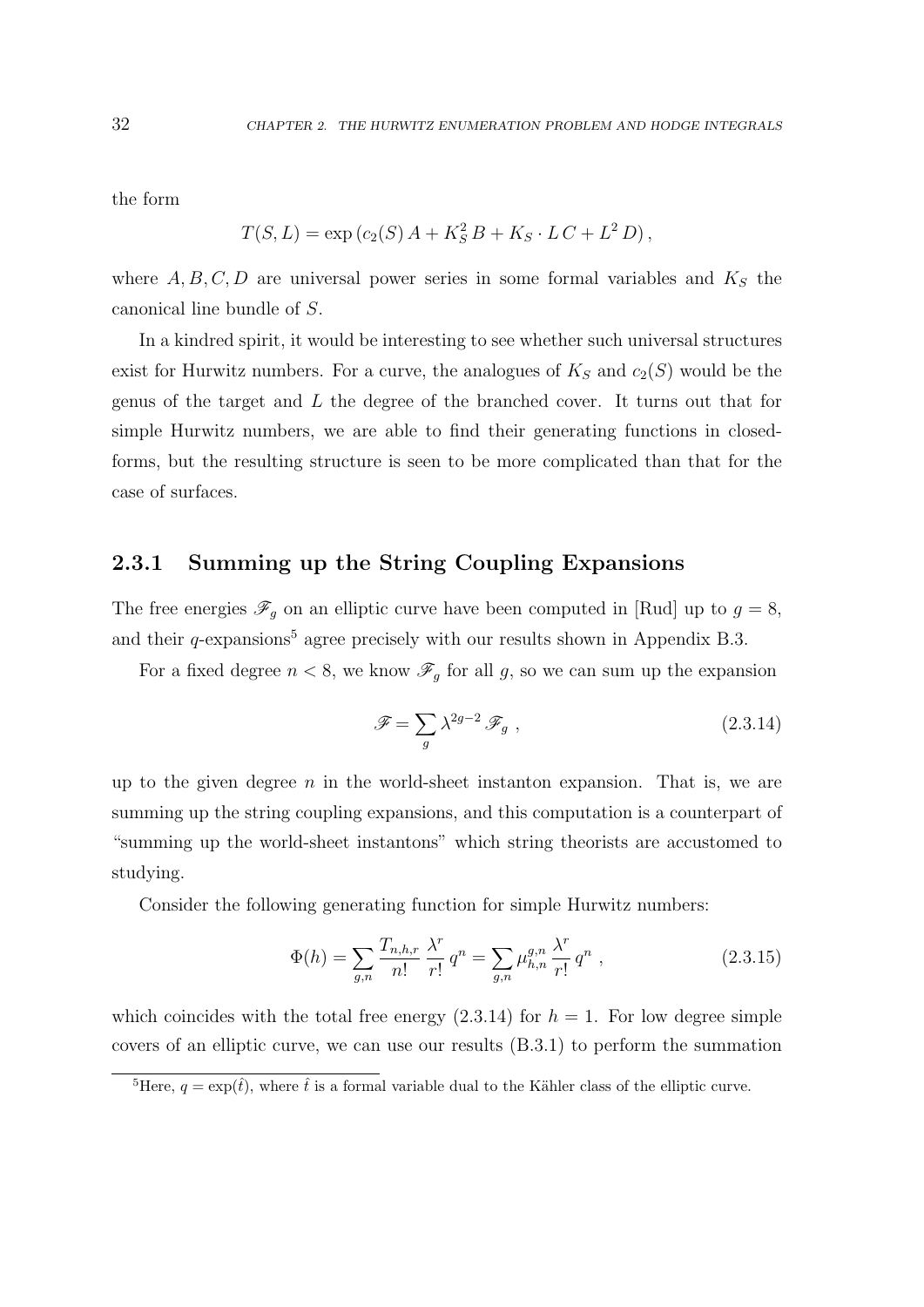the form

$$
T(S, L) = \exp (c_2(S) A + K_S^2 B + K_S \cdot LC + L^2 D),
$$

where  $A, B, C, D$  are universal power series in some formal variables and  $K<sub>S</sub>$  the canonical line bundle of S.

In a kindred spirit, it would be interesting to see whether such universal structures exist for Hurwitz numbers. For a curve, the analogues of  $K_S$  and  $c_2(S)$  would be the genus of the target and L the degree of the branched cover. It turns out that for simple Hurwitz numbers, we are able to find their generating functions in closedforms, but the resulting structure is seen to be more complicated than that for the case of surfaces.

### 2.3.1 Summing up the String Coupling Expansions

The free energies  $\mathscr{F}_g$  on an elliptic curve have been computed in [Rud] up to  $g = 8$ , and their  $q$ -expansions<sup>5</sup> agree precisely with our results shown in Appendix B.3.

For a fixed degree  $n < 8$ , we know  $\mathscr{F}_g$  for all g, so we can sum up the expansion

$$
\mathscr{F} = \sum_{g} \lambda^{2g-2} \mathscr{F}_g , \qquad (2.3.14)
$$

up to the given degree  $n$  in the world-sheet instanton expansion. That is, we are summing up the string coupling expansions, and this computation is a counterpart of "summing up the world-sheet instantons" which string theorists are accustomed to studying.

Consider the following generating function for simple Hurwitz numbers:

$$
\Phi(h) = \sum_{g,n} \frac{T_{n,h,r}}{n!} \frac{\lambda^r}{r!} q^n = \sum_{g,n} \mu_{h,n}^{g,n} \frac{\lambda^r}{r!} q^n , \qquad (2.3.15)
$$

which coincides with the total free energy  $(2.3.14)$  for  $h = 1$ . For low degree simple covers of an elliptic curve, we can use our results (B.3.1) to perform the summation

<sup>&</sup>lt;sup>5</sup>Here,  $q = \exp(\hat{t})$ , where  $\hat{t}$  is a formal variable dual to the Kähler class of the elliptic curve.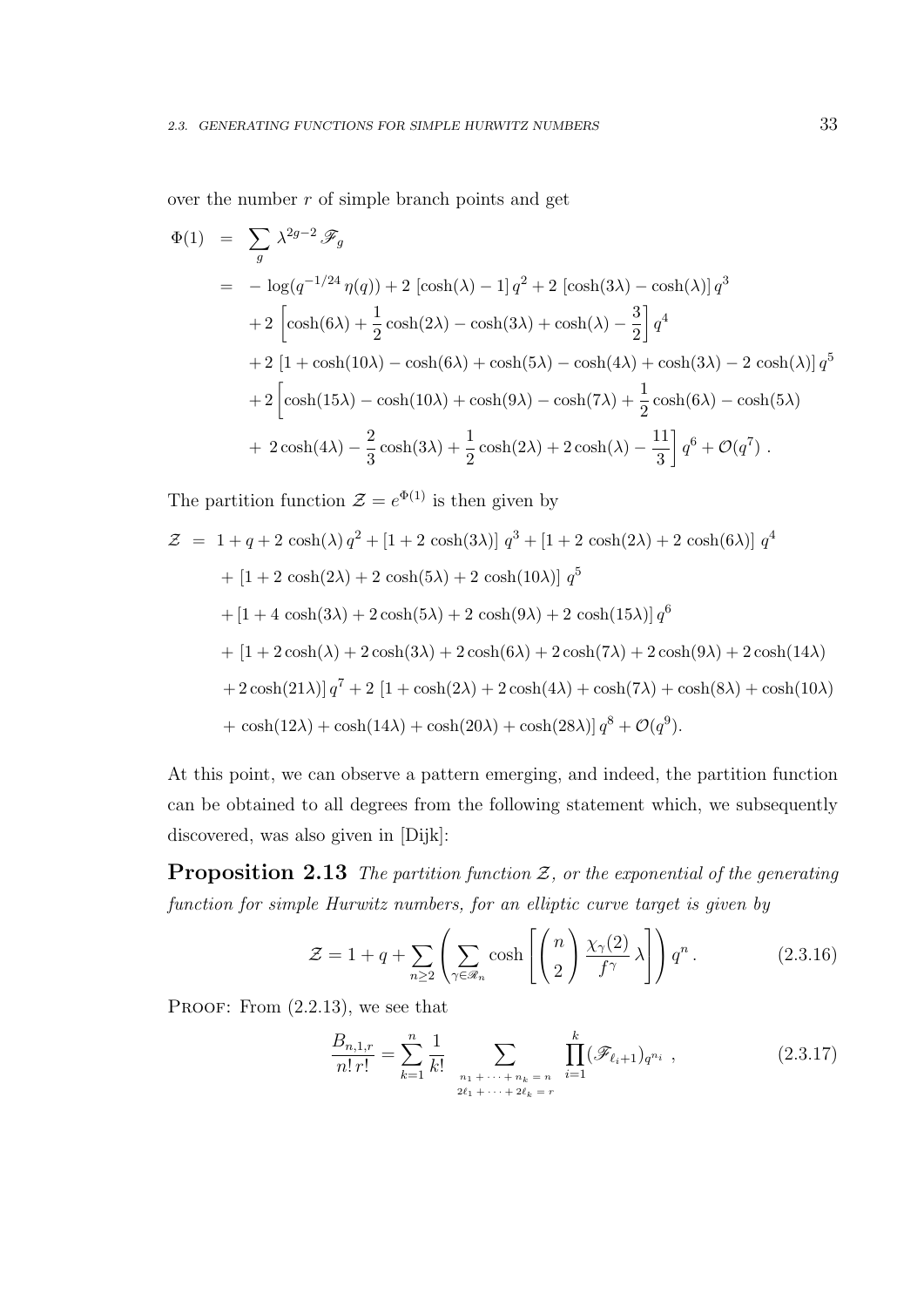over the number  $r$  of simple branch points and get

$$
\Phi(1) = \sum_{g} \lambda^{2g-2} \mathscr{F}_{g}
$$
  
\n
$$
= -\log(q^{-1/24} \eta(q)) + 2 \left[\cosh(\lambda) - 1\right] q^{2} + 2 \left[\cosh(3\lambda) - \cosh(\lambda)\right] q^{3}
$$
  
\n
$$
+ 2 \left[\cosh(6\lambda) + \frac{1}{2} \cosh(2\lambda) - \cosh(3\lambda) + \cosh(\lambda) - \frac{3}{2}\right] q^{4}
$$
  
\n
$$
+ 2 \left[1 + \cosh(10\lambda) - \cosh(6\lambda) + \cosh(5\lambda) - \cosh(4\lambda) + \cosh(3\lambda) - 2 \cosh(\lambda)\right] q^{5}
$$
  
\n
$$
+ 2 \left[\cosh(15\lambda) - \cosh(10\lambda) + \cosh(9\lambda) - \cosh(7\lambda) + \frac{1}{2} \cosh(6\lambda) - \cosh(5\lambda) + 2 \cosh(4\lambda) - \frac{2}{3} \cosh(3\lambda) + \frac{1}{2} \cosh(2\lambda) + 2 \cosh(\lambda) - \frac{11}{3}\right] q^{6} + \mathcal{O}(q^{7}).
$$

The partition function  $\mathcal{Z} = e^{\Phi(1)}$  is then given by

$$
\mathcal{Z} = 1 + q + 2 \cosh(\lambda) q^2 + [1 + 2 \cosh(3\lambda)] q^3 + [1 + 2 \cosh(2\lambda) + 2 \cosh(6\lambda)] q^4
$$
  
+ 
$$
[1 + 2 \cosh(2\lambda) + 2 \cosh(5\lambda) + 2 \cosh(10\lambda)] q^5
$$
  
+ 
$$
[1 + 4 \cosh(3\lambda) + 2 \cosh(5\lambda) + 2 \cosh(9\lambda) + 2 \cosh(15\lambda)] q^6
$$
  
+ 
$$
[1 + 2 \cosh(\lambda) + 2 \cosh(3\lambda) + 2 \cosh(6\lambda) + 2 \cosh(7\lambda) + 2 \cosh(9\lambda) + 2 \cosh(14\lambda)
$$
  
+ 
$$
2 \cosh(21\lambda)] q^7 + 2 [1 + \cosh(2\lambda) + 2 \cosh(4\lambda) + \cosh(7\lambda) + \cosh(8\lambda) + \cosh(10\lambda)
$$
  
+ 
$$
\cosh(12\lambda) + \cosh(14\lambda) + \cosh(20\lambda) + \cosh(28\lambda)] q^8 + \mathcal{O}(q^9).
$$

At this point, we can observe a pattern emerging, and indeed, the partition function can be obtained to all degrees from the following statement which, we subsequently discovered, was also given in [Dijk]:

**Proposition 2.13** The partition function  $\mathcal{Z}$ , or the exponential of the generating function for simple Hurwitz numbers, for an elliptic curve target is given by

$$
\mathcal{Z} = 1 + q + \sum_{n \ge 2} \left( \sum_{\gamma \in \mathscr{R}_n} \cosh\left[\binom{n}{2} \frac{\chi_{\gamma}(2)}{f^{\gamma}} \lambda\right] \right) q^n. \tag{2.3.16}
$$

PROOF: From  $(2.2.13)$ , we see that

$$
\frac{B_{n,1,r}}{n! \, r!} = \sum_{k=1}^{n} \frac{1}{k!} \sum_{\substack{n_1 + \dots + n_k = n \\ 2\ell_1 + \dots + 2\ell_k = r}} \prod_{i=1}^{k} (\mathscr{F}_{\ell_i+1})_{q^{n_i}}, \tag{2.3.17}
$$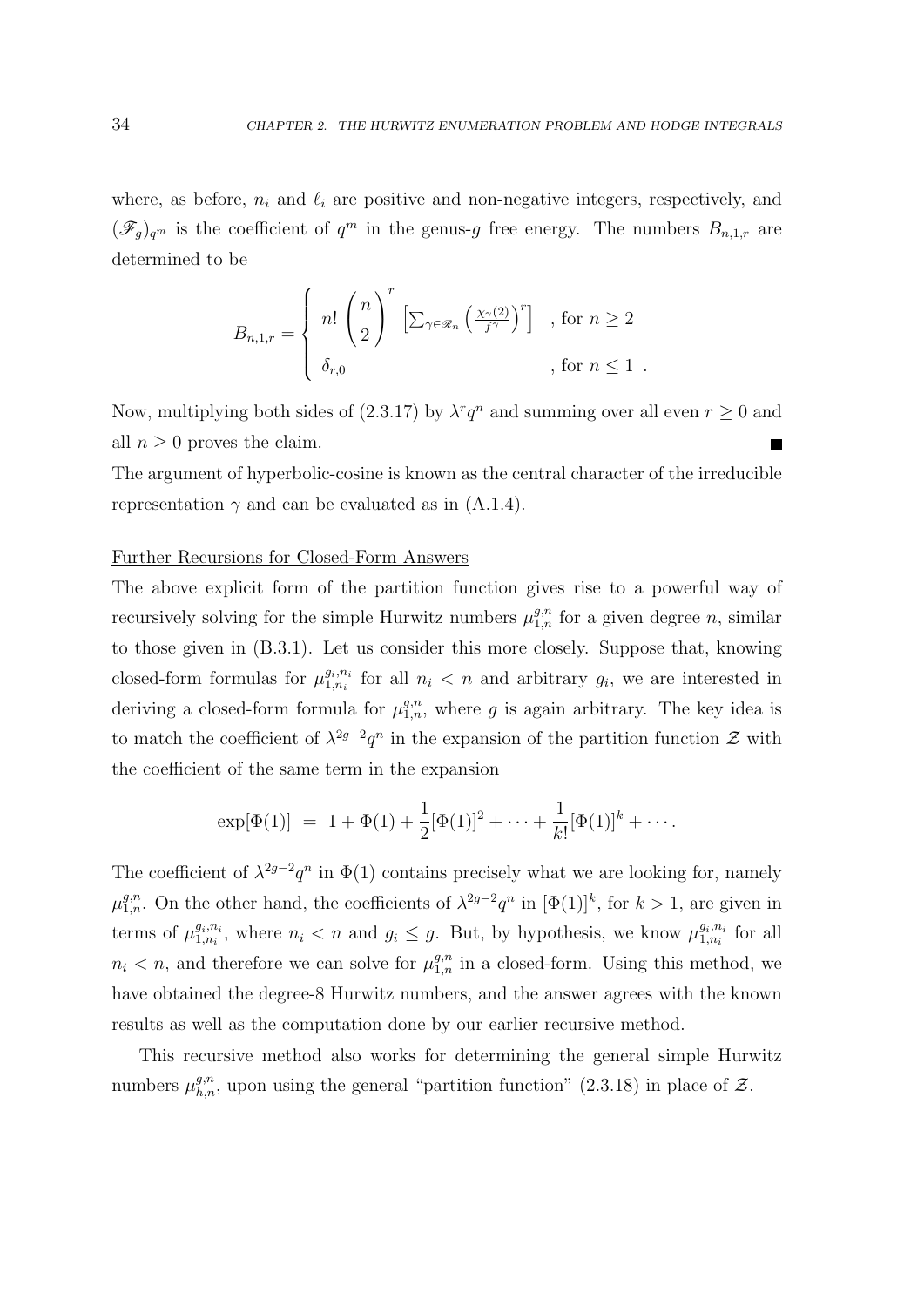where, as before,  $n_i$  and  $\ell_i$  are positive and non-negative integers, respectively, and  $(\mathscr{F}_g)_{q^m}$  is the coefficient of  $q^m$  in the genus-g free energy. The numbers  $B_{n,1,r}$  are determined to be

$$
B_{n,1,r} = \begin{cases} n! \binom{n}{2}^r \left[ \sum_{\gamma \in \mathscr{R}_n} \left( \frac{\chi_{\gamma}(2)}{f^{\gamma}} \right)^r \right] & , \text{ for } n \ge 2 \\ \delta_{r,0} & , \text{ for } n \le 1 \end{cases}
$$

Now, multiplying both sides of (2.3.17) by  $\lambda^r q^n$  and summing over all even  $r \geq 0$  and all  $n \geq 0$  proves the claim.

The argument of hyperbolic-cosine is known as the central character of the irreducible representation  $\gamma$  and can be evaluated as in (A.1.4).

### Further Recursions for Closed-Form Answers

The above explicit form of the partition function gives rise to a powerful way of recursively solving for the simple Hurwitz numbers  $\mu_{1,n}^{g,n}$  for a given degree n, similar to those given in (B.3.1). Let us consider this more closely. Suppose that, knowing closed-form formulas for  $\mu_{1,n_i}^{g_i,n_i}$  $a_{i,n_i}^{g_i,n_i}$  for all  $n_i < n$  and arbitrary  $g_i$ , we are interested in deriving a closed-form formula for  $\mu_{1,n}^{g,n}$ , where g is again arbitrary. The key idea is to match the coefficient of  $\lambda^{2g-2}q^n$  in the expansion of the partition function  $\mathcal Z$  with the coefficient of the same term in the expansion

$$
\exp[\Phi(1)] = 1 + \Phi(1) + \frac{1}{2}[\Phi(1)]^2 + \cdots + \frac{1}{k!}[\Phi(1)]^k + \cdots
$$

The coefficient of  $\lambda^{2g-2}q^n$  in  $\Phi(1)$  contains precisely what we are looking for, namely  $\mu_{1,n}^{g,n}$ . On the other hand, the coefficients of  $\lambda^{2g-2}q^n$  in  $[\Phi(1)]^k$ , for  $k>1$ , are given in terms of  $\mu_{1,n_i}^{g_i,n_i}$  $g_{i,n_i}^{g_i,n_i}$ , where  $n_i < n$  and  $g_i \leq g$ . But, by hypothesis, we know  $\mu_{1,n_i}^{g_i,n_i}$  $x_1^{g_i,n_i}$  for all  $n_i < n$ , and therefore we can solve for  $\mu_{1,n}^{g,n}$  in a closed-form. Using this method, we have obtained the degree-8 Hurwitz numbers, and the answer agrees with the known results as well as the computation done by our earlier recursive method.

This recursive method also works for determining the general simple Hurwitz numbers  $\mu_{h,n}^{g,n}$ , upon using the general "partition function" (2.3.18) in place of  $\mathcal{Z}$ .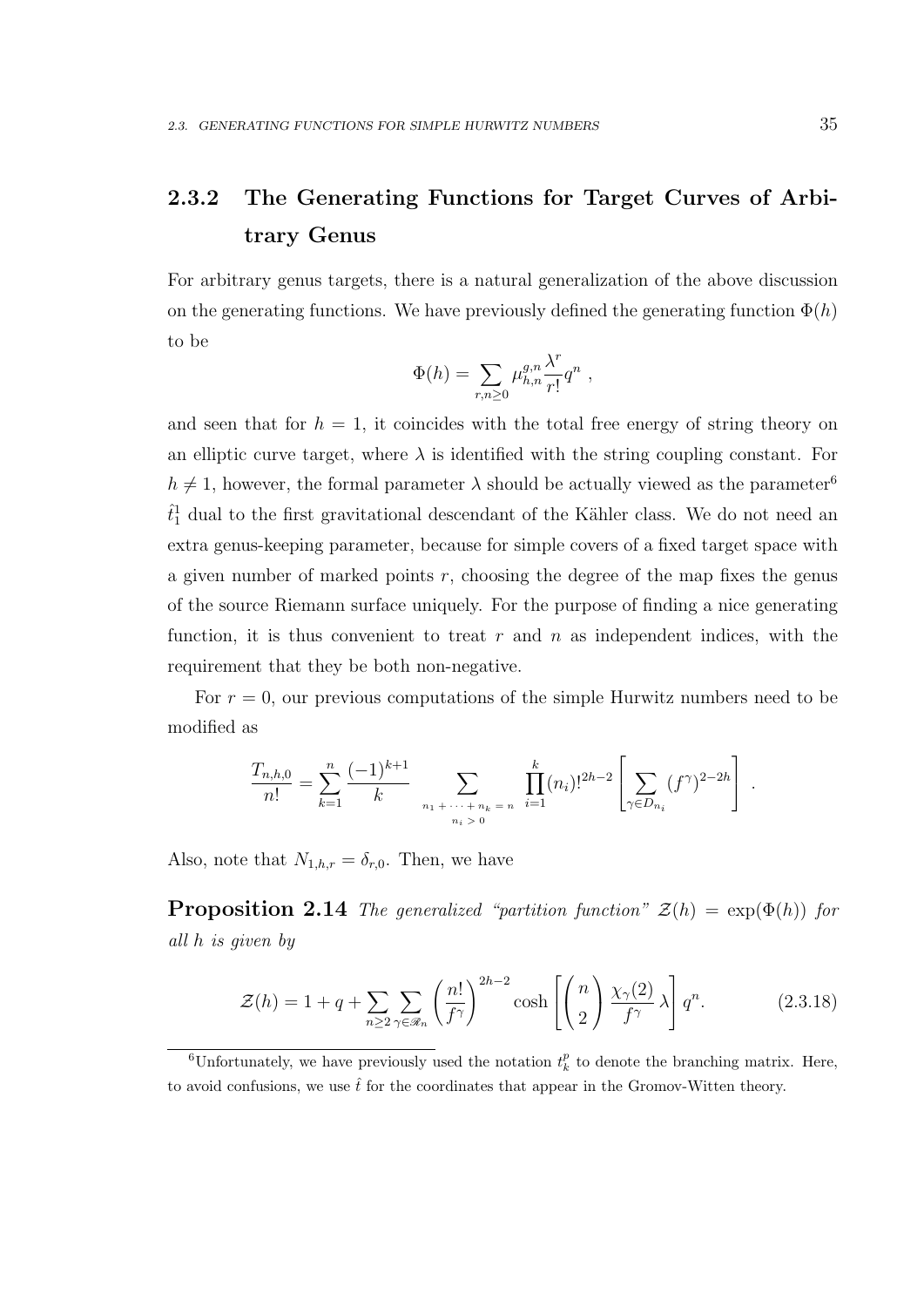# 2.3.2 The Generating Functions for Target Curves of Arbitrary Genus

For arbitrary genus targets, there is a natural generalization of the above discussion on the generating functions. We have previously defined the generating function  $\Phi(h)$ to be

$$
\Phi(h) = \sum_{r,n\geq 0} \mu_{h,n}^{g,n} \frac{\lambda^r}{r!} q^n ,
$$

and seen that for  $h = 1$ , it coincides with the total free energy of string theory on an elliptic curve target, where  $\lambda$  is identified with the string coupling constant. For  $h \neq 1$ , however, the formal parameter  $\lambda$  should be actually viewed as the parameter<sup>6</sup>  $\hat{t}_1^1$  dual to the first gravitational descendant of the Kähler class. We do not need an extra genus-keeping parameter, because for simple covers of a fixed target space with a given number of marked points  $r$ , choosing the degree of the map fixes the genus of the source Riemann surface uniquely. For the purpose of finding a nice generating function, it is thus convenient to treat  $r$  and  $n$  as independent indices, with the requirement that they be both non-negative.

For  $r = 0$ , our previous computations of the simple Hurwitz numbers need to be modified as

$$
\frac{T_{n,h,0}}{n!} = \sum_{k=1}^n \frac{(-1)^{k+1}}{k} \sum_{\substack{n_1 + \cdots + n_k = n \\ n_i > 0}} \prod_{i=1}^k (n_i)!^{2h-2} \left[ \sum_{\gamma \in D_{n_i}} (f^{\gamma})^{2-2h} \right].
$$

Also, note that  $N_{1,h,r} = \delta_{r,0}$ . Then, we have

**Proposition 2.14** The generalized "partition function"  $\mathcal{Z}(h) = \exp(\Phi(h))$  for all h is given by

$$
\mathcal{Z}(h) = 1 + q + \sum_{n \ge 2} \sum_{\gamma \in \mathcal{R}_n} \left(\frac{n!}{f^{\gamma}}\right)^{2h-2} \cosh\left[\left(\frac{n}{2}\right) \frac{\chi_{\gamma}(2)}{f^{\gamma}} \lambda\right] q^n. \tag{2.3.18}
$$

<sup>&</sup>lt;sup>6</sup>Unfortunately, we have previously used the notation  $t_k^p$  to denote the branching matrix. Here, to avoid confusions, we use  $\hat{t}$  for the coordinates that appear in the Gromov-Witten theory.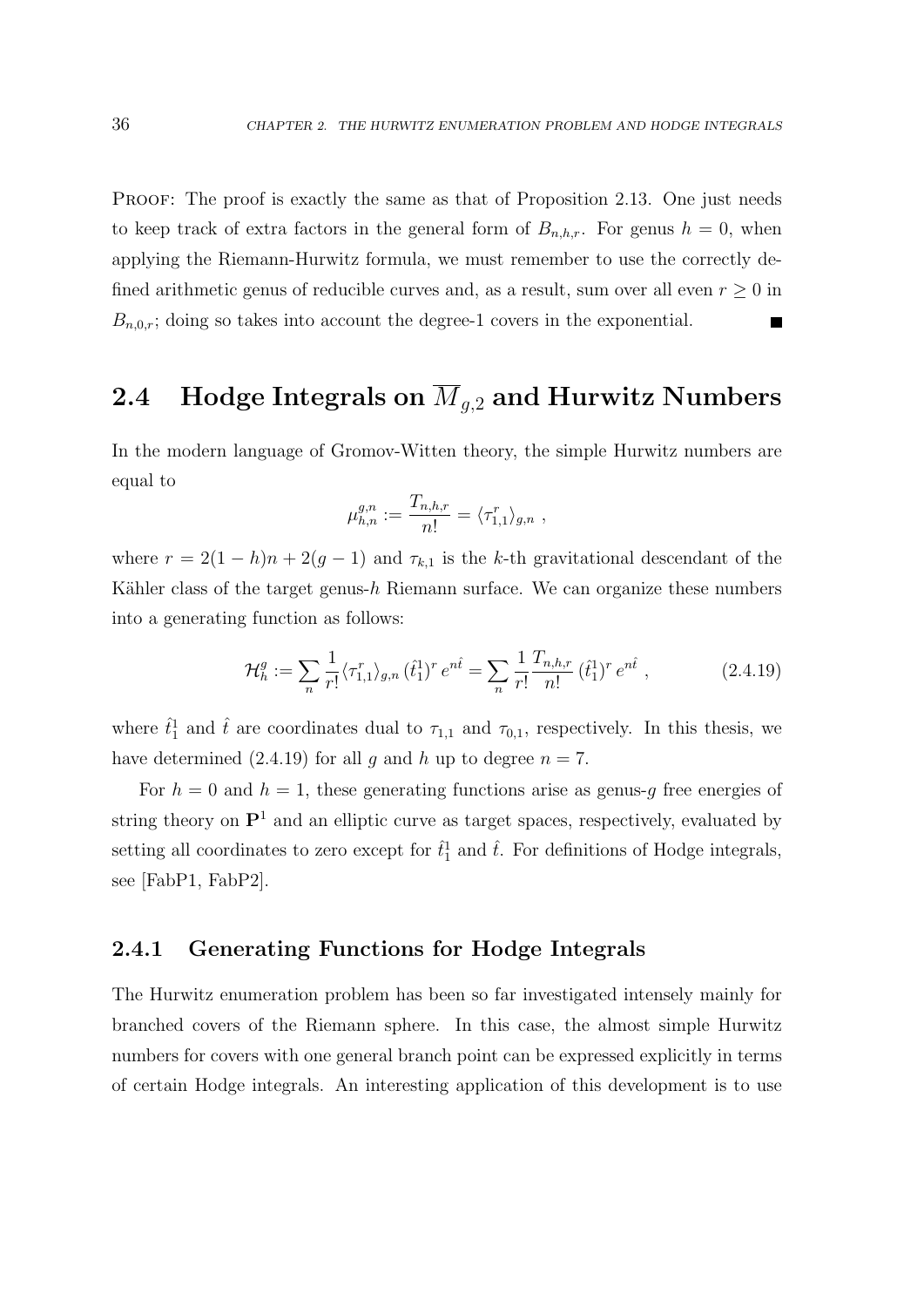PROOF: The proof is exactly the same as that of Proposition 2.13. One just needs to keep track of extra factors in the general form of  $B_{n,h,r}$ . For genus  $h = 0$ , when applying the Riemann-Hurwitz formula, we must remember to use the correctly defined arithmetic genus of reducible curves and, as a result, sum over all even  $r \geq 0$  in  $B_{n,0,r}$ ; doing so takes into account the degree-1 covers in the exponential.

# 2.4 Hodge Integrals on  $\overline{M}_{q,2}$  and Hurwitz Numbers

In the modern language of Gromov-Witten theory, the simple Hurwitz numbers are equal to

$$
\mu_{h,n}^{g,n}:=\frac{T_{n,h,r}}{n!}=\langle \tau_{1,1}^r\rangle_{g,n}\;,
$$

where  $r = 2(1-h)n + 2(g-1)$  and  $\tau_{k,1}$  is the k-th gravitational descendant of the Kähler class of the target genus- $h$  Riemann surface. We can organize these numbers into a generating function as follows:

$$
\mathcal{H}_h^g := \sum_n \frac{1}{r!} \langle \tau_{1,1}^r \rangle_{g,n} (\hat{t}_1^1)^r e^{n\hat{t}} = \sum_n \frac{1}{r!} \frac{T_{n,h,r}}{n!} (\hat{t}_1^1)^r e^{n\hat{t}}, \qquad (2.4.19)
$$

where  $\hat{t}_1^1$  and  $\hat{t}$  are coordinates dual to  $\tau_{1,1}$  and  $\tau_{0,1}$ , respectively. In this thesis, we have determined (2.4.19) for all g and h up to degree  $n = 7$ .

For  $h = 0$  and  $h = 1$ , these generating functions arise as genus-g free energies of string theory on  $\mathbf{P}^1$  and an elliptic curve as target spaces, respectively, evaluated by setting all coordinates to zero except for  $\hat{t}_1^1$  and  $\hat{t}$ . For definitions of Hodge integrals, see [FabP1, FabP2].

### 2.4.1 Generating Functions for Hodge Integrals

The Hurwitz enumeration problem has been so far investigated intensely mainly for branched covers of the Riemann sphere. In this case, the almost simple Hurwitz numbers for covers with one general branch point can be expressed explicitly in terms of certain Hodge integrals. An interesting application of this development is to use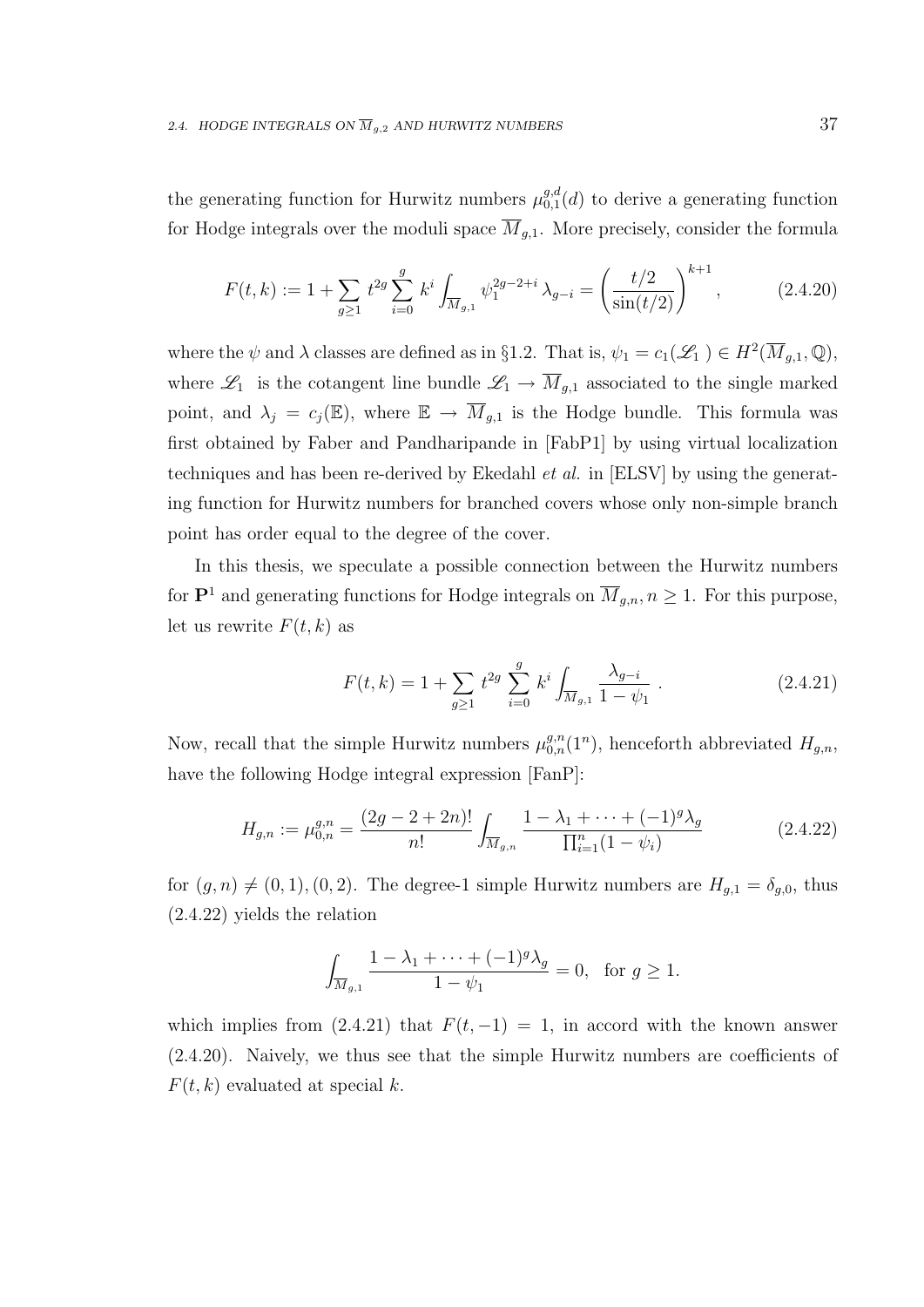the generating function for Hurwitz numbers  $\mu_{0,1}^{g,d}$  $_{0,1}^{g,a}(d)$  to derive a generating function for Hodge integrals over the moduli space  $\overline{M}_{q,1}$ . More precisely, consider the formula

$$
F(t,k) := 1 + \sum_{g \ge 1} t^{2g} \sum_{i=0}^{g} k^i \int_{\overline{M}_{g,1}} \psi_1^{2g-2+i} \lambda_{g-i} = \left(\frac{t/2}{\sin(t/2)}\right)^{k+1}, \tag{2.4.20}
$$

where the  $\psi$  and  $\lambda$  classes are defined as in §1.2. That is,  $\psi_1 = c_1(\mathscr{L}_1) \in H^2(\overline{M}_{g,1}, \mathbb{Q}),$ where  $\mathscr{L}_1$  is the cotangent line bundle  $\mathscr{L}_1 \to \overline{M}_{g,1}$  associated to the single marked point, and  $\lambda_j = c_j(\mathbb{E})$ , where  $\mathbb{E} \to \overline{M}_{g,1}$  is the Hodge bundle. This formula was first obtained by Faber and Pandharipande in [FabP1] by using virtual localization techniques and has been re-derived by Ekedahl et al. in [ELSV] by using the generating function for Hurwitz numbers for branched covers whose only non-simple branch point has order equal to the degree of the cover.

In this thesis, we speculate a possible connection between the Hurwitz numbers for  $\mathbf{P}^1$  and generating functions for Hodge integrals on  $\overline{M}_{g,n}$ ,  $n \geq 1$ . For this purpose, let us rewrite  $F(t, k)$  as

$$
F(t,k) = 1 + \sum_{g \ge 1} t^{2g} \sum_{i=0}^{g} k^i \int_{\overline{M}_{g,1}} \frac{\lambda_{g-i}}{1 - \psi_1} \,. \tag{2.4.21}
$$

Now, recall that the simple Hurwitz numbers  $\mu_{0,n}^{g,n}(1^n)$ , henceforth abbreviated  $H_{g,n}$ , have the following Hodge integral expression  $[FanP]$ :

$$
H_{g,n} := \mu_{0,n}^{g,n} = \frac{(2g - 2 + 2n)!}{n!} \int_{\overline{M}_{g,n}} \frac{1 - \lambda_1 + \dots + (-1)^g \lambda_g}{\prod_{i=1}^n (1 - \psi_i)} \tag{2.4.22}
$$

for  $(g, n) \neq (0, 1), (0, 2)$ . The degree-1 simple Hurwitz numbers are  $H_{g,1} = \delta_{g,0}$ , thus (2.4.22) yields the relation

$$
\int_{\overline{M}_{g,1}} \frac{1 - \lambda_1 + \dots + (-1)^g \lambda_g}{1 - \psi_1} = 0, \text{ for } g \ge 1.
$$

which implies from (2.4.21) that  $F(t, -1) = 1$ , in accord with the known answer (2.4.20). Naively, we thus see that the simple Hurwitz numbers are coefficients of  $F(t, k)$  evaluated at special k.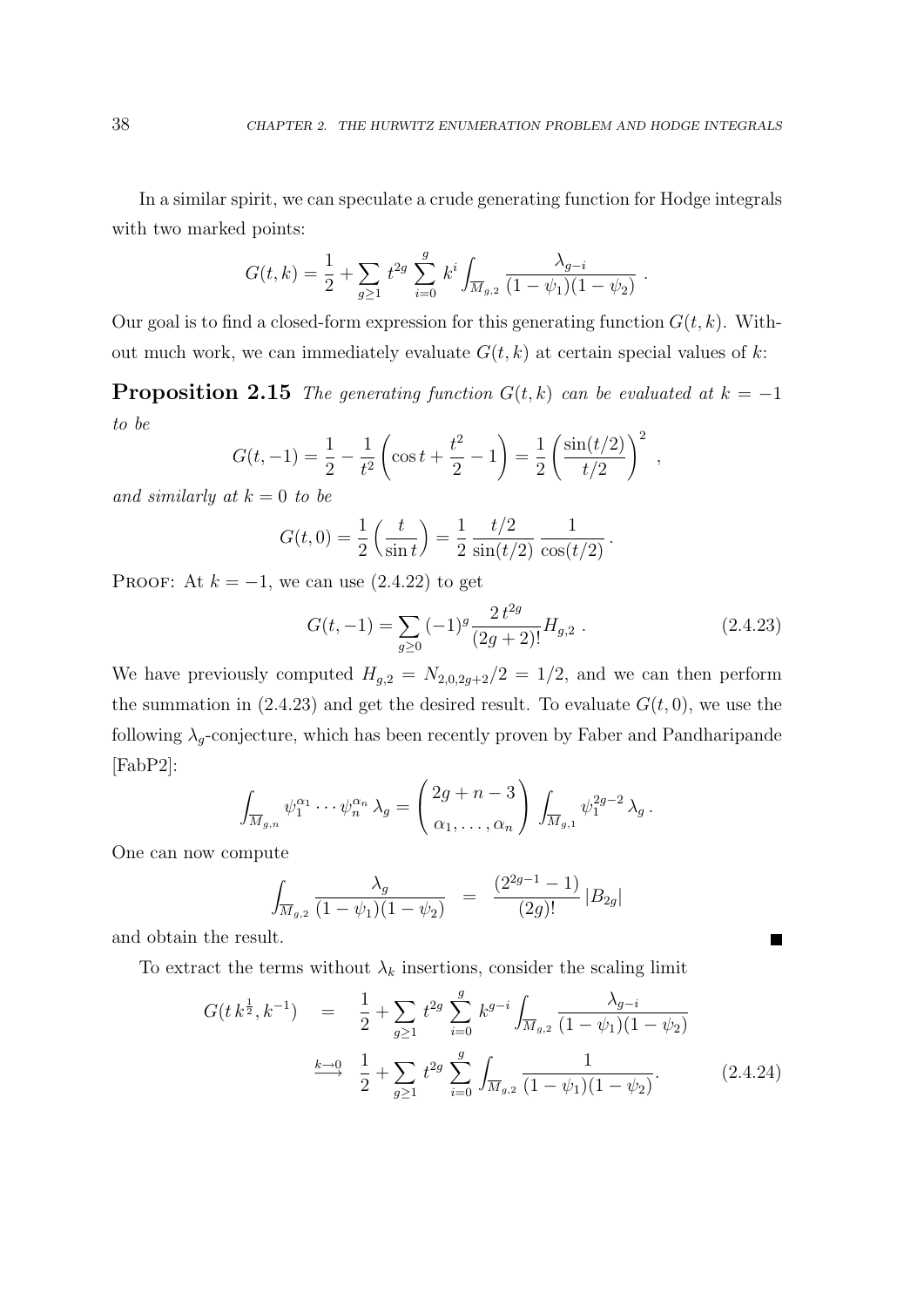.

 $\blacksquare$ 

In a similar spirit, we can speculate a crude generating function for Hodge integrals with two marked points:

$$
G(t,k) = \frac{1}{2} + \sum_{g \ge 1} t^{2g} \sum_{i=0}^{g} k^i \int_{\overline{M}_{g,2}} \frac{\lambda_{g-i}}{(1 - \psi_1)(1 - \psi_2)}
$$

Our goal is to find a closed-form expression for this generating function  $G(t, k)$ . Without much work, we can immediately evaluate  $G(t, k)$  at certain special values of k:

**Proposition 2.15** The generating function  $G(t, k)$  can be evaluated at  $k = -1$ to be

$$
G(t, -1) = \frac{1}{2} - \frac{1}{t^2} \left( \cos t + \frac{t^2}{2} - 1 \right) = \frac{1}{2} \left( \frac{\sin(t/2)}{t/2} \right)^2,
$$

and similarly at  $k = 0$  to be

$$
G(t,0) = \frac{1}{2} \left( \frac{t}{\sin t} \right) = \frac{1}{2} \frac{t/2}{\sin(t/2)} \frac{1}{\cos(t/2)}.
$$

PROOF: At  $k = -1$ , we can use  $(2.4.22)$  to get

$$
G(t, -1) = \sum_{g \ge 0} (-1)^g \frac{2 t^{2g}}{(2g+2)!} H_{g,2} .
$$
 (2.4.23)

We have previously computed  $H_{g,2} = N_{2,0,2g+2}/2 = 1/2$ , and we can then perform the summation in (2.4.23) and get the desired result. To evaluate  $G(t, 0)$ , we use the following  $\lambda_g$ -conjecture, which has been recently proven by Faber and Pandharipande [FabP2]:

$$
\int_{\overline{M}_{g,n}} \psi_1^{\alpha_1} \cdots \psi_n^{\alpha_n} \lambda_g = \begin{pmatrix} 2g+n-3 \\ \alpha_1, \ldots, \alpha_n \end{pmatrix} \int_{\overline{M}_{g,1}} \psi_1^{2g-2} \lambda_g.
$$

One can now compute

$$
\int_{\overline{M}_{g,2}} \frac{\lambda_g}{(1-\psi_1)(1-\psi_2)} = \frac{(2^{2g-1}-1)}{(2g)!} |B_{2g}|
$$

and obtain the result.

To extract the terms without  $\lambda_k$  insertions, consider the scaling limit

$$
G(t k^{\frac{1}{2}}, k^{-1}) = \frac{1}{2} + \sum_{g \ge 1} t^{2g} \sum_{i=0}^{g} k^{g-i} \int_{\overline{M}_{g,2}} \frac{\lambda_{g-i}}{(1 - \psi_1)(1 - \psi_2)}
$$
  

$$
\xrightarrow{k \to 0} \frac{1}{2} + \sum_{g \ge 1} t^{2g} \sum_{i=0}^{g} \int_{\overline{M}_{g,2}} \frac{1}{(1 - \psi_1)(1 - \psi_2)}.
$$
 (2.4.24)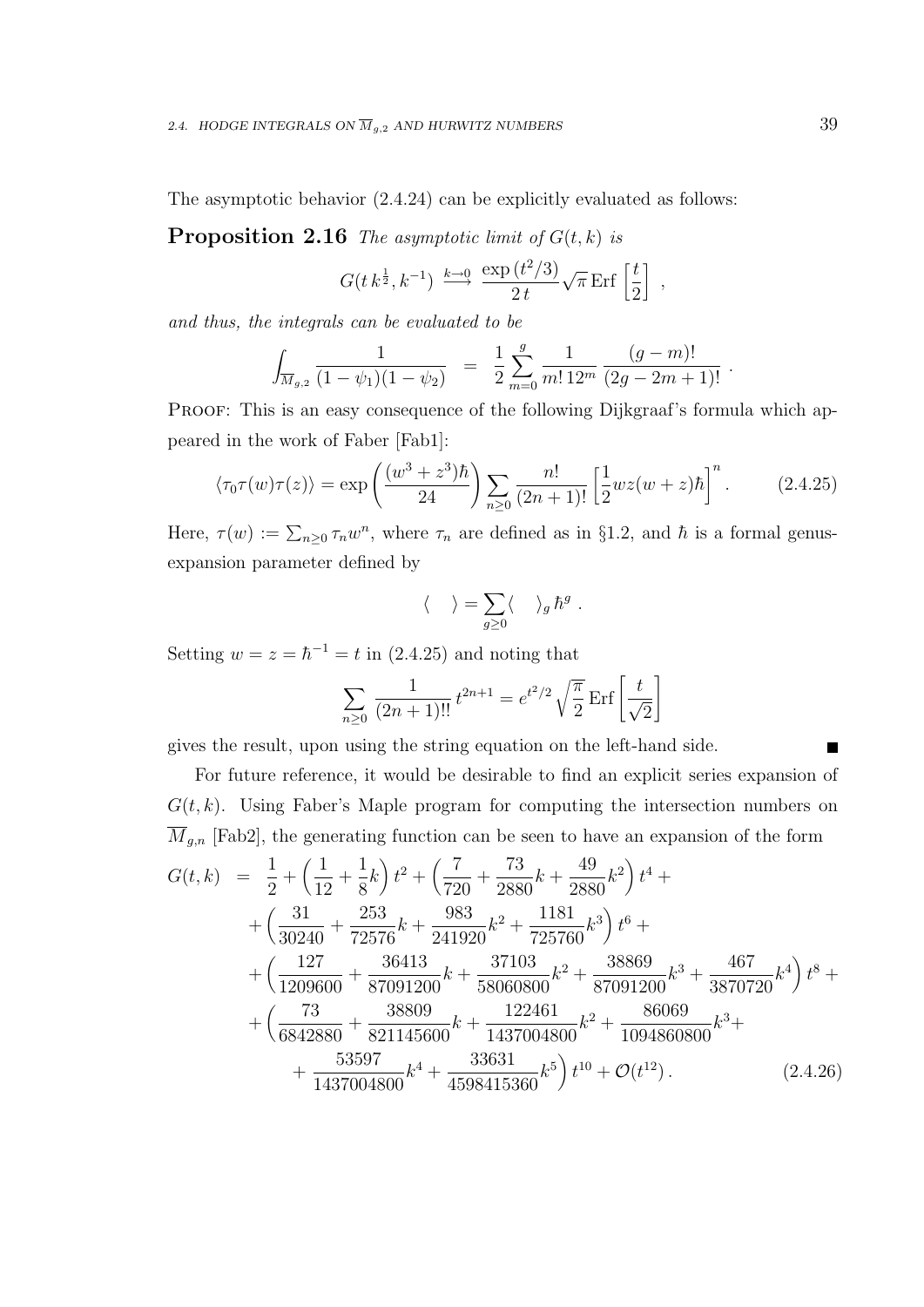The asymptotic behavior (2.4.24) can be explicitly evaluated as follows:

**Proposition 2.16** The asymptotic limit of  $G(t, k)$  is

$$
G(t k^{\frac{1}{2}}, k^{-1}) \xrightarrow{k \to 0} \frac{\exp(t^2/3)}{2t} \sqrt{\pi} \operatorname{Erf} \left[\frac{t}{2}\right],
$$

and thus, the integrals can be evaluated to be

$$
\int_{\overline{M}_{g,2}} \frac{1}{(1-\psi_1)(1-\psi_2)} = \frac{1}{2} \sum_{m=0}^{g} \frac{1}{m! \, 12^m} \frac{(g-m)!}{(2g-2m+1)!} .
$$

PROOF: This is an easy consequence of the following Dijkgraaf's formula which appeared in the work of Faber [Fab1]:

$$
\langle \tau_0 \tau(w) \tau(z) \rangle = \exp\left(\frac{(w^3 + z^3)\hbar}{24}\right) \sum_{n \ge 0} \frac{n!}{(2n+1)!} \left[\frac{1}{2} wz(w+z)\hbar\right]^n.
$$
 (2.4.25)

Here,  $\tau(w) := \sum_{n\geq 0} \tau_n w^n$ , where  $\tau_n$  are defined as in §1.2, and  $\hbar$  is a formal genusexpansion parameter defined by

$$
\langle \quad \rangle = \sum_{g \ge 0} \langle \quad \rangle_g \, \hbar^g \; .
$$

Setting  $w = z = \hbar^{-1} = t$  in (2.4.25) and noting that

$$
\sum_{n\geq 0} \frac{1}{(2n+1)!!} t^{2n+1} = e^{t^2/2} \sqrt{\frac{\pi}{2}} \operatorname{Erf} \left[ \frac{t}{\sqrt{2}} \right]
$$

gives the result, upon using the string equation on the left-hand side.

For future reference, it would be desirable to find an explicit series expansion of  $G(t, k)$ . Using Faber's Maple program for computing the intersection numbers on  $\overline{M}_{g,n}$  [Fab2], the generating function can be seen to have an expansion of the form

$$
G(t,k) = \frac{1}{2} + \left(\frac{1}{12} + \frac{1}{8}k\right)t^2 + \left(\frac{7}{720} + \frac{73}{2880}k + \frac{49}{2880}k^2\right)t^4 +
$$
  
+ 
$$
\left(\frac{31}{30240} + \frac{253}{72576}k + \frac{983}{241920}k^2 + \frac{1181}{725760}k^3\right)t^6 +
$$
  
+ 
$$
\left(\frac{127}{1209600} + \frac{36413}{87091200}k + \frac{37103}{58060800}k^2 + \frac{38869}{87091200}k^3 + \frac{467}{3870720}k^4\right)t^8 +
$$
  
+ 
$$
\left(\frac{73}{6842880} + \frac{38809}{821145600}k + \frac{122461}{1437004800}k^2 + \frac{86069}{1094860800}k^3 + \frac{53597}{1437004800}k^4 + \frac{33631}{4598415360}k^5\right)t^{10} + \mathcal{O}(t^{12}).
$$
 (2.4.26)

 $\blacksquare$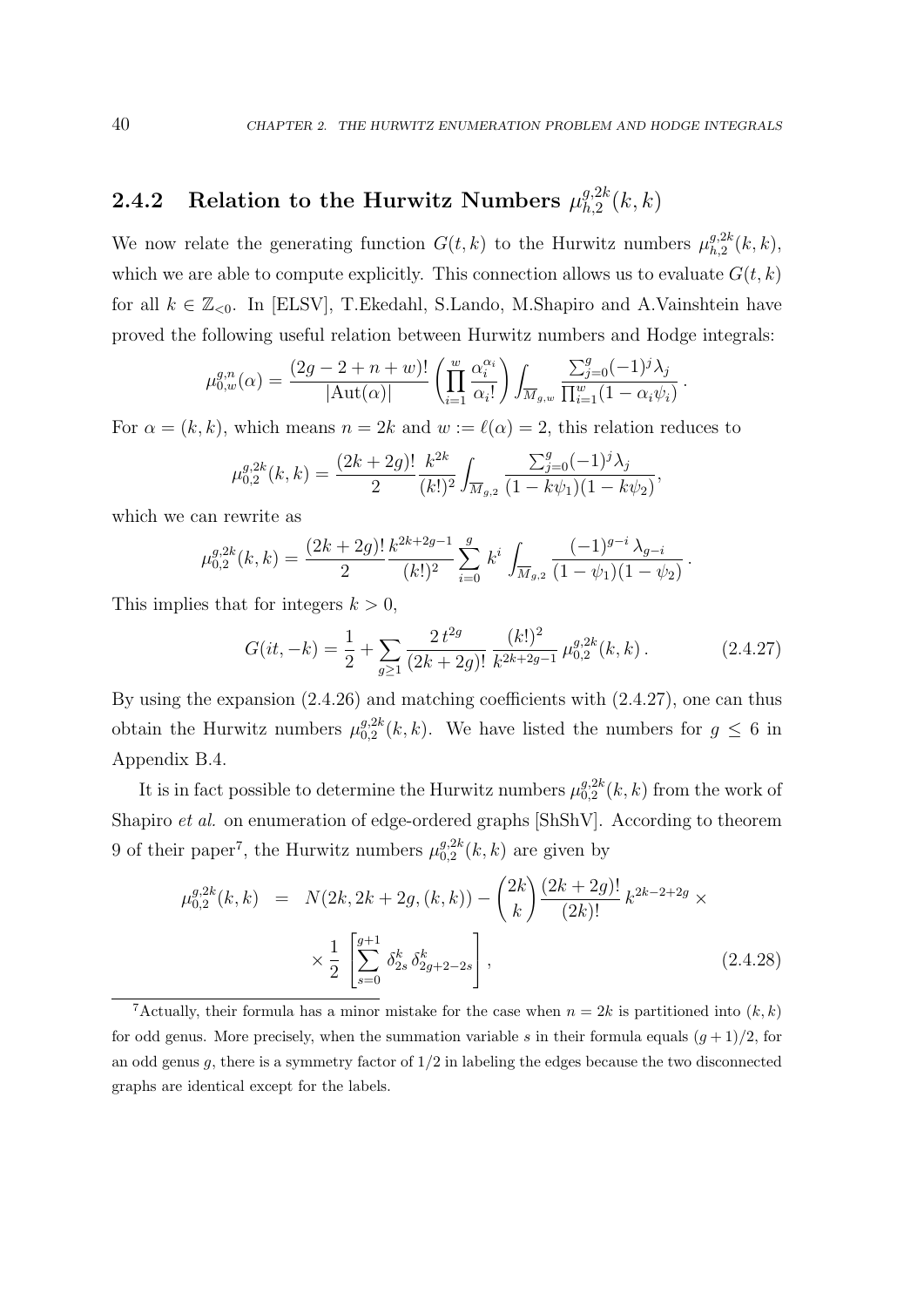.

#### 2.4.2 Relation to the Hurwitz Numbers  $\mu_{h,2}^{g,2k}$  $\epsilon_{h,2}^{g,z\kappa}(k,k)$

We now relate the generating function  $G(t, k)$  to the Hurwitz numbers  $\mu_{h, 2}^{g, 2k}$  ${}_{h,2}^{g,2k}(k,k),$ which we are able to compute explicitly. This connection allows us to evaluate  $G(t, k)$ for all  $k \in \mathbb{Z}_{\leq 0}$ . In [ELSV], T.Ekedahl, S.Lando, M.Shapiro and A.Vainshtein have proved the following useful relation between Hurwitz numbers and Hodge integrals:

$$
\mu_{0,w}^{g,n}(\alpha) = \frac{(2g - 2 + n + w)!}{|\text{Aut}(\alpha)|} \left( \prod_{i=1}^w \frac{\alpha_i^{\alpha_i}}{\alpha_i!} \right) \int_{\overline{M}_{g,w}} \frac{\sum_{j=0}^g (-1)^j \lambda_j}{\prod_{i=1}^w (1 - \alpha_i \psi_i)}
$$

For  $\alpha = (k, k)$ , which means  $n = 2k$  and  $w := \ell(\alpha) = 2$ , this relation reduces to

$$
\mu_{0,2}^{g,2k}(k,k) = \frac{(2k+2g)!}{2} \frac{k^{2k}}{(k!)^2} \int_{\overline{M}_{g,2}} \frac{\sum_{j=0}^g (-1)^j \lambda_j}{(1-k\psi_1)(1-k\psi_2)},
$$

which we can rewrite as

$$
\mu_{0,2}^{g,2k}(k,k) = \frac{(2k+2g)!}{2} \frac{k^{2k+2g-1}}{(k!)^2} \sum_{i=0}^g k^i \int_{\overline{M}_{g,2}} \frac{(-1)^{g-i} \lambda_{g-i}}{(1-\psi_1)(1-\psi_2)}.
$$

This implies that for integers  $k > 0$ ,

$$
G(it, -k) = \frac{1}{2} + \sum_{g \ge 1} \frac{2 t^{2g}}{(2k + 2g)!} \frac{(k!)^2}{k^{2k+2g-1}} \mu_{0,2}^{g,2k}(k, k).
$$
 (2.4.27)

By using the expansion (2.4.26) and matching coefficients with (2.4.27), one can thus obtain the Hurwitz numbers  $\mu_{0,2}^{g,2k}$  $_{0,2}^{g,2k}(k,k)$ . We have listed the numbers for  $g \leq 6$  in Appendix B.4.

It is in fact possible to determine the Hurwitz numbers  $\mu_{0,2}^{g,2k}$  $\binom{g,2k}{0,2}(k,k)$  from the work of Shapiro et al. on enumeration of edge-ordered graphs [ShShV]. According to theorem 9 of their paper<sup>7</sup>, the Hurwitz numbers  $\mu_{0,2}^{g,2k}$  $_{0,2}^{g,2\kappa}(k,k)$  are given by

$$
\mu_{0,2}^{g,2k}(k,k) = N(2k, 2k + 2g, (k, k)) - {2k \choose k} \frac{(2k+2g)!}{(2k)!} k^{2k-2+2g} \times \times \frac{1}{2} \left[ \sum_{s=0}^{g+1} \delta_{2s}^k \delta_{2g+2-2s}^k \right],
$$
\n(2.4.28)

<sup>&</sup>lt;sup>7</sup>Actually, their formula has a minor mistake for the case when  $n = 2k$  is partitioned into  $(k, k)$ for odd genus. More precisely, when the summation variable s in their formula equals  $(g + 1)/2$ , for an odd genus q, there is a symmetry factor of  $1/2$  in labeling the edges because the two disconnected graphs are identical except for the labels.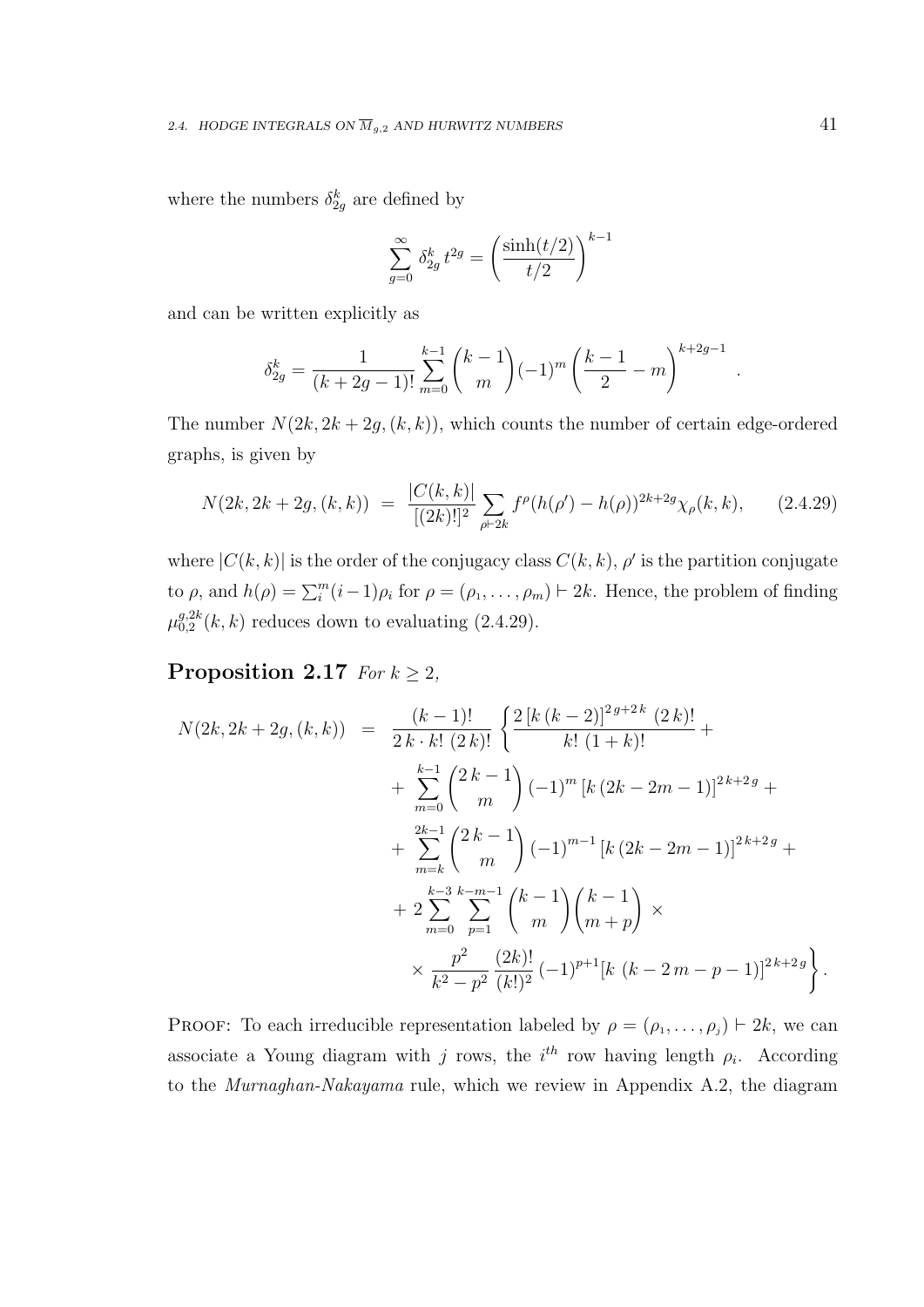where the numbers  $\delta_{2g}^k$  are defined by

$$
\sum_{g=0}^{\infty} \delta_{2g}^k t^{2g} = \left(\frac{\sinh(t/2)}{t/2}\right)^{k-1}
$$

and can be written explicitly as

$$
\delta_{2g}^k = \frac{1}{(k+2g-1)!} \sum_{m=0}^{k-1} {k-1 \choose m} (-1)^m \left(\frac{k-1}{2} - m\right)^{k+2g-1}
$$

The number  $N(2k, 2k + 2g, (k, k))$ , which counts the number of certain edge-ordered graphs, is given by

$$
N(2k, 2k + 2g, (k, k)) = \frac{|C(k, k)|}{[(2k)!]^2} \sum_{\rho \vdash 2k} f^{\rho}(h(\rho') - h(\rho))^{2k + 2g} \chi_{\rho}(k, k), \qquad (2.4.29)
$$

where  $|C(k, k)|$  is the order of the conjugacy class  $C(k, k)$ ,  $\rho'$  is the partition conjugate to  $\rho$ , and  $h(\rho) = \sum_{i=1}^{m} (i-1)\rho_i$  for  $\rho = (\rho_1, \ldots, \rho_m) \vdash 2k$ . Hence, the problem of finding  $\mu^{g,2k}_{0.2}$  $_{0,2}^{g,2k}(k,k)$  reduces down to evaluating  $(2.4.29)$ .

### Proposition 2.17 For  $k \geq 2$ ,

$$
N(2k, 2k + 2g, (k, k)) = \frac{(k-1)!}{2k \cdot k! (2k)!} \left\{ \frac{2 [k (k-2)]^{2g+2k} (2k)!}{k! (1+k)!} + \sum_{m=0}^{k-1} {2k-1 \choose m} (-1)^m [k (2k-2m-1)]^{2k+2g} + \frac{2k-1}{m} {2k-1 \choose m} (-1)^{m-1} [k (2k-2m-1)]^{2k+2g} + 2 \sum_{m=0}^{k-3} \sum_{p=1}^{k-m-1} {k-1 \choose m} {k-1 \choose m+p} \times \frac{p^2}{k^2-p^2} \frac{(2k)!}{(k!)^2} (-1)^{p+1} [k (k-2m-p-1)]^{2k+2g} \right\}.
$$

PROOF: To each irreducible representation labeled by  $\rho = (\rho_1, \ldots, \rho_j) \vdash 2k$ , we can associate a Young diagram with j rows, the  $i<sup>th</sup>$  row having length  $\rho_i$ . According to the Murnaghan-Nakayama rule, which we review in Appendix A.2, the diagram

.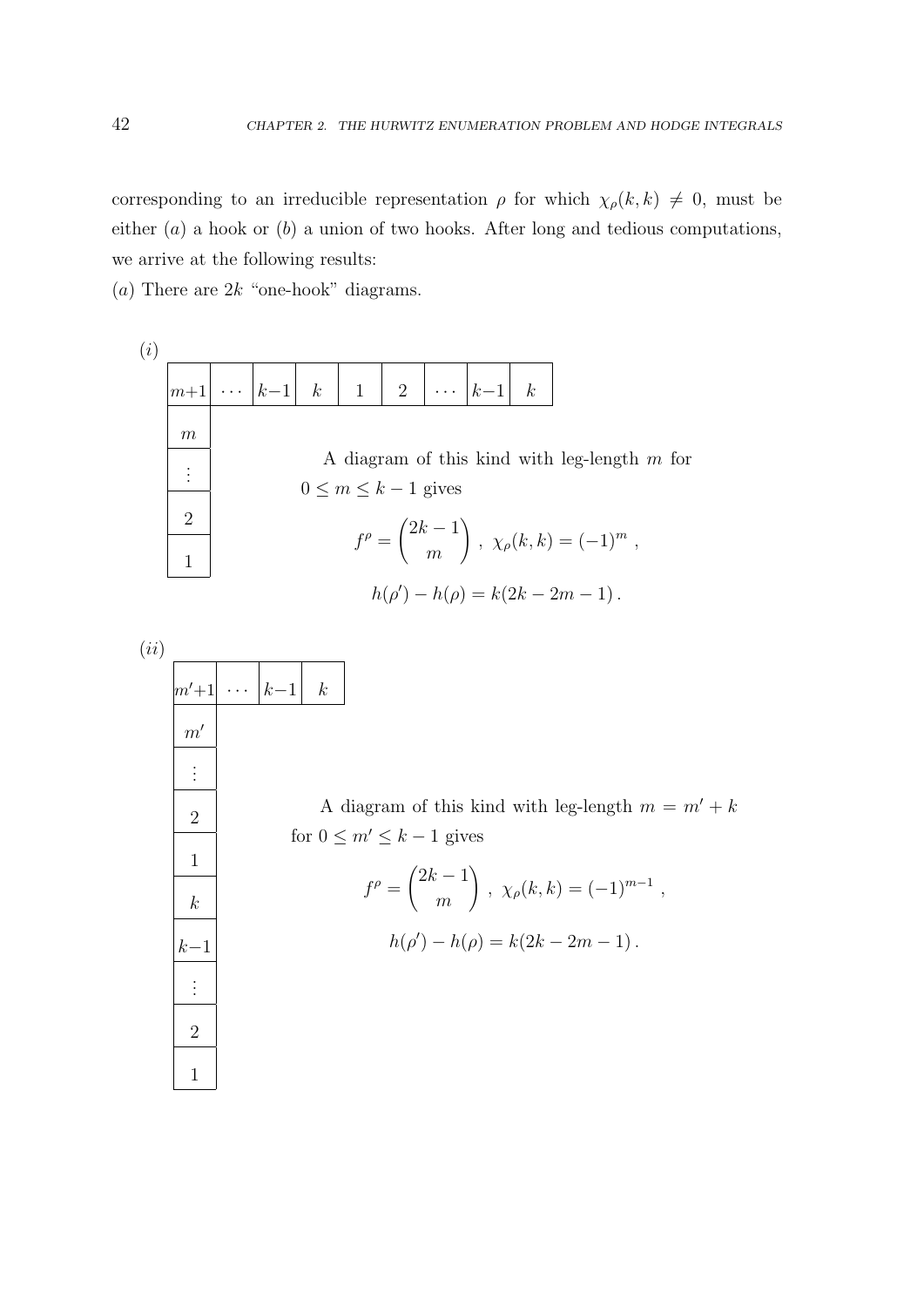corresponding to an irreducible representation  $\rho$  for which  $\chi_{\rho}(k, k) \neq 0$ , must be either  $(a)$  a hook or  $(b)$  a union of two hooks. After long and tedious computations, we arrive at the following results:

(a) There are  $2k$  "one-hook" diagrams.

. . .

2

1

(i)  
\n
$$
\begin{array}{|c|c|c|c|c|}\n\hline\nm+1 & \cdots & k-1 & k & 1 & 2 & \cdots & k-1 & k \\
\hline\nm & & & & & A \text{ diagram of this kind with leg-length } m \text{ for} \\
\hline\n0 \le m \le k-1 \text{ gives} \\
f^{\rho} = \begin{pmatrix} 2k-1 \\ m \end{pmatrix}, \ \chi_{\rho}(k,k) = (-1)^m, \\
h(\rho') - h(\rho) = k(2k - 2m - 1).\n\hline\n\end{array}
$$
\n(ii)  
\n
$$
\begin{array}{|c|c|c|c|}\n\hline\nm'+1 & \cdots & k-1 & k \\
\hline\nm' & & & \\
\hline\n\vdots & & & A \text{ diagram of this kind with leg-length } m = m' + k \\
\hline\n\vdots & & & \\
\hline\n\end{array}
$$
\nA diagram of this kind with leg-length  $m = m' + k$   
\nfor  $0 \le m' \le k-1$  gives  
\n
$$
f^{\rho} = \begin{pmatrix} 2k-1 \\ m \end{pmatrix}, \ \chi_{\rho}(k,k) = (-1)^{m-1}, \\
k-1 & h(\rho') - h(\rho) = k(2k - 2m - 1).
$$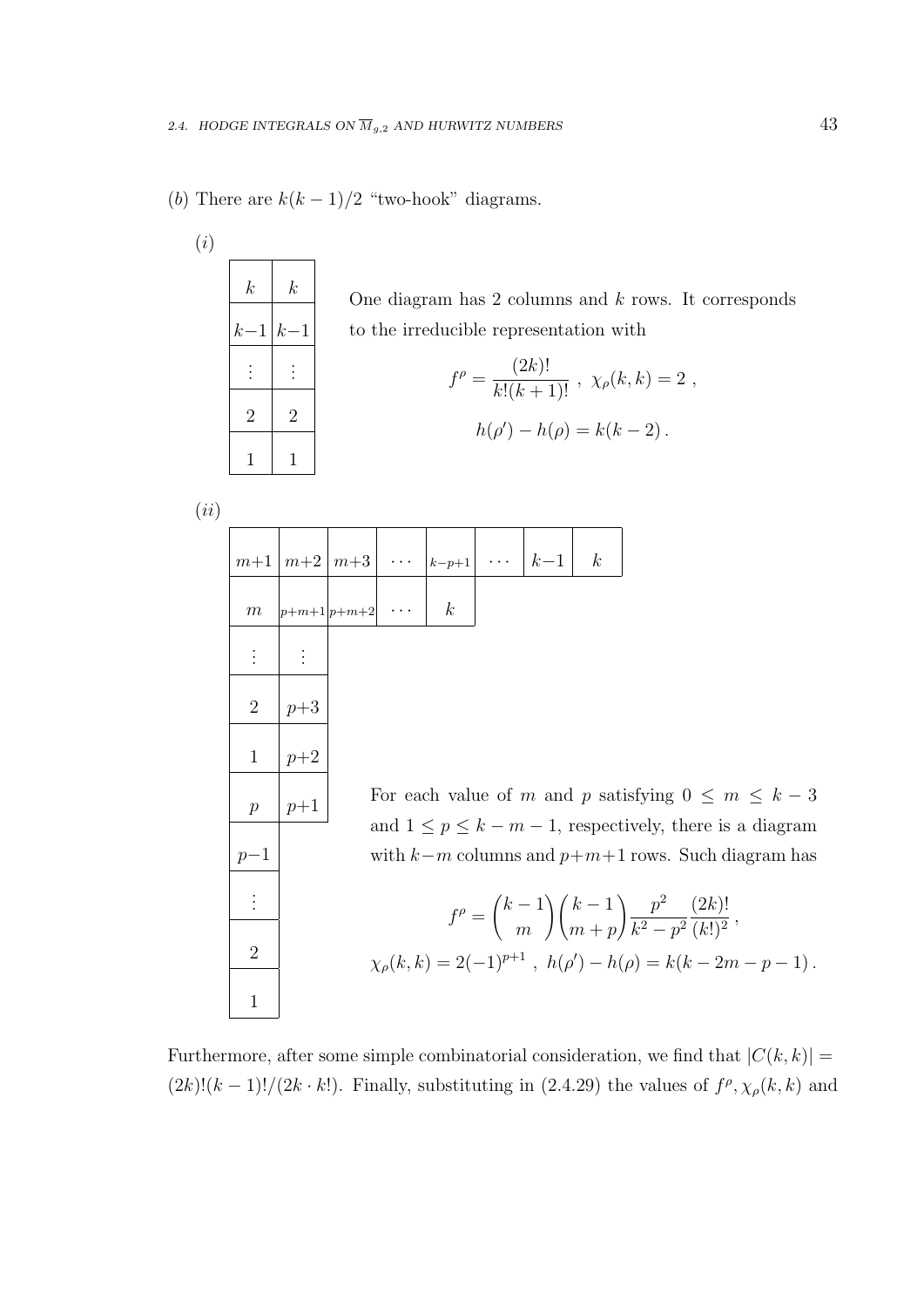(b) There are  $k(k-1)/2$  "two-hook" diagrams.

| (i) |                  |                  |
|-----|------------------|------------------|
|     | $\boldsymbol{k}$ | $\boldsymbol{k}$ |
|     | $k-1$            | $k-1$            |
|     |                  |                  |
|     | $\overline{2}$   | $\overline{2}$   |
|     | 1                | 1                |
|     |                  |                  |

One diagram has  $2$  columns and  $k$  rows. It corresponds to the irreducible representation with

$$
f^{\rho} = \frac{(2k)!}{k!(k+1)!}, \ \chi_{\rho}(k,k) = 2 ,
$$

$$
h(\rho') - h(\rho) = k(k-2) .
$$

 $(ii)$ 

|                |       | $m+1 \mid m+2 \mid m+3 \mid \cdots \mid k-p+1 \mid \cdots \mid k-1 \mid$ |                  |  | $\kappa$ |                                                                                                                          |
|----------------|-------|--------------------------------------------------------------------------|------------------|--|----------|--------------------------------------------------------------------------------------------------------------------------|
| m              |       | $ p+m+1 p+m+2  \cdots$                                                   | $\boldsymbol{k}$ |  |          |                                                                                                                          |
|                |       |                                                                          |                  |  |          |                                                                                                                          |
| $\overline{2}$ | $p+3$ |                                                                          |                  |  |          |                                                                                                                          |
| $\mathbf{1}$   | $p+2$ |                                                                          |                  |  |          |                                                                                                                          |
| $\mathcal{p}$  | $p+1$ |                                                                          |                  |  |          | For each value of m and p satisfying $0 \leq m \leq k-3$<br>and $1 \leq p \leq k-m-1$ , respectively, there is a diagram |
| $p-1$          |       |                                                                          |                  |  |          | with $k-m$ columns and $p+m+1$ rows. Such diagram has                                                                    |
| $\vdots$       |       |                                                                          |                  |  |          | $f^{\rho} = {k-1 \choose m} {k-1 \choose m+n} \frac{p^2}{k^2-n^2} \frac{(2k)!}{(k!)^2},$                                 |
| $\overline{2}$ |       |                                                                          |                  |  |          | $\chi_{\rho}(k,k) = 2(-1)^{p+1}$ , $h(\rho') - h(\rho) = k(k-2m-p-1)$ .                                                  |
| $\mathbf{1}$   |       |                                                                          |                  |  |          |                                                                                                                          |

Furthermore, after some simple combinatorial consideration, we find that  $|C(k, k)| =$  $(2k)!(k-1)!/(2k \cdot k!)$ . Finally, substituting in  $(2.4.29)$  the values of  $f^{\rho}, \chi_{\rho}(k, k)$  and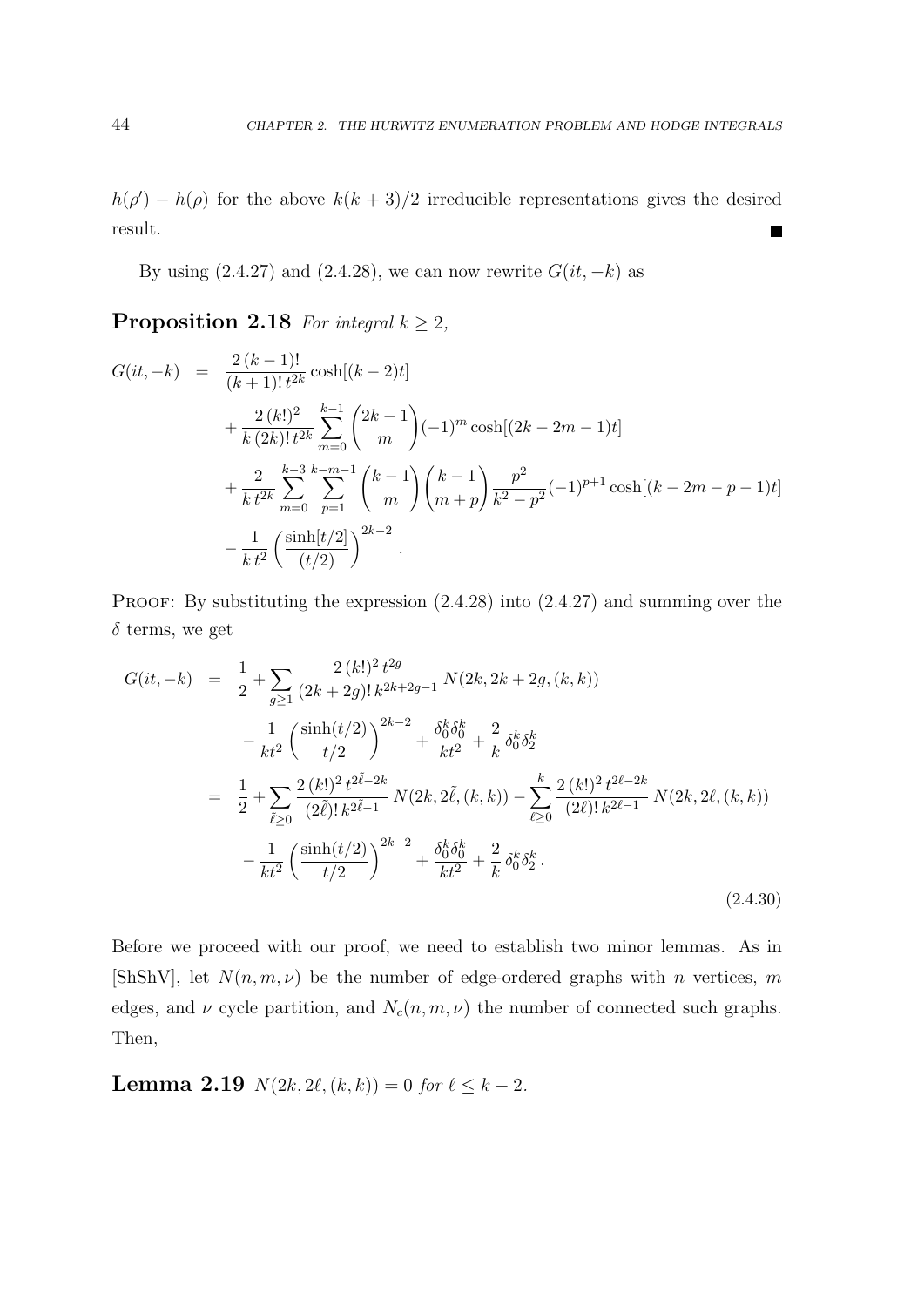$h(\rho') - h(\rho)$  for the above  $k(k+3)/2$  irreducible representations gives the desired result. П

By using  $(2.4.27)$  and  $(2.4.28)$ , we can now rewrite  $G(it, -k)$  as

**Proposition 2.18** For integral  $k \geq 2$ ,

$$
G(it, -k) = \frac{2 (k-1)!}{(k+1)! t^{2k}} \cosh[(k-2)t]
$$
  
+  $\frac{2 (k!)^2}{k (2k)! t^{2k}} \sum_{m=0}^{k-1} {2k-1 \choose m} (-1)^m \cosh[(2k-2m-1)t]$   
+  $\frac{2}{k} \sum_{m=0}^{k-3} \sum_{p=1}^{k-m-1} {k-1 \choose m} {k-1 \choose m+p} \frac{p^2}{k^2-p^2} (-1)^{p+1} \cosh[(k-2m-p-1)t]$   
-  $\frac{1}{k t^2} (\frac{\sinh[t/2]}{(t/2)})^{2k-2}$ .

PROOF: By substituting the expression  $(2.4.28)$  into  $(2.4.27)$  and summing over the  $\delta$  terms, we get

$$
G(it, -k) = \frac{1}{2} + \sum_{g \ge 1} \frac{2 (k!)^2 t^{2g}}{(2k+2g)! k^{2k+2g-1}} N(2k, 2k+2g, (k, k))
$$
  

$$
- \frac{1}{kt^2} \left( \frac{\sinh(t/2)}{t/2} \right)^{2k-2} + \frac{\delta_0^k \delta_0^k}{kt^2} + \frac{2}{k} \delta_0^k \delta_2^k
$$
  

$$
= \frac{1}{2} + \sum_{\tilde{\ell} \ge 0} \frac{2 (k!)^2 t^{2\tilde{\ell}-2k}}{(2\tilde{\ell})! k^{2\tilde{\ell}-1}} N(2k, 2\tilde{\ell}, (k, k)) - \sum_{\ell \ge 0}^k \frac{2 (k!)^2 t^{2\ell-2k}}{(2\ell)! k^{2\ell-1}} N(2k, 2\ell, (k, k))
$$
  

$$
- \frac{1}{kt^2} \left( \frac{\sinh(t/2)}{t/2} \right)^{2k-2} + \frac{\delta_0^k \delta_0^k}{kt^2} + \frac{2}{k} \delta_0^k \delta_2^k.
$$
 (2.4.30)

Before we proceed with our proof, we need to establish two minor lemmas. As in [ShShV], let  $N(n, m, \nu)$  be the number of edge-ordered graphs with n vertices, m edges, and  $\nu$  cycle partition, and  $N_c(n, m, \nu)$  the number of connected such graphs. Then,

**Lemma 2.19**  $N(2k, 2\ell, (k, k)) = 0$  for  $\ell \leq k - 2$ .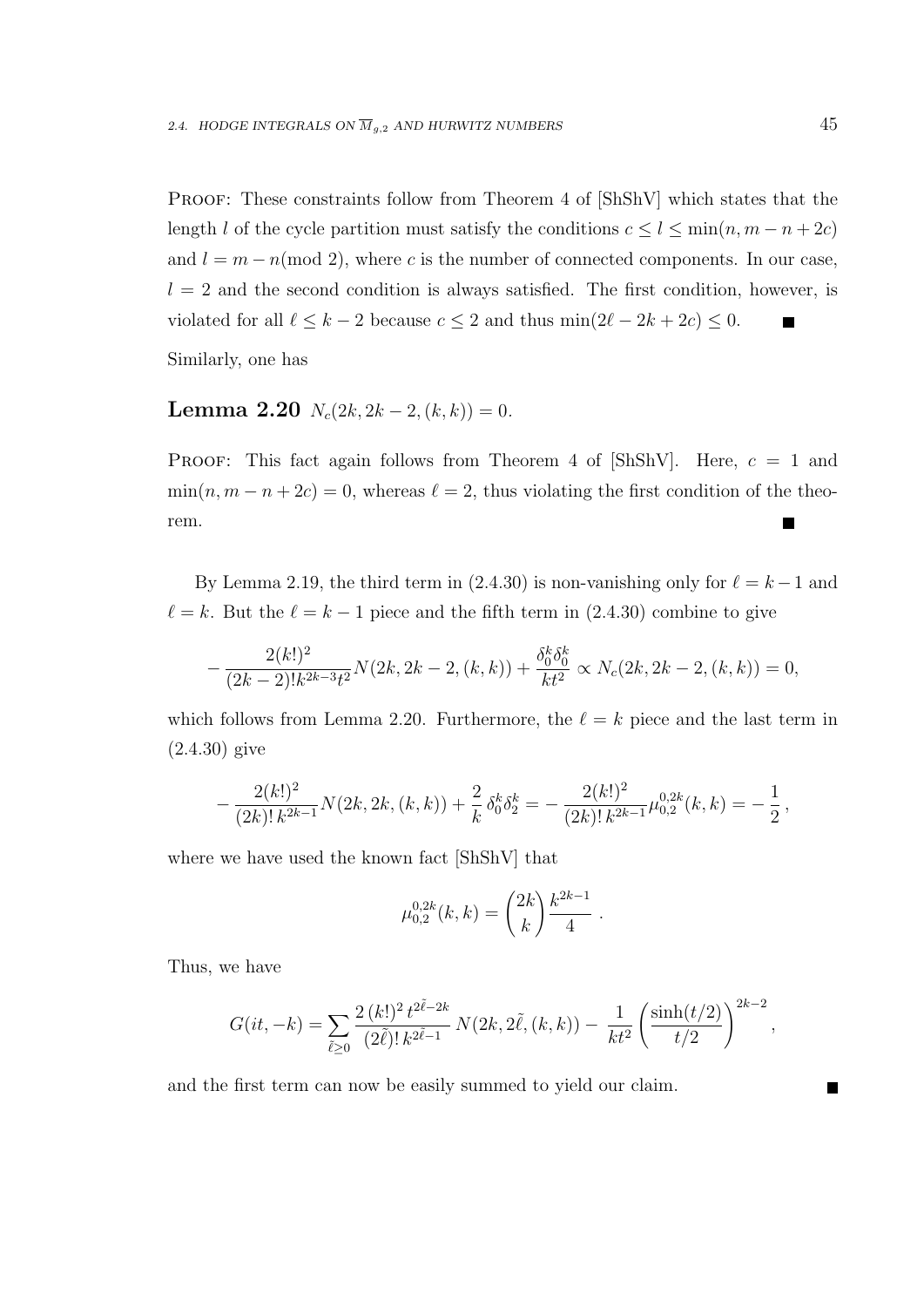PROOF: These constraints follow from Theorem 4 of  $[ShShV]$  which states that the length l of the cycle partition must satisfy the conditions  $c \le l \le \min(n, m - n + 2c)$ and  $l = m - n \pmod{2}$ , where c is the number of connected components. In our case,  $l = 2$  and the second condition is always satisfied. The first condition, however, is violated for all  $\ell \leq k - 2$  because  $c \leq 2$  and thus  $\min(2\ell - 2k + 2c) \leq 0$ .

Similarly, one has

# Lemma 2.20  $N_c(2k, 2k-2, (k, k)) = 0$ .

**PROOF:** This fact again follows from Theorem 4 of  $\lbrack ShShV\rbrack$ . Here,  $c = 1$  and  $\min(n, m - n + 2c) = 0$ , whereas  $\ell = 2$ , thus violating the first condition of the theorem.  $\blacksquare$ 

By Lemma 2.19, the third term in (2.4.30) is non-vanishing only for  $\ell = k - 1$  and  $\ell = k$ . But the  $\ell = k - 1$  piece and the fifth term in (2.4.30) combine to give

$$
-\frac{2(k!)^2}{(2k-2)!k^{2k-3}t^2}N(2k, 2k-2, (k, k)) + \frac{\delta_0^k \delta_0^k}{kt^2} \propto N_c(2k, 2k-2, (k, k)) = 0,
$$

which follows from Lemma 2.20. Furthermore, the  $\ell = k$  piece and the last term in (2.4.30) give

$$
-\frac{2(k!)^2}{(2k)!k^{2k-1}}N(2k, 2k, (k, k)) + \frac{2}{k}\delta_0^k \delta_2^k = -\frac{2(k!)^2}{(2k)!k^{2k-1}}\mu_{0,2}^{0,2k}(k, k) = -\frac{1}{2},
$$

where we have used the known fact [ShShV] that

$$
\mu_{0,2}^{0,2k}(k,k) = \binom{2k}{k} \frac{k^{2k-1}}{4}.
$$

Thus, we have

$$
G(it, -k) = \sum_{\tilde{\ell} \ge 0} \frac{2 (k!)^2 t^{2\tilde{\ell} - 2k}}{(2\tilde{\ell})! \, k^{2\tilde{\ell} - 1}} \, N(2k, 2\tilde{\ell}, (k, k)) - \frac{1}{kt^2} \left( \frac{\sinh(t/2)}{t/2} \right)^{2k - 2},
$$

and the first term can now be easily summed to yield our claim.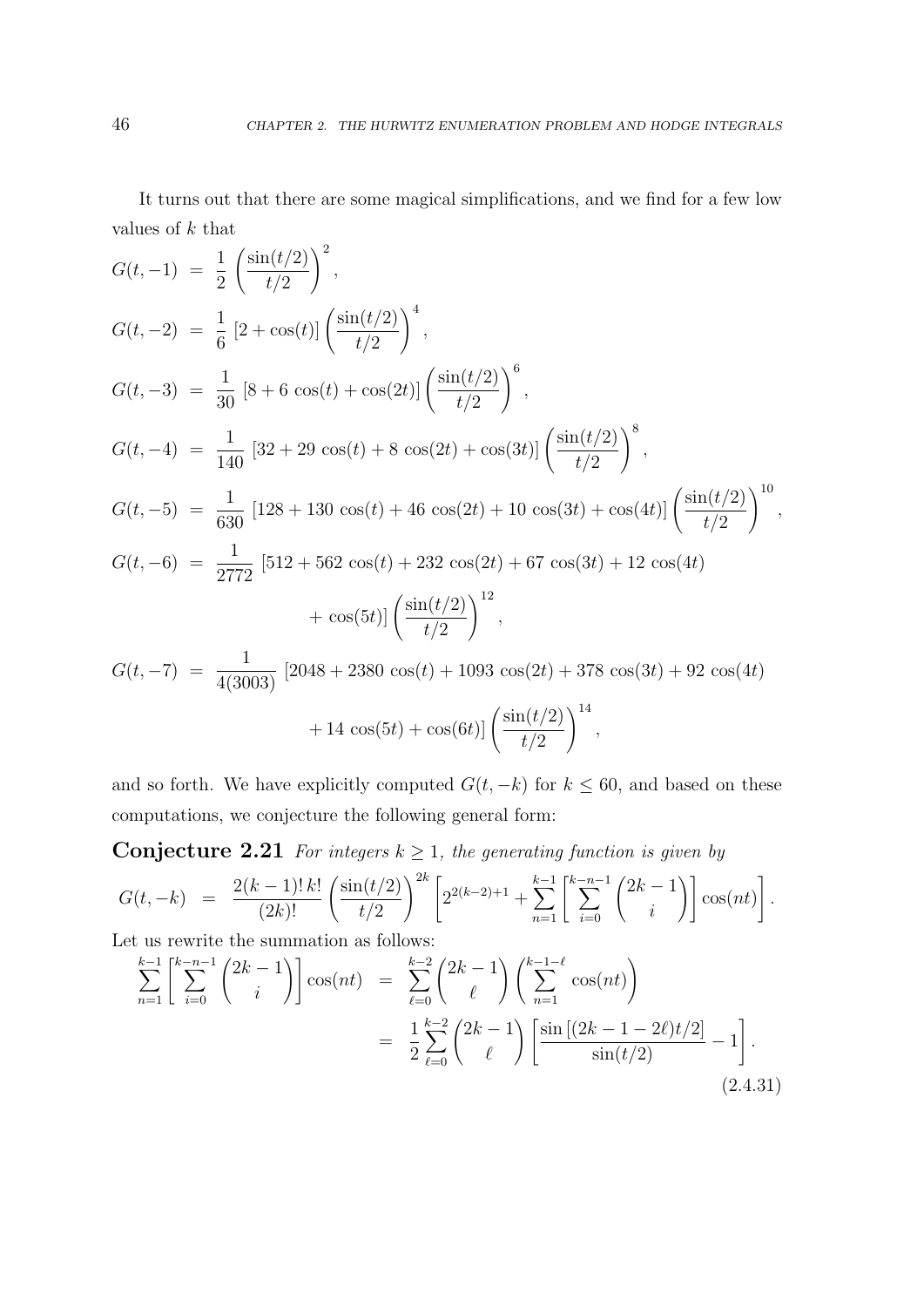It turns out that there are some magical simplifications, and we find for a few low values of  $k$  that

$$
G(t, -1) = \frac{1}{2} \left( \frac{\sin(t/2)}{t/2} \right)^2,
$$
  
\n
$$
G(t, -2) = \frac{1}{6} \left[ 2 + \cos(t) \right] \left( \frac{\sin(t/2)}{t/2} \right)^4,
$$
  
\n
$$
G(t, -3) = \frac{1}{30} \left[ 8 + 6 \cos(t) + \cos(2t) \right] \left( \frac{\sin(t/2)}{t/2} \right)^6,
$$
  
\n
$$
G(t, -4) = \frac{1}{140} \left[ 32 + 29 \cos(t) + 8 \cos(2t) + \cos(3t) \right] \left( \frac{\sin(t/2)}{t/2} \right)^8,
$$
  
\n
$$
G(t, -5) = \frac{1}{630} \left[ 128 + 130 \cos(t) + 46 \cos(2t) + 10 \cos(3t) + \cos(4t) \right] \left( \frac{\sin(t/2)}{t/2} \right)^{10},
$$
  
\n
$$
G(t, -6) = \frac{1}{2772} \left[ 512 + 562 \cos(t) + 232 \cos(2t) + 67 \cos(3t) + 12 \cos(4t) + \cos(5t) \right] \left( \frac{\sin(t/2)}{t/2} \right)^{12},
$$
  
\n
$$
G(t, -7) = \frac{1}{4(3003)} \left[ 2048 + 2380 \cos(t) + 1093 \cos(2t) + 378 \cos(3t) + 92 \cos(4t) + 14 \cos(5t) + \cos(6t) \right] \left( \frac{\sin(t/2)}{t/2} \right)^{14},
$$

and so forth. We have explicitly computed  $G(t, -k)$  for  $k \leq 60$ , and based on these computations, we conjecture the following general form:

 $t/2$ 

**Conjecture 2.21** For integers  $k \geq 1$ , the generating function is given by

$$
G(t, -k) = \frac{2(k-1)! \, k!}{(2k)!} \left( \frac{\sin(t/2)}{t/2} \right)^{2k} \left[ 2^{2(k-2)+1} + \sum_{n=1}^{k-1} \left[ \sum_{i=0}^{k-n-1} {2k-1 \choose i} \right] \cos(nt) \right].
$$

Let us rewrite the summation as follows:

$$
\sum_{n=1}^{k-1} \left[ \sum_{i=0}^{k-n-1} {2k-1 \choose i} \right] \cos(nt) = \sum_{\ell=0}^{k-2} {2k-1 \choose \ell} \left( \sum_{n=1}^{k-1-\ell} \cos(nt) \right)
$$

$$
= \frac{1}{2} \sum_{\ell=0}^{k-2} {2k-1 \choose \ell} \left[ \frac{\sin[(2k-1-2\ell)t/2]}{\sin(t/2)} - 1 \right].
$$
(2.4.31)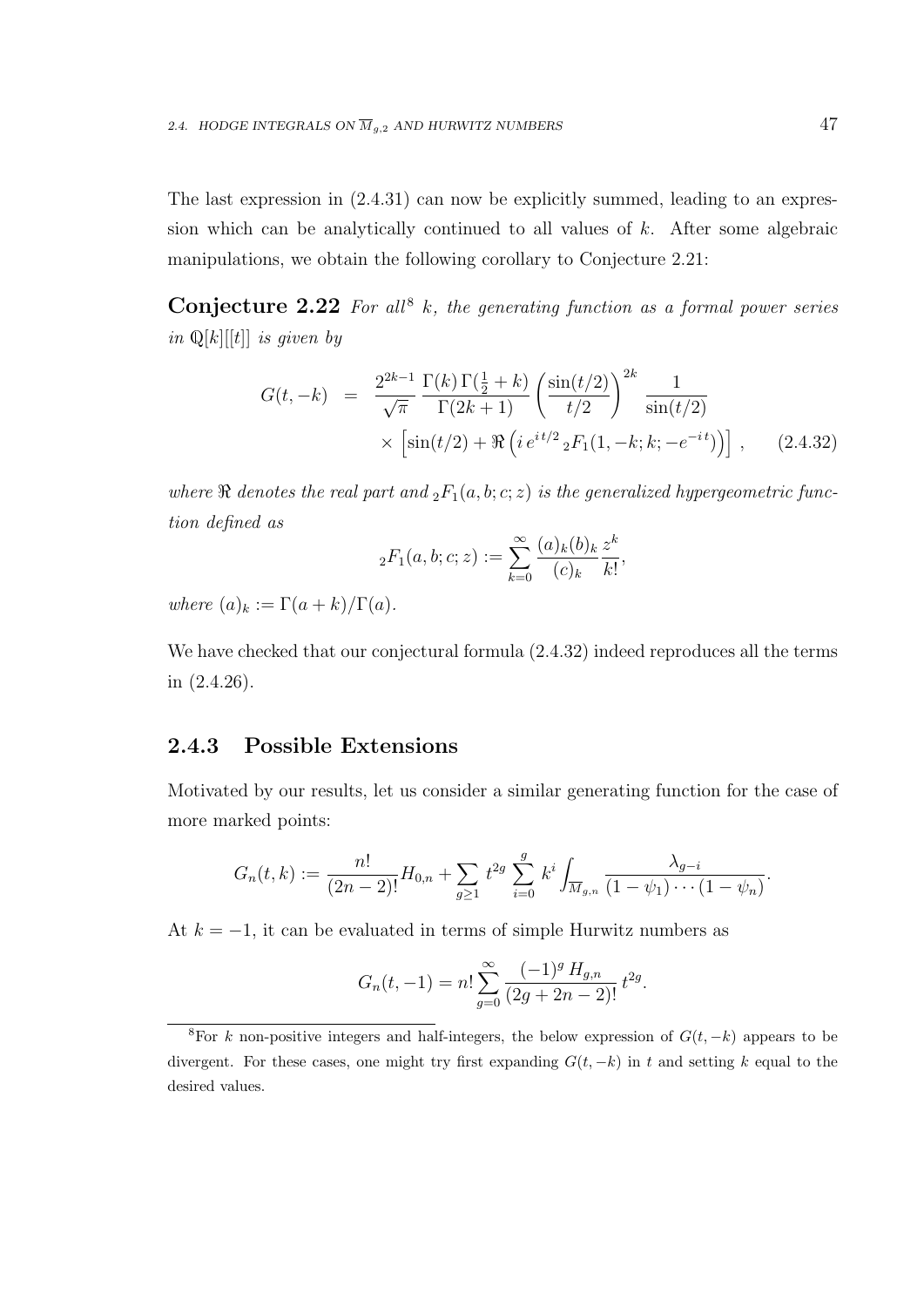The last expression in  $(2.4.31)$  can now be explicitly summed, leading to an expression which can be analytically continued to all values of  $k$ . After some algebraic manipulations, we obtain the following corollary to Conjecture 2.21:

**Conjecture 2.22** For all<sup>8</sup> k, the generating function as a formal power series in  $\mathbb{Q}[k][[t]]$  is given by

$$
G(t, -k) = \frac{2^{2k-1}}{\sqrt{\pi}} \frac{\Gamma(k) \Gamma(\frac{1}{2} + k)}{\Gamma(2k+1)} \left( \frac{\sin(t/2)}{t/2} \right)^{2k} \frac{1}{\sin(t/2)} \times \left[ \sin(t/2) + \Re \left( i e^{it/2} {}_{2}F_{1}(1, -k; k; -e^{-it}) \right) \right], \quad (2.4.32)
$$

where  $\Re$  denotes the real part and  ${}_2F_1(a,b;c;z)$  is the generalized hypergeometric function defined as

$$
{}_2F_1(a, b; c; z) := \sum_{k=0}^{\infty} \frac{(a)_k (b)_k}{(c)_k} \frac{z^k}{k!},
$$

where  $(a)_k := \Gamma(a+k)/\Gamma(a)$ .

We have checked that our conjectural formula (2.4.32) indeed reproduces all the terms in (2.4.26).

### 2.4.3 Possible Extensions

Motivated by our results, let us consider a similar generating function for the case of more marked points:

$$
G_n(t,k) := \frac{n!}{(2n-2)!} H_{0,n} + \sum_{g \ge 1} t^{2g} \sum_{i=0}^g k^i \int_{\overline{M}_{g,n}} \frac{\lambda_{g-i}}{(1-\psi_1)\cdots(1-\psi_n)}.
$$

At  $k = -1$ , it can be evaluated in terms of simple Hurwitz numbers as

$$
G_n(t, -1) = n! \sum_{g=0}^{\infty} \frac{(-1)^g H_{g,n}}{(2g + 2n - 2)!} t^{2g}.
$$

<sup>&</sup>lt;sup>8</sup>For k non-positive integers and half-integers, the below expression of  $G(t, -k)$  appears to be divergent. For these cases, one might try first expanding  $G(t, -k)$  in t and setting k equal to the desired values.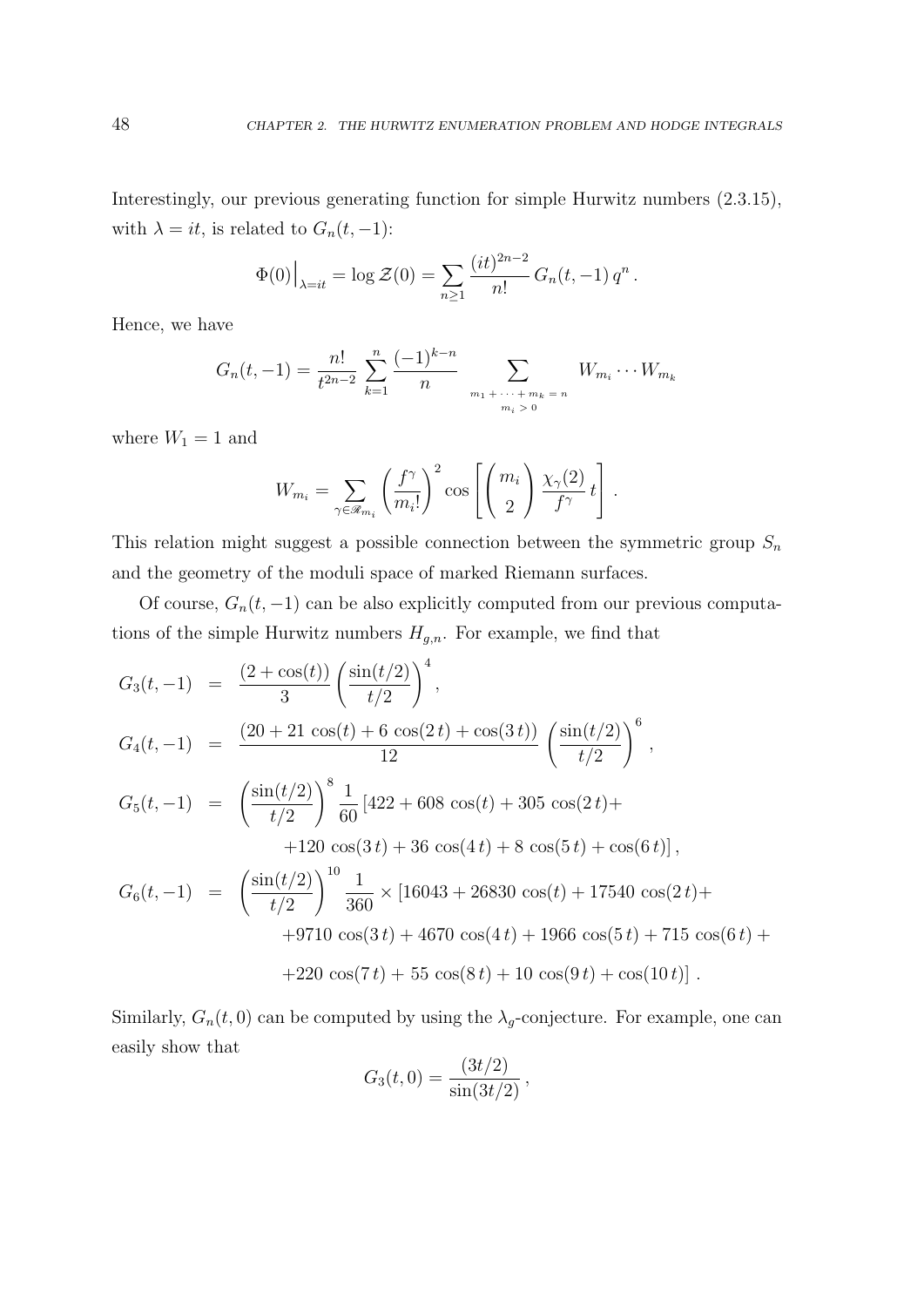Interestingly, our previous generating function for simple Hurwitz numbers (2.3.15), with  $\lambda = it$ , is related to  $G_n(t, -1)$ :

$$
\Phi(0)\big|_{\lambda=it} = \log \mathcal{Z}(0) = \sum_{n\geq 1} \frac{(it)^{2n-2}}{n!} G_n(t, -1) q^n.
$$

Hence, we have

$$
G_n(t, -1) = \frac{n!}{t^{2n-2}} \sum_{k=1}^n \frac{(-1)^{k-n}}{n} \sum_{\substack{m_1 + \dots + m_k = n \\ m_i > 0}} W_{m_i} \cdots W_{m_k}
$$

where  $W_1 = 1$  and

$$
W_{m_i} = \sum_{\gamma \in \mathscr{R}_{m_i}} \left( \frac{f^{\gamma}}{m_i!} \right)^2 \cos \left[ \left( \frac{m_i}{2} \right) \frac{\chi_{\gamma}(2)}{f^{\gamma}} t \right].
$$

This relation might suggest a possible connection between the symmetric group  $S_n$ and the geometry of the moduli space of marked Riemann surfaces.

Of course,  $G_n(t, -1)$  can be also explicitly computed from our previous computations of the simple Hurwitz numbers  $H_{g,n}$ . For example, we find that

$$
G_3(t,-1) = \frac{(2+\cos(t))}{3} \left(\frac{\sin(t/2)}{t/2}\right)^4,
$$
  
\n
$$
G_4(t,-1) = \frac{(20+21\cos(t)+6\cos(2t)+\cos(3t))}{12} \left(\frac{\sin(t/2)}{t/2}\right)^6,
$$
  
\n
$$
G_5(t,-1) = \left(\frac{\sin(t/2)}{t/2}\right)^8 \frac{1}{60} [422+608\cos(t)+305\cos(2t)+
$$
  
\n
$$
+120\cos(3t)+36\cos(4t)+8\cos(5t)+\cos(6t)],
$$
  
\n
$$
G_6(t,-1) = \left(\frac{\sin(t/2)}{t/2}\right)^{10} \frac{1}{360} \times [16043+26830\cos(t)+17540\cos(2t)+
$$
  
\n
$$
+9710\cos(3t)+4670\cos(4t)+1966\cos(5t)+715\cos(6t)+
$$
  
\n
$$
+220\cos(7t)+55\cos(8t)+10\cos(9t)+\cos(10t)].
$$

Similarly,  $G_n(t,0)$  can be computed by using the  $\lambda_g$ -conjecture. For example, one can easily show that

$$
G_3(t,0) = \frac{(3t/2)}{\sin(3t/2)},
$$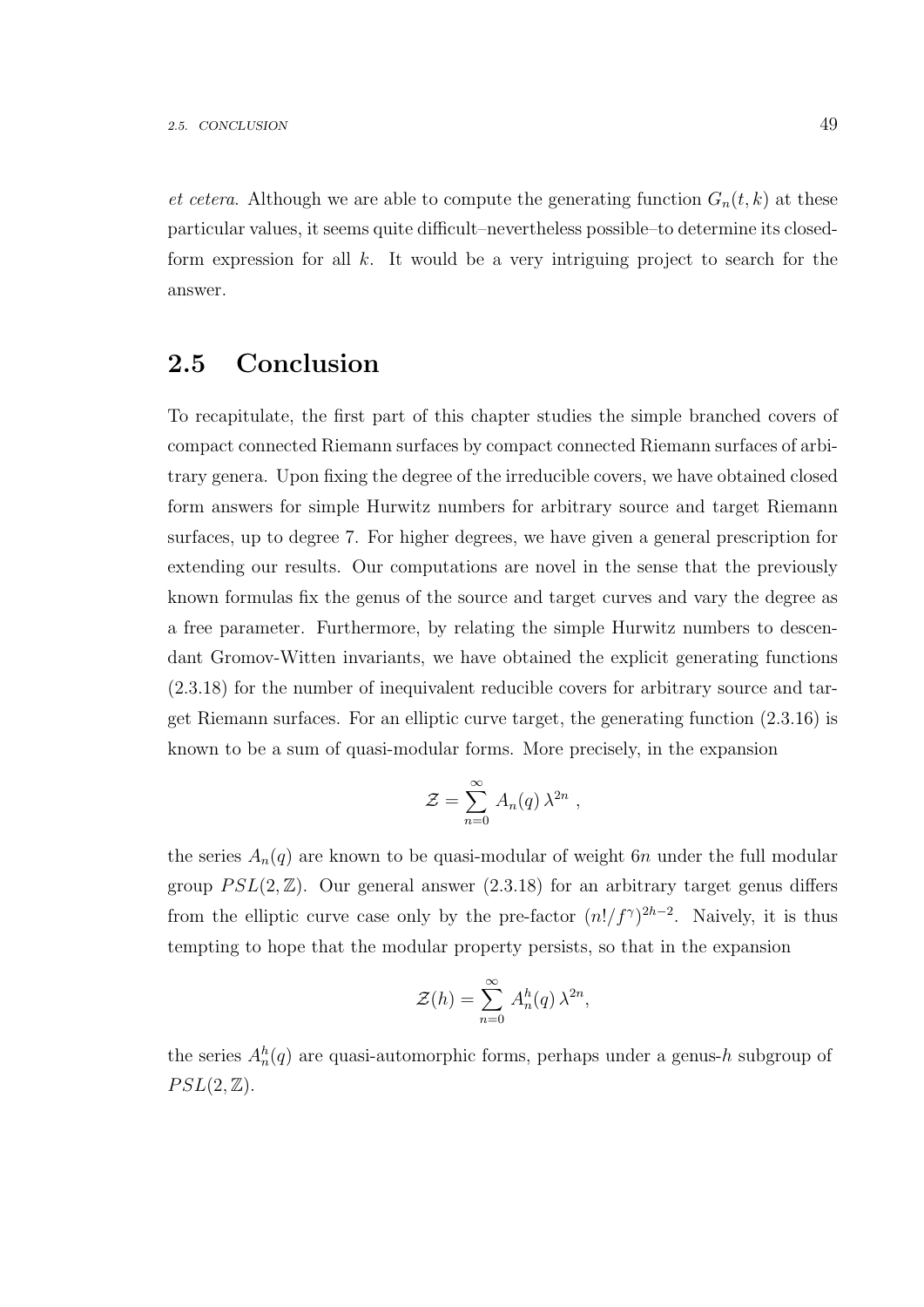et cetera. Although we are able to compute the generating function  $G_n(t, k)$  at these particular values, it seems quite difficult–nevertheless possible–to determine its closedform expression for all  $k$ . It would be a very intriguing project to search for the answer.

### 2.5 Conclusion

To recapitulate, the first part of this chapter studies the simple branched covers of compact connected Riemann surfaces by compact connected Riemann surfaces of arbitrary genera. Upon fixing the degree of the irreducible covers, we have obtained closed form answers for simple Hurwitz numbers for arbitrary source and target Riemann surfaces, up to degree 7. For higher degrees, we have given a general prescription for extending our results. Our computations are novel in the sense that the previously known formulas fix the genus of the source and target curves and vary the degree as a free parameter. Furthermore, by relating the simple Hurwitz numbers to descendant Gromov-Witten invariants, we have obtained the explicit generating functions (2.3.18) for the number of inequivalent reducible covers for arbitrary source and target Riemann surfaces. For an elliptic curve target, the generating function (2.3.16) is known to be a sum of quasi-modular forms. More precisely, in the expansion

$$
\mathcal{Z} = \sum_{n=0}^{\infty} A_n(q) \lambda^{2n} ,
$$

the series  $A_n(q)$  are known to be quasi-modular of weight 6n under the full modular group  $PSL(2,\mathbb{Z})$ . Our general answer  $(2.3.18)$  for an arbitrary target genus differs from the elliptic curve case only by the pre-factor  $(n!/f^{\gamma})^{2h-2}$ . Naively, it is thus tempting to hope that the modular property persists, so that in the expansion

$$
\mathcal{Z}(h) = \sum_{n=0}^{\infty} A_n^h(q) \lambda^{2n},
$$

the series  $A_n^h(q)$  are quasi-automorphic forms, perhaps under a genus-h subgroup of  $PSL(2,\mathbb{Z}).$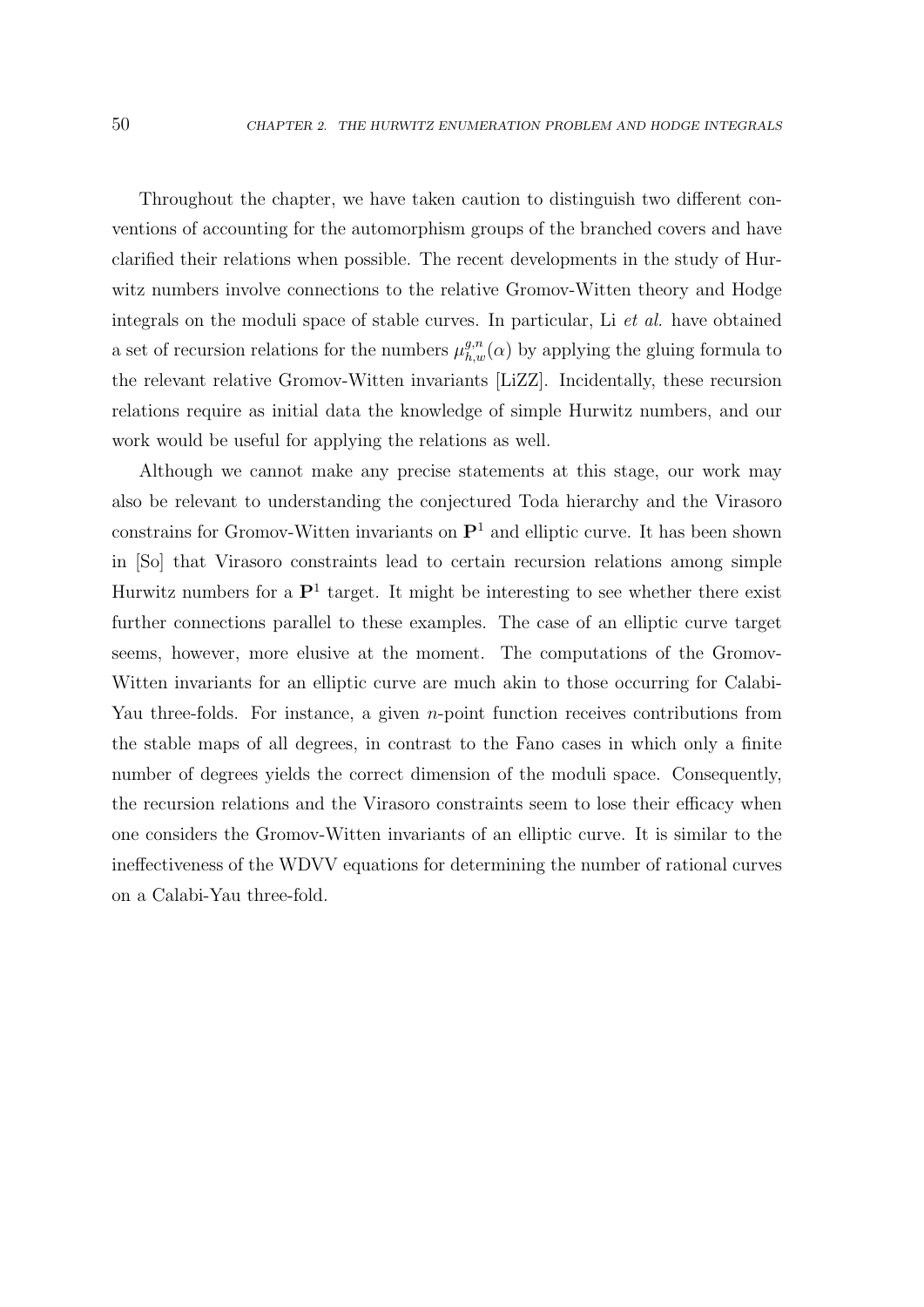Throughout the chapter, we have taken caution to distinguish two different conventions of accounting for the automorphism groups of the branched covers and have clarified their relations when possible. The recent developments in the study of Hurwitz numbers involve connections to the relative Gromov-Witten theory and Hodge integrals on the moduli space of stable curves. In particular, Li et al. have obtained a set of recursion relations for the numbers  $\mu_{h,w}^{g,n}(\alpha)$  by applying the gluing formula to the relevant relative Gromov-Witten invariants [LiZZ]. Incidentally, these recursion relations require as initial data the knowledge of simple Hurwitz numbers, and our work would be useful for applying the relations as well.

Although we cannot make any precise statements at this stage, our work may also be relevant to understanding the conjectured Toda hierarchy and the Virasoro constrains for Gromov-Witten invariants on  $\mathbf{P}^1$  and elliptic curve. It has been shown in [So] that Virasoro constraints lead to certain recursion relations among simple Hurwitz numbers for a  $\mathbf{P}^1$  target. It might be interesting to see whether there exist further connections parallel to these examples. The case of an elliptic curve target seems, however, more elusive at the moment. The computations of the Gromov-Witten invariants for an elliptic curve are much akin to those occurring for Calabi-Yau three-folds. For instance, a given *n*-point function receives contributions from the stable maps of all degrees, in contrast to the Fano cases in which only a finite number of degrees yields the correct dimension of the moduli space. Consequently, the recursion relations and the Virasoro constraints seem to lose their efficacy when one considers the Gromov-Witten invariants of an elliptic curve. It is similar to the ineffectiveness of the WDVV equations for determining the number of rational curves on a Calabi-Yau three-fold.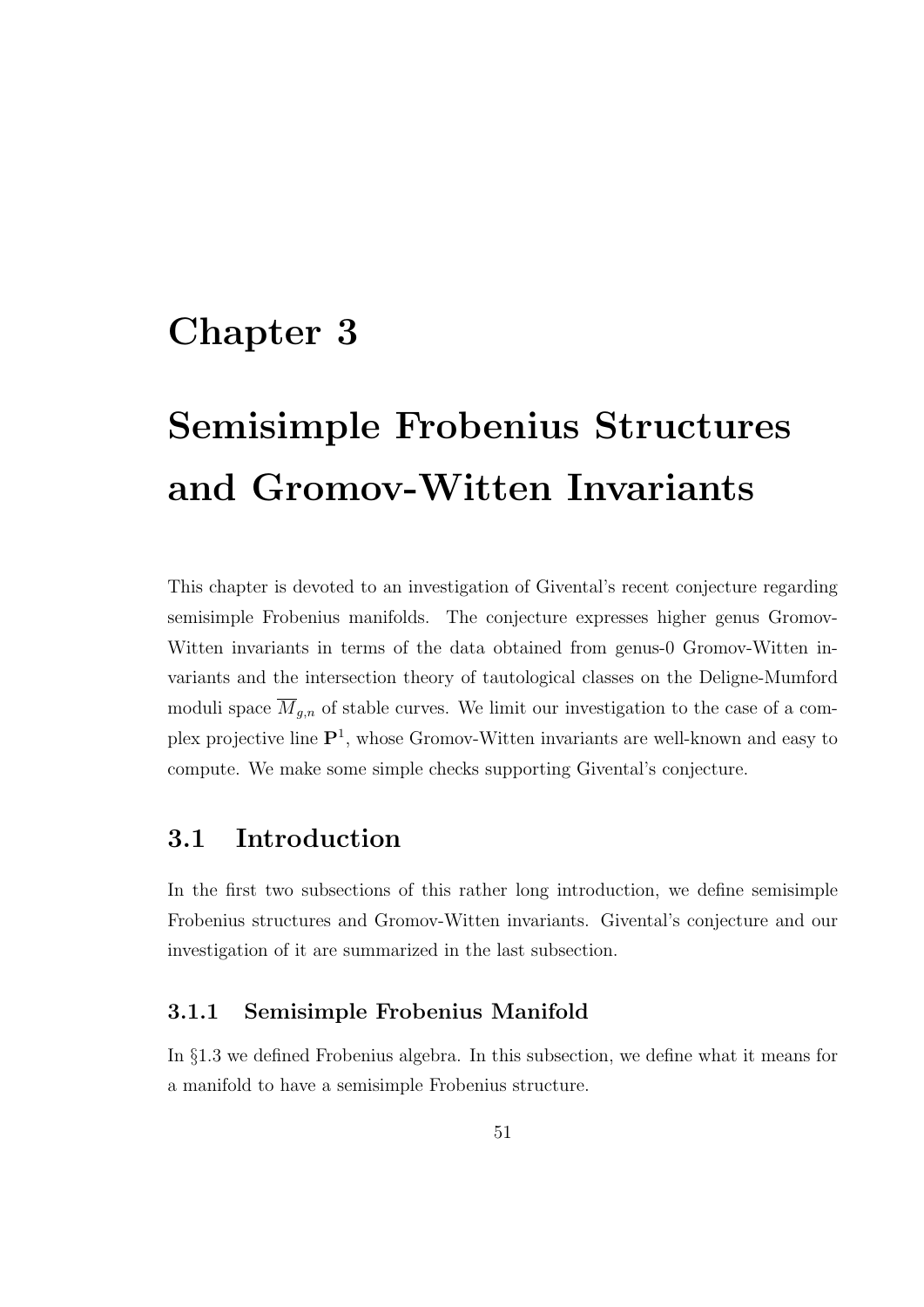# Chapter 3

# Semisimple Frobenius Structures and Gromov-Witten Invariants

This chapter is devoted to an investigation of Givental's recent conjecture regarding semisimple Frobenius manifolds. The conjecture expresses higher genus Gromov-Witten invariants in terms of the data obtained from genus-0 Gromov-Witten invariants and the intersection theory of tautological classes on the Deligne-Mumford moduli space  $\overline{M}_{g,n}$  of stable curves. We limit our investigation to the case of a complex projective line  $\mathbf{P}^1$ , whose Gromov-Witten invariants are well-known and easy to compute. We make some simple checks supporting Givental's conjecture.

# 3.1 Introduction

In the first two subsections of this rather long introduction, we define semisimple Frobenius structures and Gromov-Witten invariants. Givental's conjecture and our investigation of it are summarized in the last subsection.

### 3.1.1 Semisimple Frobenius Manifold

In §1.3 we defined Frobenius algebra. In this subsection, we define what it means for a manifold to have a semisimple Frobenius structure.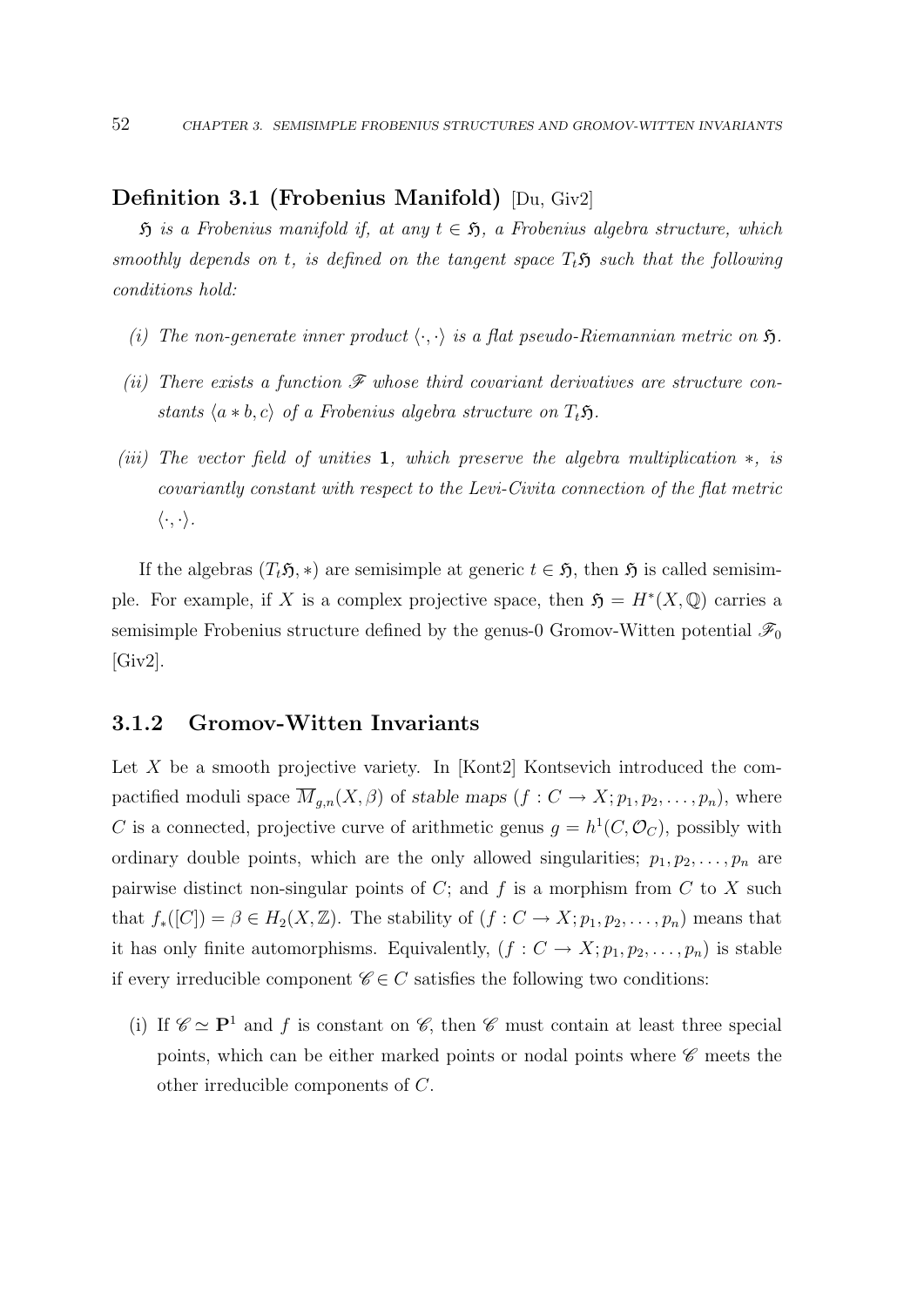### Definition 3.1 (Frobenius Manifold) [Du, Giv2]

 $\mathfrak H$  is a Frobenius manifold if, at any  $t \in \mathfrak H$ , a Frobenius algebra structure, which smoothly depends on t, is defined on the tangent space  $T_t$ **S** such that the following conditions hold:

- (i) The non-generate inner product  $\langle \cdot, \cdot \rangle$  is a flat pseudo-Riemannian metric on  $\mathfrak{H}$ .
- (ii) There exists a function  $\mathscr F$  whose third covariant derivatives are structure constants  $\langle a * b, c \rangle$  of a Frobenius algebra structure on  $T_t$ 5.
- (iii) The vector field of unities 1, which preserve the algebra multiplication  $\ast$ , is covariantly constant with respect to the Levi-Civita connection of the flat metric  $\langle \cdot, \cdot \rangle$ .

If the algebras  $(T_t\mathfrak{H}, *)$  are semisimple at generic  $t \in \mathfrak{H}$ , then  $\mathfrak{H}$  is called semisimple. For example, if X is a complex projective space, then  $\mathfrak{H} = H^*(X, \mathbb{Q})$  carries a semisimple Frobenius structure defined by the genus-0 Gromov-Witten potential  $\mathscr{F}_0$ [Giv2].

### 3.1.2 Gromov-Witten Invariants

Let  $X$  be a smooth projective variety. In [Kont2] Kontsevich introduced the compactified moduli space  $\overline{M}_{g,n}(X,\beta)$  of stable maps  $(f: C \to X; p_1, p_2, \ldots, p_n)$ , where C is a connected, projective curve of arithmetic genus  $g = h^1(C, \mathcal{O}_C)$ , possibly with ordinary double points, which are the only allowed singularities;  $p_1, p_2, \ldots, p_n$  are pairwise distinct non-singular points of  $C$ ; and  $f$  is a morphism from  $C$  to  $X$  such that  $f_*([C]) = \beta \in H_2(X, \mathbb{Z})$ . The stability of  $(f: C \to X; p_1, p_2, \ldots, p_n)$  means that it has only finite automorphisms. Equivalently,  $(f: C \to X; p_1, p_2, \ldots, p_n)$  is stable if every irreducible component  $\mathscr{C} \in C$  satisfies the following two conditions:

(i) If  $\mathscr{C} \simeq \mathbf{P}^1$  and f is constant on  $\mathscr{C}$ , then  $\mathscr{C}$  must contain at least three special points, which can be either marked points or nodal points where  $\mathscr C$  meets the other irreducible components of C.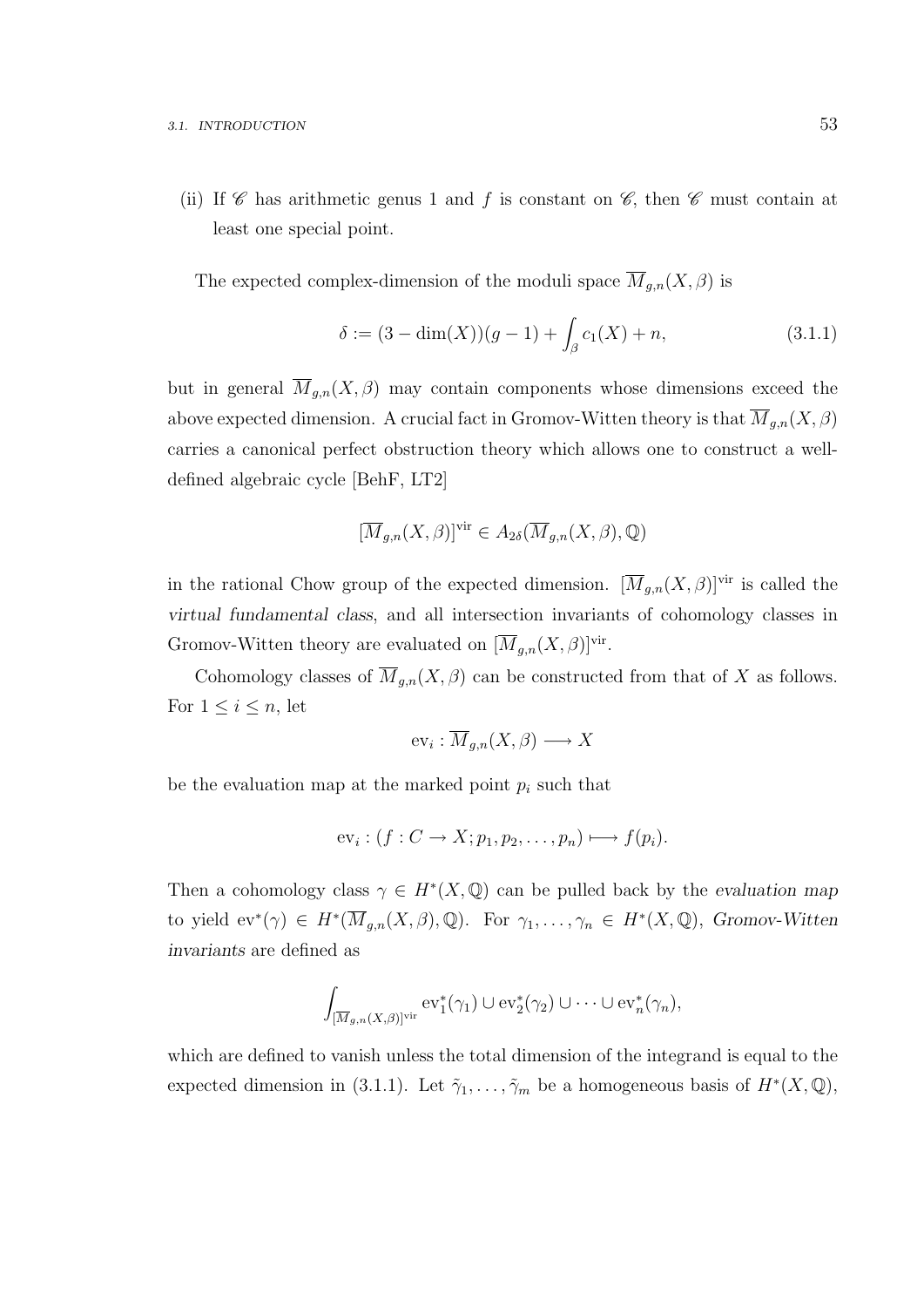(ii) If  $\mathscr C$  has arithmetic genus 1 and f is constant on  $\mathscr C$ , then  $\mathscr C$  must contain at least one special point.

The expected complex-dimension of the moduli space  $\overline{M}_{g,n}(X,\beta)$  is

$$
\delta := (3 - \dim(X))(g - 1) + \int_{\beta} c_1(X) + n,\tag{3.1.1}
$$

but in general  $\overline{M}_{g,n}(X,\beta)$  may contain components whose dimensions exceed the above expected dimension. A crucial fact in Gromov-Witten theory is that  $\overline{M}_{g,n}(X,\beta)$ carries a canonical perfect obstruction theory which allows one to construct a welldefined algebraic cycle [BehF, LT2]

$$
[\overline{M}_{g,n}(X,\beta)]^{\text{vir}} \in A_{2\delta}(\overline{M}_{g,n}(X,\beta),\mathbb{Q})
$$

in the rational Chow group of the expected dimension.  $[\overline{M}_{g,n}(X,\beta)]^{\text{vir}}$  is called the virtual fundamental class, and all intersection invariants of cohomology classes in Gromov-Witten theory are evaluated on  $[\overline{M}_{g,n}(X,\beta)]^{\text{vir}}$ .

Cohomology classes of  $\overline{M}_{q,n}(X,\beta)$  can be constructed from that of X as follows. For  $1 \leq i \leq n$ , let

$$
\mathrm{ev}_i: \overline{M}_{g,n}(X,\beta) \longrightarrow X
$$

be the evaluation map at the marked point  $p_i$  such that

$$
ev_i: (f: C \to X; p_1, p_2, \ldots, p_n) \longmapsto f(p_i).
$$

Then a cohomology class  $\gamma \in H^*(X, \mathbb{Q})$  can be pulled back by the evaluation map to yield  $ev^*(\gamma) \in H^*(\overline{M}_{g,n}(X,\beta),\mathbb{Q})$ . For  $\gamma_1,\ldots,\gamma_n \in H^*(X,\mathbb{Q})$ , Gromov-Witten invariants are defined as

$$
\int_{[\overline{M}_{g,n}(X,\beta)]^{\text{vir}}} \mathrm{ev}_1^*(\gamma_1) \cup \mathrm{ev}_2^*(\gamma_2) \cup \cdots \cup \mathrm{ev}_n^*(\gamma_n),
$$

which are defined to vanish unless the total dimension of the integrand is equal to the expected dimension in (3.1.1). Let  $\tilde{\gamma}_1, \ldots, \tilde{\gamma}_m$  be a homogeneous basis of  $H^*(X, \mathbb{Q})$ ,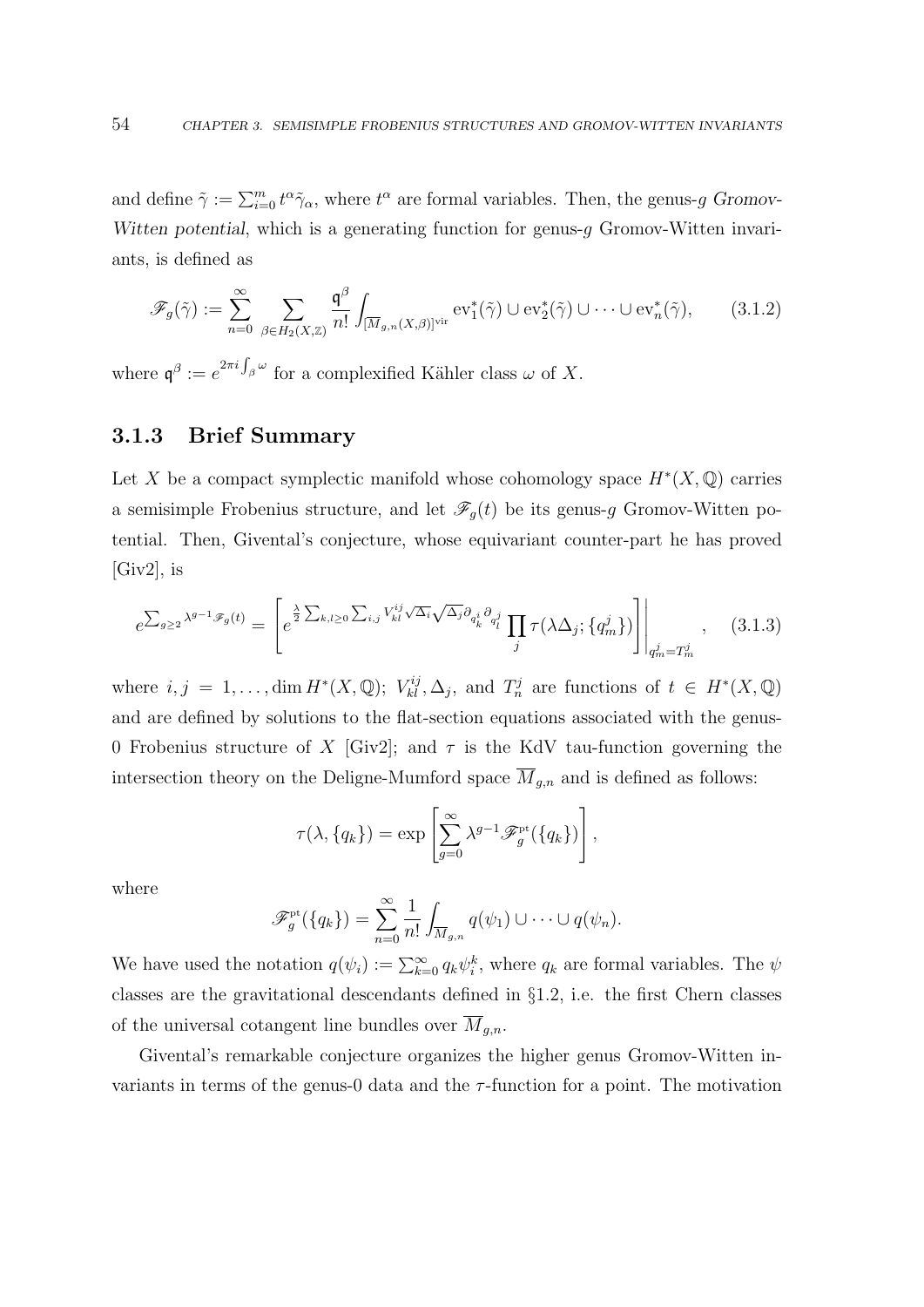and define  $\tilde{\gamma} := \sum_{i=0}^m t^{\alpha} \tilde{\gamma}_{\alpha}$ , where  $t^{\alpha}$  are formal variables. Then, the genus-g Gromov-Witten potential, which is a generating function for genus- $g$  Gromov-Witten invariants, is defined as

$$
\mathscr{F}_g(\tilde{\gamma}) := \sum_{n=0}^{\infty} \sum_{\beta \in H_2(X,\mathbb{Z})} \frac{\mathfrak{q}^{\beta}}{n!} \int_{[\overline{M}_{g,n}(X,\beta)]^{\text{vir}}} \mathrm{ev}_1^*(\tilde{\gamma}) \cup \mathrm{ev}_2^*(\tilde{\gamma}) \cup \cdots \cup \mathrm{ev}_n^*(\tilde{\gamma}), \qquad (3.1.2)
$$

where  $\mathfrak{q}^{\beta} := e^{2\pi i \int_{\beta} \omega}$  for a complexified Kähler class  $\omega$  of X.

### 3.1.3 Brief Summary

Let X be a compact symplectic manifold whose cohomology space  $H^*(X, \mathbb{Q})$  carries a semisimple Frobenius structure, and let  $\mathscr{F}_g(t)$  be its genus-g Gromov-Witten potential. Then, Givental's conjecture, whose equivariant counter-part he has proved [Giv2], is

$$
e^{\sum_{g\geq 2}\lambda^{g-1}\mathscr{F}_g(t)} = \left[e^{\frac{\lambda}{2}\sum_{k,l\geq 0}\sum_{i,j}V_{kl}^{ij}\sqrt{\Delta_i}\sqrt{\Delta_j}\partial_{q_k^i}\partial_{q_l^j}}\prod_j \tau(\lambda\Delta_j;\{q_m^j\})\right]\Big|_{q_m^j = T_m^j},\quad(3.1.3)
$$

where  $i, j = 1, ..., \dim H^*(X, \mathbb{Q})$ ;  $V_{kl}^{ij}, \Delta_j$ , and  $T_n^j$  are functions of  $t \in H^*(X, \mathbb{Q})$ and are defined by solutions to the flat-section equations associated with the genus-0 Frobenius structure of X [Giv2]; and  $\tau$  is the KdV tau-function governing the intersection theory on the Deligne-Mumford space  $\overline{M}_{g,n}$  and is defined as follows:

$$
\tau(\lambda, \{q_k\}) = \exp\left[\sum_{g=0}^{\infty} \lambda^{g-1} \mathscr{F}_g^{\rm pt}(\{q_k\})\right],
$$

where

$$
\mathscr{F}_g^{\rm pt}(\lbrace q_k \rbrace) = \sum_{n=0}^{\infty} \frac{1}{n!} \int_{\overline{M}_{g,n}} q(\psi_1) \cup \cdots \cup q(\psi_n).
$$

We have used the notation  $q(\psi_i) := \sum_{k=0}^{\infty} q_k \psi_i^k$ , where  $q_k$  are formal variables. The  $\psi$ classes are the gravitational descendants defined in §1.2, i.e. the first Chern classes of the universal cotangent line bundles over  $M_{g,n}$ .

Givental's remarkable conjecture organizes the higher genus Gromov-Witten invariants in terms of the genus-0 data and the  $\tau$ -function for a point. The motivation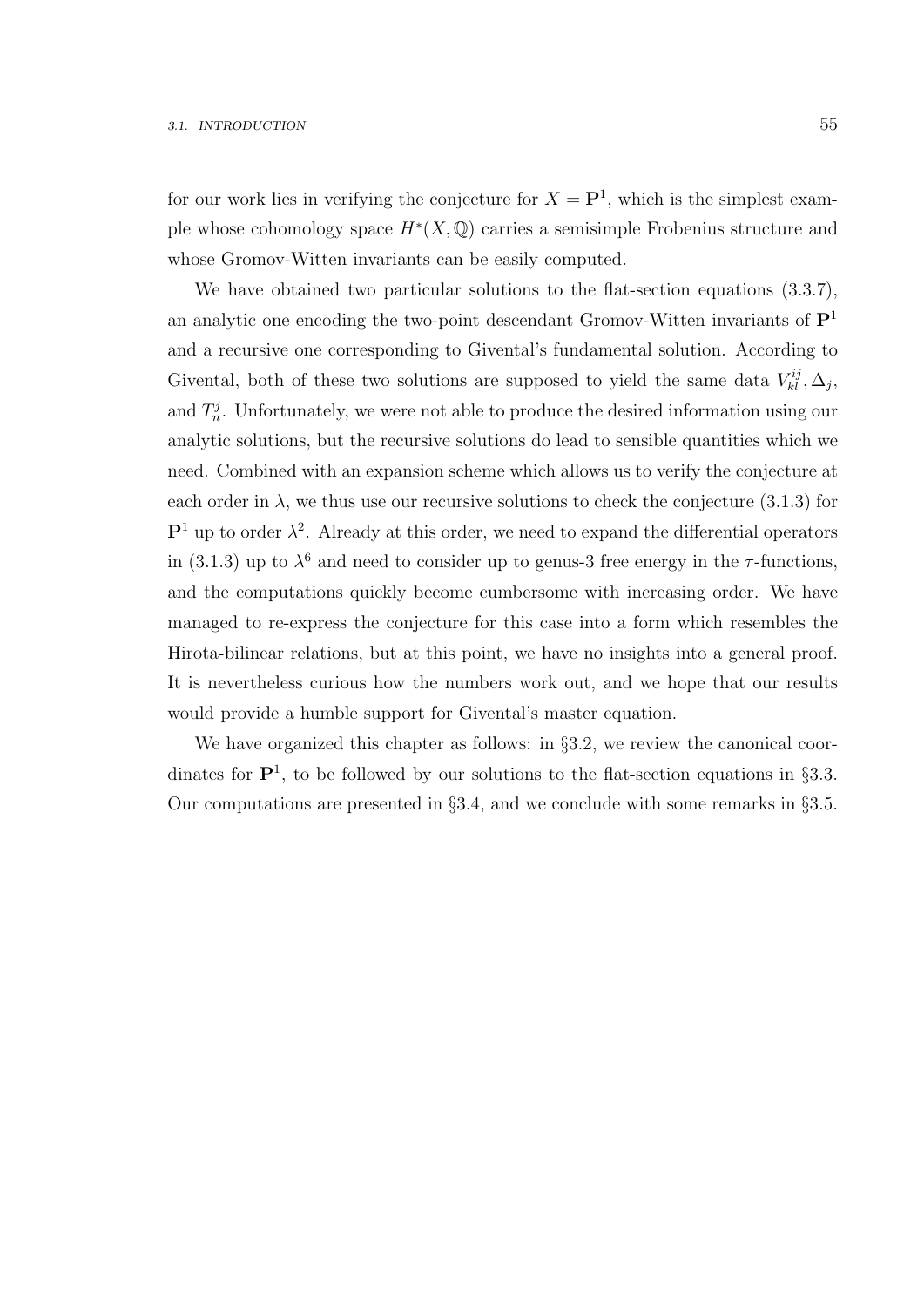for our work lies in verifying the conjecture for  $X = \mathbf{P}^1$ , which is the simplest example whose cohomology space  $H^*(X, \mathbb{Q})$  carries a semisimple Frobenius structure and whose Gromov-Witten invariants can be easily computed.

We have obtained two particular solutions to the flat-section equations (3.3.7), an analytic one encoding the two-point descendant Gromov-Witten invariants of  $\mathbf{P}^1$ and a recursive one corresponding to Givental's fundamental solution. According to Givental, both of these two solutions are supposed to yield the same data  $V_{kl}^{ij}, \Delta_j$ , and  $T_n^j$ . Unfortunately, we were not able to produce the desired information using our analytic solutions, but the recursive solutions do lead to sensible quantities which we need. Combined with an expansion scheme which allows us to verify the conjecture at each order in  $\lambda$ , we thus use our recursive solutions to check the conjecture (3.1.3) for  $\mathbf{P}^1$  up to order  $\lambda^2$ . Already at this order, we need to expand the differential operators in (3.1.3) up to  $\lambda^6$  and need to consider up to genus-3 free energy in the  $\tau$ -functions, and the computations quickly become cumbersome with increasing order. We have managed to re-express the conjecture for this case into a form which resembles the Hirota-bilinear relations, but at this point, we have no insights into a general proof. It is nevertheless curious how the numbers work out, and we hope that our results would provide a humble support for Givental's master equation.

We have organized this chapter as follows: in §3.2, we review the canonical coordinates for  $\mathbf{P}^1$ , to be followed by our solutions to the flat-section equations in §3.3. Our computations are presented in  $\S 3.4$ , and we conclude with some remarks in  $\S 3.5$ .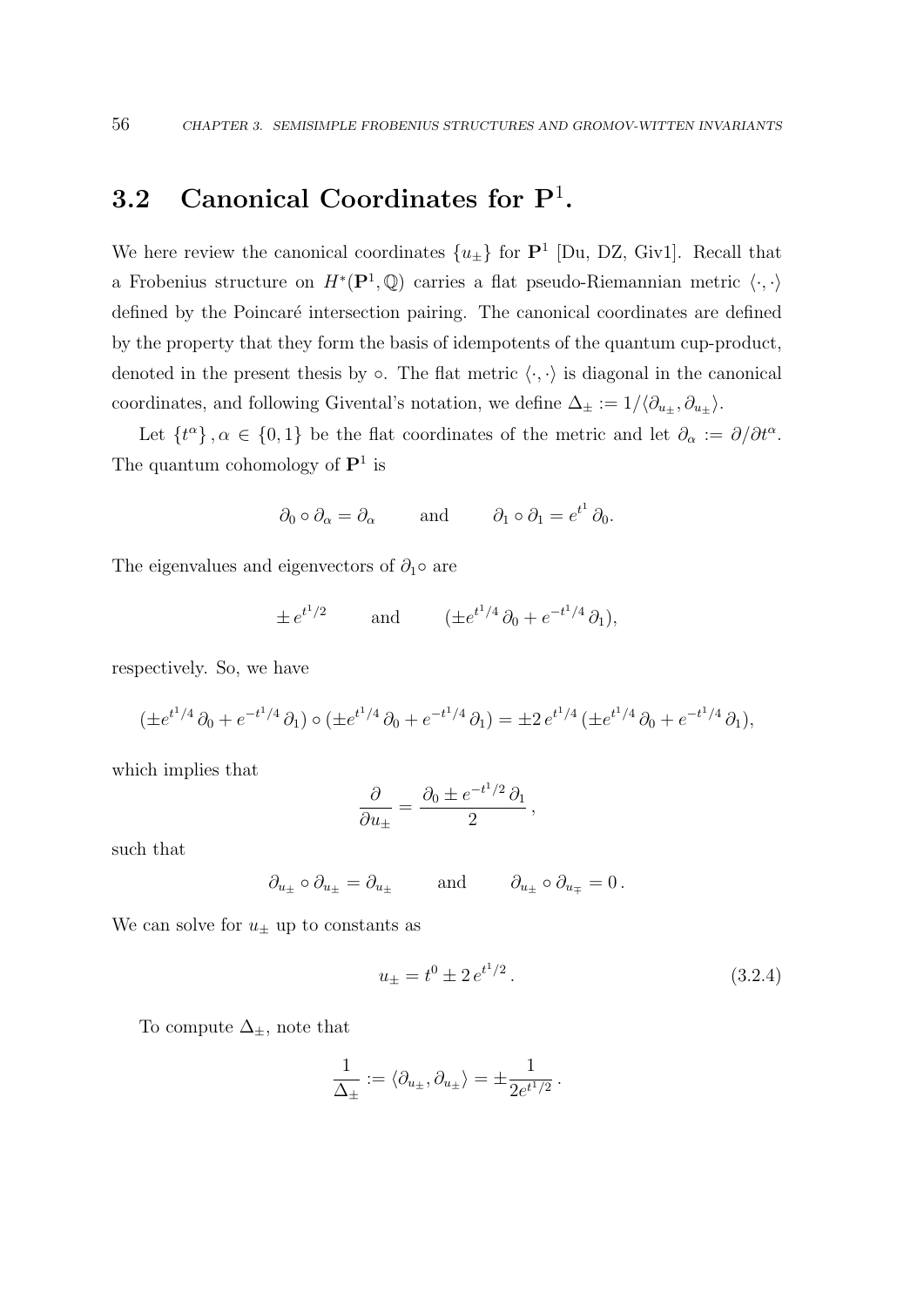# 3.2 Canonical Coordinates for  $P^1$ .

We here review the canonical coordinates  $\{u_{\pm}\}\$  for  $\mathbf{P}^1$  [Du, DZ, Giv1]. Recall that a Frobenius structure on  $H^*(\mathbf{P}^1,\mathbb{Q})$  carries a flat pseudo-Riemannian metric  $\langle \cdot, \cdot \rangle$ defined by the Poincaré intersection pairing. The canonical coordinates are defined by the property that they form the basis of idempotents of the quantum cup-product, denoted in the present thesis by  $\circ$ . The flat metric  $\langle \cdot, \cdot \rangle$  is diagonal in the canonical coordinates, and following Givental's notation, we define  $\Delta_{\pm} := 1/\langle \partial_{u_{\pm}}, \partial_{u_{\pm}} \rangle$ .

Let  $\{t^{\alpha}\}, \alpha \in \{0,1\}$  be the flat coordinates of the metric and let  $\partial_{\alpha} := \partial/\partial t^{\alpha}$ . The quantum cohomology of  $\mathbf{P}^1$  is

$$
\partial_0 \circ \partial_\alpha = \partial_\alpha
$$
 and  $\partial_1 \circ \partial_1 = e^{t^1} \partial_0$ .

The eigenvalues and eigenvectors of  $\partial_1 \circ$  are

$$
\pm e^{t^1/2}
$$
 and  $(\pm e^{t^1/4}\partial_0 + e^{-t^1/4}\partial_1),$ 

respectively. So, we have

$$
(\pm e^{t^1/4}\partial_0 + e^{-t^1/4}\partial_1) \circ (\pm e^{t^1/4}\partial_0 + e^{-t^1/4}\partial_1) = \pm 2 e^{t^1/4} (\pm e^{t^1/4}\partial_0 + e^{-t^1/4}\partial_1),
$$

which implies that

$$
\frac{\partial}{\partial u_{\pm}} = \frac{\partial_0 \pm e^{-t^1/2} \partial_1}{2},
$$

such that

$$
\partial_{u_\pm} \circ \partial_{u_\pm} = \partial_{u_\pm} \quad \text{and} \quad \partial_{u_\pm} \circ \partial_{u_\mp} = 0 \, .
$$

We can solve for  $u_{\pm}$  up to constants as

$$
u_{\pm} = t^0 \pm 2 e^{t^1/2}.
$$
 (3.2.4)

To compute  $\Delta_{\pm}$ , note that

$$
\frac{1}{\Delta_{\pm}} := \langle \partial_{u_{\pm}}, \partial_{u_{\pm}} \rangle = \pm \frac{1}{2e^{t^1/2}}.
$$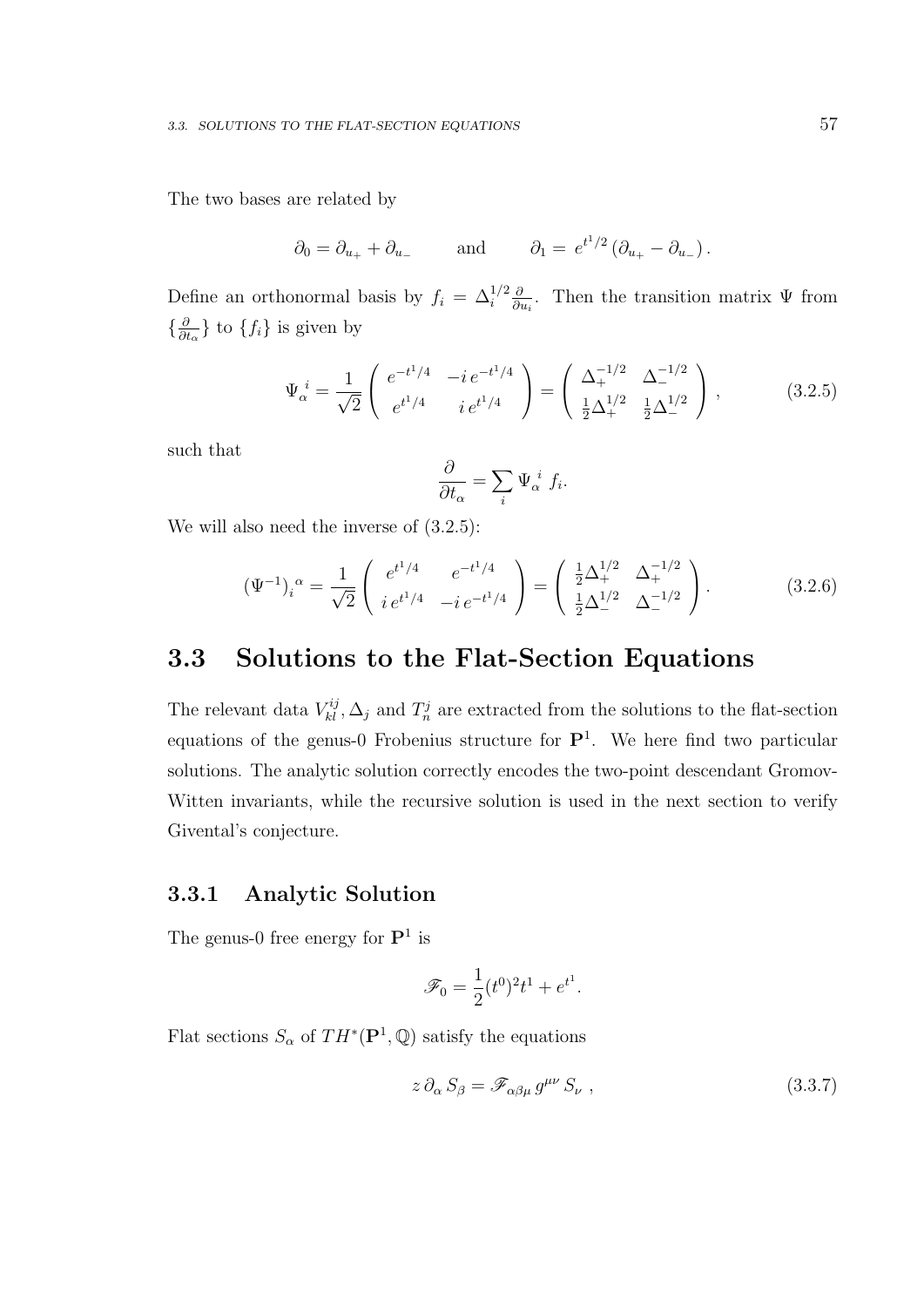The two bases are related by

$$
\partial_0 = \partial_{u_+} + \partial_{u_-}
$$
 and  $\partial_1 = e^{t^1/2} (\partial_{u_+} - \partial_{u_-}).$ 

Define an orthonormal basis by  $f_i = \Delta_i^{1/2} \frac{\partial}{\partial i}$  $\frac{\partial}{\partial u_i}$ . Then the transition matrix  $\Psi$  from  $\{\frac{\partial}{\partial a}$  $\frac{\partial}{\partial t_{\alpha}}\}$  to  $\{f_i\}$  is given by

$$
\Psi_{\alpha}^{i} = \frac{1}{\sqrt{2}} \begin{pmatrix} e^{-t^{1}/4} & -ie^{-t^{1}/4} \\ e^{t^{1}/4} & i e^{t^{1}/4} \end{pmatrix} = \begin{pmatrix} \Delta_{+}^{-1/2} & \Delta_{-}^{-1/2} \\ \frac{1}{2}\Delta_{+}^{1/2} & \frac{1}{2}\Delta_{-}^{1/2} \end{pmatrix},
$$
(3.2.5)

such that

$$
\frac{\partial}{\partial t_{\alpha}} = \sum_{i} \Psi_{\alpha}^{i} f_{i}.
$$

We will also need the inverse of  $(3.2.5)$ :

$$
(\Psi^{-1})_i^{\alpha} = \frac{1}{\sqrt{2}} \begin{pmatrix} e^{t^1/4} & e^{-t^1/4} \\ i e^{t^1/4} & -i e^{-t^1/4} \end{pmatrix} = \begin{pmatrix} \frac{1}{2} \Delta_+^{1/2} & \Delta_+^{-1/2} \\ \frac{1}{2} \Delta_-^{1/2} & \Delta_-^{-1/2} \end{pmatrix}.
$$
 (3.2.6)

# 3.3 Solutions to the Flat-Section Equations

The relevant data  $V_{kl}^{ij}$ ,  $\Delta_j$  and  $T_n^j$  are extracted from the solutions to the flat-section equations of the genus-0 Frobenius structure for  $\mathbf{P}^1$ . We here find two particular solutions. The analytic solution correctly encodes the two-point descendant Gromov-Witten invariants, while the recursive solution is used in the next section to verify Givental's conjecture.

### 3.3.1 Analytic Solution

The genus-0 free energy for  $\mathbf{P}^1$  is

$$
\mathscr{F}_0 = \frac{1}{2}(t^0)^2 t^1 + e^{t^1}.
$$

Flat sections  $S_{\alpha}$  of  $TH^*(\mathbf{P}^1, \mathbb{Q})$  satisfy the equations

$$
z \, \partial_{\alpha} \, S_{\beta} = \mathscr{F}_{\alpha\beta\mu} \, g^{\mu\nu} \, S_{\nu} \;, \tag{3.3.7}
$$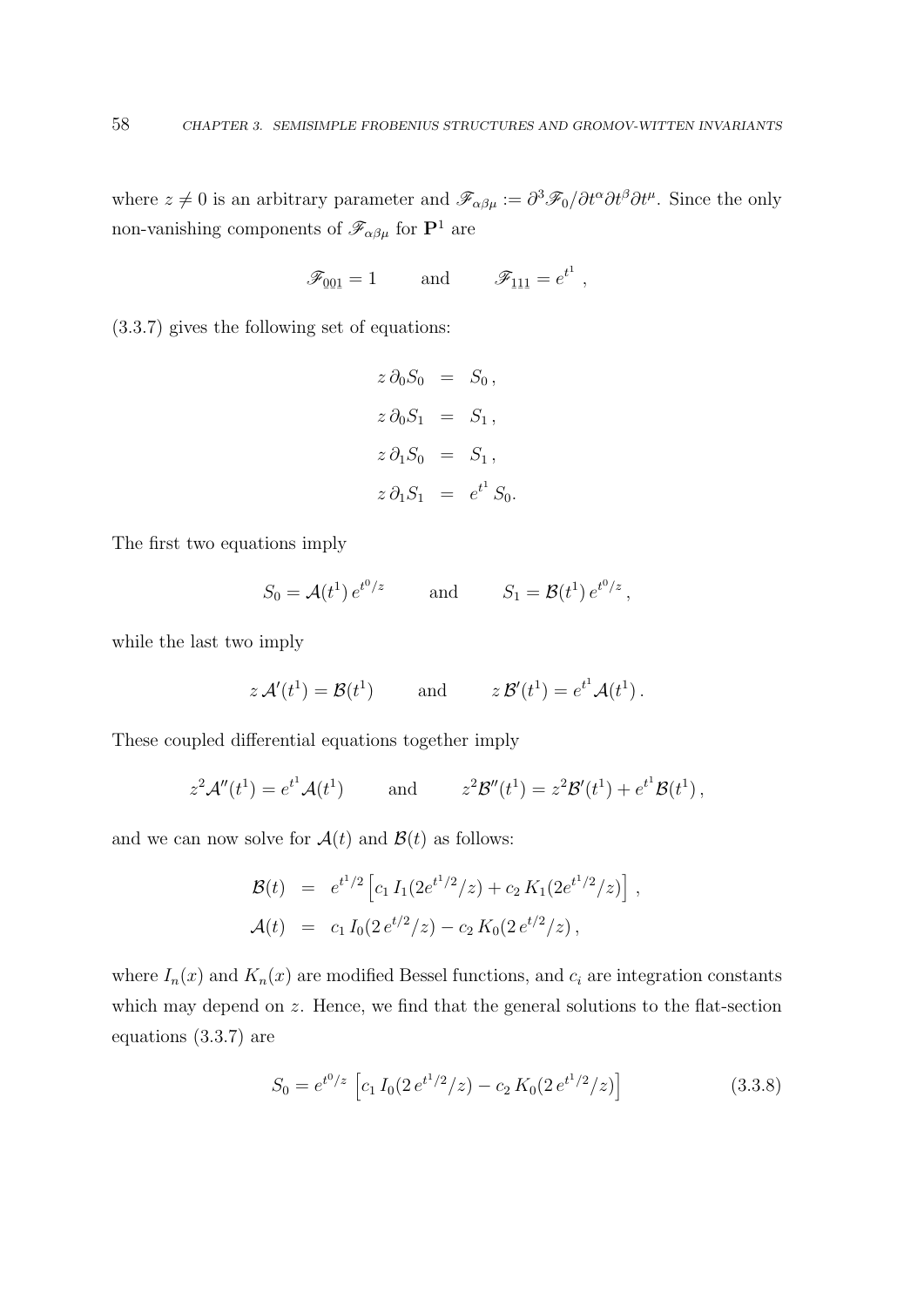where  $z \neq 0$  is an arbitrary parameter and  $\mathscr{F}_{\alpha\beta\mu} := \partial^3 \mathscr{F}_0 / \partial t^{\alpha} \partial t^{\beta} \partial t^{\mu}$ . Since the only non-vanishing components of  $\mathscr{F}_{\alpha\beta\mu}$  for  $\mathbf{P}^1$  are

$$
\mathscr{F}_{\underline{001}} = 1 \quad \text{and} \quad \mathscr{F}_{\underline{111}} = e^{t^1} ,
$$

(3.3.7) gives the following set of equations:

$$
z \, \partial_0 S_0 = S_0,
$$
  
\n
$$
z \, \partial_0 S_1 = S_1,
$$
  
\n
$$
z \, \partial_1 S_0 = S_1,
$$
  
\n
$$
z \, \partial_1 S_1 = e^{t^1} S_0.
$$

The first two equations imply

$$
S_0 = \mathcal{A}(t^1) e^{t^0/z}
$$
 and  $S_1 = \mathcal{B}(t^1) e^{t^0/z}$ ,

while the last two imply

$$
z \mathcal{A}'(t^1) = \mathcal{B}(t^1)
$$
 and  $z \mathcal{B}'(t^1) = e^{t^1} \mathcal{A}(t^1)$ .

These coupled differential equations together imply

$$
z^2 \mathcal{A}''(t^1) = e^{t^1} \mathcal{A}(t^1)
$$
 and  $z^2 \mathcal{B}''(t^1) = z^2 \mathcal{B}'(t^1) + e^{t^1} \mathcal{B}(t^1)$ ,

and we can now solve for  $\mathcal{A}(t)$  and  $\mathcal{B}(t)$  as follows:

$$
\mathcal{B}(t) = e^{t^1/2} \left[ c_1 I_1(2e^{t^1/2}/z) + c_2 K_1(2e^{t^1/2}/z) \right],
$$
  

$$
\mathcal{A}(t) = c_1 I_0(2e^{t/2}/z) - c_2 K_0(2e^{t/2}/z),
$$

where  $I_n(x)$  and  $K_n(x)$  are modified Bessel functions, and  $c_i$  are integration constants which may depend on z. Hence, we find that the general solutions to the flat-section equations (3.3.7) are

$$
S_0 = e^{t^0/z} \left[ c_1 I_0 (2 e^{t^1/2}/z) - c_2 K_0 (2 e^{t^1/2}/z) \right]
$$
 (3.3.8)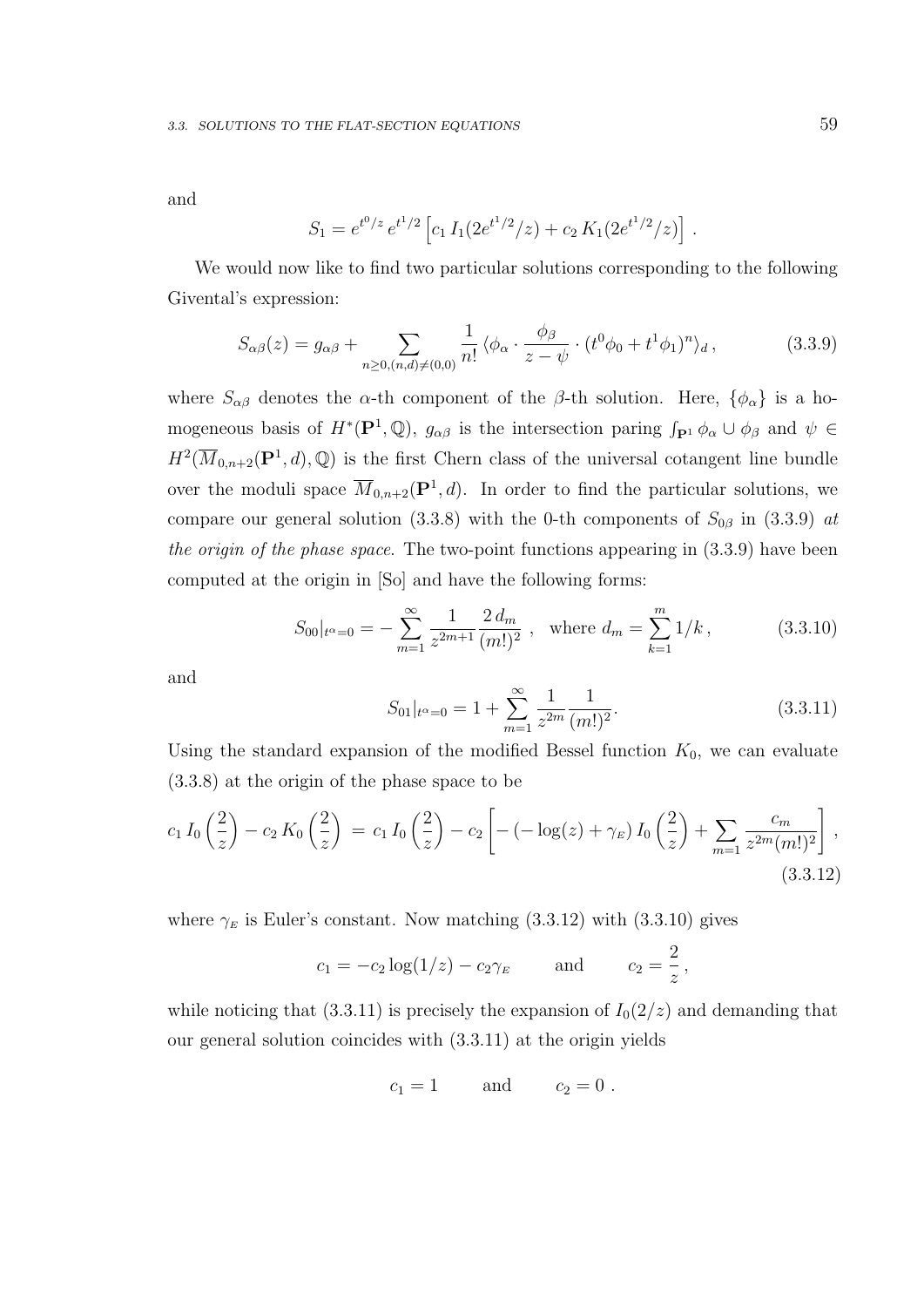and

$$
S_1 = e^{t^0/z} e^{t^1/2} \left[ c_1 I_1(2e^{t^1/2}/z) + c_2 K_1(2e^{t^1/2}/z) \right].
$$

We would now like to find two particular solutions corresponding to the following Givental's expression:

$$
S_{\alpha\beta}(z) = g_{\alpha\beta} + \sum_{n \ge 0, (n,d) \ne (0,0)} \frac{1}{n!} \langle \phi_\alpha \cdot \frac{\phi_\beta}{z - \psi} \cdot (t^0 \phi_0 + t^1 \phi_1)^n \rangle_d, \tag{3.3.9}
$$

where  $S_{\alpha\beta}$  denotes the  $\alpha$ -th component of the  $\beta$ -th solution. Here,  $\{\phi_{\alpha}\}\$ is a homogeneous basis of  $H^*(\mathbf{P}^1,\mathbb{Q})$ ,  $g_{\alpha\beta}$  is the intersection paring  $\int_{\mathbf{P}^1} \phi_\alpha \cup \phi_\beta$  and  $\psi \in$  $H^2(\overline{M}_{0,n+2}(\mathbf{P}^1,d),\mathbb{Q})$  is the first Chern class of the universal cotangent line bundle over the moduli space  $\overline{M}_{0,n+2}(\mathbf{P}^1,d)$ . In order to find the particular solutions, we compare our general solution (3.3.8) with the 0-th components of  $S_{0\beta}$  in (3.3.9) at the origin of the phase space. The two-point functions appearing in (3.3.9) have been computed at the origin in [So] and have the following forms:

$$
S_{00}|_{t^{\alpha}=0} = -\sum_{m=1}^{\infty} \frac{1}{z^{2m+1}} \frac{2 d_m}{(m!)^2} , \text{ where } d_m = \sum_{k=1}^{m} 1/k ,
$$
 (3.3.10)

and

$$
S_{01}|_{t^{\alpha}=0} = 1 + \sum_{m=1}^{\infty} \frac{1}{z^{2m}} \frac{1}{(m!)^2}.
$$
 (3.3.11)

Using the standard expansion of the modified Bessel function  $K_0$ , we can evaluate (3.3.8) at the origin of the phase space to be

$$
c_1 I_0\left(\frac{2}{z}\right) - c_2 K_0\left(\frac{2}{z}\right) = c_1 I_0\left(\frac{2}{z}\right) - c_2 \left[ -\left(-\log(z) + \gamma_E\right) I_0\left(\frac{2}{z}\right) + \sum_{m=1} \frac{c_m}{z^{2m}(m!)^2} \right],\tag{3.3.12}
$$

where  $\gamma_E$  is Euler's constant. Now matching (3.3.12) with (3.3.10) gives

$$
c_1 = -c_2 \log(1/z) - c_2 \gamma_E
$$
 and  $c_2 = \frac{2}{z}$ ,

while noticing that (3.3.11) is precisely the expansion of  $I_0(2/z)$  and demanding that our general solution coincides with (3.3.11) at the origin yields

$$
c_1 = 1 \qquad \text{and} \qquad c_2 = 0 \; .
$$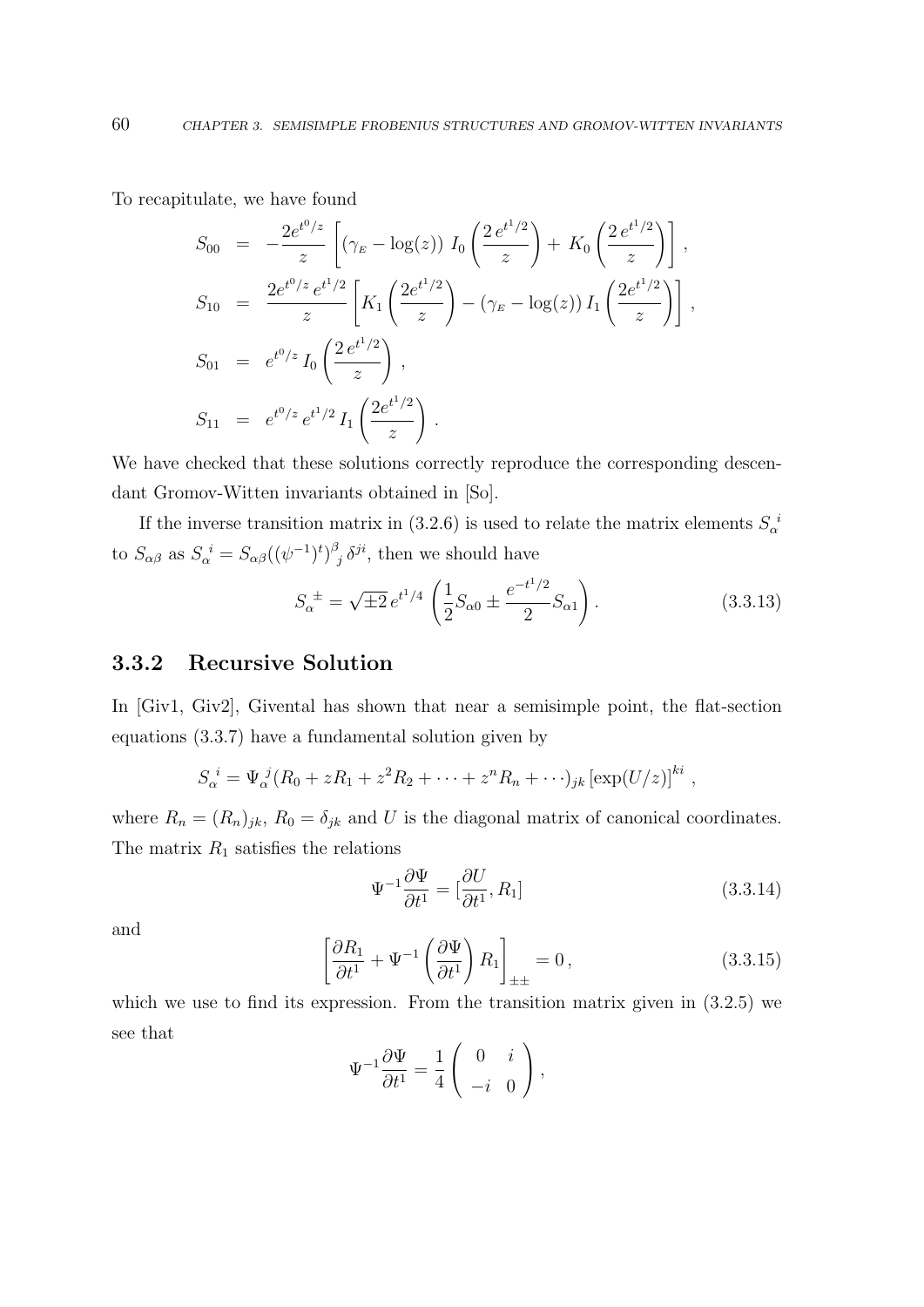To recapitulate, we have found

$$
S_{00} = -\frac{2e^{t^0/z}}{z} \left[ \left( \gamma_E - \log(z) \right) I_0 \left( \frac{2e^{t^1/2}}{z} \right) + K_0 \left( \frac{2e^{t^1/2}}{z} \right) \right],
$$
  
\n
$$
S_{10} = \frac{2e^{t^0/z} e^{t^1/2}}{z} \left[ K_1 \left( \frac{2e^{t^1/2}}{z} \right) - \left( \gamma_E - \log(z) \right) I_1 \left( \frac{2e^{t^1/2}}{z} \right) \right],
$$
  
\n
$$
S_{01} = e^{t^0/z} I_0 \left( \frac{2e^{t^1/2}}{z} \right),
$$
  
\n
$$
S_{11} = e^{t^0/z} e^{t^1/2} I_1 \left( \frac{2e^{t^1/2}}{z} \right).
$$

We have checked that these solutions correctly reproduce the corresponding descendant Gromov-Witten invariants obtained in [So].

If the inverse transition matrix in (3.2.6) is used to relate the matrix elements  $S_{\alpha}^{\ i}$ to  $S_{\alpha\beta}$  as  $S_{\alpha}^{\ i} = S_{\alpha\beta}((\psi^{-1})^t)^{\beta}$  $\delta_j \delta^{ji}$ , then we should have

$$
S_{\alpha}^{\ \pm} = \sqrt{\pm 2} \, e^{t^1/4} \left( \frac{1}{2} S_{\alpha 0} \pm \frac{e^{-t^1/2}}{2} S_{\alpha 1} \right). \tag{3.3.13}
$$

### 3.3.2 Recursive Solution

In [Giv1, Giv2], Givental has shown that near a semisimple point, the flat-section equations (3.3.7) have a fundamental solution given by

$$
S_{\alpha}^{i} = \Psi_{\alpha}^{j} (R_0 + zR_1 + z^2 R_2 + \cdots + z^n R_n + \cdots)_{jk} [\exp(U/z)]^{ki},
$$

where  $R_n = (R_n)_{jk}$ ,  $R_0 = \delta_{jk}$  and U is the diagonal matrix of canonical coordinates. The matrix  $R_1$  satisfies the relations

$$
\Psi^{-1} \frac{\partial \Psi}{\partial t^1} = \left[\frac{\partial U}{\partial t^1}, R_1\right] \tag{3.3.14}
$$

and

$$
\left[\frac{\partial R_1}{\partial t^1} + \Psi^{-1} \left(\frac{\partial \Psi}{\partial t^1}\right) R_1\right]_{\pm \pm} = 0, \qquad (3.3.15)
$$

which we use to find its expression. From the transition matrix given in  $(3.2.5)$  we see that

$$
\Psi^{-1}\frac{\partial\Psi}{\partial t^1} = \frac{1}{4}\left(\begin{array}{cc} 0 & i \\ -i & 0 \end{array}\right),
$$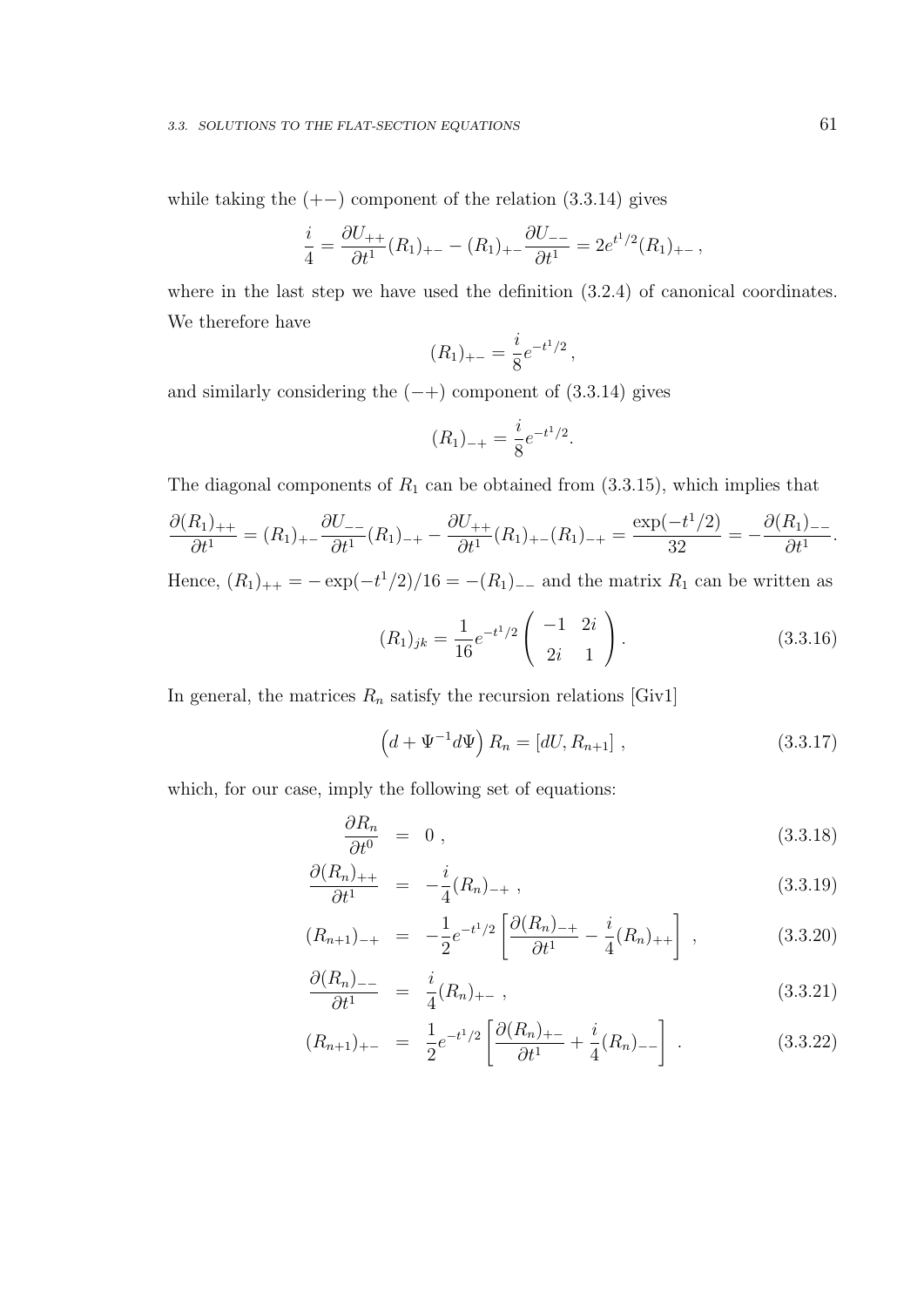while taking the  $(+-)$  component of the relation  $(3.3.14)$  gives

$$
\frac{i}{4} = \frac{\partial U_{++}}{\partial t^1}(R_1)_{+-} - (R_1)_{+-} \frac{\partial U_{--}}{\partial t^1} = 2e^{t^1/2}(R_1)_{+-},
$$

where in the last step we have used the definition  $(3.2.4)$  of canonical coordinates. We therefore have

$$
(R_1)_{+-} = \frac{i}{8}e^{-t^1/2},
$$

and similarly considering the  $(-+)$  component of  $(3.3.14)$  gives

$$
(R_1)_{-+} = \frac{i}{8}e^{-t^1/2}.
$$

The diagonal components of  $R_1$  can be obtained from  $(3.3.15)$ , which implies that

$$
\frac{\partial (R_1)_{++}}{\partial t^1} = (R_1)_{+-} \frac{\partial U_{--}}{\partial t^1} (R_1)_{-+} - \frac{\partial U_{++}}{\partial t^1} (R_1)_{+-} (R_1)_{-+} = \frac{\exp(-t^1/2)}{32} = -\frac{\partial (R_1)_{--}}{\partial t^1}.
$$

Hence,  $(R_1)_{++} = -\exp(-t^1/2)/16 = -(R_1)_{--}$  and the matrix  $R_1$  can be written as

$$
(R_1)_{jk} = \frac{1}{16} e^{-t^1/2} \begin{pmatrix} -1 & 2i \\ 2i & 1 \end{pmatrix}.
$$
 (3.3.16)

In general, the matrices  $R_n$  satisfy the recursion relations [Giv1]

$$
(d + \Psi^{-1}d\Psi) R_n = [dU, R_{n+1}], \qquad (3.3.17)
$$

which, for our case, imply the following set of equations:

$$
\frac{\partial R_n}{\partial t^0} = 0, \qquad (3.3.18)
$$

$$
\frac{\partial (R_n)_{++}}{\partial t^1} = -\frac{i}{4}(R_n)_{-+}, \qquad (3.3.19)
$$

$$
(R_{n+1})_{-+} = -\frac{1}{2}e^{-t^1/2}\left[\frac{\partial (R_n)_{-+}}{\partial t^1} - \frac{i}{4}(R_n)_{++}\right], \qquad (3.3.20)
$$

$$
\frac{\partial (R_n)_{--}}{\partial t^1} = \frac{i}{4} (R_n)_{+-} , \qquad (3.3.21)
$$

$$
(R_{n+1})_{+-} = \frac{1}{2}e^{-t^1/2} \left[ \frac{\partial (R_n)_{+-}}{\partial t^1} + \frac{i}{4} (R_n)_{--} \right] \,. \tag{3.3.22}
$$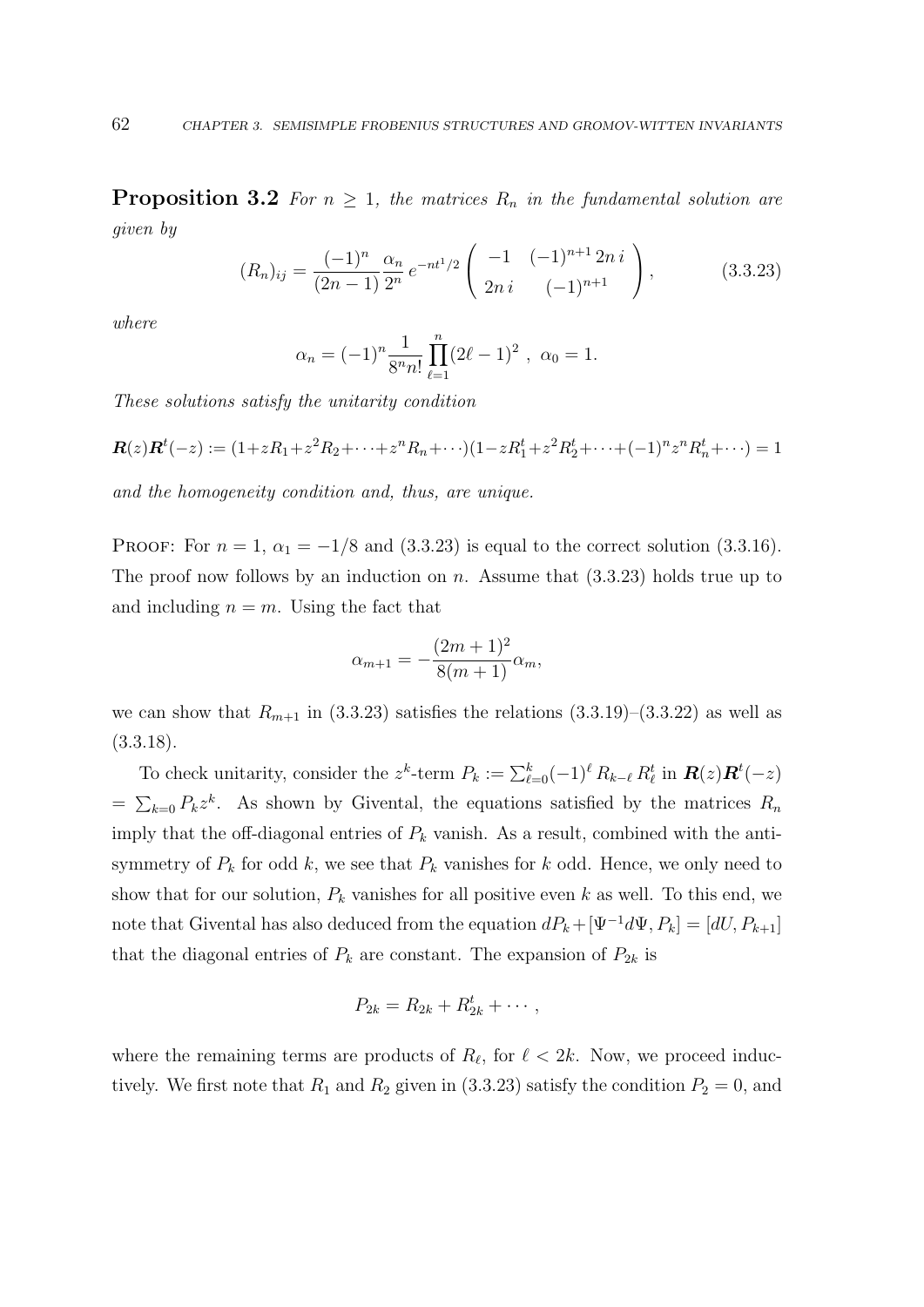**Proposition 3.2** For  $n \geq 1$ , the matrices  $R_n$  in the fundamental solution are given by

$$
(R_n)_{ij} = \frac{(-1)^n}{(2n-1)} \frac{\alpha_n}{2^n} e^{-nt^1/2} \begin{pmatrix} -1 & (-1)^{n+1} 2ni \\ 2ni & (-1)^{n+1} \end{pmatrix},
$$
(3.3.23)

where

$$
\alpha_n = (-1)^n \frac{1}{8^n n!} \prod_{\ell=1}^n (2\ell - 1)^2 , \ \alpha_0 = 1.
$$

These solutions satisfy the unitarity condition

$$
\mathbf{R}(z)\mathbf{R}^t(-z) := (1+zR_1+z^2R_2+\cdots+z^nR_n+\cdots)(1-zR_1^t+z^2R_2^t+\cdots+(-1)^nz^nR_n^t+\cdots) = 1
$$

and the homogeneity condition and, thus, are unique.

PROOF: For  $n = 1$ ,  $\alpha_1 = -1/8$  and (3.3.23) is equal to the correct solution (3.3.16). The proof now follows by an induction on n. Assume that  $(3.3.23)$  holds true up to and including  $n = m$ . Using the fact that

$$
\alpha_{m+1} = -\frac{(2m+1)^2}{8(m+1)}\alpha_m,
$$

we can show that  $R_{m+1}$  in (3.3.23) satisfies the relations (3.3.19)–(3.3.22) as well as  $(3.3.18).$ 

To check unitarity, consider the  $z^k$ -term  $P_k := \sum_{\ell=0}^k (-1)^\ell R_{k-\ell} R_\ell^t$  in  $\mathbf{R}(z) \mathbf{R}^t(-z)$  $=\sum_{k=0} P_k z^k$ . As shown by Givental, the equations satisfied by the matrices  $R_n$ imply that the off-diagonal entries of  $P_k$  vanish. As a result, combined with the antisymmetry of  $P_k$  for odd k, we see that  $P_k$  vanishes for k odd. Hence, we only need to show that for our solution,  $P_k$  vanishes for all positive even k as well. To this end, we note that Givental has also deduced from the equation  $dP_k+[\Psi^{-1}d\Psi, P_k] = [dU, P_{k+1}]$ that the diagonal entries of  $P_k$  are constant. The expansion of  $P_{2k}$  is

$$
P_{2k}=R_{2k}+R_{2k}^t+\cdots,
$$

where the remaining terms are products of  $R_{\ell}$ , for  $\ell < 2k$ . Now, we proceed inductively. We first note that  $R_1$  and  $R_2$  given in (3.3.23) satisfy the condition  $P_2 = 0$ , and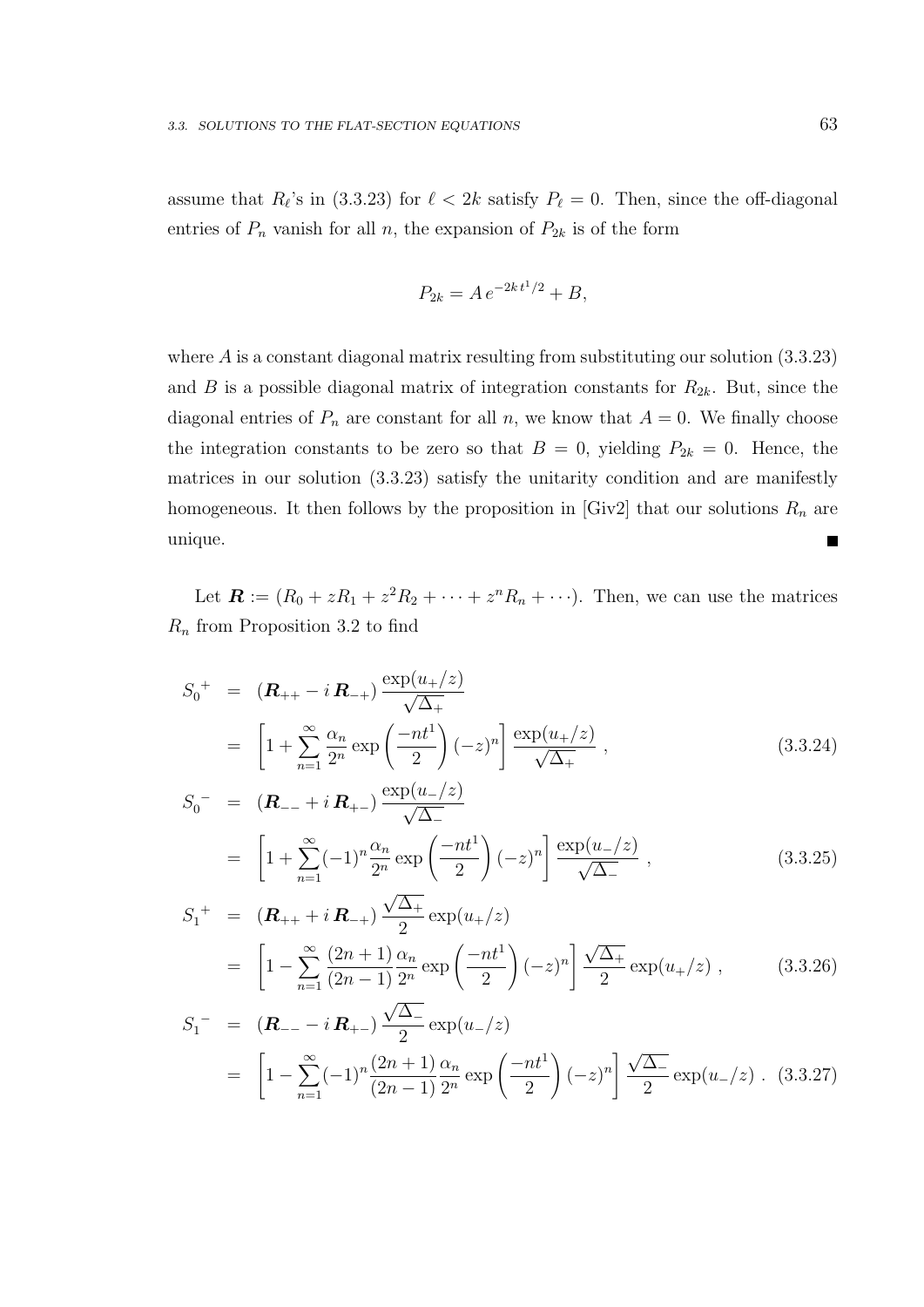assume that  $R_{\ell}$ 's in (3.3.23) for  $\ell < 2k$  satisfy  $P_{\ell} = 0$ . Then, since the off-diagonal entries of  $P_n$  vanish for all n, the expansion of  $P_{2k}$  is of the form

$$
P_{2k} = A e^{-2k t^1/2} + B,
$$

where  $\hat{A}$  is a constant diagonal matrix resulting from substituting our solution  $(3.3.23)$ and B is a possible diagonal matrix of integration constants for  $R_{2k}$ . But, since the diagonal entries of  $P_n$  are constant for all n, we know that  $A = 0$ . We finally choose the integration constants to be zero so that  $B = 0$ , yielding  $P_{2k} = 0$ . Hence, the matrices in our solution (3.3.23) satisfy the unitarity condition and are manifestly homogeneous. It then follows by the proposition in [Giv2] that our solutions  $R_n$  are unique. П

Let  $\mathbf{R} := (R_0 + zR_1 + z^2R_2 + \cdots + z^nR_n + \cdots).$  Then, we can use the matrices  $R_n$  from Proposition 3.2 to find

$$
S_0^+ = (\mathbf{R}_{++} - i \mathbf{R}_{-+}) \frac{\exp(u_+/z)}{\sqrt{\Delta_+}}
$$
  
=  $\left[1 + \sum_{n=1}^{\infty} \frac{\alpha_n}{2^n} \exp\left(\frac{-nt^1}{2}\right)(-z)^n\right] \frac{\exp(u_+/z)}{\sqrt{\Delta_+}},$  (3.3.24)

$$
S_0^- = (\mathbf{R}_{--} + i \mathbf{R}_{+-}) \frac{\exp(u_-/z)}{\sqrt{\Delta_-}}
$$
  
=  $\left[1 + \sum_{n=1}^{\infty} (-1)^n \frac{\alpha_n}{2^n} \exp\left(\frac{-nt^1}{2}\right) (-z)^n\right] \frac{\exp(u_-/z)}{\sqrt{\Delta_-}},$  (3.3.25)

$$
S_1^+ = (\mathbf{R}_{++} + i \mathbf{R}_{-+}) \frac{\sqrt{\Delta_+}}{2} \exp(u_+/z)
$$
  
=  $\left[1 - \sum_{n=1}^{\infty} \frac{(2n+1) \alpha_n}{(2n-1) 2^n} \exp\left(\frac{-nt^1}{2}\right)(-z)^n\right] \frac{\sqrt{\Delta_+}}{2} \exp(u_+/z)$ , (3.3.26)

$$
S_1^- = (\mathbf{R}_{--} - i \mathbf{R}_{+-}) \frac{\sqrt{\Delta_{-}}}{2} \exp(u_{-}/z)
$$
  
=  $\left[1 - \sum_{n=1}^{\infty} (-1)^n \frac{(2n+1)}{(2n-1)} \frac{\alpha_n}{2^n} \exp\left(\frac{-nt^1}{2}\right) (-z)^n\right] \frac{\sqrt{\Delta_{-}}}{2} \exp(u_{-}/z)$ . (3.3.27)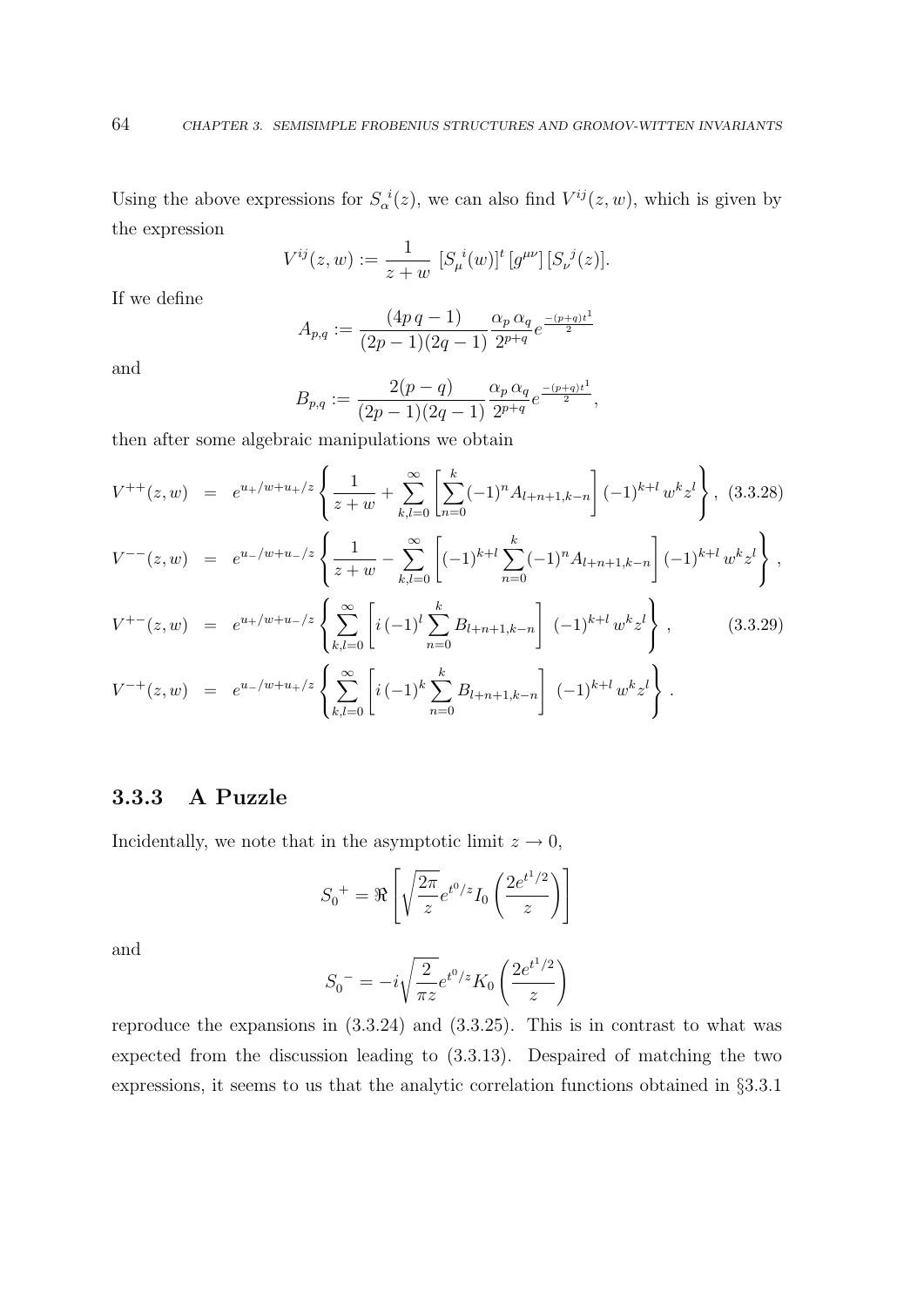Using the above expressions for  $S_\alpha^{\ i}(z)$ , we can also find  $V^{ij}(z, w)$ , which is given by the expression

$$
V^{ij}(z, w) := \frac{1}{z + w} \left[ S_{\mu}^{i}(w) \right]^{\dagger} \left[ g^{\mu \nu} \right] \left[ S_{\nu}^{j}(z) \right].
$$

If we define

$$
A_{p,q} := \frac{(4p \, q - 1)}{(2p - 1)(2q - 1)} \frac{\alpha_p \, \alpha_q}{2^{p+q}} e^{\frac{-(p+q)t^1}{2}}
$$

and

$$
B_{p,q} := \frac{2(p-q)}{(2p-1)(2q-1)} \frac{\alpha_p \alpha_q}{2^{p+q}} e^{\frac{-(p+q)t^1}{2}},
$$

then after some algebraic manipulations we obtain

$$
V^{++}(z,w) = e^{u_+/w+u_+/z} \left\{ \frac{1}{z+w} + \sum_{k,l=0}^{\infty} \left[ \sum_{n=0}^{k} (-1)^n A_{l+n+1,k-n} \right] (-1)^{k+l} w^k z^l \right\}, (3.3.28)
$$
  
\n
$$
V^{--}(z,w) = e^{u_-/w+u_-/z} \left\{ \frac{1}{z+w} - \sum_{k,l=0}^{\infty} \left[ (-1)^{k+l} \sum_{n=0}^{k} (-1)^n A_{l+n+1,k-n} \right] (-1)^{k+l} w^k z^l \right\},
$$
  
\n
$$
V^{+-}(z,w) = e^{u_+/w+u_-/z} \left\{ \sum_{k,l=0}^{\infty} \left[ i (-1)^l \sum_{n=0}^{k} B_{l+n+1,k-n} \right] (-1)^{k+l} w^k z^l \right\}, (3.3.29)
$$
  
\n
$$
V^{-+}(z,w) = e^{u_-/w+u_+/z} \left\{ \sum_{k,l=0}^{\infty} \left[ i (-1)^k \sum_{n=0}^{k} B_{l+n+1,k-n} \right] (-1)^{k+l} w^k z^l \right\}.
$$

### 3.3.3 A Puzzle

Incidentally, we note that in the asymptotic limit  $z \to 0$ ,

$$
S_0^{\ \ +} = \Re \left[ \sqrt{\frac{2\pi}{z}} e^{t^0/z} I_0 \left( \frac{2e^{t^1/2}}{z} \right) \right]
$$

and

$$
S_0^- = -i\sqrt{\frac{2}{\pi z}}e^{t^0/z} K_0\left(\frac{2e^{t^1/2}}{z}\right)
$$

reproduce the expansions in (3.3.24) and (3.3.25). This is in contrast to what was expected from the discussion leading to (3.3.13). Despaired of matching the two expressions, it seems to us that the analytic correlation functions obtained in §3.3.1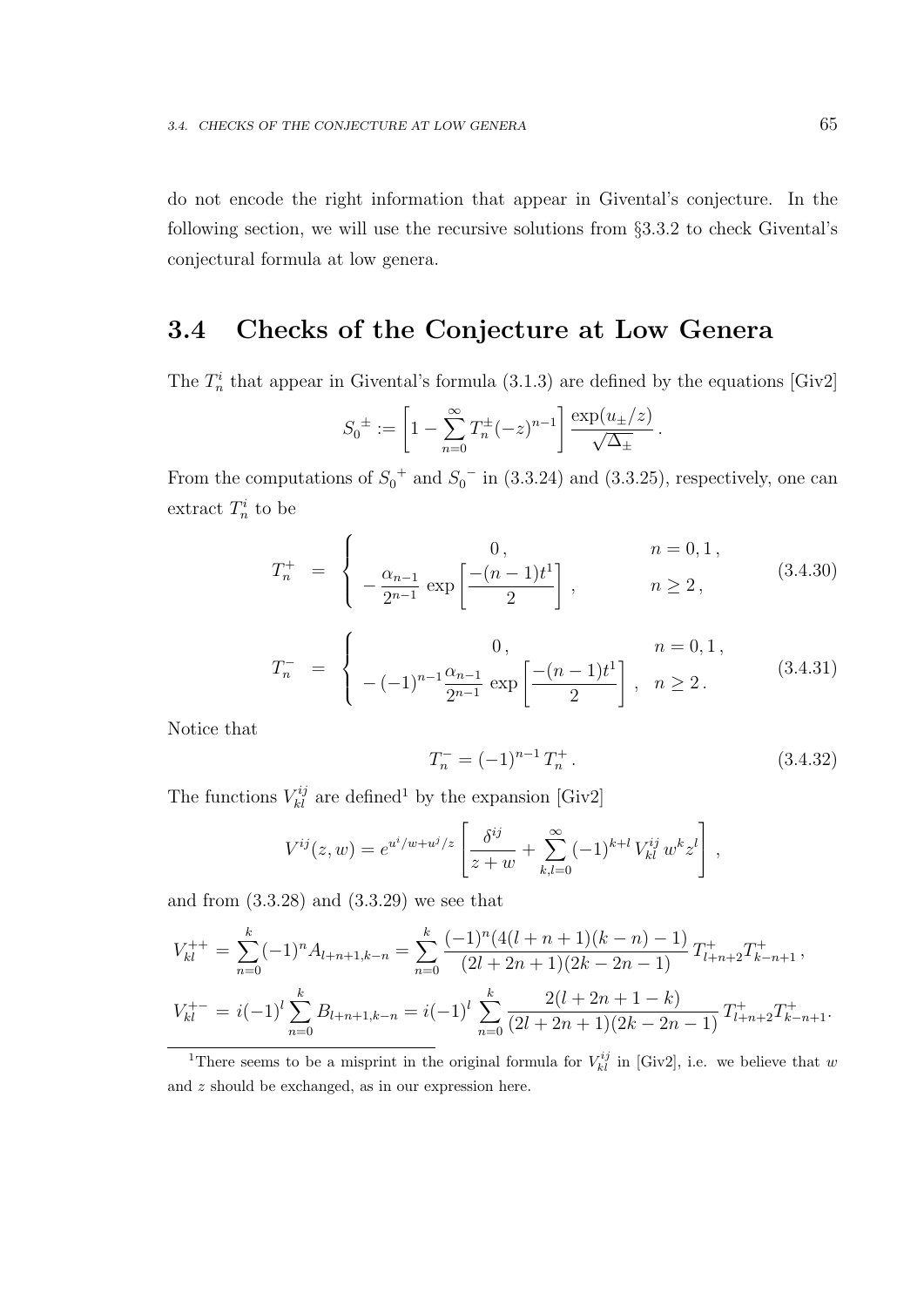do not encode the right information that appear in Givental's conjecture. In the following section, we will use the recursive solutions from §3.3.2 to check Givental's conjectural formula at low genera.

# 3.4 Checks of the Conjecture at Low Genera

The  $T_n^i$  that appear in Givental's formula (3.1.3) are defined by the equations [Giv2]

$$
S_0^{\pm} := \left[1 - \sum_{n=0}^{\infty} T_n^{\pm} (-z)^{n-1}\right] \frac{\exp(u_{\pm}/z)}{\sqrt{\Delta_{\pm}}}.
$$

From the computations of  $S_0^+$  and  $S_0^-$  in (3.3.24) and (3.3.25), respectively, one can extract  $T_n^i$  to be

$$
T_n^+ = \begin{cases} 0, & n = 0, 1, \\ -\frac{\alpha_{n-1}}{2^{n-1}} \exp\left[\frac{-(n-1)t^1}{2}\right], & n \ge 2, \end{cases}
$$
 (3.4.30)

$$
T_n^- = \begin{cases} 0, & n = 0, 1, \\ -(-1)^{n-1} \frac{\alpha_{n-1}}{2^{n-1}} \exp\left[\frac{-(n-1)t^1}{2}\right], & n \ge 2. \end{cases}
$$
 (3.4.31)

Notice that

$$
T_n^- = (-1)^{n-1} T_n^+ \,. \tag{3.4.32}
$$

The functions  $V_{kl}^{ij}$  are defined<sup>1</sup> by the expansion [Giv2]

$$
V^{ij}(z, w) = e^{u^i/w + u^j/z} \left[ \frac{\delta^{ij}}{z + w} + \sum_{k,l=0}^{\infty} (-1)^{k+l} V^{ij}_{kl} w^k z^l \right],
$$

and from (3.3.28) and (3.3.29) we see that

$$
V_{kl}^{++} = \sum_{n=0}^{k} (-1)^n A_{l+n+1,k-n} = \sum_{n=0}^{k} \frac{(-1)^n (4(l+n+1)(k-n) - 1)}{(2l+2n+1)(2k-2n-1)} T_{l+n+2}^+ T_{k-n+1}^+,
$$
  

$$
V_{kl}^{+-} = i(-1)^l \sum_{n=0}^{k} B_{l+n+1,k-n} = i(-1)^l \sum_{n=0}^{k} \frac{2(l+2n+1-k)}{(2l+2n+1)(2k-2n-1)} T_{l+n+2}^+ T_{k-n+1}^+.
$$

<sup>&</sup>lt;sup>1</sup>There seems to be a misprint in the original formula for  $V_{kl}^{ij}$  in [Giv2], i.e. we believe that w and z should be exchanged, as in our expression here.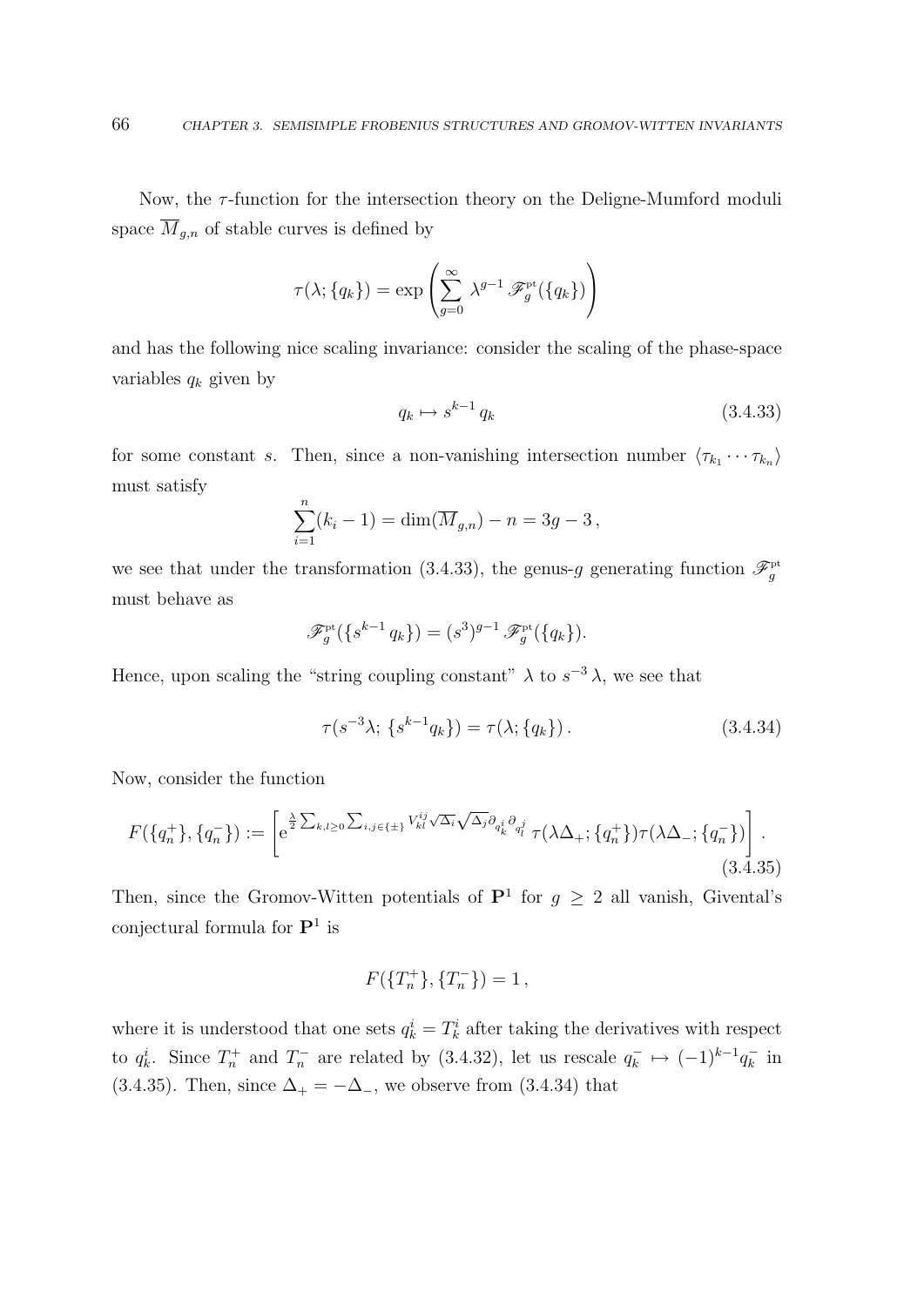Now, the  $\tau$ -function for the intersection theory on the Deligne-Mumford moduli space  $\overline{M}_{g,n}$  of stable curves is defined by

$$
\tau(\lambda; \{q_k\}) = \exp\left(\sum_{g=0}^{\infty} \lambda^{g-1} \mathscr{F}_g^{\rm pt}(\{q_k\})\right)
$$

and has the following nice scaling invariance: consider the scaling of the phase-space variables  $q_k$  given by

$$
q_k \mapsto s^{k-1} \, q_k \tag{3.4.33}
$$

for some constant s. Then, since a non-vanishing intersection number  $\langle \tau_{k_1} \cdots \tau_{k_n} \rangle$ must satisfy

$$
\sum_{i=1}^{n} (k_i - 1) = \dim(\overline{M}_{g,n}) - n = 3g - 3,
$$

we see that under the transformation (3.4.33), the genus-g generating function  $\mathscr{F}^{\text{pt}}_{g}$ must behave as

$$
\mathscr{F}_g^{\mathrm{pt}}(\{s^{k-1}q_k\}) = (s^3)^{g-1} \mathscr{F}_g^{\mathrm{pt}}(\{q_k\}).
$$

Hence, upon scaling the "string coupling constant"  $\lambda$  to  $s^{-3}\lambda$ , we see that

$$
\tau(s^{-3}\lambda; \{s^{k-1}q_k\}) = \tau(\lambda; \{q_k\}).
$$
\n(3.4.34)

Now, consider the function

$$
F(\{q_n^+\}, \{q_n^-\}) := \left[ e^{\frac{\lambda}{2} \sum_{k,l\geq 0} \sum_{i,j \in \{\pm\}} V_{kl}^{ij} \sqrt{\Delta_i} \sqrt{\Delta_j} \partial_{q_k^i} \partial_{q_l^j}} \tau(\lambda \Delta_+; \{q_n^+\}) \tau(\lambda \Delta_-; \{q_n^-\}) \right].
$$
\n(3.4.35)

Then, since the Gromov-Witten potentials of  $\mathbf{P}^1$  for  $g \geq 2$  all vanish, Givental's conjectural formula for  $\mathbf{P}^1$  is

$$
F(\{T_n^+\}, \{T_n^-\}) = 1\,,
$$

where it is understood that one sets  $q_k^i = T_k^i$  after taking the derivatives with respect to  $q_k^i$ . Since  $T_n^+$  and  $T_n^-$  are related by (3.4.32), let us rescale  $q_k^$  $q_k^- \mapsto (-1)^{k-1} q_k^ \bar{k}$  in (3.4.35). Then, since  $\Delta_+ = -\Delta_-$ , we observe from (3.4.34) that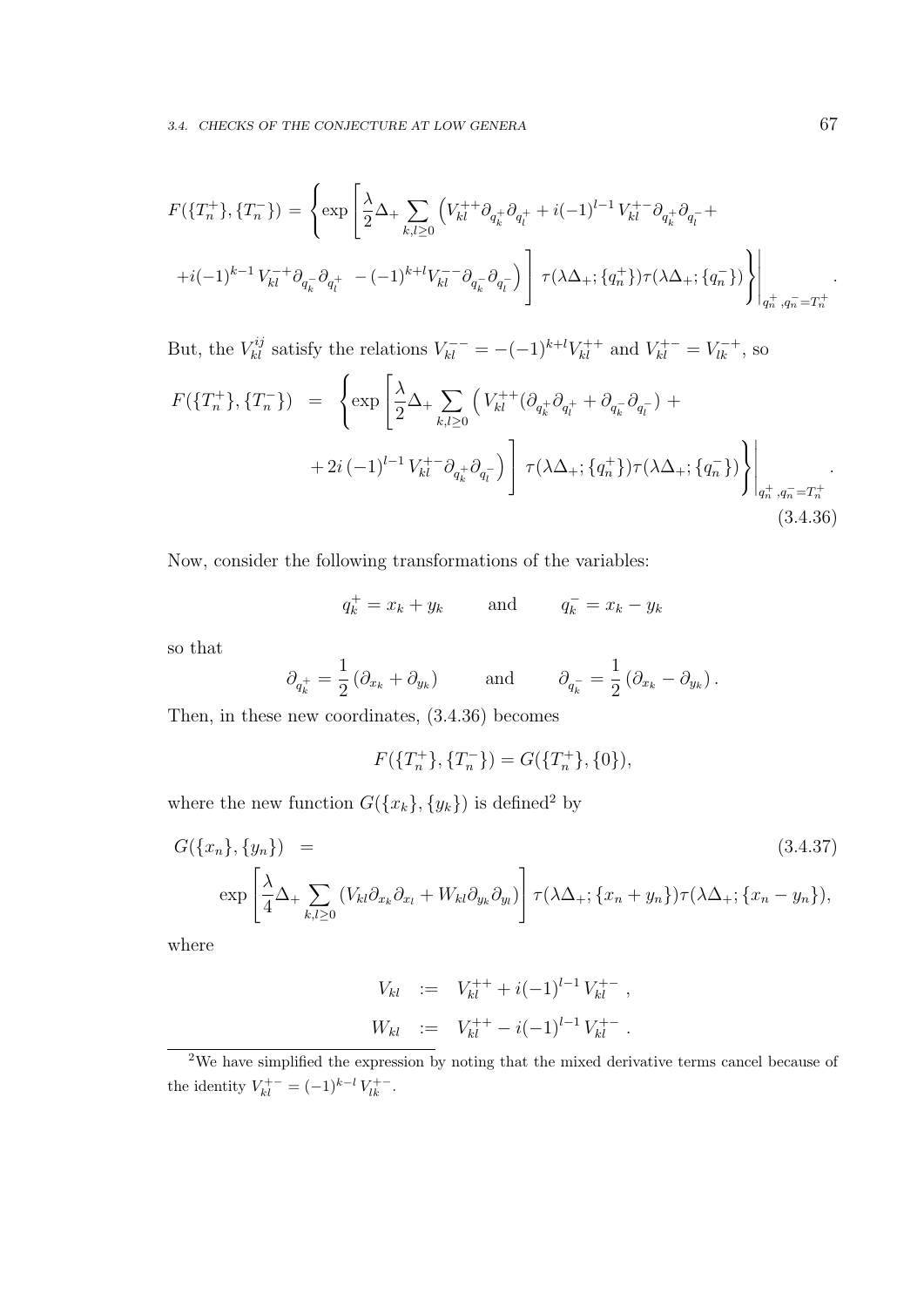$$
F(\lbrace T_{n}^{+}\rbrace, \lbrace T_{n}^{-}\rbrace) = \left\{ \exp\left[\frac{\lambda}{2}\Delta_{+}\sum_{k,l\geq 0} \left(V_{kl}^{++}\partial_{q_{k}^{+}}\partial_{q_{l}^{+}}+i(-1)^{l-1}V_{kl}^{+-}\partial_{q_{k}^{+}}\partial_{q_{l}^{-}}+\right.\right.\left. +i(-1)^{k-1}V_{kl}^{-+}\partial_{q_{k}^{-}}\partial_{q_{l}^{+}}-(-1)^{k+l}V_{kl}^{--}\partial_{q_{k}^{-}}\partial_{q_{l}^{-}}\right)\right]\tau(\lambda\Delta_{+}; \lbrace q_{n}^{+}\rbrace)\tau(\lambda\Delta_{+}; \lbrace q_{n}^{-}\rbrace)\right\}\Bigg|_{q_{n}^{+}, q_{n}^{-}=T_{n}^{+}}.
$$

But, the  $V_{kl}^{ij}$  satisfy the relations  $V_{kl}^{--} = -(-1)^{k+l} V_{kl}^{++}$  and  $V_{kl}^{+-} = V_{lk}^{-+}$ , so

$$
F(\lbrace T_{n}^{+}\rbrace, \lbrace T_{n}^{-}\rbrace) = \left\{ \exp\left[\frac{\lambda}{2}\Delta_{+}\sum_{k,l\geq 0} \left(V_{kl}^{++}(\partial_{q_{k}^{+}}\partial_{q_{l}^{+}} + \partial_{q_{k}^{-}}\partial_{q_{l}^{-}}) + 2i\left(-1\right)^{l-1}V_{kl}^{+-}\partial_{q_{k}^{+}}\partial_{q_{l}^{-}}\right) \right] \tau(\lambda\Delta_{+}; \lbrace q_{n}^{+}\rbrace) \tau(\lambda\Delta_{+}; \lbrace q_{n}^{-}\rbrace) \right\} \Bigg|_{q_{n}^{+}, q_{n}^{-}=T_{n}^{+}}.
$$
\n(3.4.36)

Now, consider the following transformations of the variables:

$$
q_k^+ = x_k + y_k \qquad \text{and} \qquad q_k^- = x_k - y_k
$$

so that

$$
\partial_{q_k^+} = \frac{1}{2} \left( \partial_{x_k} + \partial_{y_k} \right) \quad \text{and} \quad \partial_{q_k^-} = \frac{1}{2} \left( \partial_{x_k} - \partial_{y_k} \right).
$$

Then, in these new coordinates, (3.4.36) becomes

$$
F(\lbrace T_n^+\rbrace, \lbrace T_n^-\rbrace) = G(\lbrace T_n^+\rbrace, \lbrace 0 \rbrace),
$$

where the new function  $G({x_k}, {y_k})$  is defined<sup>2</sup> by

$$
G(\lbrace x_n \rbrace, \lbrace y_n \rbrace) =
$$
\n
$$
\exp\left[\frac{\lambda}{4}\Delta_+\sum_{k,l\geq 0} \left(V_{kl}\partial_{x_k}\partial_{x_l} + W_{kl}\partial_{y_k}\partial_{y_l}\right)\right] \tau(\lambda\Delta_+; \lbrace x_n + y_n \rbrace) \tau(\lambda\Delta_+; \lbrace x_n - y_n \rbrace),
$$
\n(3.4.37)

where

$$
V_{kl} := V_{kl}^{++} + i(-1)^{l-1} V_{kl}^{+-} ,
$$
  

$$
W_{kl} := V_{kl}^{++} - i(-1)^{l-1} V_{kl}^{+-} .
$$

<sup>&</sup>lt;sup>2</sup>We have simplified the expression by noting that the mixed derivative terms cancel because of the identity  $V_{kl}^{+-} = (-1)^{k-l} V_{lk}^{+-}$ .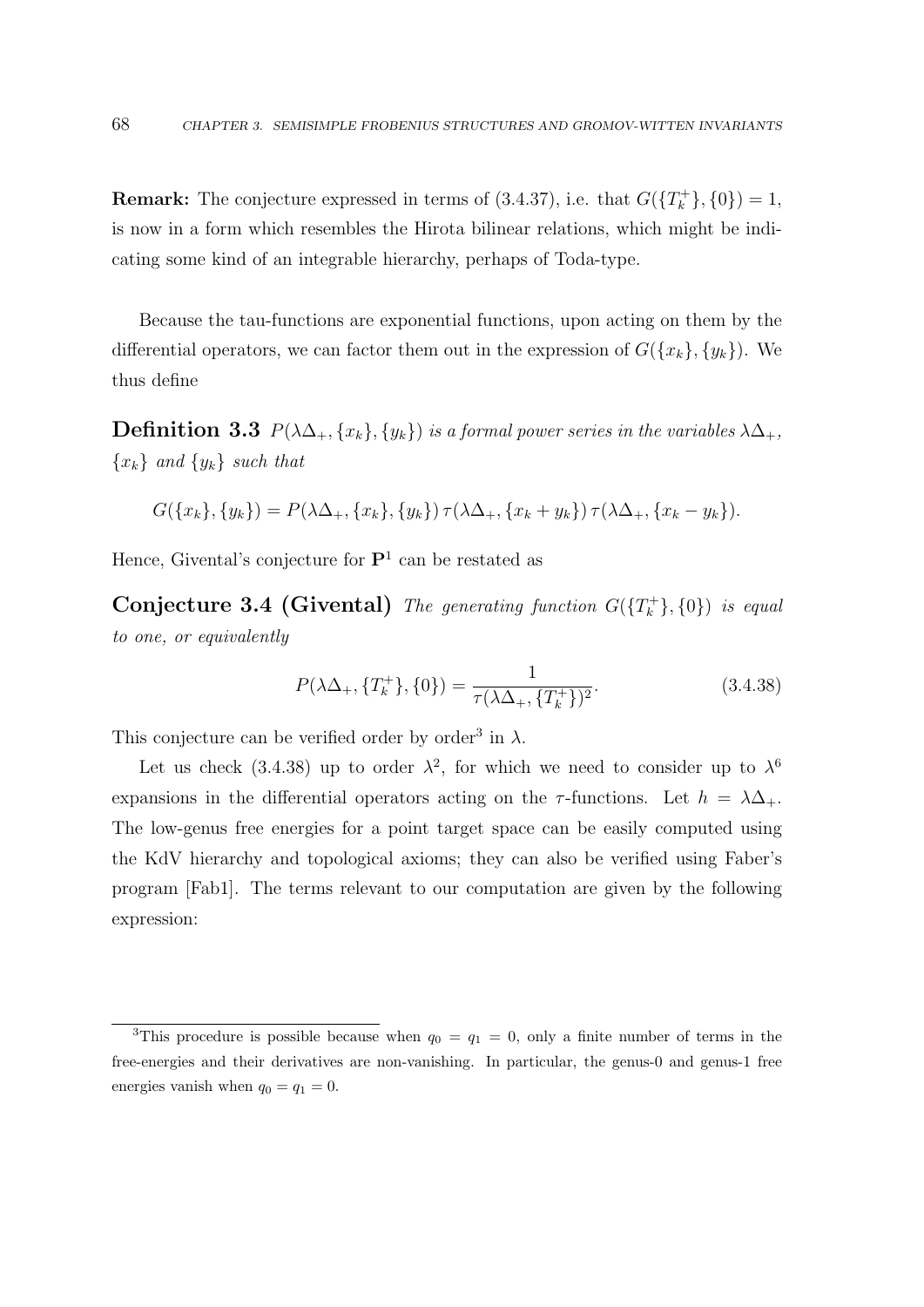**Remark:** The conjecture expressed in terms of  $(3.4.37)$ , i.e. that  $G({T<sub>k</sub><sup>+</sup>}, {0}) = 1$ , is now in a form which resembles the Hirota bilinear relations, which might be indicating some kind of an integrable hierarchy, perhaps of Toda-type.

Because the tau-functions are exponential functions, upon acting on them by the differential operators, we can factor them out in the expression of  $G({x_k},{y_k})$ . We thus define

**Definition 3.3**  $P(\lambda \Delta_+, \{x_k\}, \{y_k\})$  is a formal power series in the variables  $\lambda \Delta_+,$  ${x_k}$  and  ${y_k}$  such that

$$
G({x_k}, {y_k}) = P(\lambda \Delta_+, {x_k}, {y_k}) \tau (\lambda \Delta_+, {x_k + y_k}) \tau (\lambda \Delta_+, {x_k - y_k}).
$$

Hence, Givental's conjecture for  $\mathbf{P}^1$  can be restated as

**Conjecture 3.4 (Givental)** The generating function  $G({T_k^+}, {0})$  is equal to one, or equivalently

$$
P(\lambda \Delta_+, \{T_k^+\}, \{0\}) = \frac{1}{\tau(\lambda \Delta_+, \{T_k^+\})^2}.\tag{3.4.38}
$$

This conjecture can be verified order by order<sup>3</sup> in  $\lambda$ .

Let us check (3.4.38) up to order  $\lambda^2$ , for which we need to consider up to  $\lambda^6$ expansions in the differential operators acting on the  $\tau$ -functions. Let  $h = \lambda \Delta_+$ . The low-genus free energies for a point target space can be easily computed using the KdV hierarchy and topological axioms; they can also be verified using Faber's program [Fab1]. The terms relevant to our computation are given by the following expression:

<sup>&</sup>lt;sup>3</sup>This procedure is possible because when  $q_0 = q_1 = 0$ , only a finite number of terms in the free-energies and their derivatives are non-vanishing. In particular, the genus-0 and genus-1 free energies vanish when  $q_0 = q_1 = 0$ .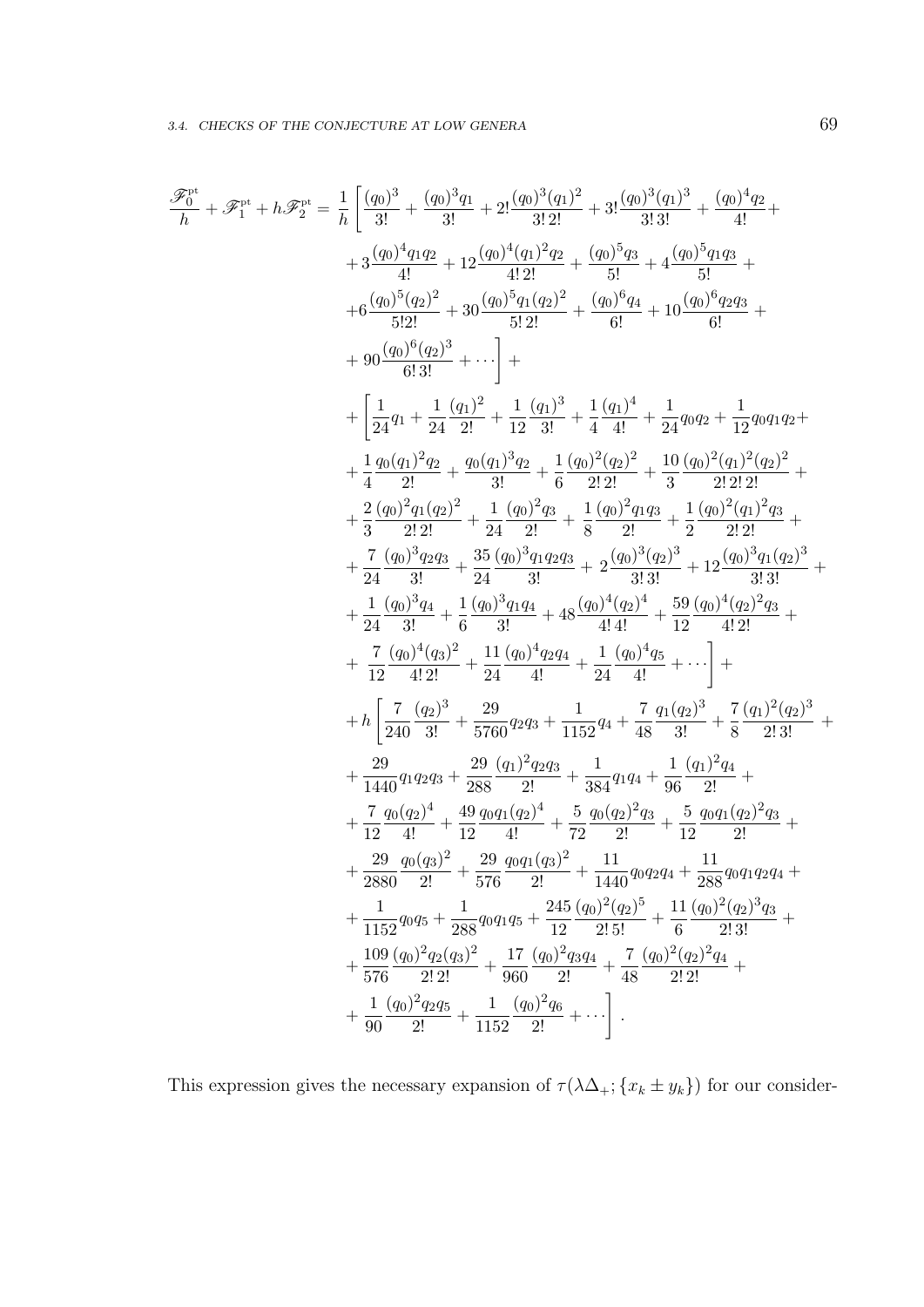$$
\begin{split} \mathscr{F}^{n^a}_{b} + \mathscr{F}^{n^a}_{1} &= \frac{1}{h} \left[ \frac{(q_0)^3}{3!} + \frac{(q_0)^3 q_1}{3!} + 2! \frac{(q_0)^3 (q_1)^2}{3! \, 2!} + 3! \frac{(q_0)^3 q_1}{3! \, 3!} + \frac{(q_0)^5 q_1 q_2}{4!} + \right. \\ & \left. + 3 \frac{(q_0)^4 q_1 q_2}{4!} + 12 \frac{(q_0)^4 (q_1)^2 q_2}{4! \, 2!} + \frac{(q_0)^5 q_1 q_2}{6!} + 4 \frac{(q_0)^5 q_1 q_3}{6!} + \right. \\ & \left. + 6 \frac{(q_0)^5 (q_2)^2}{6! \, 2!} + 30 \frac{(q_0)^5 q_1 (q_2)^2}{6! \, 2!} + \frac{(q_0)^6 q_4}{6!} + 10 \frac{(q_0)^6 q_2 q_3}{6!} + \right. \\ & \left. + 90 \frac{(q_0)^6 (q_2)^3}{6! \, 3!} + \cdots \right] + \\ & \left. + \left[ \frac{1}{24} q_1 + \frac{1}{24} \frac{(q_1)^2}{2!} + \frac{1}{12} \frac{(q_1)^3}{3!} + \frac{1}{4} \frac{(q_1)^4}{4!} + \frac{1}{24} q_0 q_2 + \frac{1}{12} q_0 q_1 q_2 + \right. \\ & \left. + \frac{1}{4} \frac{q_0 (q_1)^2 q_2}{2!} + \frac{q_0 (q_1)^3 q_2}{3!} + \frac{1}{6} \frac{(q_0)^2 (q_2)^2}{2! \, 2!} + \frac{10}{3} \frac{(q_0)^2 (q_1)^2 q_3}{2! \, 2! \, 2!} + \frac{2}{7} \frac{(q_0)^2 q_1 (q_2)^2}{3!} + \frac{2}{7} \frac{(q_0)^3 q_2 q_3}{2!} + \frac{3}{2} \frac{(q_0)^2 q_1 q_2 q_3}{2!} + \frac{1}{2} \frac{(q_0)^2 q_1 q_3}{3!} + \frac{3}{2} \frac{(q_0)^3 q_4 q
$$

This expression gives the necessary expansion of  $\tau(\lambda\Delta_+;\{x_k\pm y_k\})$  for our consider-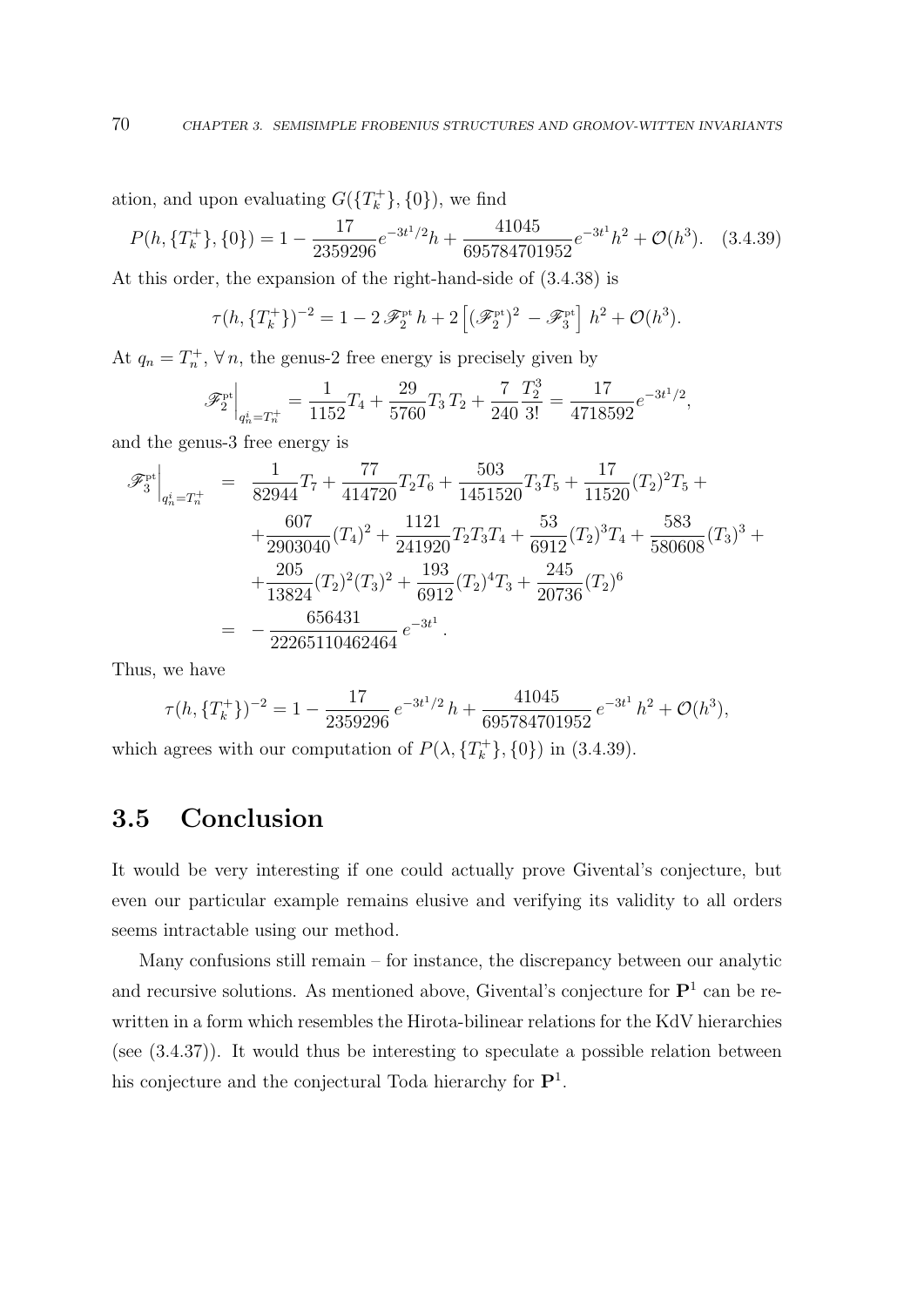ation, and upon evaluating  $G({T_k^+}, \{0\})$ , we find

$$
P(h, \{T_k^+\}, \{0\}) = 1 - \frac{17}{2359296}e^{-3t^1/2}h + \frac{41045}{695784701952}e^{-3t^1}h^2 + \mathcal{O}(h^3). \quad (3.4.39)
$$

At this order, the expansion of the right-hand-side of (3.4.38) is

$$
\tau(h, \{T_k^+\})^{-2} = 1 - 2\mathscr{F}_2^{\mathrm{pt}} h + 2 \left[ (\mathscr{F}_2^{\mathrm{pt}})^2 - \mathscr{F}_3^{\mathrm{pt}} \right] h^2 + \mathcal{O}(h^3).
$$

At  $q_n = T_n^+$ ,  $\forall n$ , the genus-2 free energy is precisely given by

$$
\mathscr{F}_2^{\mathrm{pt}}\Big|_{q_n^i = T_n^+} = \frac{1}{1152}T_4 + \frac{29}{5760}T_3T_2 + \frac{7}{240}\frac{T_2^3}{3!} = \frac{17}{4718592}e^{-3t^1/2},
$$

and the genus-3 free energy is

$$
\mathscr{F}_{3}^{\text{pt}}\Big|_{q_{n}^{i}=T_{n}^{+}} = \frac{1}{82944}T_{7} + \frac{77}{414720}T_{2}T_{6} + \frac{503}{1451520}T_{3}T_{5} + \frac{17}{11520}(T_{2})^{2}T_{5} ++\frac{607}{2903040}(T_{4})^{2} + \frac{1121}{241920}T_{2}T_{3}T_{4} + \frac{53}{6912}(T_{2})^{3}T_{4} + \frac{583}{580608}(T_{3})^{3} ++\frac{205}{13824}(T_{2})^{2}(T_{3})^{2} + \frac{193}{6912}(T_{2})^{4}T_{3} + \frac{245}{20736}(T_{2})^{6}= -\frac{656431}{22265110462464}e^{-3t^{1}}.
$$

Thus, we have

$$
\tau(h, \{T_k^+\})^{-2} = 1 - \frac{17}{2359296} e^{-3t^1/2} h + \frac{41045}{695784701952} e^{-3t^1} h^2 + \mathcal{O}(h^3),
$$

which agrees with our computation of  $P(\lambda, \{T_k^+\}, \{0\})$  in (3.4.39).

## 3.5 Conclusion

It would be very interesting if one could actually prove Givental's conjecture, but even our particular example remains elusive and verifying its validity to all orders seems intractable using our method.

Many confusions still remain – for instance, the discrepancy between our analytic and recursive solutions. As mentioned above, Givental's conjecture for  $\mathbf{P}^1$  can be rewritten in a form which resembles the Hirota-bilinear relations for the KdV hierarchies (see (3.4.37)). It would thus be interesting to speculate a possible relation between his conjecture and the conjectural Toda hierarchy for  $\mathbf{P}^1$ .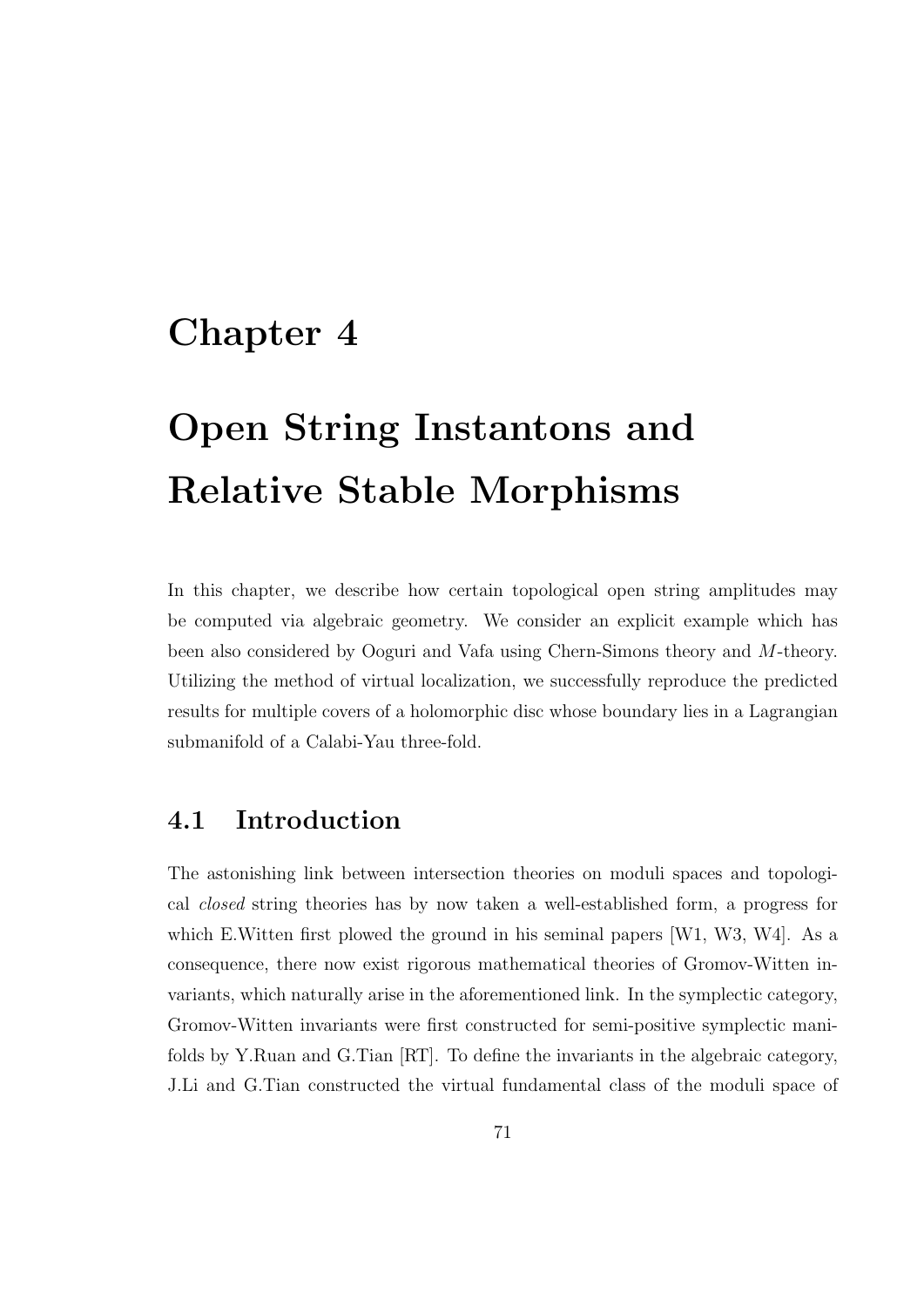# Chapter 4

# Open String Instantons and Relative Stable Morphisms

In this chapter, we describe how certain topological open string amplitudes may be computed via algebraic geometry. We consider an explicit example which has been also considered by Ooguri and Vafa using Chern-Simons theory and M-theory. Utilizing the method of virtual localization, we successfully reproduce the predicted results for multiple covers of a holomorphic disc whose boundary lies in a Lagrangian submanifold of a Calabi-Yau three-fold.

### 4.1 Introduction

The astonishing link between intersection theories on moduli spaces and topological closed string theories has by now taken a well-established form, a progress for which E.Witten first plowed the ground in his seminal papers [W1, W3, W4]. As a consequence, there now exist rigorous mathematical theories of Gromov-Witten invariants, which naturally arise in the aforementioned link. In the symplectic category, Gromov-Witten invariants were first constructed for semi-positive symplectic manifolds by Y.Ruan and G.Tian [RT]. To define the invariants in the algebraic category, J.Li and G.Tian constructed the virtual fundamental class of the moduli space of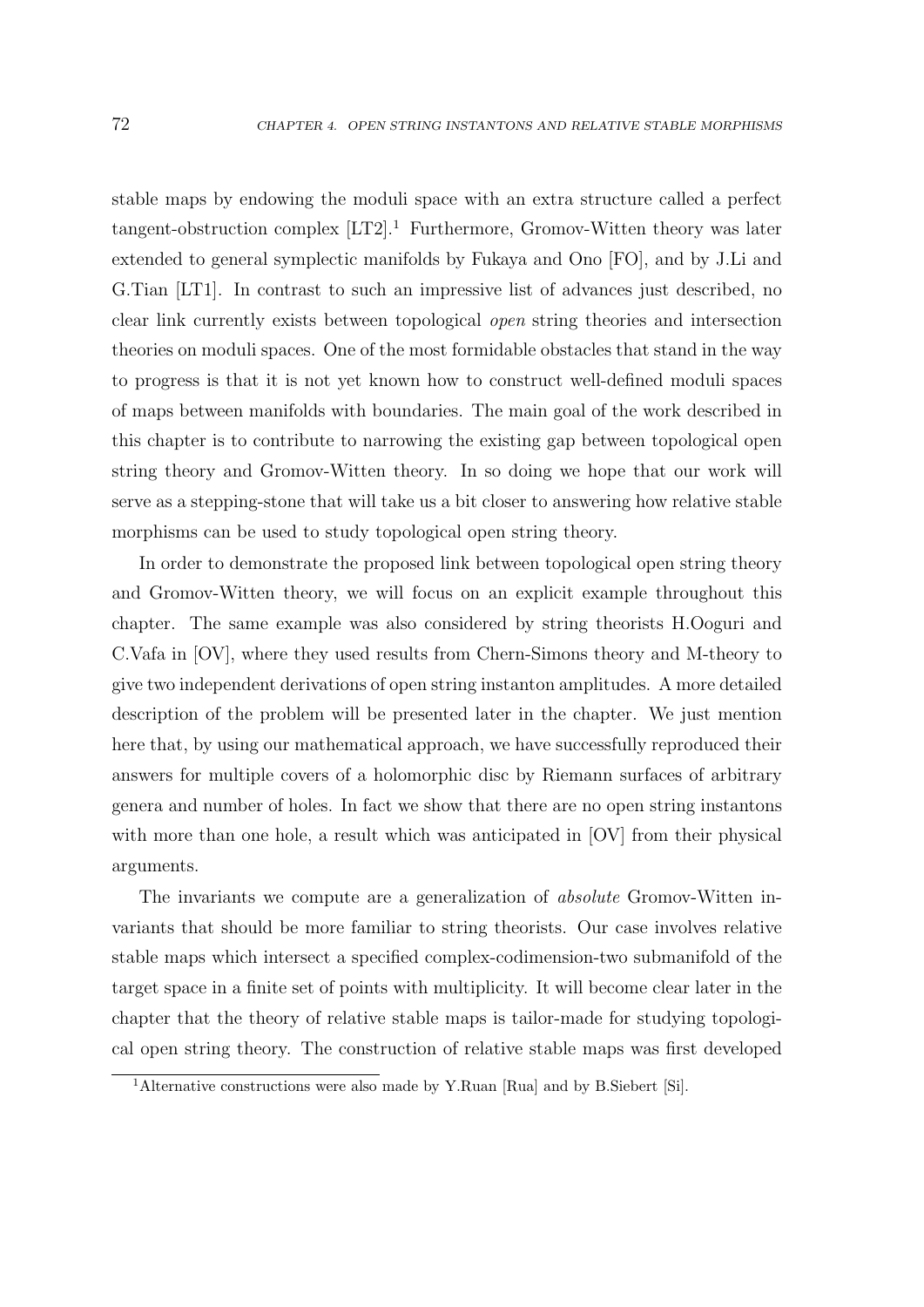stable maps by endowing the moduli space with an extra structure called a perfect tangent-obstruction complex  $[LT2]$ <sup>1</sup> Furthermore, Gromov-Witten theory was later extended to general symplectic manifolds by Fukaya and Ono [FO], and by J.Li and G.Tian [LT1]. In contrast to such an impressive list of advances just described, no clear link currently exists between topological open string theories and intersection theories on moduli spaces. One of the most formidable obstacles that stand in the way to progress is that it is not yet known how to construct well-defined moduli spaces of maps between manifolds with boundaries. The main goal of the work described in this chapter is to contribute to narrowing the existing gap between topological open string theory and Gromov-Witten theory. In so doing we hope that our work will serve as a stepping-stone that will take us a bit closer to answering how relative stable morphisms can be used to study topological open string theory.

In order to demonstrate the proposed link between topological open string theory and Gromov-Witten theory, we will focus on an explicit example throughout this chapter. The same example was also considered by string theorists H.Ooguri and C.Vafa in [OV], where they used results from Chern-Simons theory and M-theory to give two independent derivations of open string instanton amplitudes. A more detailed description of the problem will be presented later in the chapter. We just mention here that, by using our mathematical approach, we have successfully reproduced their answers for multiple covers of a holomorphic disc by Riemann surfaces of arbitrary genera and number of holes. In fact we show that there are no open string instantons with more than one hole, a result which was anticipated in [OV] from their physical arguments.

The invariants we compute are a generalization of absolute Gromov-Witten invariants that should be more familiar to string theorists. Our case involves relative stable maps which intersect a specified complex-codimension-two submanifold of the target space in a finite set of points with multiplicity. It will become clear later in the chapter that the theory of relative stable maps is tailor-made for studying topological open string theory. The construction of relative stable maps was first developed

<sup>&</sup>lt;sup>1</sup>Alternative constructions were also made by Y.Ruan [Rua] and by B.Siebert [Si].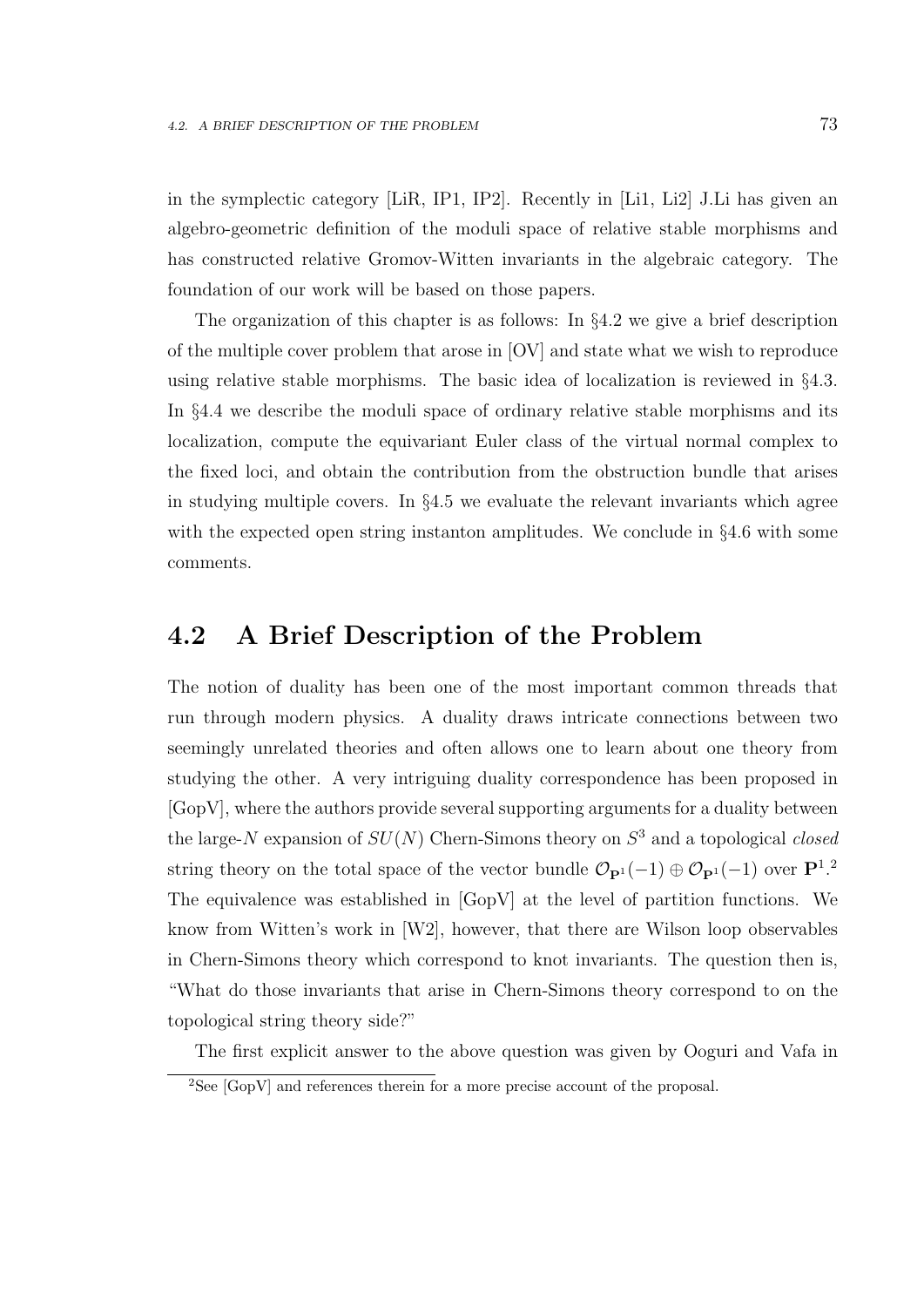in the symplectic category [LiR, IP1, IP2]. Recently in [Li1, Li2] J.Li has given an algebro-geometric definition of the moduli space of relative stable morphisms and has constructed relative Gromov-Witten invariants in the algebraic category. The foundation of our work will be based on those papers.

The organization of this chapter is as follows: In §4.2 we give a brief description of the multiple cover problem that arose in [OV] and state what we wish to reproduce using relative stable morphisms. The basic idea of localization is reviewed in §4.3. In §4.4 we describe the moduli space of ordinary relative stable morphisms and its localization, compute the equivariant Euler class of the virtual normal complex to the fixed loci, and obtain the contribution from the obstruction bundle that arises in studying multiple covers. In §4.5 we evaluate the relevant invariants which agree with the expected open string instanton amplitudes. We conclude in §4.6 with some comments.

### 4.2 A Brief Description of the Problem

The notion of duality has been one of the most important common threads that run through modern physics. A duality draws intricate connections between two seemingly unrelated theories and often allows one to learn about one theory from studying the other. A very intriguing duality correspondence has been proposed in [GopV], where the authors provide several supporting arguments for a duality between the large-N expansion of  $SU(N)$  Chern-Simons theory on  $S<sup>3</sup>$  and a topological *closed* string theory on the total space of the vector bundle  $\mathcal{O}_{\mathbf{P}^1}(-1) \oplus \mathcal{O}_{\mathbf{P}^1}(-1)$  over  $\mathbf{P}^1$ .<sup>2</sup> The equivalence was established in [GopV] at the level of partition functions. We know from Witten's work in [W2], however, that there are Wilson loop observables in Chern-Simons theory which correspond to knot invariants. The question then is, "What do those invariants that arise in Chern-Simons theory correspond to on the topological string theory side?"

The first explicit answer to the above question was given by Ooguri and Vafa in

 ${}^{2}$ See [GopV] and references therein for a more precise account of the proposal.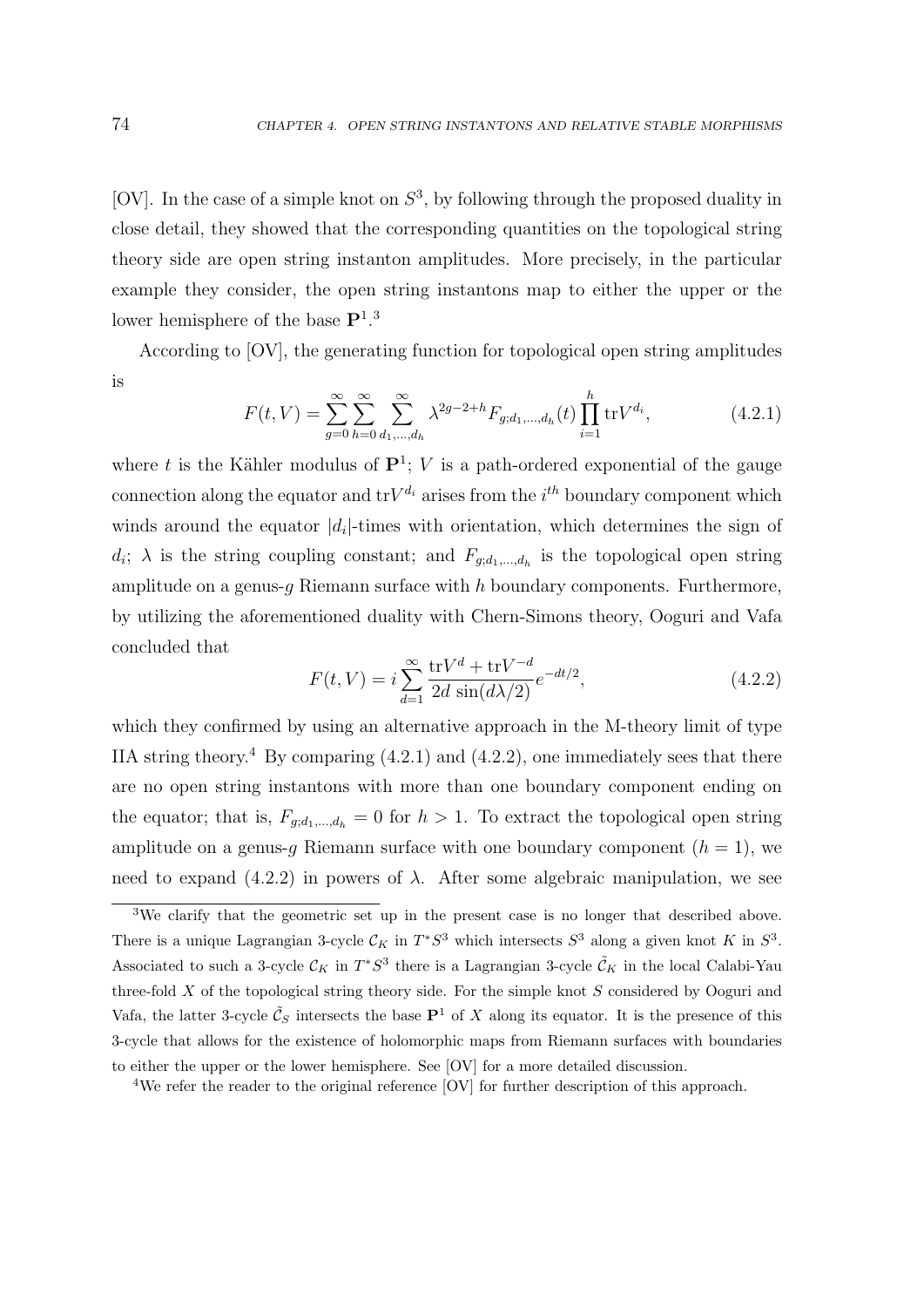[OV]. In the case of a simple knot on  $S^3$ , by following through the proposed duality in close detail, they showed that the corresponding quantities on the topological string theory side are open string instanton amplitudes. More precisely, in the particular example they consider, the open string instantons map to either the upper or the lower hemisphere of the base  $\mathbf{P}^{1,3}$ 

According to [OV], the generating function for topological open string amplitudes is

$$
F(t,V) = \sum_{g=0}^{\infty} \sum_{h=0}^{\infty} \sum_{d_1,\dots,d_h}^{\infty} \lambda^{2g-2+h} F_{g;d_1,\dots,d_h}(t) \prod_{i=1}^h \text{tr} V^{d_i},
$$
(4.2.1)

where t is the Kähler modulus of  $\mathbf{P}^1$ ; V is a path-ordered exponential of the gauge connection along the equator and  $trV^{d_i}$  arises from the  $i^{th}$  boundary component which winds around the equator  $|d_i|$ -times with orientation, which determines the sign of  $d_i$ ;  $\lambda$  is the string coupling constant; and  $F_{g,d_1,\dots,d_h}$  is the topological open string amplitude on a genus- $q$  Riemann surface with  $h$  boundary components. Furthermore, by utilizing the aforementioned duality with Chern-Simons theory, Ooguri and Vafa concluded that

$$
F(t,V) = i \sum_{d=1}^{\infty} \frac{\text{tr}V^d + \text{tr}V^{-d}}{2d \sin(d\lambda/2)} e^{-dt/2},
$$
\n(4.2.2)

which they confirmed by using an alternative approach in the M-theory limit of type IIA string theory.<sup>4</sup> By comparing  $(4.2.1)$  and  $(4.2.2)$ , one immediately sees that there are no open string instantons with more than one boundary component ending on the equator; that is,  $F_{g; d_1,...,d_h} = 0$  for  $h > 1$ . To extract the topological open string amplitude on a genus-g Riemann surface with one boundary component  $(h = 1)$ , we need to expand (4.2.2) in powers of  $\lambda$ . After some algebraic manipulation, we see

<sup>&</sup>lt;sup>3</sup>We clarify that the geometric set up in the present case is no longer that described above. There is a unique Lagrangian 3-cycle  $\mathcal{C}_K$  in  $T^*S^3$  which intersects  $S^3$  along a given knot K in  $S^3$ . Associated to such a 3-cycle  $\mathcal{C}_K$  in  $T^*S^3$  there is a Lagrangian 3-cycle  $\tilde{\mathcal{C}}_K$  in the local Calabi-Yau three-fold X of the topological string theory side. For the simple knot S considered by Ooguri and Vafa, the latter 3-cycle  $\tilde{\mathcal{C}}_S$  intersects the base  $\mathbf{P}^1$  of X along its equator. It is the presence of this 3-cycle that allows for the existence of holomorphic maps from Riemann surfaces with boundaries to either the upper or the lower hemisphere. See [OV] for a more detailed discussion.

<sup>&</sup>lt;sup>4</sup>We refer the reader to the original reference [OV] for further description of this approach.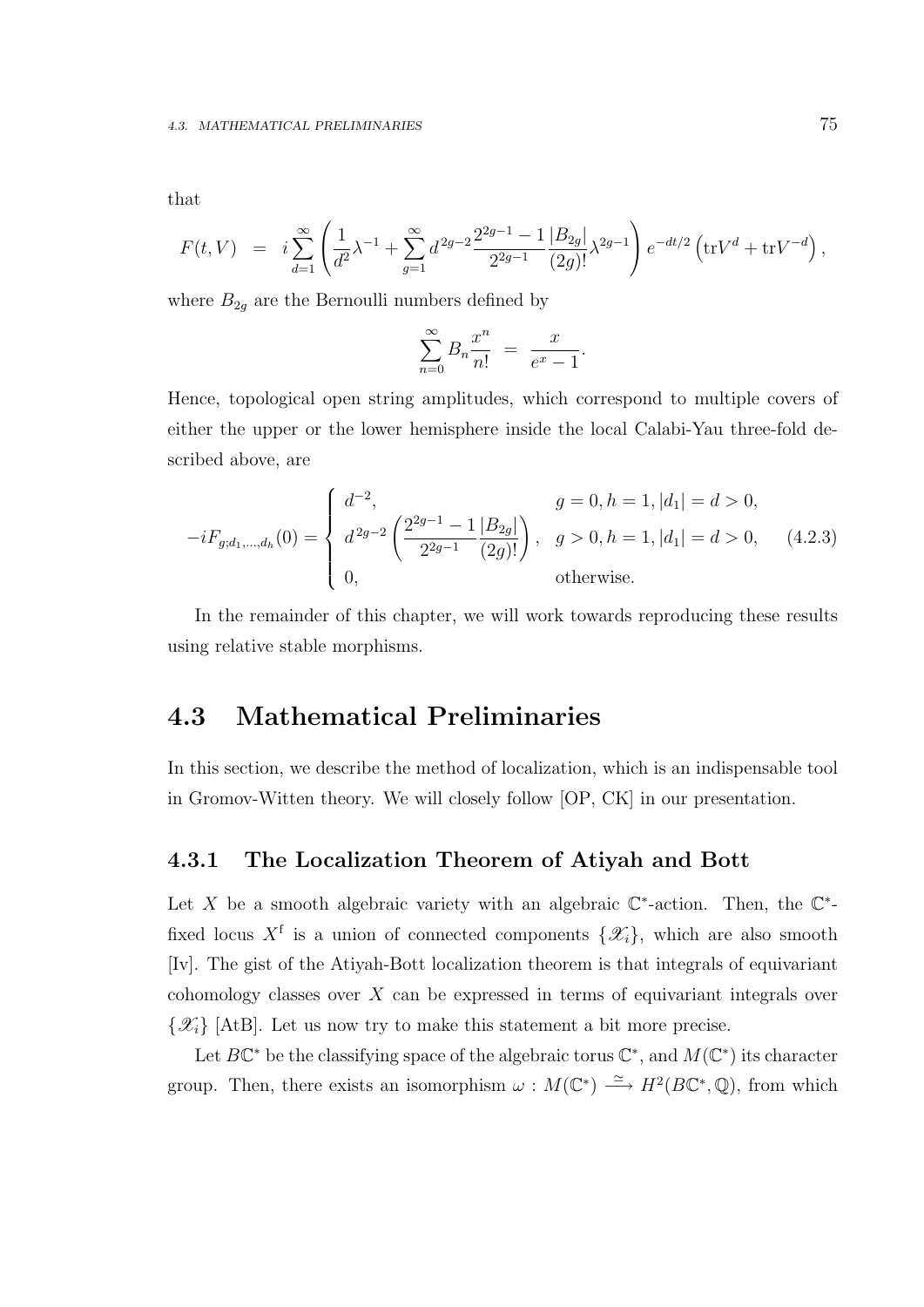$$
F(t,V) = i \sum_{d=1}^{\infty} \left( \frac{1}{d^2} \lambda^{-1} + \sum_{g=1}^{\infty} d^{2g-2} \frac{2^{2g-1}-1}{2^{2g-1}} \frac{|B_{2g}|}{(2g)!} \lambda^{2g-1} \right) e^{-dt/2} \left( \text{tr} V^d + \text{tr} V^{-d} \right),
$$

where  $B_{2g}$  are the Bernoulli numbers defined by

$$
\sum_{n=0}^{\infty} B_n \frac{x^n}{n!} = \frac{x}{e^x - 1}.
$$

Hence, topological open string amplitudes, which correspond to multiple covers of either the upper or the lower hemisphere inside the local Calabi-Yau three-fold described above, are

$$
-iF_{g;d_1,\dots,d_h}(0) = \begin{cases} d^{-2}, & g = 0, h = 1, |d_1| = d > 0, \\ d^{2g-2} \left( \frac{2^{2g-1} - 1}{2^{2g-1}} \frac{|B_{2g}|}{(2g)!} \right), & g > 0, h = 1, |d_1| = d > 0, \\ 0, & \text{otherwise.} \end{cases}
$$
(4.2.3)

In the remainder of this chapter, we will work towards reproducing these results using relative stable morphisms.

### 4.3 Mathematical Preliminaries

In this section, we describe the method of localization, which is an indispensable tool in Gromov-Witten theory. We will closely follow [OP, CK] in our presentation.

#### 4.3.1 The Localization Theorem of Atiyah and Bott

Let X be a smooth algebraic variety with an algebraic  $\mathbb{C}^*$ -action. Then, the  $\mathbb{C}^*$ fixed locus  $X^f$  is a union of connected components  $\{\mathscr{X}_i\}$ , which are also smooth [Iv]. The gist of the Atiyah-Bott localization theorem is that integrals of equivariant cohomology classes over X can be expressed in terms of equivariant integrals over  $\{\mathscr{X}_i\}$  [AtB]. Let us now try to make this statement a bit more precise.

Let  $B\mathbb{C}^*$  be the classifying space of the algebraic torus  $\mathbb{C}^*$ , and  $M(\mathbb{C}^*)$  its character group. Then, there exists an isomorphism  $\omega : M(\mathbb{C}^*) \longrightarrow H^2(B\mathbb{C}^*, \mathbb{Q})$ , from which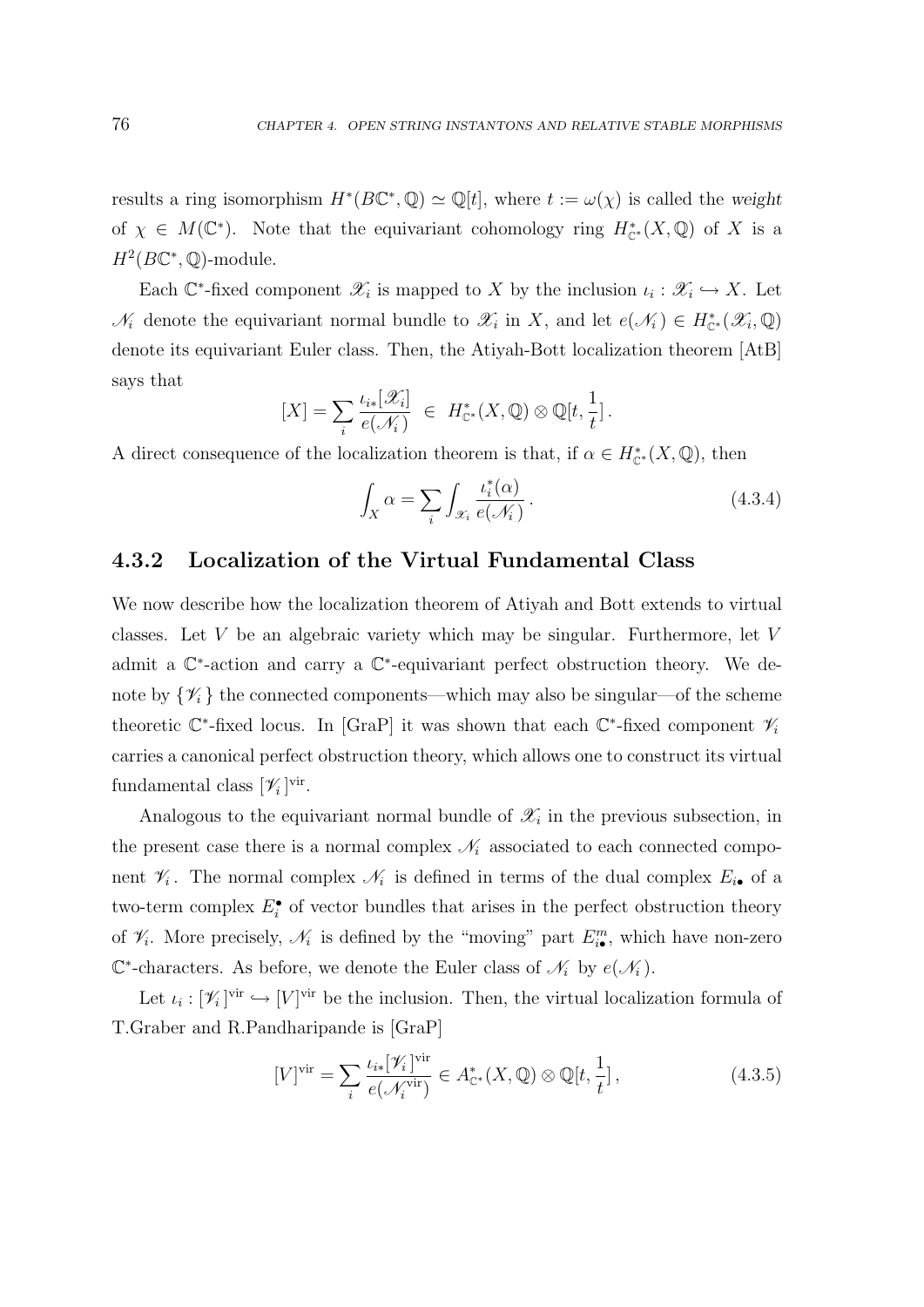results a ring isomorphism  $H^*(B\mathbb{C}^*, \mathbb{Q}) \simeq \mathbb{Q}[t]$ , where  $t := \omega(\chi)$  is called the weight of  $\chi \in M(\mathbb{C}^*)$ . Note that the equivariant cohomology ring  $H^*_{\mathbb{C}^*}(X,\mathbb{Q})$  of X is a  $H^2(B\mathbb{C}^*,\mathbb{Q})$ -module.

Each  $\mathbb{C}^*$ -fixed component  $\mathscr{X}_i$  is mapped to X by the inclusion  $\iota_i : \mathscr{X}_i \hookrightarrow X$ . Let  $\mathcal{N}_i$  denote the equivariant normal bundle to  $\mathcal{X}_i$  in X, and let  $e(\mathcal{N}_i) \in H_{\mathbb{C}^*}^*(\mathcal{X}_i, \mathbb{Q})$ denote its equivariant Euler class. Then, the Atiyah-Bott localization theorem [AtB] says that

$$
[X] = \sum_{i} \frac{\iota_{i*}[\mathscr{X}_{i}]}{e(\mathscr{N}_{i})} \in H_{\mathbb{C}^*}^{*}(X, \mathbb{Q}) \otimes \mathbb{Q}[t, \frac{1}{t}].
$$

A direct consequence of the localization theorem is that, if  $\alpha \in H_{\mathbb{C}^*}^*(X, \mathbb{Q})$ , then

$$
\int_{X} \alpha = \sum_{i} \int_{\mathcal{X}_{i}} \frac{\iota_{i}^{*}(\alpha)}{e(\mathcal{N}_{i})}.
$$
\n(4.3.4)

#### 4.3.2 Localization of the Virtual Fundamental Class

We now describe how the localization theorem of Atiyah and Bott extends to virtual classes. Let  $V$  be an algebraic variety which may be singular. Furthermore, let  $V$ admit a  $\mathbb{C}^*$ -action and carry a  $\mathbb{C}^*$ -equivariant perfect obstruction theory. We denote by  $\{\mathcal{V}_i\}$  the connected components—which may also be singular—of the scheme theoretic  $\mathbb{C}^*$ -fixed locus. In [GraP] it was shown that each  $\mathbb{C}^*$ -fixed component  $\mathscr{V}_i$ carries a canonical perfect obstruction theory, which allows one to construct its virtual fundamental class  $[\mathscr{V}_i]^\text{vir}$ .

Analogous to the equivariant normal bundle of  $\mathscr{X}_i$  in the previous subsection, in the present case there is a normal complex  $\mathcal{N}_i$  associated to each connected component  $\mathcal{V}_i$ . The normal complex  $\mathcal{N}_i$  is defined in terms of the dual complex  $E_{i\bullet}$  of a two-term complex  $E_i^{\bullet}$  of vector bundles that arises in the perfect obstruction theory of  $\mathcal{V}_i$ . More precisely,  $\mathcal{N}_i$  is defined by the "moving" part  $E_{i\bullet}^m$ , which have non-zero  $\mathbb{C}^*$ -characters. As before, we denote the Euler class of  $\mathcal{N}_i$  by  $e(\mathcal{N}_i)$ .

Let  $\iota_i : [\mathscr{V}_i]$ <sup>vir</sup>  $\hookrightarrow [V]$ <sup>vir</sup> be the inclusion. Then, the virtual localization formula of T.Graber and R.Pandharipande is [GraP]

$$
[V]^{\text{vir}} = \sum_{i} \frac{\iota_{i*}[\mathscr{V}_{i}]^{\text{vir}}}{e(\mathscr{N}_{i}^{\text{vir}})} \in A_{\mathbb{C}^*}^*(X, \mathbb{Q}) \otimes \mathbb{Q}[t, \frac{1}{t}], \qquad (4.3.5)
$$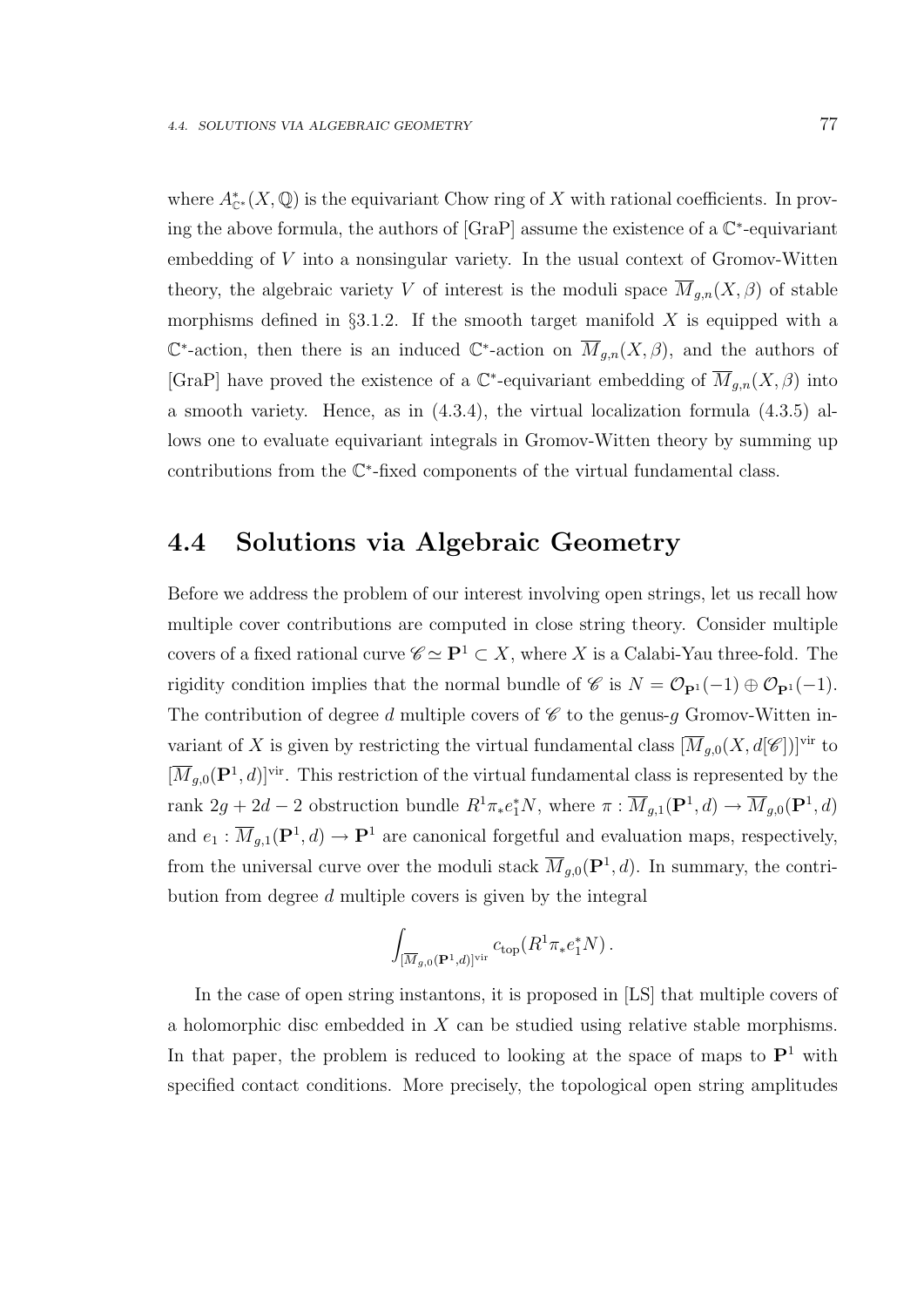where  $A^*_{\mathbb{C}^*}(X,\mathbb{Q})$  is the equivariant Chow ring of X with rational coefficients. In proving the above formula, the authors of  $[GraP]$  assume the existence of a  $\mathbb{C}^*$ -equivariant embedding of V into a nonsingular variety. In the usual context of Gromov-Witten theory, the algebraic variety V of interest is the moduli space  $\overline{M}_{g,n}(X,\beta)$  of stable morphisms defined in  $\S 3.1.2$ . If the smooth target manifold X is equipped with a  $\mathbb{C}^*$ -action, then there is an induced  $\mathbb{C}^*$ -action on  $\overline{M}_{g,n}(X,\beta)$ , and the authors of [GraP] have proved the existence of a  $\mathbb{C}^*$ -equivariant embedding of  $\overline{M}_{g,n}(X,\beta)$  into a smooth variety. Hence, as in (4.3.4), the virtual localization formula (4.3.5) allows one to evaluate equivariant integrals in Gromov-Witten theory by summing up contributions from the C ∗ -fixed components of the virtual fundamental class.

### 4.4 Solutions via Algebraic Geometry

Before we address the problem of our interest involving open strings, let us recall how multiple cover contributions are computed in close string theory. Consider multiple covers of a fixed rational curve  $\mathscr{C} \simeq \mathbf{P}^1 \subset X$ , where X is a Calabi-Yau three-fold. The rigidity condition implies that the normal bundle of C is  $N = \mathcal{O}_{\mathbf{P}^1}(-1) \oplus \mathcal{O}_{\mathbf{P}^1}(-1)$ . The contribution of degree d multiple covers of  $\mathscr C$  to the genus-g Gromov-Witten invariant of X is given by restricting the virtual fundamental class  $[\overline{M}_{g,0}(X, d[\mathscr{C}])]$ <sup>vir</sup> to  $[\overline{M}_{g,0}(\mathbf{P}^1, d)]^{\text{vir}}$ . This restriction of the virtual fundamental class is represented by the rank  $2g + 2d - 2$  obstruction bundle  $R^1 \pi_* e_1^* N$ , where  $\pi : \overline{M}_{g,1}(\mathbf{P}^1, d) \to \overline{M}_{g,0}(\mathbf{P}^1, d)$ and  $e_1 : \overline{M}_{g,1}(\mathbf{P}^1, d) \to \mathbf{P}^1$  are canonical forgetful and evaluation maps, respectively, from the universal curve over the moduli stack  $\overline{M}_{g,0}(\mathbf{P}^1, d)$ . In summary, the contribution from degree d multiple covers is given by the integral

$$
\int_{[\overline{M}_{g,0}(\mathbf{P}^1,d)]^{\text{vir}}} c_{\text{top}}(R^1 \pi_* e_1^* N) .
$$

In the case of open string instantons, it is proposed in [LS] that multiple covers of a holomorphic disc embedded in X can be studied using relative stable morphisms. In that paper, the problem is reduced to looking at the space of maps to  $\mathbf{P}^1$  with specified contact conditions. More precisely, the topological open string amplitudes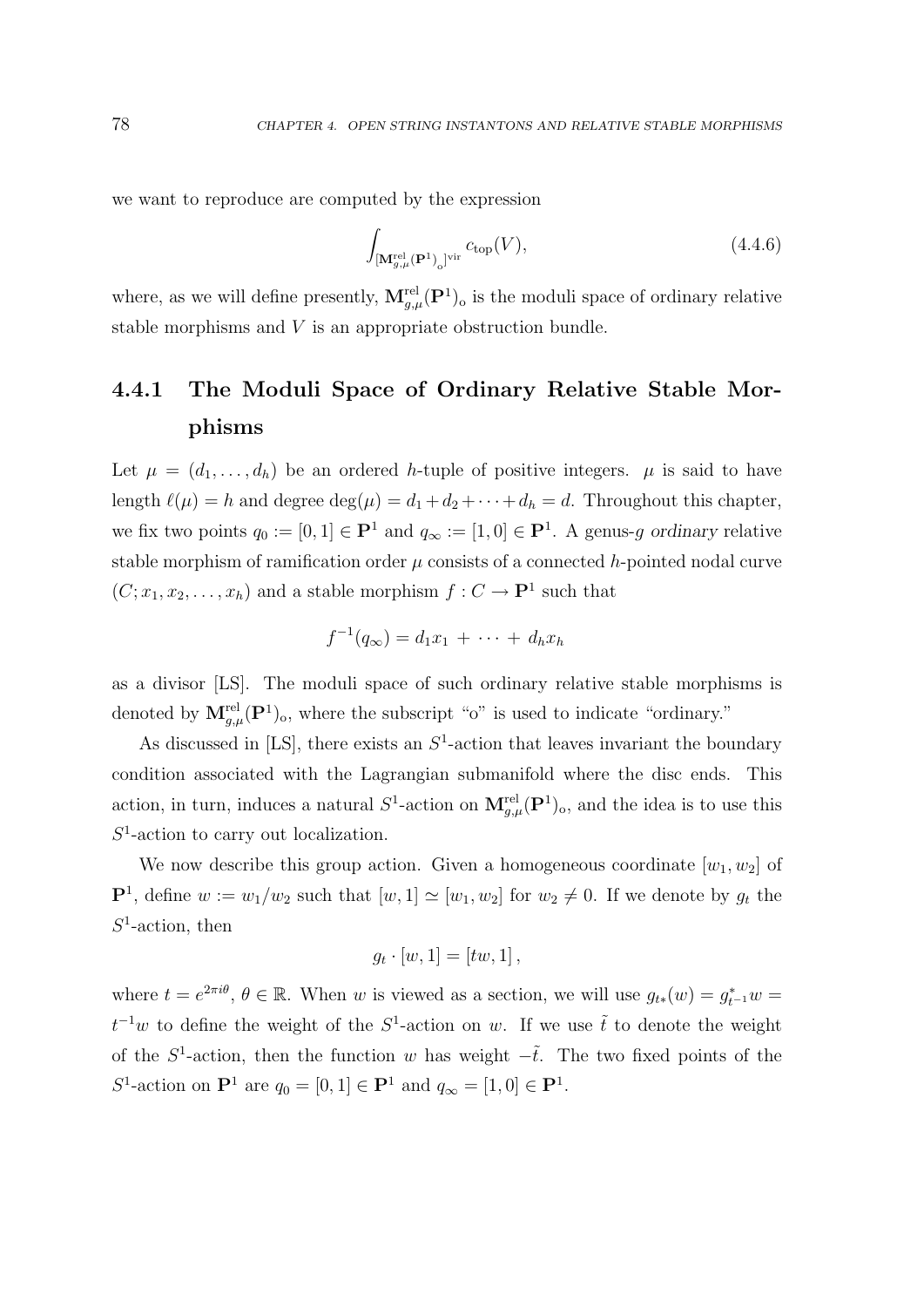we want to reproduce are computed by the expression

$$
\int_{\left[\mathbf{M}_{g,\mu}^{\text{rel}}\left(\mathbf{P}^1\right)_0\right]^{\text{vir}}} c_{\text{top}}(V),\tag{4.4.6}
$$

where, as we will define presently,  $\mathbf{M}_{g,\mu}^{\text{rel}}(\mathbf{P}^1)$  is the moduli space of ordinary relative stable morphisms and V is an appropriate obstruction bundle.

# 4.4.1 The Moduli Space of Ordinary Relative Stable Morphisms

Let  $\mu = (d_1, \ldots, d_h)$  be an ordered h-tuple of positive integers.  $\mu$  is said to have length  $\ell(\mu) = h$  and degree  $\deg(\mu) = d_1 + d_2 + \cdots + d_h = d$ . Throughout this chapter, we fix two points  $q_0 := [0, 1] \in \mathbf{P}^1$  and  $q_\infty := [1, 0] \in \mathbf{P}^1$ . A genus-g ordinary relative stable morphism of ramification order  $\mu$  consists of a connected h-pointed nodal curve  $(C; x_1, x_2, \ldots, x_h)$  and a stable morphism  $f: C \to \mathbf{P}^1$  such that

$$
f^{-1}(q_{\infty})=d_1x_1+\cdots+d_hx_h
$$

as a divisor [LS]. The moduli space of such ordinary relative stable morphisms is denoted by  $\mathbf{M}_{g,\mu}^{\text{rel}}(\mathbf{P}^1)_{\text{o}}$ , where the subscript "o" is used to indicate "ordinary."

As discussed in  $[LS]$ , there exists an  $S<sup>1</sup>$ -action that leaves invariant the boundary condition associated with the Lagrangian submanifold where the disc ends. This action, in turn, induces a natural  $S^1$ -action on  $\mathbf{M}_{g,\mu}^{\text{rel}}(\mathbf{P}^1)$ <sub>o</sub>, and the idea is to use this  $S<sup>1</sup>$ -action to carry out localization.

We now describe this group action. Given a homogeneous coordinate  $[w_1, w_2]$  of  $\mathbf{P}^1$ , define  $w := w_1/w_2$  such that  $[w, 1] \simeq [w_1, w_2]$  for  $w_2 \neq 0$ . If we denote by  $g_t$  the  $S^1$ -action, then

$$
g_t \cdot [w, 1] = [tw, 1],
$$

where  $t = e^{2\pi i\theta}$ ,  $\theta \in \mathbb{R}$ . When w is viewed as a section, we will use  $g_{t*}(w) = g_{t-1}^*w =$  $t^{-1}w$  to define the weight of the  $S^1$ -action on w. If we use  $\tilde{t}$  to denote the weight of the  $S^1$ -action, then the function w has weight  $-\tilde{t}$ . The two fixed points of the S<sup>1</sup>-action on  $\mathbf{P}^1$  are  $q_0 = [0, 1] \in \mathbf{P}^1$  and  $q_\infty = [1, 0] \in \mathbf{P}^1$ .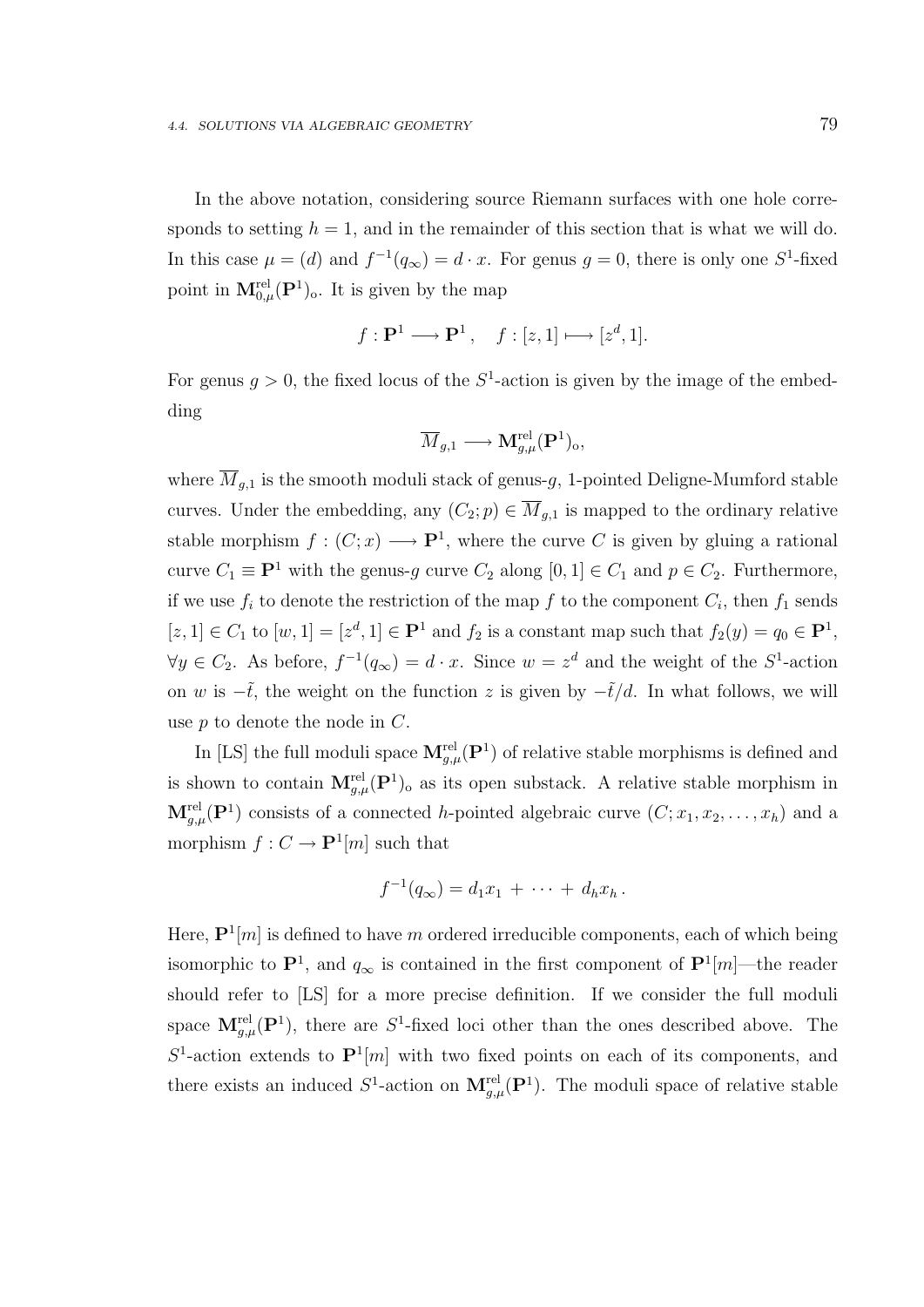In the above notation, considering source Riemann surfaces with one hole corresponds to setting  $h = 1$ , and in the remainder of this section that is what we will do. In this case  $\mu = (d)$  and  $f^{-1}(q_{\infty}) = d \cdot x$ . For genus  $g = 0$ , there is only one  $S^1$ -fixed point in  $\mathbf{M}_{0,\mu}^{\text{rel}}(\mathbf{P}^1)$ . It is given by the map

$$
f: \mathbf{P}^1 \longrightarrow \mathbf{P}^1
$$
,  $f: [z, 1] \longmapsto [z^d, 1]$ .

For genus  $g > 0$ , the fixed locus of the  $S<sup>1</sup>$ -action is given by the image of the embedding

$$
\overline{M}_{g,1} \longrightarrow \mathbf{M}_{g,\mu}^{\mathrm{rel}}(\mathbf{P}^1)_o,
$$

where  $\overline{M}_{g,1}$  is the smooth moduli stack of genus-g, 1-pointed Deligne-Mumford stable curves. Under the embedding, any  $(C_2; p) \in \overline{M}_{g,1}$  is mapped to the ordinary relative stable morphism  $f:(C;x) \longrightarrow \mathbf{P}^1$ , where the curve C is given by gluing a rational curve  $C_1 \equiv \mathbf{P}^1$  with the genus-g curve  $C_2$  along  $[0, 1] \in C_1$  and  $p \in C_2$ . Furthermore, if we use  $f_i$  to denote the restriction of the map f to the component  $C_i$ , then  $f_1$  sends  $[z,1] \in C_1$  to  $[w,1] = [z^d,1] \in \mathbf{P}^1$  and  $f_2$  is a constant map such that  $f_2(y) = q_0 \in \mathbf{P}^1$ ,  $\forall y \in C_2$ . As before,  $f^{-1}(q_\infty) = d \cdot x$ . Since  $w = z^d$  and the weight of the  $S^1$ -action on w is  $-\tilde{t}$ , the weight on the function z is given by  $-\tilde{t}/d$ . In what follows, we will use p to denote the node in C.

In [LS] the full moduli space  $\mathbf{M}^{\text{rel}}_{g,\mu}(\mathbf{P}^1)$  of relative stable morphisms is defined and is shown to contain  $M_{g,\mu}^{\text{rel}}(P^1)$  as its open substack. A relative stable morphism in  $\mathbf{M}_{g,\mu}^{\text{rel}}(\mathbf{P}^1)$  consists of a connected h-pointed algebraic curve  $(C; x_1, x_2, \ldots, x_h)$  and a morphism  $f: C \to \mathbf{P}^1[m]$  such that

$$
f^{-1}(q_{\infty}) = d_1 x_1 + \cdots + d_h x_h.
$$

Here,  $\mathbf{P}^1[m]$  is defined to have m ordered irreducible components, each of which being isomorphic to  $\mathbf{P}^1$ , and  $q_{\infty}$  is contained in the first component of  $\mathbf{P}^1[m]$ —the reader should refer to [LS] for a more precise definition. If we consider the full moduli space  $\mathbf{M}_{g,\mu}^{\text{rel}}(\mathbf{P}^1)$ , there are  $S^1$ -fixed loci other than the ones described above. The  $S^1$ -action extends to  $\mathbf{P}^1[m]$  with two fixed points on each of its components, and there exists an induced  $S^1$ -action on  $\mathbf{M}_{g,\mu}^{rel}(\mathbf{P}^1)$ . The moduli space of relative stable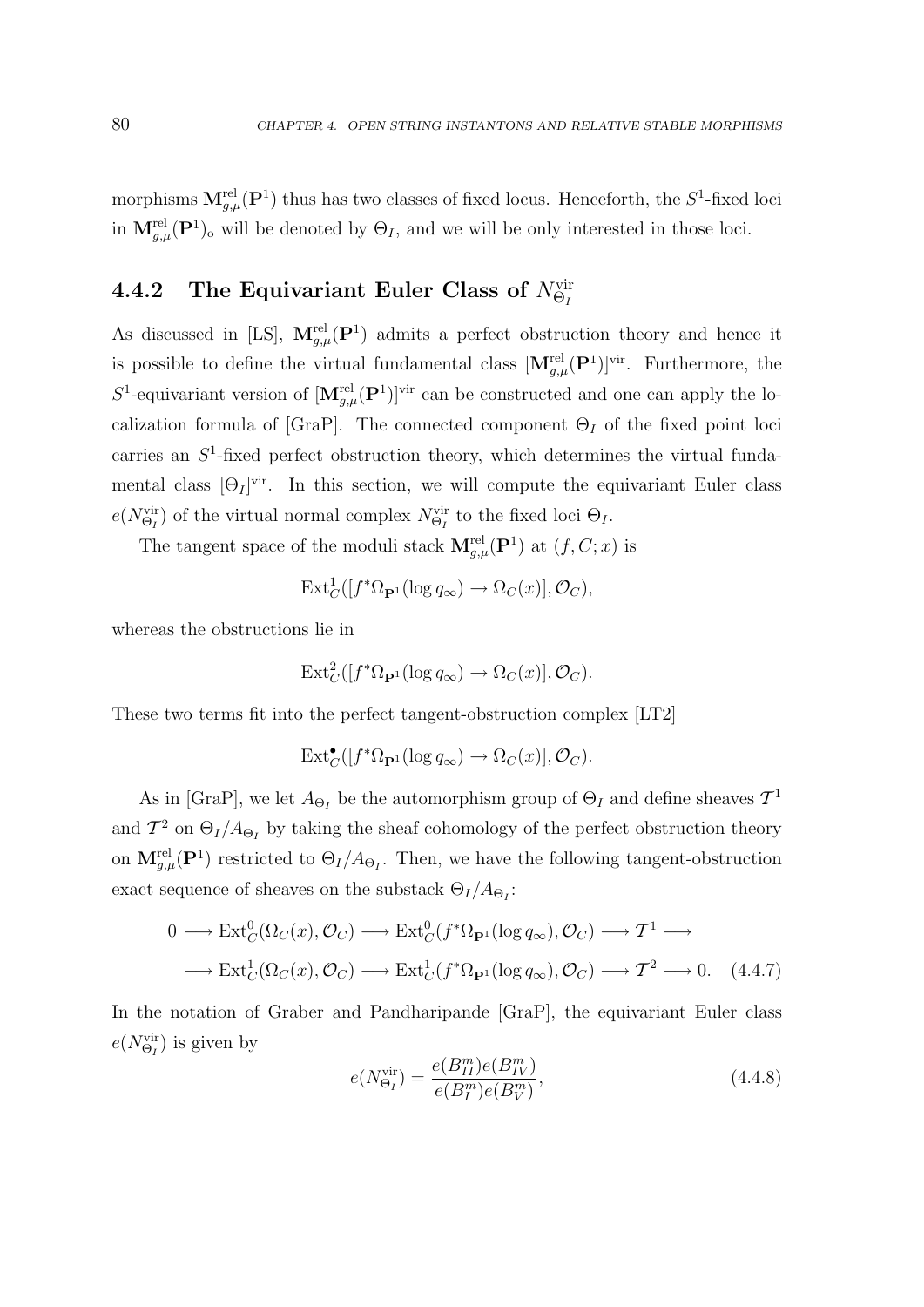morphisms  $M_{g,\mu}^{rel}(P^1)$  thus has two classes of fixed locus. Henceforth, the  $S^1$ -fixed loci in  $\mathbf{M}_{g,\mu}^{\text{rel}}(\mathbf{P}^1)$ <sub>o</sub> will be denoted by  $\Theta_I$ , and we will be only interested in those loci.

# 4.4.2 The Equivariant Euler Class of  $N^{\text{vir}}_{\Theta_I}$

As discussed in [LS],  $\mathbf{M}_{g,\mu}^{\text{rel}}(\mathbf{P}^1)$  admits a perfect obstruction theory and hence it is possible to define the virtual fundamental class  $[M_{g,\mu}^{\text{rel}}(P^1)]^{\text{vir}}$ . Furthermore, the S<sup>1</sup>-equivariant version of  $[\mathbf{M}_{g,\mu}^{\text{rel}}(\mathbf{P}^1)]^{\text{vir}}$  can be constructed and one can apply the localization formula of [GraP]. The connected component  $\Theta_I$  of the fixed point loci carries an  $S<sup>1</sup>$ -fixed perfect obstruction theory, which determines the virtual fundamental class  $[\Theta_I]^{vir}$ . In this section, we will compute the equivariant Euler class  $e(N_{\Theta_I}^{\text{vir}})$  of the virtual normal complex  $N_{\Theta_I}^{\text{vir}}$  to the fixed loci  $\Theta_I$ .

The tangent space of the moduli stack  $\mathbf{M}_{g,\mu}^{\text{rel}}(\mathbf{P}^1)$  at  $(f, C; x)$  is

$$
\mathrm{Ext}^1_C([f^*\Omega_{\mathbf{P}^1}(\log q_\infty) \to \Omega_C(x)], \mathcal{O}_C),
$$

whereas the obstructions lie in

$$
\mathrm{Ext}^2_C([f^*\Omega_{\mathbf{P}^1}(\log q_\infty)\to\Omega_C(x)],\mathcal{O}_C).
$$

These two terms fit into the perfect tangent-obstruction complex [LT2]

 $\text{Ext}^{\bullet}_{C}([f^*\Omega_{\mathbf{P}^1}(\log q_{\infty}) \to \Omega_{C}(x)], \mathcal{O}_{C}).$ 

As in [GraP], we let  $A_{\Theta_I}$  be the automorphism group of  $\Theta_I$  and define sheaves  $\mathcal{T}^1$ and  $\mathcal{T}^2$  on  $\Theta_I/A_{\Theta_I}$  by taking the sheaf cohomology of the perfect obstruction theory on  $\mathbf{M}_{g,\mu}^{\text{rel}}(\mathbf{P}^1)$  restricted to  $\Theta_I/A_{\Theta_I}$ . Then, we have the following tangent-obstruction exact sequence of sheaves on the substack  $\Theta_I/A_{\Theta_I}$ :

$$
0 \longrightarrow \text{Ext}^0_C(\Omega_C(x), \mathcal{O}_C) \longrightarrow \text{Ext}^0_C(f^*\Omega_{\mathbf{P}^1}(\log q_\infty), \mathcal{O}_C) \longrightarrow \mathcal{T}^1 \longrightarrow
$$
  

$$
\longrightarrow \text{Ext}^1_C(\Omega_C(x), \mathcal{O}_C) \longrightarrow \text{Ext}^1_C(f^*\Omega_{\mathbf{P}^1}(\log q_\infty), \mathcal{O}_C) \longrightarrow \mathcal{T}^2 \longrightarrow 0. \quad (4.4.7)
$$

In the notation of Graber and Pandharipande [GraP], the equivariant Euler class  $e(N_{\Theta_I}^{\text{vir}})$  is given by

$$
e(N_{\Theta_I}^{\text{vir}}) = \frac{e(B_{II}^m)e(B_{IV}^m)}{e(B_I^m)e(B_V^m)},
$$
\n(4.4.8)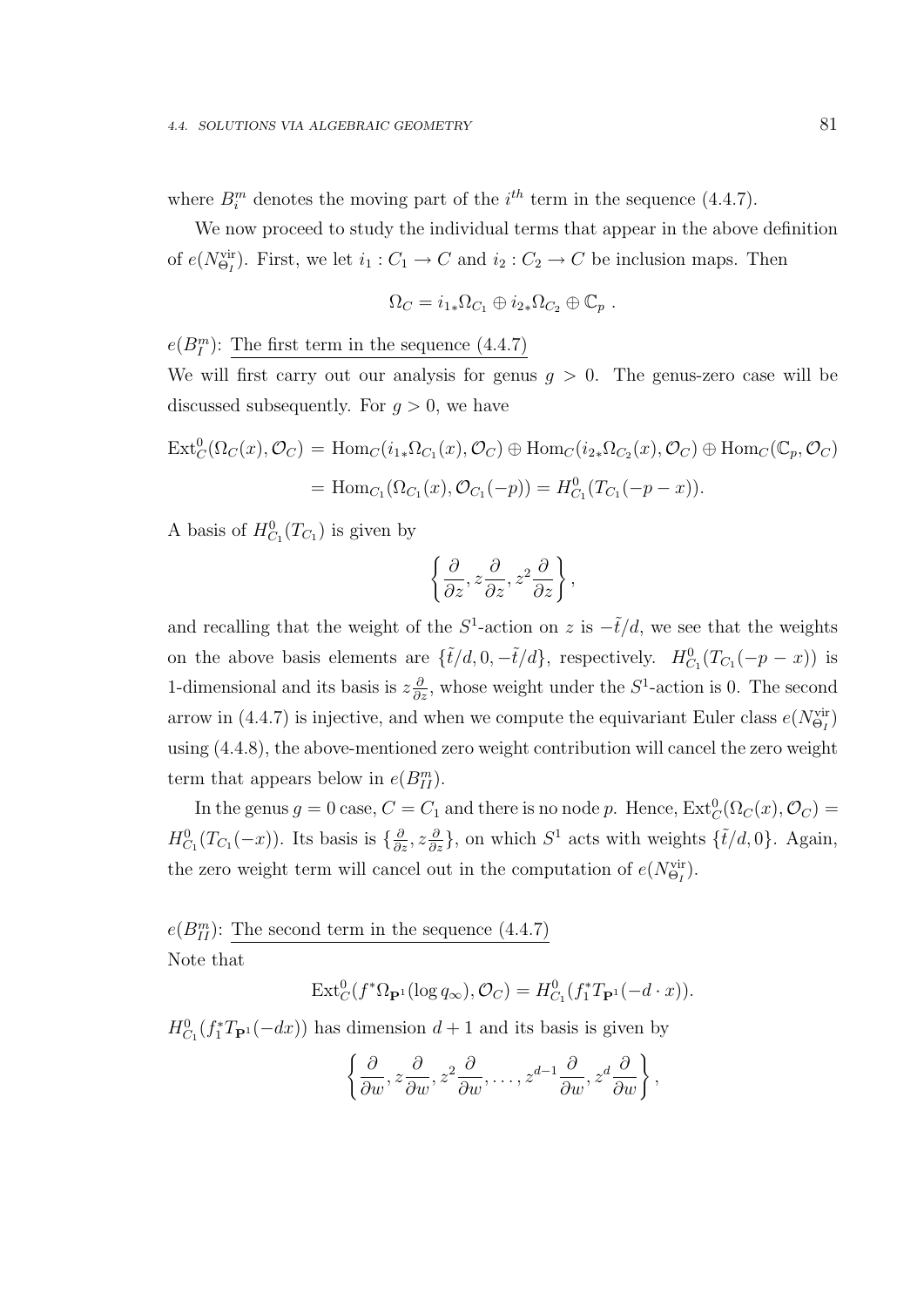where  $B_i^m$  denotes the moving part of the  $i^{th}$  term in the sequence (4.4.7).

We now proceed to study the individual terms that appear in the above definition of  $e(N_{\Theta_I}^{\text{vir}})$ . First, we let  $i_1: C_1 \to C$  and  $i_2: C_2 \to C$  be inclusion maps. Then

$$
\Omega_C = i_{1*}\Omega_{C_1} \oplus i_{2*}\Omega_{C_2} \oplus \mathbb{C}_p .
$$

 $e(B_I^m)$ : The first term in the sequence (4.4.7)

We will first carry out our analysis for genus  $g > 0$ . The genus-zero case will be discussed subsequently. For  $g > 0$ , we have

$$
\operatorname{Ext}^0_C(\Omega_C(x), \mathcal{O}_C) = \operatorname{Hom}_C(i_{1*}\Omega_{C_1}(x), \mathcal{O}_C) \oplus \operatorname{Hom}_C(i_{2*}\Omega_{C_2}(x), \mathcal{O}_C) \oplus \operatorname{Hom}_C(\mathbb{C}_p, \mathcal{O}_C)
$$
  
= 
$$
\operatorname{Hom}_{C_1}(\Omega_{C_1}(x), \mathcal{O}_{C_1}(-p)) = H^0_{C_1}(T_{C_1}(-p-x)).
$$

A basis of  $H_{C_1}^0(T_{C_1})$  is given by

$$
\left\{\frac{\partial}{\partial z}, z\frac{\partial}{\partial z}, z^2\frac{\partial}{\partial z}\right\},\
$$

and recalling that the weight of the  $S^1$ -action on z is  $-\tilde{t}/d$ , we see that the weights on the above basis elements are  $\{\tilde{t}/d, 0, -\tilde{t}/d\}$ , respectively.  $H_{C_1}^0(T_{C_1}(-p-x))$  is 1-dimensional and its basis is  $z\frac{\partial}{\partial z}$ , whose weight under the  $S^1$ -action is 0. The second arrow in (4.4.7) is injective, and when we compute the equivariant Euler class  $e(N_{\Theta_I}^{vir})$ using (4.4.8), the above-mentioned zero weight contribution will cancel the zero weight term that appears below in  $e(B_{II}^m)$ .

In the genus  $g = 0$  case,  $C = C_1$  and there is no node p. Hence,  $\text{Ext}^0_C(\Omega_C(x), \mathcal{O}_C) =$  $H_{C_1}^0(T_{C_1}(-x))$ . Its basis is  $\{\frac{\partial}{\partial z}, z\frac{\partial}{\partial z}\}$ , on which  $S^1$  acts with weights  $\{\tilde{t}/d, 0\}$ . Again, the zero weight term will cancel out in the computation of  $e(N_{\Theta_I}^{\text{vir}})$ .

 $e(B_{II}^m)$ : The second term in the sequence  $(4.4.7)$ Note that

$$
\operatorname{Ext}^0_C(f^*\Omega_{\mathbf{P}^1}(\log q_\infty), \mathcal{O}_C) = H^0_{C_1}(f_1^*T_{\mathbf{P}^1}(-d \cdot x)).
$$

 $H_{C_1}^0(f_1^*T_{\mathbf{P}^1}(-dx))$  has dimension  $d+1$  and its basis is given by

$$
\left\{\frac{\partial}{\partial w}, z\frac{\partial}{\partial w}, z^2\frac{\partial}{\partial w}, \dots, z^{d-1}\frac{\partial}{\partial w}, z^d\frac{\partial}{\partial w}\right\},\
$$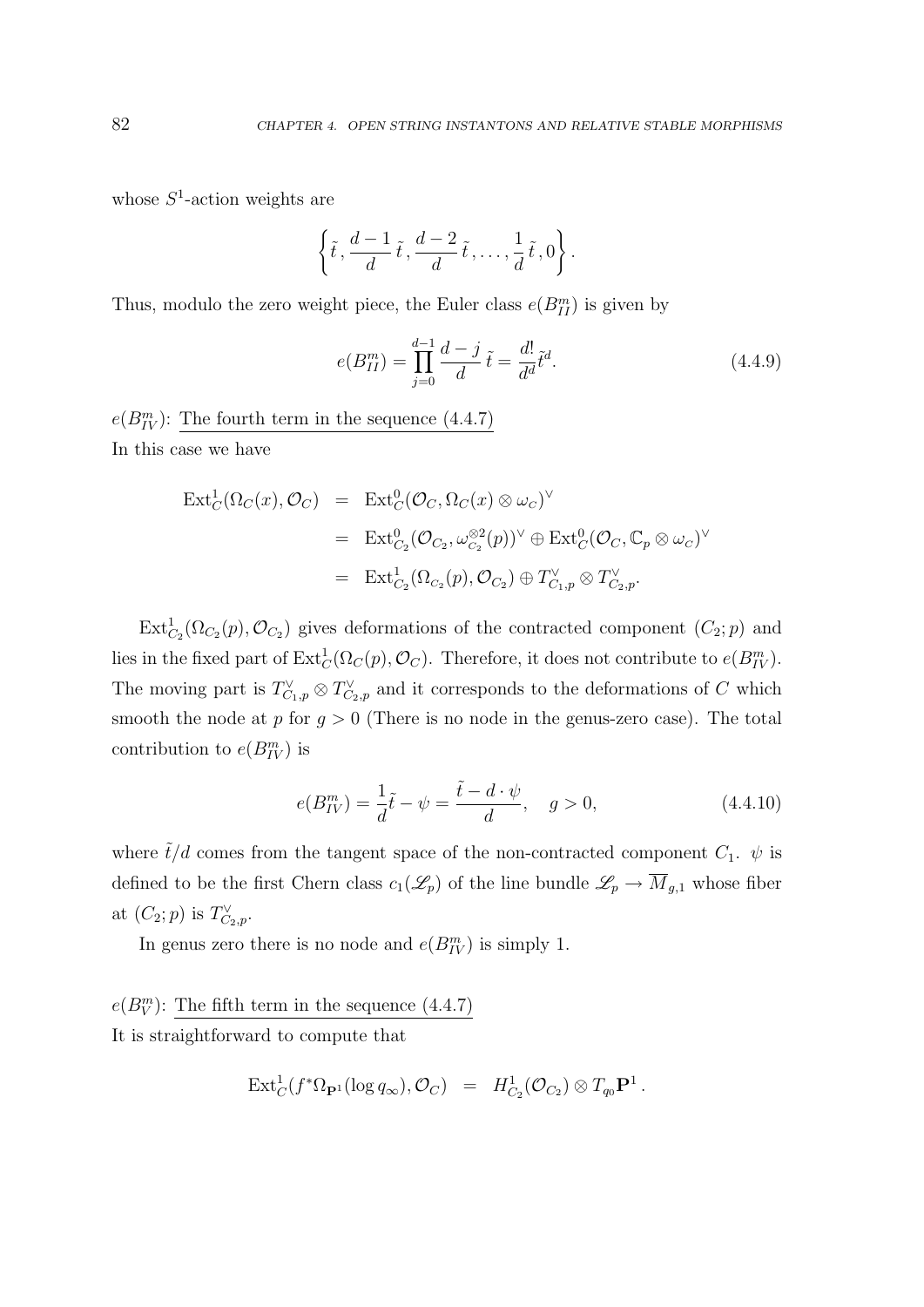whose  $S^1$ -action weights are

$$
\left\{\tilde{t},\frac{d-1}{d}\tilde{t},\frac{d-2}{d}\tilde{t},\ldots,\frac{1}{d}\tilde{t},0\right\}.
$$

Thus, modulo the zero weight piece, the Euler class  $e(B_{II}^m)$  is given by

$$
e(B_{II}^m) = \prod_{j=0}^{d-1} \frac{d-j}{d} \tilde{t} = \frac{d!}{d^d} \tilde{t}^d.
$$
 (4.4.9)

 $e(B_{IV}^m)$ : The fourth term in the sequence (4.4.7) In this case we have

$$
\begin{array}{rcl}\n\operatorname{Ext}^1_C(\Omega_C(x), \mathcal{O}_C) & = & \operatorname{Ext}^0_C(\mathcal{O}_C, \Omega_C(x) \otimes \omega_C)^\vee \\
& = & \operatorname{Ext}^0_{C_2}(\mathcal{O}_{C_2}, \omega_{C_2}^{\otimes 2}(p))^\vee \oplus \operatorname{Ext}^0_C(\mathcal{O}_C, \mathbb{C}_p \otimes \omega_C)^\vee \\
& = & \operatorname{Ext}^1_{C_2}(\Omega_{C_2}(p), \mathcal{O}_{C_2}) \oplus T_{C_1, p}^\vee \otimes T_{C_2, p}^\vee.\n\end{array}
$$

 $\text{Ext}^1_{C_2}(\Omega_{C_2}(p), \mathcal{O}_{C_2})$  gives deformations of the contracted component  $(C_2; p)$  and lies in the fixed part of  $\text{Ext}^1_C(\Omega_C(p), \mathcal{O}_C)$ . Therefore, it does not contribute to  $e(B^m_{IV})$ . The moving part is  $T_{C_1,p}^{\vee} \otimes T_{C_2,p}^{\vee}$  and it corresponds to the deformations of C which smooth the node at  $p$  for  $g > 0$  (There is no node in the genus-zero case). The total contribution to  $e(B_{IV}^m)$  is

$$
e(B_{IV}^{m}) = \frac{1}{d}\tilde{t} - \psi = \frac{\tilde{t} - d \cdot \psi}{d}, \quad g > 0,
$$
\n(4.4.10)

where  $\tilde{t}/d$  comes from the tangent space of the non-contracted component  $C_1$ .  $\psi$  is defined to be the first Chern class  $c_1(\mathscr{L}_p)$  of the line bundle  $\mathscr{L}_p \to \overline{M}_{g,1}$  whose fiber at  $(C_2; p)$  is  $T_{C_2,p}^{\vee}$ .

In genus zero there is no node and  $e(B_{IV}^m)$  is simply 1.

 $e(B_V^m)$ : The fifth term in the sequence (4.4.7) It is straightforward to compute that

$$
\mathrm{Ext}^1_C(f^*\Omega_{\mathbf{P}^1}(\log q_\infty), \mathcal{O}_C) = H^1_{C_2}(\mathcal{O}_{C_2}) \otimes T_{q_0}\mathbf{P}^1.
$$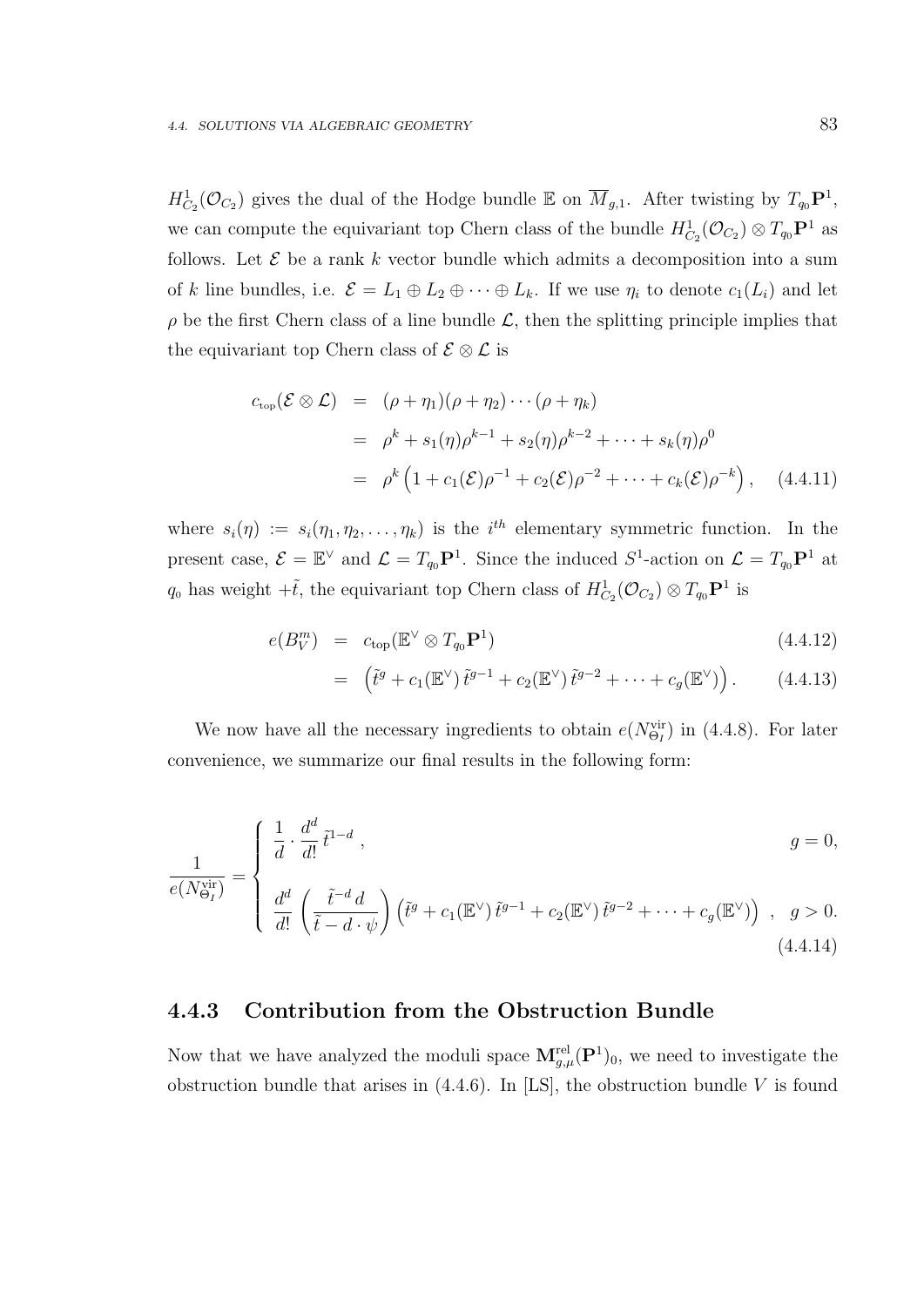$H^1_{C_2}(\mathcal{O}_{C_2})$  gives the dual of the Hodge bundle  $\mathbb E$  on  $\overline{M}_{g,1}$ . After twisting by  $T_{q_0}\mathbf{P}^1$ , we can compute the equivariant top Chern class of the bundle  $H^1_{C_2}(\mathcal{O}_{C_2}) \otimes T_{q_0} \mathbf{P}^1$  as follows. Let  $\mathcal E$  be a rank k vector bundle which admits a decomposition into a sum of k line bundles, i.e.  $\mathcal{E} = L_1 \oplus L_2 \oplus \cdots \oplus L_k$ . If we use  $\eta_i$  to denote  $c_1(L_i)$  and let  $\rho$  be the first Chern class of a line bundle  $\mathcal{L}$ , then the splitting principle implies that the equivariant top Chern class of  $\mathcal{E} \otimes \mathcal{L}$  is

$$
c_{\text{top}}(\mathcal{E} \otimes \mathcal{L}) = (\rho + \eta_1)(\rho + \eta_2) \cdots (\rho + \eta_k)
$$
  
=  $\rho^k + s_1(\eta)\rho^{k-1} + s_2(\eta)\rho^{k-2} + \cdots + s_k(\eta)\rho^0$   
=  $\rho^k (1 + c_1(\mathcal{E})\rho^{-1} + c_2(\mathcal{E})\rho^{-2} + \cdots + c_k(\mathcal{E})\rho^{-k}),$  (4.4.11)

where  $s_i(\eta) := s_i(\eta_1, \eta_2, \dots, \eta_k)$  is the i<sup>th</sup> elementary symmetric function. In the present case,  $\mathcal{E} = \mathbb{E}^{\vee}$  and  $\mathcal{L} = T_{q_0} \mathbf{P}^1$ . Since the induced  $S^1$ -action on  $\mathcal{L} = T_{q_0} \mathbf{P}^1$  at  $q_0$  has weight  $+\tilde{t}$ , the equivariant top Chern class of  $H^1_{C_2}(\mathcal{O}_{C_2}) \otimes T_{q_0} \mathbf{P}^1$  is

$$
e(B_V^m) = c_{\text{top}}(\mathbb{E}^{\vee} \otimes T_{q_0} \mathbf{P}^1) \tag{4.4.12}
$$

$$
= \left(\tilde{t}^g + c_1(\mathbb{E}^\vee)\,\tilde{t}^{g-1} + c_2(\mathbb{E}^\vee)\,\tilde{t}^{g-2} + \cdots + c_g(\mathbb{E}^\vee)\right). \tag{4.4.13}
$$

We now have all the necessary ingredients to obtain  $e(N_{\Theta_I}^{vir})$  in (4.4.8). For later convenience, we summarize our final results in the following form:

$$
\frac{1}{e(N_{\Theta_I}^{\text{vir}})} = \begin{cases} \frac{1}{d} \cdot \frac{d^d}{d!} \tilde{t}^{1-d} , & g = 0, \\ \frac{d^d}{d!} \left( \frac{\tilde{t}^{-d} d}{\tilde{t} - d \cdot \psi} \right) \left( \tilde{t}^g + c_1(\mathbb{E}^\vee) \tilde{t}^{g-1} + c_2(\mathbb{E}^\vee) \tilde{t}^{g-2} + \dots + c_g(\mathbb{E}^\vee) \right) , & g > 0. \end{cases}
$$
\n(4.4.14)

#### 4.4.3 Contribution from the Obstruction Bundle

Now that we have analyzed the moduli space  $\mathbf{M}_{g,\mu}^{\text{rel}}(\mathbf{P}^1)_0$ , we need to investigate the obstruction bundle that arises in  $(4.4.6)$ . In [LS], the obstruction bundle V is found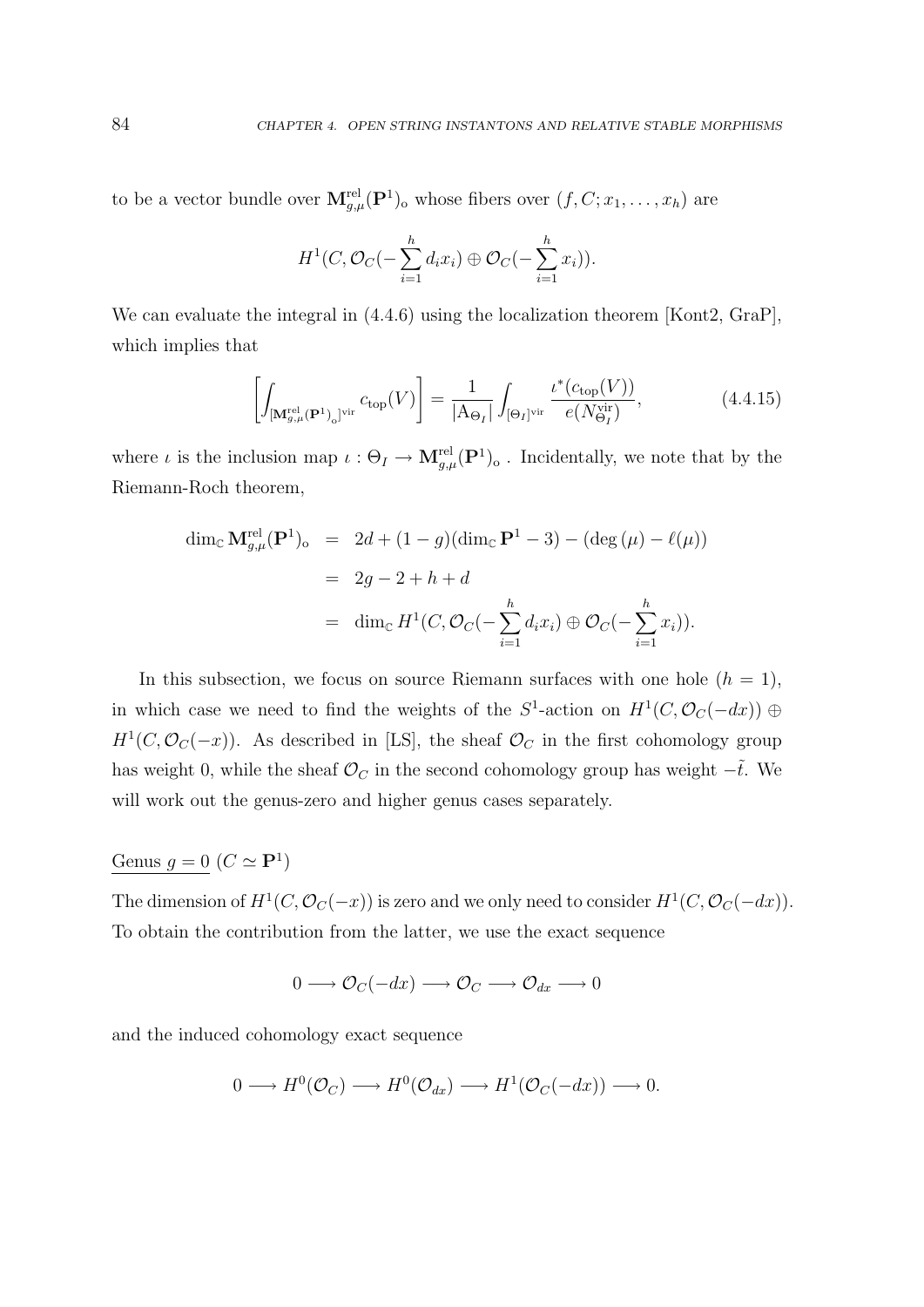to be a vector bundle over  $\mathbf{M}_{g,\mu}^{\text{rel}}(\mathbf{P}^1)$  whose fibers over  $(f, C; x_1, \ldots, x_h)$  are

$$
H^1(C, \mathcal{O}_C(-\sum_{i=1}^h d_i x_i) \oplus \mathcal{O}_C(-\sum_{i=1}^h x_i)).
$$

We can evaluate the integral in  $(4.4.6)$  using the localization theorem [Kont2, GraP], which implies that

$$
\left[\int_{\left[\mathbf{M}_{g,\mu}^{\text{rel}}\left(\mathbf{P}^1\right)_0\right]^{\text{vir}}} c_{\text{top}}(V)\right] = \frac{1}{\left|\mathbf{A}_{\Theta_I}\right|} \int_{\left[\Theta_I\right]^{\text{vir}}} \frac{\iota^*(c_{\text{top}}(V))}{e(N_{\Theta_I}^{\text{vir}})},\tag{4.4.15}
$$

where  $\iota$  is the inclusion map  $\iota: \Theta_I \to \mathbf{M}^{\text{rel}}_{g,\mu}(\mathbf{P}^1)_{\text{o}}$ . Incidentally, we note that by the Riemann-Roch theorem,

$$
\dim_{\mathbb{C}} \mathbf{M}_{g,\mu}^{\text{rel}}(\mathbf{P}^1)_o = 2d + (1 - g)(\dim_{\mathbb{C}} \mathbf{P}^1 - 3) - (\deg(\mu) - \ell(\mu))
$$
  
= 2g - 2 + h + d  
= \dim\_{\mathbb{C}} H^1(C, \mathcal{O}\_C(-\sum\_{i=1}^h d\_i x\_i) \oplus \mathcal{O}\_C(-\sum\_{i=1}^h x\_i)).

In this subsection, we focus on source Riemann surfaces with one hole  $(h = 1)$ , in which case we need to find the weights of the  $S^1$ -action on  $H^1(C, \mathcal{O}_C(-dx)) \oplus$  $H<sup>1</sup>(C, \mathcal{O}_C(-x))$ . As described in [LS], the sheaf  $\mathcal{O}_C$  in the first cohomology group has weight 0, while the sheaf  $\mathcal{O}_C$  in the second cohomology group has weight  $-\tilde{t}$ . We will work out the genus-zero and higher genus cases separately.

#### Genus  $g = 0 \ (C \simeq \mathbf{P}^1)$

The dimension of  $H^1(C, \mathcal{O}_C(-x))$  is zero and we only need to consider  $H^1(C, \mathcal{O}_C(-dx))$ . To obtain the contribution from the latter, we use the exact sequence

 $0 \longrightarrow \mathcal{O}_C(-dx) \longrightarrow \mathcal{O}_C \longrightarrow \mathcal{O}_{dx} \longrightarrow 0$ 

and the induced cohomology exact sequence

$$
0 \longrightarrow H^0(\mathcal{O}_C) \longrightarrow H^0(\mathcal{O}_{dx}) \longrightarrow H^1(\mathcal{O}_C(-dx)) \longrightarrow 0.
$$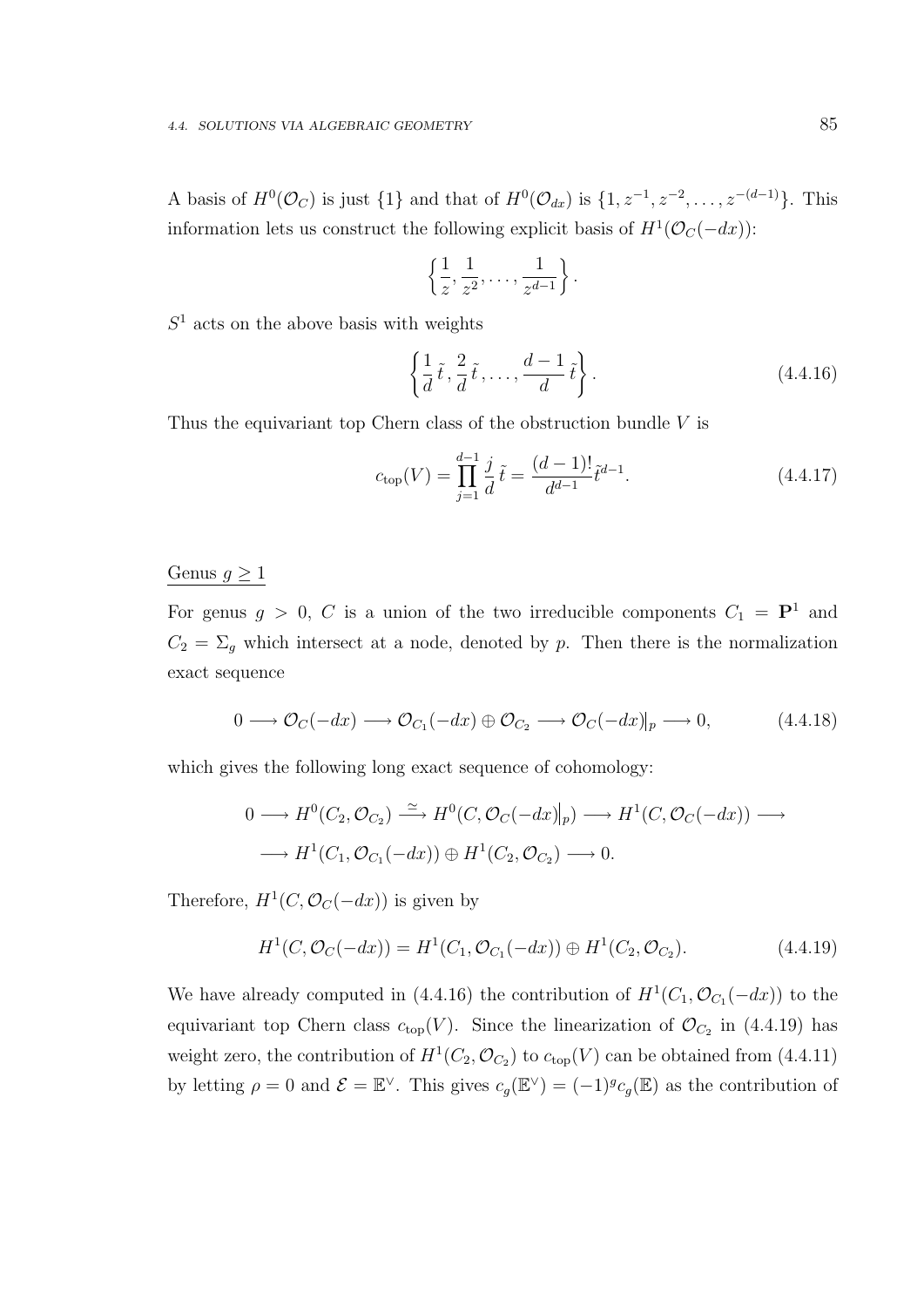A basis of  $H^0(\mathcal{O}_C)$  is just  $\{1\}$  and that of  $H^0(\mathcal{O}_{dx})$  is  $\{1, z^{-1}, z^{-2}, \ldots, z^{-(d-1)}\}$ . This information lets us construct the following explicit basis of  $H^1(\mathcal{O}_C(-dx))$ :

$$
\left\{\frac{1}{z},\frac{1}{z^2},\ldots,\frac{1}{z^{d-1}}\right\}.
$$

 $S<sup>1</sup>$  acts on the above basis with weights

$$
\left\{\frac{1}{d}\tilde{t}, \frac{2}{d}\tilde{t}, \dots, \frac{d-1}{d}\tilde{t}\right\}.
$$
\n(4.4.16)

Thus the equivariant top Chern class of the obstruction bundle  $V$  is

$$
c_{\text{top}}(V) = \prod_{j=1}^{d-1} \frac{j}{d} \tilde{t} = \frac{(d-1)!}{d^{d-1}} \tilde{t}^{d-1}.
$$
 (4.4.17)

#### Genus  $g \geq 1$

For genus  $g > 0$ , C is a union of the two irreducible components  $C_1 = \mathbf{P}^1$  and  $C_2 = \Sigma_g$  which intersect at a node, denoted by p. Then there is the normalization exact sequence

$$
0 \longrightarrow \mathcal{O}_C(-dx) \longrightarrow \mathcal{O}_{C_1}(-dx) \oplus \mathcal{O}_{C_2} \longrightarrow \mathcal{O}_C(-dx)|_p \longrightarrow 0,
$$
 (4.4.18)

which gives the following long exact sequence of cohomology:

$$
0 \longrightarrow H^0(C_2, \mathcal{O}_{C_2}) \xrightarrow{\simeq} H^0(C, \mathcal{O}_C(-dx)|_p) \longrightarrow H^1(C, \mathcal{O}_C(-dx)) \longrightarrow
$$
  

$$
\longrightarrow H^1(C_1, \mathcal{O}_{C_1}(-dx)) \oplus H^1(C_2, \mathcal{O}_{C_2}) \longrightarrow 0.
$$

Therefore,  $H^1(C, \mathcal{O}_C(-dx))$  is given by

$$
H1(C, \mathcal{O}_C(-dx)) = H1(C_1, \mathcal{O}_{C_1}(-dx)) \oplus H1(C_2, \mathcal{O}_{C_2}).
$$
\n(4.4.19)

We have already computed in (4.4.16) the contribution of  $H^1(C_1, \mathcal{O}_{C_1}(-dx))$  to the equivariant top Chern class  $c_{top}(V)$ . Since the linearization of  $\mathcal{O}_{C_2}$  in (4.4.19) has weight zero, the contribution of  $H^1(C_2, \mathcal{O}_{C_2})$  to  $c_{top}(V)$  can be obtained from (4.4.11) by letting  $\rho = 0$  and  $\mathcal{E} = \mathbb{E}^{\vee}$ . This gives  $c_g(\mathbb{E}^{\vee}) = (-1)^g c_g(\mathbb{E})$  as the contribution of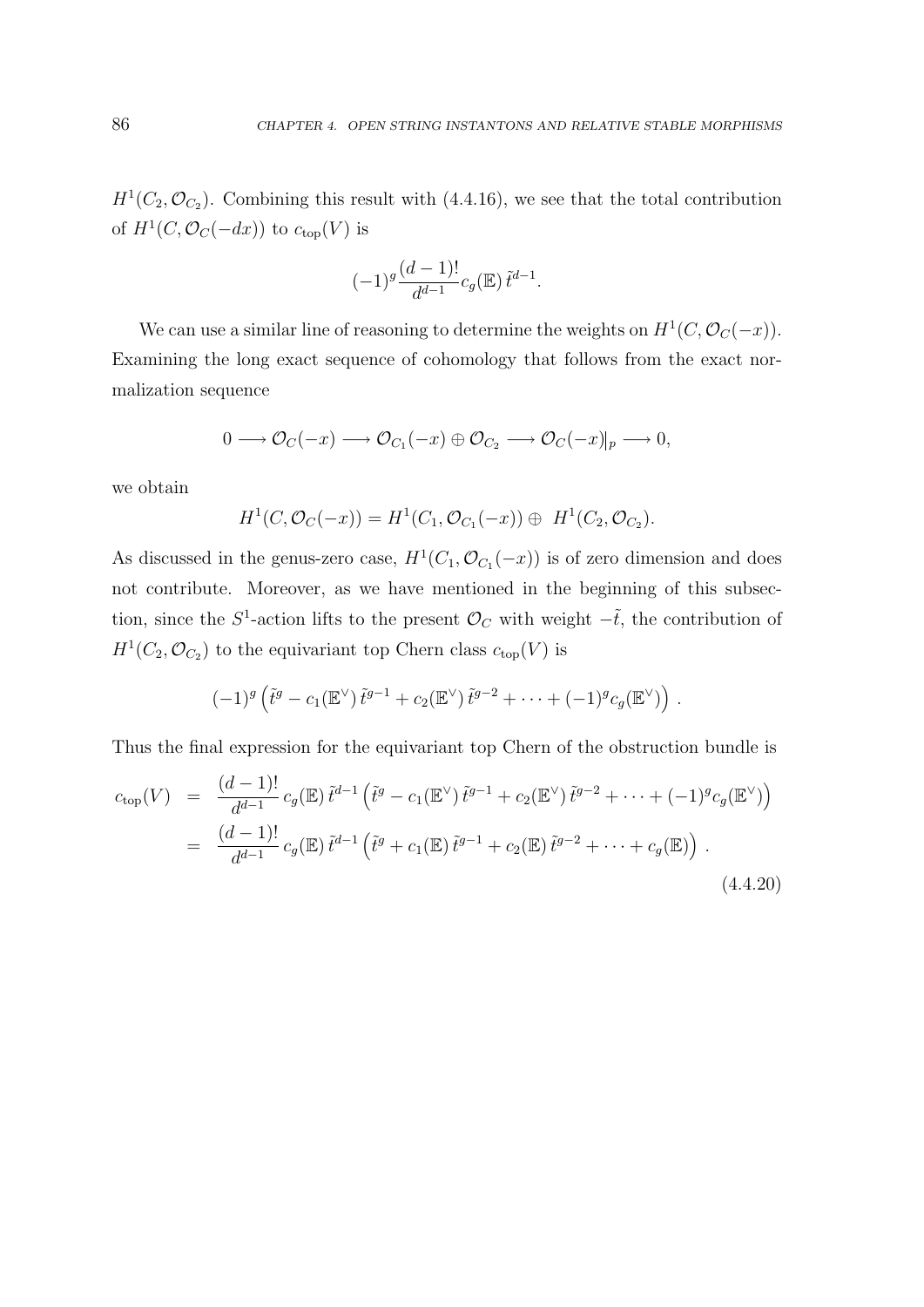$H<sup>1</sup>(C_2, \mathcal{O}_{C_2})$ . Combining this result with (4.4.16), we see that the total contribution of  $H^1(C, \mathcal{O}_C(-dx))$  to  $c_{top}(V)$  is

$$
(-1)^{g} \frac{(d-1)!}{d^{d-1}} c_g(\mathbb{E}) \tilde{t}^{d-1}.
$$

We can use a similar line of reasoning to determine the weights on  $H^1(C, \mathcal{O}_C(-x))$ . Examining the long exact sequence of cohomology that follows from the exact normalization sequence

$$
0 \longrightarrow \mathcal{O}_C(-x) \longrightarrow \mathcal{O}_{C_1}(-x) \oplus \mathcal{O}_{C_2} \longrightarrow \mathcal{O}_C(-x)|_p \longrightarrow 0,
$$

we obtain

$$
H^1(C, \mathcal{O}_C(-x)) = H^1(C_1, \mathcal{O}_{C_1}(-x)) \oplus H^1(C_2, \mathcal{O}_{C_2}).
$$

As discussed in the genus-zero case,  $H^1(C_1, \mathcal{O}_{C_1}(-x))$  is of zero dimension and does not contribute. Moreover, as we have mentioned in the beginning of this subsection, since the S<sup>1</sup>-action lifts to the present  $\mathcal{O}_C$  with weight  $-\tilde{t}$ , the contribution of  $H^1(C_2, \mathcal{O}_{C_2})$  to the equivariant top Chern class  $c_{top}(V)$  is

$$
(-1)^g\left(\tilde{t}^g-c_1(\mathbb{E}^{\vee})\,\tilde{t}^{g-1}+c_2(\mathbb{E}^{\vee})\,\tilde{t}^{g-2}+\cdots+(-1)^g c_g(\mathbb{E}^{\vee})\right).
$$

Thus the final expression for the equivariant top Chern of the obstruction bundle is

$$
c_{\text{top}}(V) = \frac{(d-1)!}{d^{d-1}} c_g(\mathbb{E}) \tilde{t}^{d-1} \left( \tilde{t}^g - c_1(\mathbb{E}^{\vee}) \tilde{t}^{g-1} + c_2(\mathbb{E}^{\vee}) \tilde{t}^{g-2} + \dots + (-1)^g c_g(\mathbb{E}^{\vee}) \right)
$$
  
= 
$$
\frac{(d-1)!}{d^{d-1}} c_g(\mathbb{E}) \tilde{t}^{d-1} \left( \tilde{t}^g + c_1(\mathbb{E}) \tilde{t}^{g-1} + c_2(\mathbb{E}) \tilde{t}^{g-2} + \dots + c_g(\mathbb{E}) \right).
$$
 (4.4.20)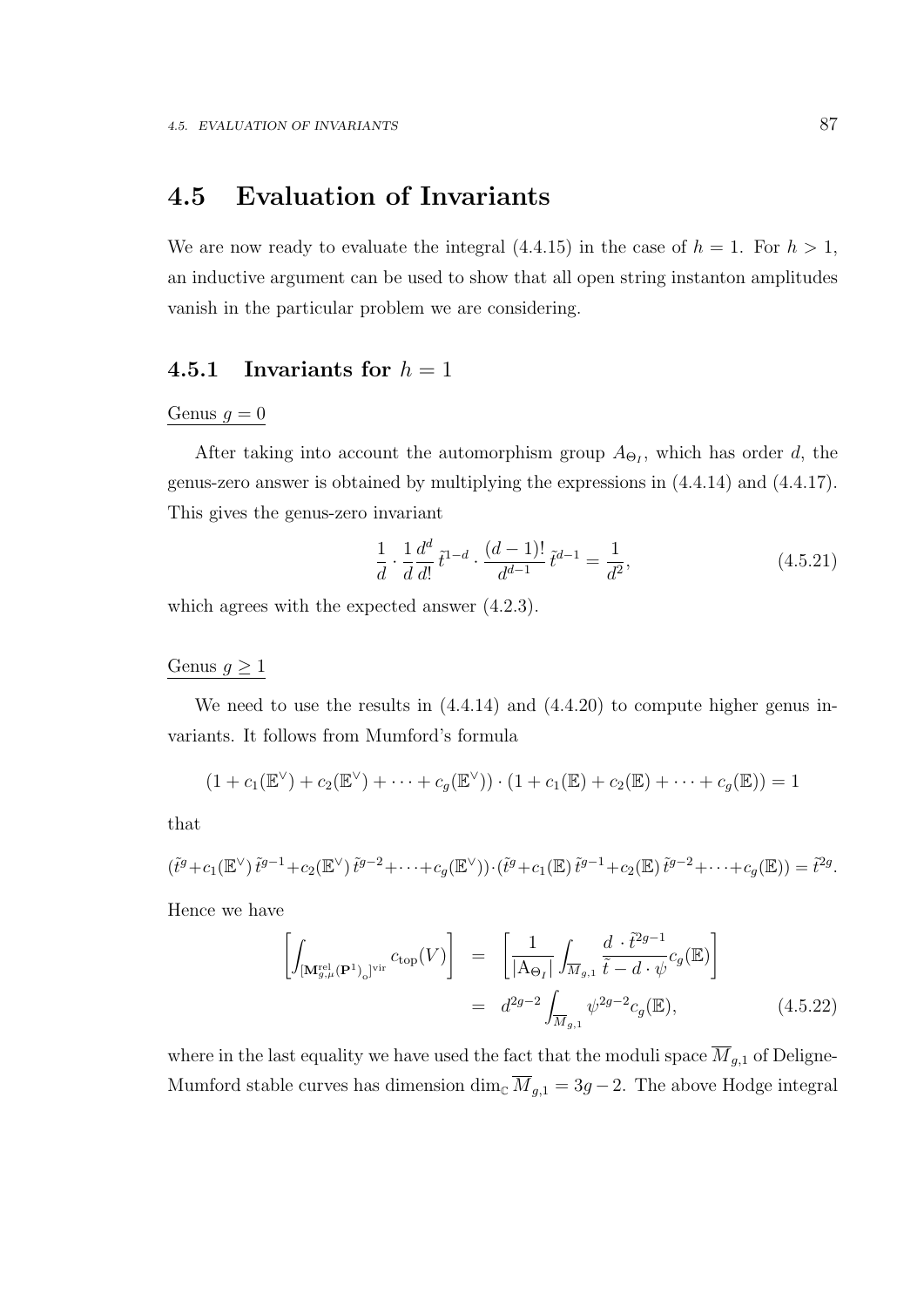### 4.5 Evaluation of Invariants

We are now ready to evaluate the integral  $(4.4.15)$  in the case of  $h = 1$ . For  $h > 1$ , an inductive argument can be used to show that all open string instanton amplitudes vanish in the particular problem we are considering.

#### 4.5.1 Invariants for  $h = 1$

#### Genus  $g = 0$

After taking into account the automorphism group  $A_{\Theta_I}$ , which has order d, the genus-zero answer is obtained by multiplying the expressions in (4.4.14) and (4.4.17). This gives the genus-zero invariant

$$
\frac{1}{d} \cdot \frac{1}{d} \frac{d^d}{d!} \tilde{t}^{1-d} \cdot \frac{(d-1)!}{d^{d-1}} \tilde{t}^{d-1} = \frac{1}{d^2},\tag{4.5.21}
$$

which agrees with the expected answer (4.2.3).

#### Genus  $g \geq 1$

We need to use the results in  $(4.4.14)$  and  $(4.4.20)$  to compute higher genus invariants. It follows from Mumford's formula

$$
(1 + c_1(\mathbb{E}^{\vee}) + c_2(\mathbb{E}^{\vee}) + \cdots + c_g(\mathbb{E}^{\vee})) \cdot (1 + c_1(\mathbb{E}) + c_2(\mathbb{E}) + \cdots + c_g(\mathbb{E})) = 1
$$

that

$$
(\tilde{t}^g + c_1(\mathbb{E}^{\vee}) \tilde{t}^{g-1} + c_2(\mathbb{E}^{\vee}) \tilde{t}^{g-2} + \cdots + c_g(\mathbb{E}^{\vee})) \cdot (\tilde{t}^g + c_1(\mathbb{E}) \tilde{t}^{g-1} + c_2(\mathbb{E}) \tilde{t}^{g-2} + \cdots + c_g(\mathbb{E})) = \tilde{t}^{2g}.
$$

Hence we have

$$
\left[\int_{\left[\mathbf{M}_{g,\mu}^{\text{rel}}\left(\mathbf{P}^1\right)_0\right]^{\text{vir}}} c_{\text{top}}(V)\right] = \left[\frac{1}{\left|\mathbf{A}_{\Theta_I}\right|} \int_{\overline{M}_{g,1}} \frac{d \cdot \tilde{t}^{2g-1}}{\tilde{t} - d \cdot \psi} c_g(\mathbb{E})\right]
$$
\n
$$
= d^{2g-2} \int_{\overline{M}_{g,1}} \psi^{2g-2} c_g(\mathbb{E}), \tag{4.5.22}
$$

where in the last equality we have used the fact that the moduli space  $\overline{M}_{g,1}$  of Deligne-Mumford stable curves has dimension dim<sub>C</sub>  $\overline{M}_{g,1} = 3g - 2$ . The above Hodge integral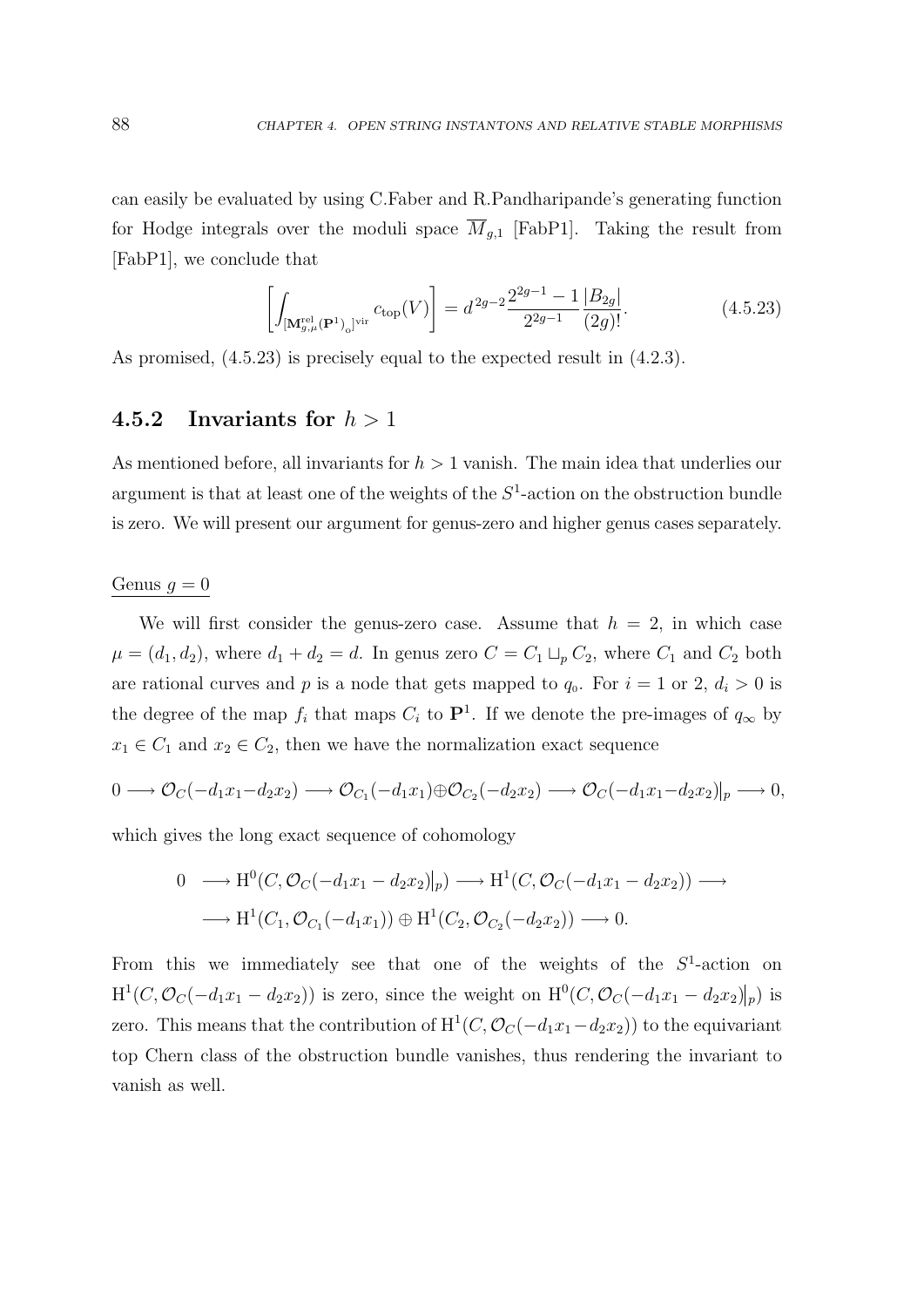can easily be evaluated by using C.Faber and R.Pandharipande's generating function for Hodge integrals over the moduli space  $\overline{M}_{a,1}$  [FabP1]. Taking the result from [FabP1], we conclude that

$$
\left[\int_{\left[\mathbf{M}_{g,\mu}^{\text{rel}}\left(\mathbf{P}^1\right)_o\right]^{\text{vir}}} c_{\text{top}}(V)\right] = d^{2g-2} \frac{2^{2g-1}-1}{2^{2g-1}} \frac{|B_{2g}|}{(2g)!}.
$$
\n(4.5.23)

As promised, (4.5.23) is precisely equal to the expected result in (4.2.3).

#### 4.5.2 Invariants for  $h > 1$

As mentioned before, all invariants for  $h > 1$  vanish. The main idea that underlies our argument is that at least one of the weights of the  $S<sup>1</sup>$ -action on the obstruction bundle is zero. We will present our argument for genus-zero and higher genus cases separately.

#### Genus  $g = 0$

We will first consider the genus-zero case. Assume that  $h = 2$ , in which case  $\mu = (d_1, d_2)$ , where  $d_1 + d_2 = d$ . In genus zero  $C = C_1 \sqcup_p C_2$ , where  $C_1$  and  $C_2$  both are rational curves and p is a node that gets mapped to  $q_0$ . For  $i = 1$  or 2,  $d_i > 0$  is the degree of the map  $f_i$  that maps  $C_i$  to  $\mathbf{P}^1$ . If we denote the pre-images of  $q_{\infty}$  by  $x_1 \in C_1$  and  $x_2 \in C_2$ , then we have the normalization exact sequence

$$
0 \longrightarrow \mathcal{O}_C(-d_1x_1 - d_2x_2) \longrightarrow \mathcal{O}_{C_1}(-d_1x_1) \oplus \mathcal{O}_{C_2}(-d_2x_2) \longrightarrow \mathcal{O}_C(-d_1x_1 - d_2x_2)|_p \longrightarrow 0,
$$

which gives the long exact sequence of cohomology

$$
0 \longrightarrow H^0(C, \mathcal{O}_C(-d_1x_1 - d_2x_2)|_p) \longrightarrow H^1(C, \mathcal{O}_C(-d_1x_1 - d_2x_2)) \longrightarrow
$$
  

$$
\longrightarrow H^1(C_1, \mathcal{O}_{C_1}(-d_1x_1)) \oplus H^1(C_2, \mathcal{O}_{C_2}(-d_2x_2)) \longrightarrow 0.
$$

From this we immediately see that one of the weights of the  $S<sup>1</sup>$ -action on  $H^1(C, \mathcal{O}_C(-d_1x_1 - d_2x_2))$  is zero, since the weight on  $H^0(C, \mathcal{O}_C(-d_1x_1 - d_2x_2)|_p)$  is zero. This means that the contribution of  $H^1(C, \mathcal{O}_C(-d_1x_1-d_2x_2))$  to the equivariant top Chern class of the obstruction bundle vanishes, thus rendering the invariant to vanish as well.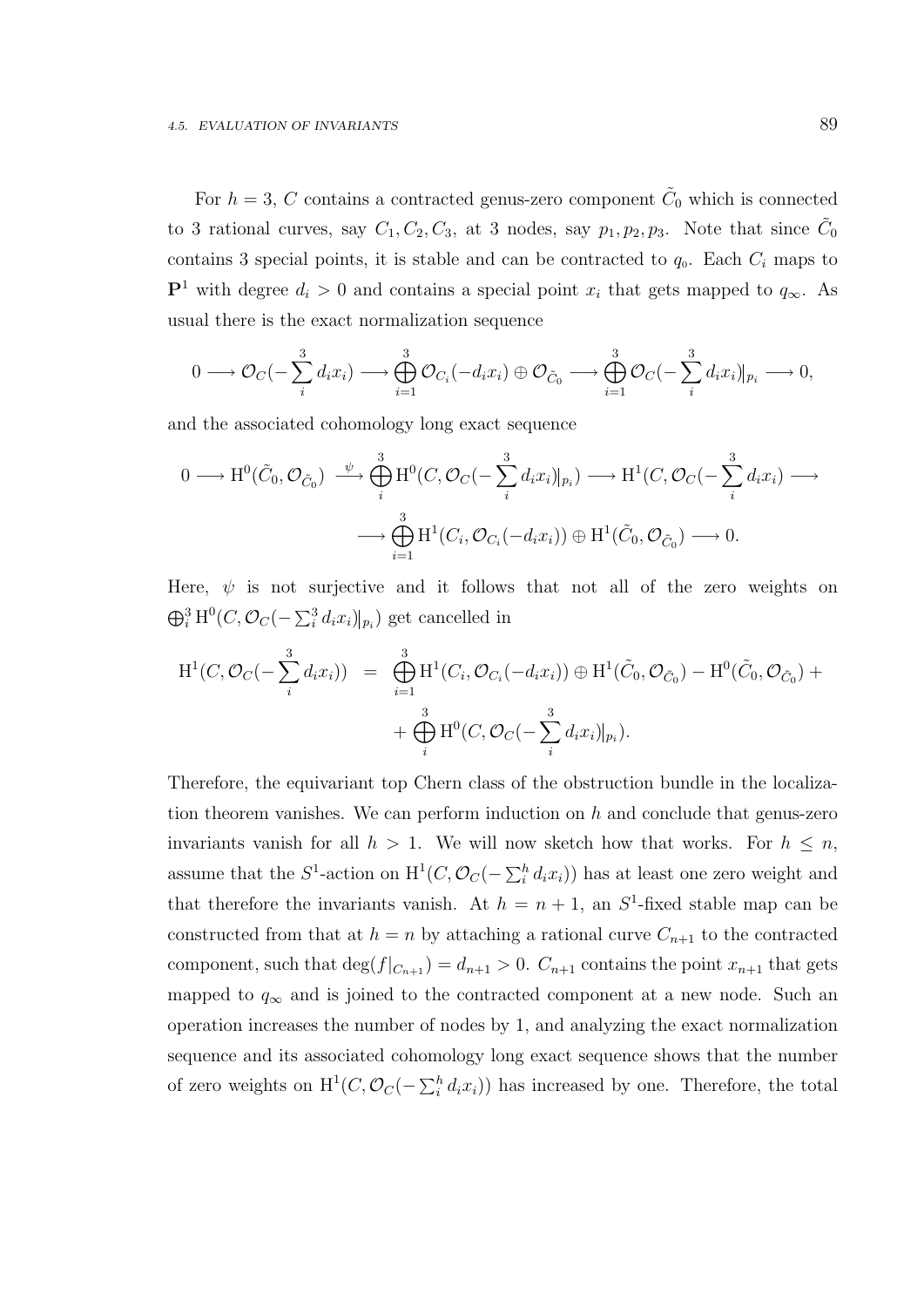For  $h = 3$ , C contains a contracted genus-zero component  $\tilde{C}_0$  which is connected to 3 rational curves, say  $C_1, C_2, C_3$ , at 3 nodes, say  $p_1, p_2, p_3$ . Note that since  $\tilde{C}_0$ contains 3 special points, it is stable and can be contracted to  $q_0$ . Each  $C_i$  maps to P<sup>1</sup> with degree  $d_i > 0$  and contains a special point  $x_i$  that gets mapped to  $q_\infty$ . As usual there is the exact normalization sequence

$$
0 \longrightarrow \mathcal{O}_C(-\sum_{i=1}^3 d_i x_i) \longrightarrow \bigoplus_{i=1}^3 \mathcal{O}_{C_i}(-d_i x_i) \oplus \mathcal{O}_{\tilde{C}_0} \longrightarrow \bigoplus_{i=1}^3 \mathcal{O}_C(-\sum_{i=1}^3 d_i x_i)|_{p_i} \longrightarrow 0,
$$

and the associated cohomology long exact sequence

$$
0 \longrightarrow \mathrm{H}^{0}(\tilde{C}_{0}, \mathcal{O}_{\tilde{C}_{0}}) \stackrel{\psi}{\longrightarrow} \bigoplus_{i=1}^{3} \mathrm{H}^{0}(C, \mathcal{O}_{C}(-\sum_{i=1}^{3} d_{i}x_{i})|_{p_{i}}) \longrightarrow \mathrm{H}^{1}(C, \mathcal{O}_{C}(-\sum_{i=1}^{3} d_{i}x_{i}) \longrightarrow \bigoplus_{i=1}^{3} \mathrm{H}^{1}(C_{i}, \mathcal{O}_{C_{i}}(-d_{i}x_{i})) \oplus \mathrm{H}^{1}(\tilde{C}_{0}, \mathcal{O}_{\tilde{C}_{0}}) \longrightarrow 0.
$$

Here,  $\psi$  is not surjective and it follows that not all of the zero weights on  $\bigoplus_{i=1}^{3} H^{0}(C, \mathcal{O}_{C}(-\sum_{i=1}^{3} d_{i}x_{i})|_{p_{i}})$  get cancelled in

$$
H^{1}(C, \mathcal{O}_{C}(-\sum_{i}^{3} d_{i}x_{i})) = \bigoplus_{i=1}^{3} H^{1}(C_{i}, \mathcal{O}_{C_{i}}(-d_{i}x_{i})) \oplus H^{1}(\tilde{C}_{0}, \mathcal{O}_{\tilde{C}_{0}}) - H^{0}(\tilde{C}_{0}, \mathcal{O}_{\tilde{C}_{0}}) + \bigoplus_{i}^{3} H^{0}(C, \mathcal{O}_{C}(-\sum_{i}^{3} d_{i}x_{i})|_{p_{i}}).
$$

Therefore, the equivariant top Chern class of the obstruction bundle in the localization theorem vanishes. We can perform induction on  $h$  and conclude that genus-zero invariants vanish for all  $h > 1$ . We will now sketch how that works. For  $h \leq n$ , assume that the  $S^1$ -action on  $H^1(C, \mathcal{O}_C(-\sum_i^h d_i x_i))$  has at least one zero weight and that therefore the invariants vanish. At  $h = n + 1$ , an  $S^1$ -fixed stable map can be constructed from that at  $h = n$  by attaching a rational curve  $C_{n+1}$  to the contracted component, such that  $\deg(f|_{C_{n+1}}) = d_{n+1} > 0$ .  $C_{n+1}$  contains the point  $x_{n+1}$  that gets mapped to  $q_{\infty}$  and is joined to the contracted component at a new node. Such an operation increases the number of nodes by 1, and analyzing the exact normalization sequence and its associated cohomology long exact sequence shows that the number of zero weights on  $H^1(C, \mathcal{O}_C(-\sum_i^h d_i x_i))$  has increased by one. Therefore, the total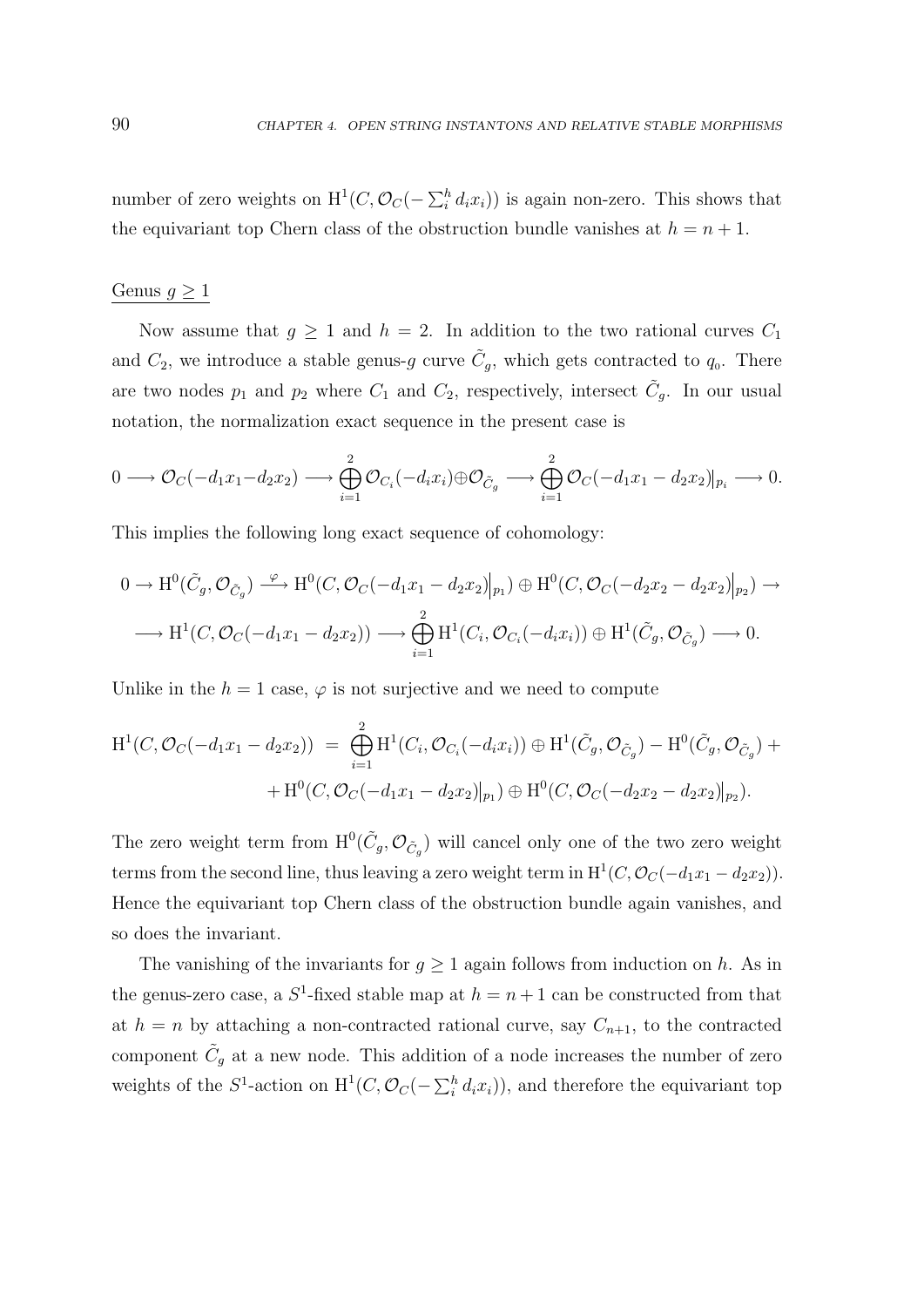number of zero weights on  $H^1(C, \mathcal{O}_C(-\sum_i^h d_i x_i))$  is again non-zero. This shows that the equivariant top Chern class of the obstruction bundle vanishes at  $h = n + 1$ .

#### Genus  $g \geq 1$

Now assume that  $g \ge 1$  and  $h = 2$ . In addition to the two rational curves  $C_1$ and  $C_2$ , we introduce a stable genus-g curve  $\tilde{C}_g$ , which gets contracted to  $q_0$ . There are two nodes  $p_1$  and  $p_2$  where  $C_1$  and  $C_2$ , respectively, intersect  $\tilde{C}_g$ . In our usual notation, the normalization exact sequence in the present case is

$$
0 \longrightarrow \mathcal{O}_C(-d_1x_1-d_2x_2) \longrightarrow \bigoplus_{i=1}^2 \mathcal{O}_{C_i}(-d_ix_i) \oplus \mathcal{O}_{\tilde{C}_g} \longrightarrow \bigoplus_{i=1}^2 \mathcal{O}_C(-d_1x_1-d_2x_2)|_{p_i} \longrightarrow 0.
$$

This implies the following long exact sequence of cohomology:

$$
0 \to \mathrm{H}^{0}(\tilde{C}_{g}, \mathcal{O}_{\tilde{C}_{g}}) \xrightarrow{\varphi} \mathrm{H}^{0}(C, \mathcal{O}_{C}(-d_{1}x_{1}-d_{2}x_{2})|_{p_{1}}) \oplus \mathrm{H}^{0}(C, \mathcal{O}_{C}(-d_{2}x_{2}-d_{2}x_{2})|_{p_{2}}) \to
$$
  

$$
\longrightarrow \mathrm{H}^{1}(C, \mathcal{O}_{C}(-d_{1}x_{1}-d_{2}x_{2})) \longrightarrow \bigoplus_{i=1}^{2} \mathrm{H}^{1}(C_{i}, \mathcal{O}_{C_{i}}(-d_{i}x_{i})) \oplus \mathrm{H}^{1}(\tilde{C}_{g}, \mathcal{O}_{\tilde{C}_{g}}) \longrightarrow 0.
$$

Unlike in the  $h = 1$  case,  $\varphi$  is not surjective and we need to compute

$$
H^{1}(C, \mathcal{O}_{C}(-d_{1}x_{1}-d_{2}x_{2})) = \bigoplus_{i=1}^{2} H^{1}(C_{i}, \mathcal{O}_{C_{i}}(-d_{i}x_{i})) \oplus H^{1}(\tilde{C}_{g}, \mathcal{O}_{\tilde{C}_{g}}) - H^{0}(\tilde{C}_{g}, \mathcal{O}_{\tilde{C}_{g}}) ++ H^{0}(C, \mathcal{O}_{C}(-d_{1}x_{1}-d_{2}x_{2})|_{p_{1}}) \oplus H^{0}(C, \mathcal{O}_{C}(-d_{2}x_{2}-d_{2}x_{2})|_{p_{2}}).
$$

The zero weight term from  $H^0(\tilde{C}_g, \mathcal{O}_{\tilde{C}_g})$  will cancel only one of the two zero weight terms from the second line, thus leaving a zero weight term in  $H^1(C, \mathcal{O}_C(-d_1x_1 - d_2x_2)).$ Hence the equivariant top Chern class of the obstruction bundle again vanishes, and so does the invariant.

The vanishing of the invariants for  $g \geq 1$  again follows from induction on h. As in the genus-zero case, a  $S^1$ -fixed stable map at  $h = n + 1$  can be constructed from that at  $h = n$  by attaching a non-contracted rational curve, say  $C_{n+1}$ , to the contracted component  $\tilde{C}_g$  at a new node. This addition of a node increases the number of zero weights of the  $S^1$ -action on  $H^1(C, \mathcal{O}_C(-\sum_i^h d_i x_i))$ , and therefore the equivariant top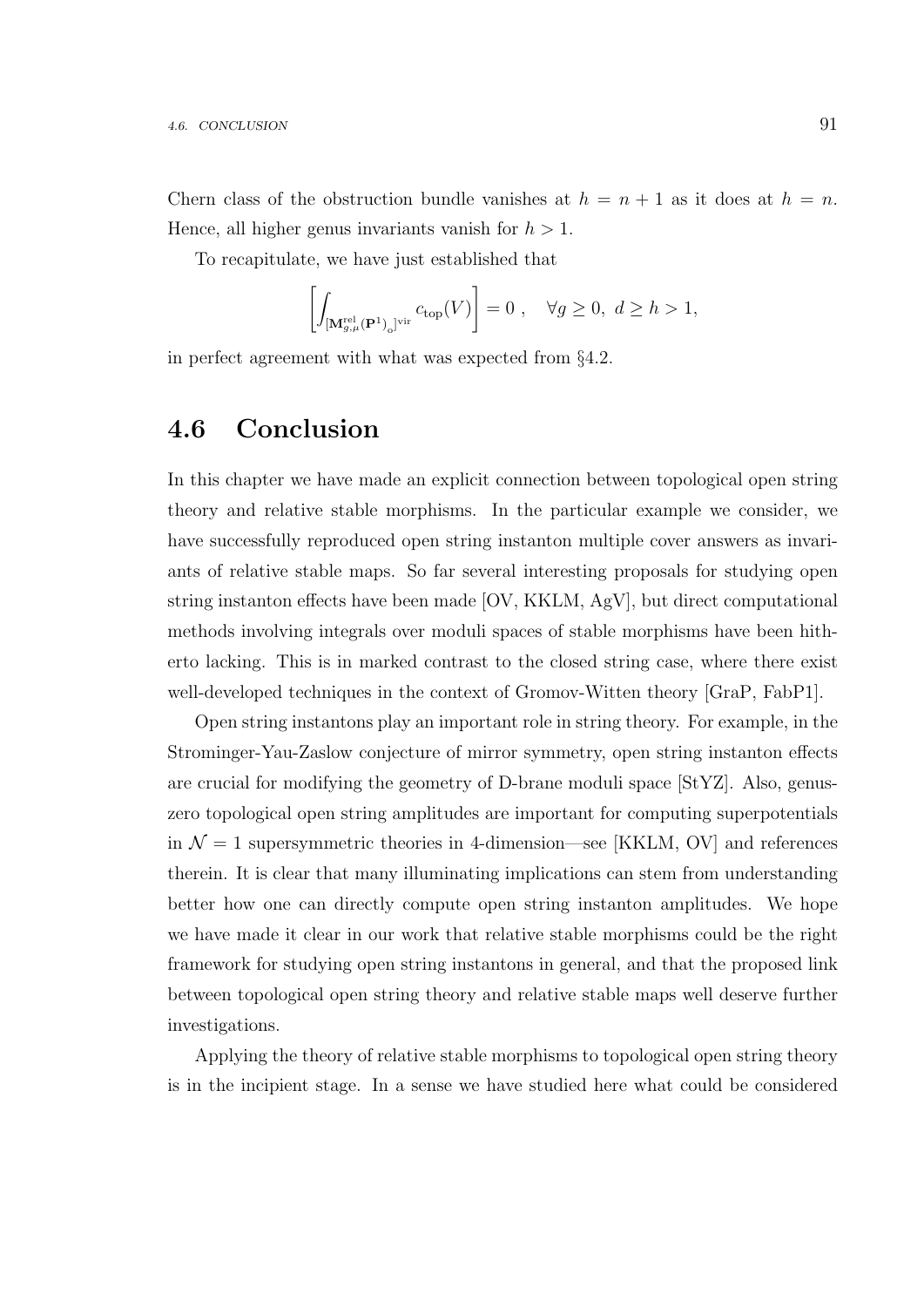Chern class of the obstruction bundle vanishes at  $h = n + 1$  as it does at  $h = n$ . Hence, all higher genus invariants vanish for  $h > 1$ .

To recapitulate, we have just established that

$$
\left[\int_{\left[\mathbf{M}_{g,\mu}^{\text{rel}}\left(\mathbf{P}^1\right)_0\right]^{\text{vir}}} c_{\text{top}}(V)\right] = 0 \ , \quad \forall g \ge 0, \ d \ge h > 1,
$$

in perfect agreement with what was expected from §4.2.

### 4.6 Conclusion

In this chapter we have made an explicit connection between topological open string theory and relative stable morphisms. In the particular example we consider, we have successfully reproduced open string instanton multiple cover answers as invariants of relative stable maps. So far several interesting proposals for studying open string instanton effects have been made [OV, KKLM, AgV], but direct computational methods involving integrals over moduli spaces of stable morphisms have been hitherto lacking. This is in marked contrast to the closed string case, where there exist well-developed techniques in the context of Gromov-Witten theory [GraP, FabP1].

Open string instantons play an important role in string theory. For example, in the Strominger-Yau-Zaslow conjecture of mirror symmetry, open string instanton effects are crucial for modifying the geometry of D-brane moduli space [StYZ]. Also, genuszero topological open string amplitudes are important for computing superpotentials in  $\mathcal{N} = 1$  supersymmetric theories in 4-dimension—see [KKLM, OV] and references therein. It is clear that many illuminating implications can stem from understanding better how one can directly compute open string instanton amplitudes. We hope we have made it clear in our work that relative stable morphisms could be the right framework for studying open string instantons in general, and that the proposed link between topological open string theory and relative stable maps well deserve further investigations.

Applying the theory of relative stable morphisms to topological open string theory is in the incipient stage. In a sense we have studied here what could be considered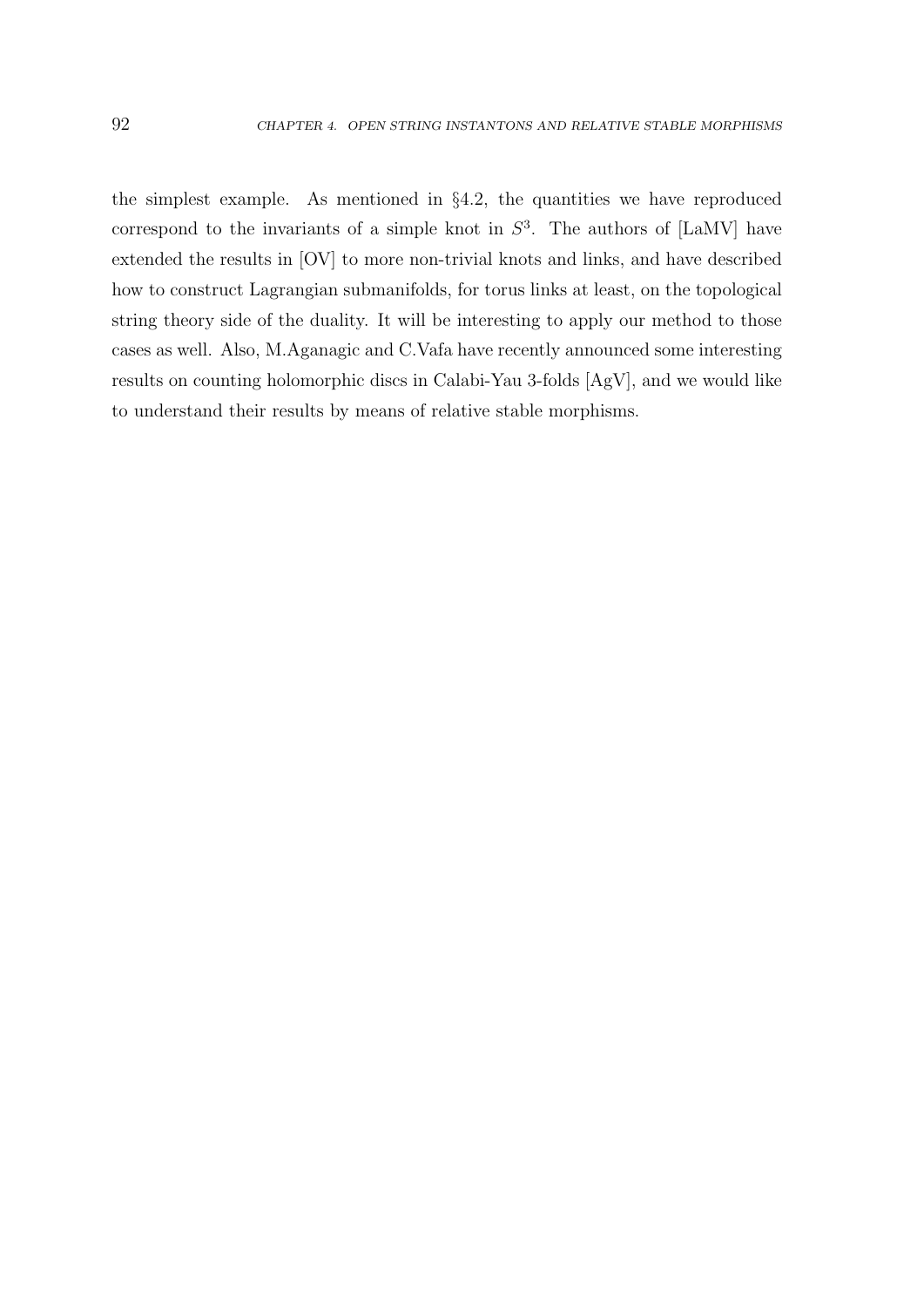the simplest example. As mentioned in §4.2, the quantities we have reproduced correspond to the invariants of a simple knot in  $S^3$ . The authors of [LaMV] have extended the results in [OV] to more non-trivial knots and links, and have described how to construct Lagrangian submanifolds, for torus links at least, on the topological string theory side of the duality. It will be interesting to apply our method to those cases as well. Also, M.Aganagic and C.Vafa have recently announced some interesting results on counting holomorphic discs in Calabi-Yau 3-folds [AgV], and we would like to understand their results by means of relative stable morphisms.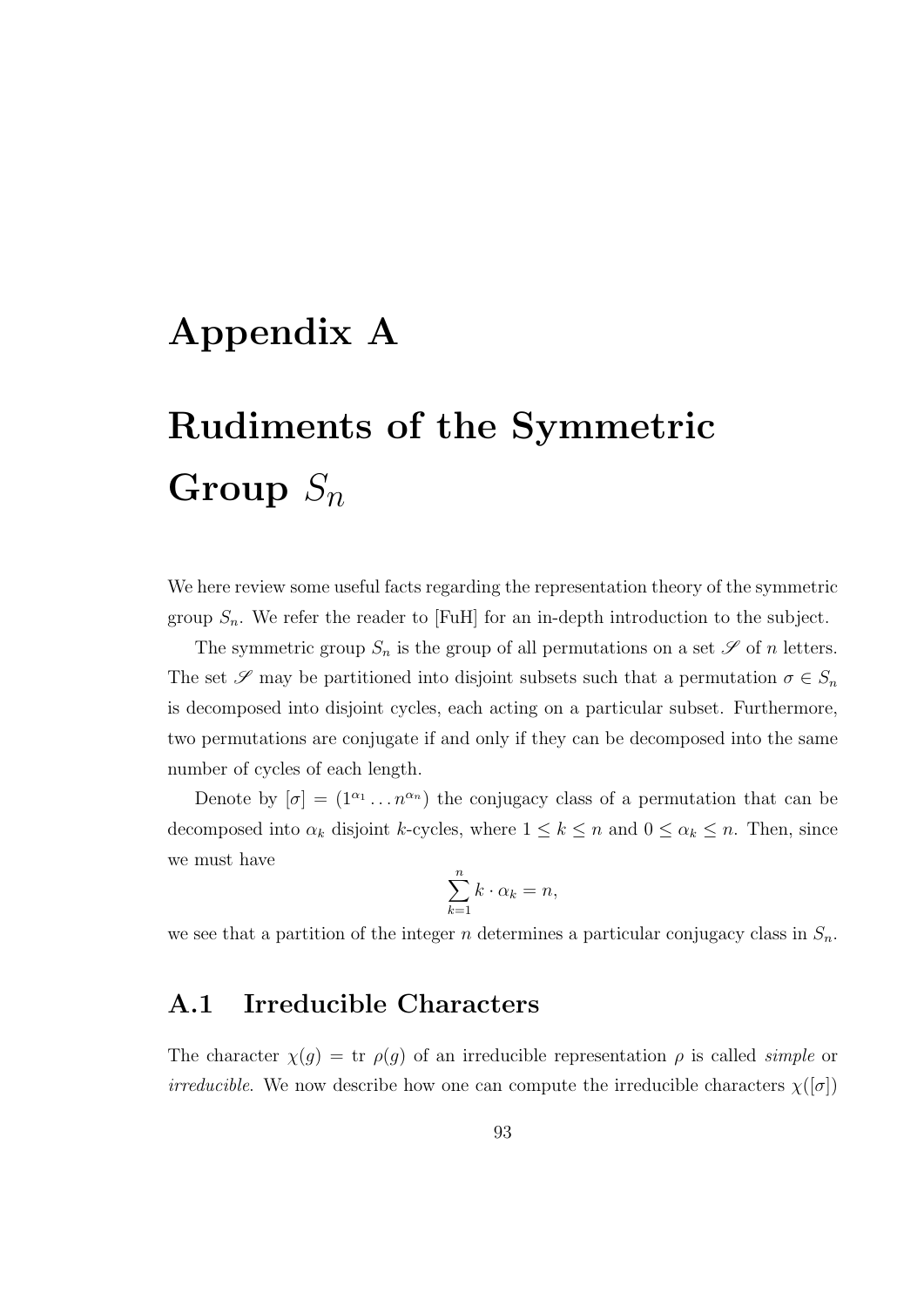# Appendix A

# Rudiments of the Symmetric Group  $S_n$

We here review some useful facts regarding the representation theory of the symmetric group  $S_n$ . We refer the reader to [FuH] for an in-depth introduction to the subject.

The symmetric group  $S_n$  is the group of all permutations on a set  $\mathscr S$  of n letters. The set  $\mathscr S$  may be partitioned into disjoint subsets such that a permutation  $\sigma \in S_n$ is decomposed into disjoint cycles, each acting on a particular subset. Furthermore, two permutations are conjugate if and only if they can be decomposed into the same number of cycles of each length.

Denote by  $[\sigma] = (1^{\alpha_1} \dots n^{\alpha_n})$  the conjugacy class of a permutation that can be decomposed into  $\alpha_k$  disjoint k-cycles, where  $1 \leq k \leq n$  and  $0 \leq \alpha_k \leq n$ . Then, since we must have

$$
\sum_{k=1}^{n} k \cdot \alpha_k = n,
$$

we see that a partition of the integer n determines a particular conjugacy class in  $S_n$ .

## A.1 Irreducible Characters

The character  $\chi(g) = \text{tr } \rho(g)$  of an irreducible representation  $\rho$  is called *simple* or *irreducible.* We now describe how one can compute the irreducible characters  $\chi([\sigma])$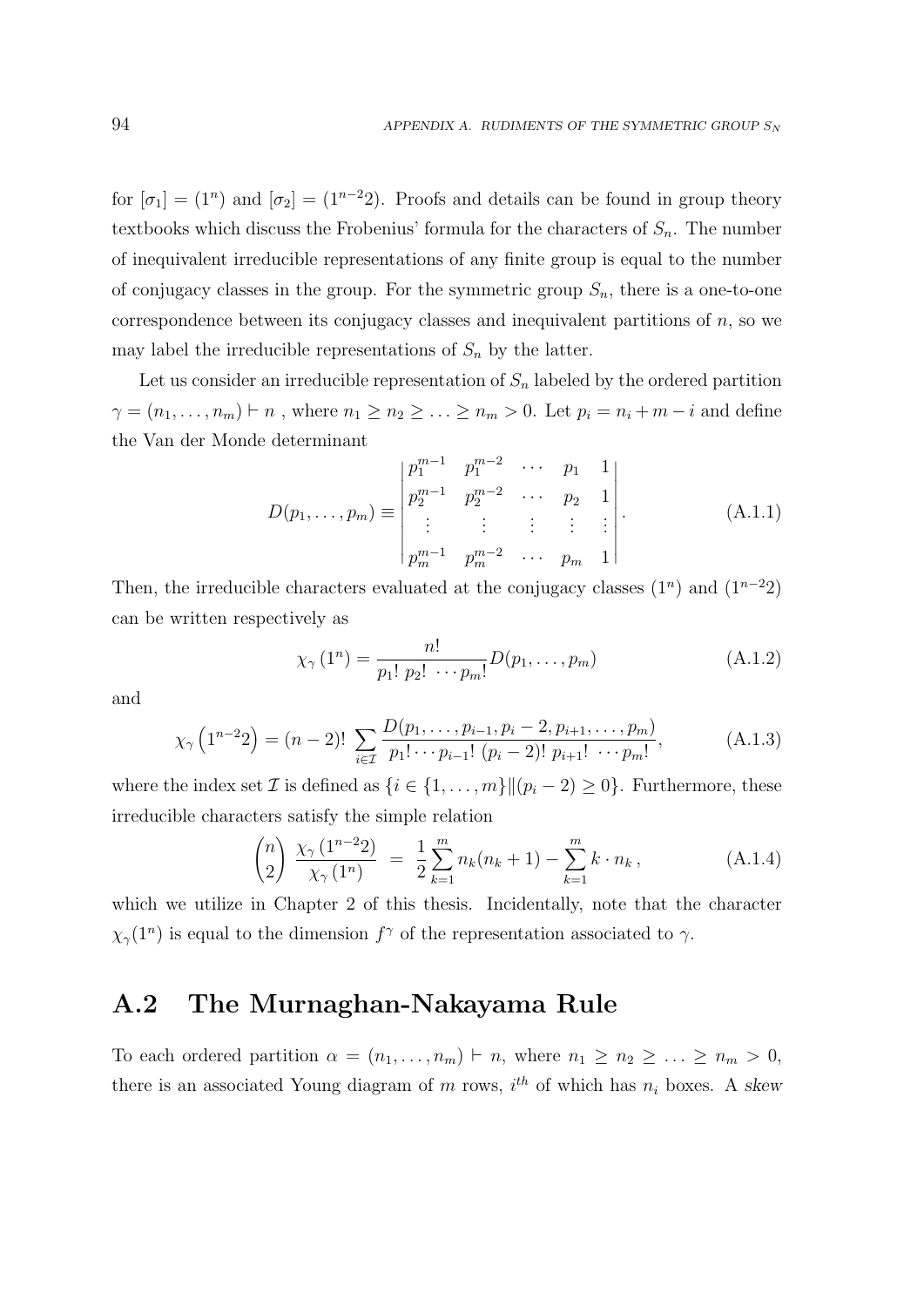for  $[\sigma_1] = (1^n)$  and  $[\sigma_2] = (1^{n-2}2)$ . Proofs and details can be found in group theory textbooks which discuss the Frobenius' formula for the characters of  $S_n$ . The number of inequivalent irreducible representations of any finite group is equal to the number of conjugacy classes in the group. For the symmetric group  $S_n$ , there is a one-to-one correspondence between its conjugacy classes and inequivalent partitions of  $n$ , so we may label the irreducible representations of  $S_n$  by the latter.

Let us consider an irreducible representation of  $S_n$  labeled by the ordered partition  $\gamma = (n_1, \ldots, n_m) \vdash n$ , where  $n_1 \geq n_2 \geq \ldots \geq n_m > 0$ . Let  $p_i = n_i + m - i$  and define the Van der Monde determinant

$$
D(p_1, \ldots, p_m) \equiv \begin{vmatrix} p_1^{m-1} & p_1^{m-2} & \cdots & p_1 & 1 \\ p_2^{m-1} & p_2^{m-2} & \cdots & p_2 & 1 \\ \vdots & \vdots & \vdots & \vdots & \vdots \\ p_m^{m-1} & p_m^{m-2} & \cdots & p_m & 1 \end{vmatrix} .
$$
 (A.1.1)

Then, the irreducible characters evaluated at the conjugacy classes  $(1^n)$  and  $(1^{n-2}2)$ can be written respectively as

$$
\chi_{\gamma}(1^n) = \frac{n!}{p_1! \ p_2! \ \cdots \ p_m!} D(p_1, \dots, p_m)
$$
 (A.1.2)

and

$$
\chi_{\gamma}\left(1^{n-2}2\right) = (n-2)! \sum_{i \in \mathcal{I}} \frac{D(p_1, \dots, p_{i-1}, p_i - 2, p_{i+1}, \dots, p_m)}{p_1! \cdots p_{i-1}! (p_i - 2)! p_{i+1}! \cdots p_m!},\tag{A.1.3}
$$

where the index set  $\mathcal I$  is defined as  $\{i \in \{1, \ldots, m\} | (p_i - 2) \geq 0\}$ . Furthermore, these irreducible characters satisfy the simple relation

$$
\binom{n}{2} \frac{\chi_{\gamma}(1^{n-2}2)}{\chi_{\gamma}(1^n)} = \frac{1}{2} \sum_{k=1}^m n_k(n_k+1) - \sum_{k=1}^m k \cdot n_k, \tag{A.1.4}
$$

which we utilize in Chapter 2 of this thesis. Incidentally, note that the character  $\chi_{\gamma}(1^n)$  is equal to the dimension  $f^{\gamma}$  of the representation associated to  $\gamma$ .

## A.2 The Murnaghan-Nakayama Rule

To each ordered partition  $\alpha = (n_1, \ldots, n_m) \vdash n$ , where  $n_1 \geq n_2 \geq \ldots \geq n_m > 0$ , there is an associated Young diagram of m rows,  $i^{th}$  of which has  $n_i$  boxes. A skew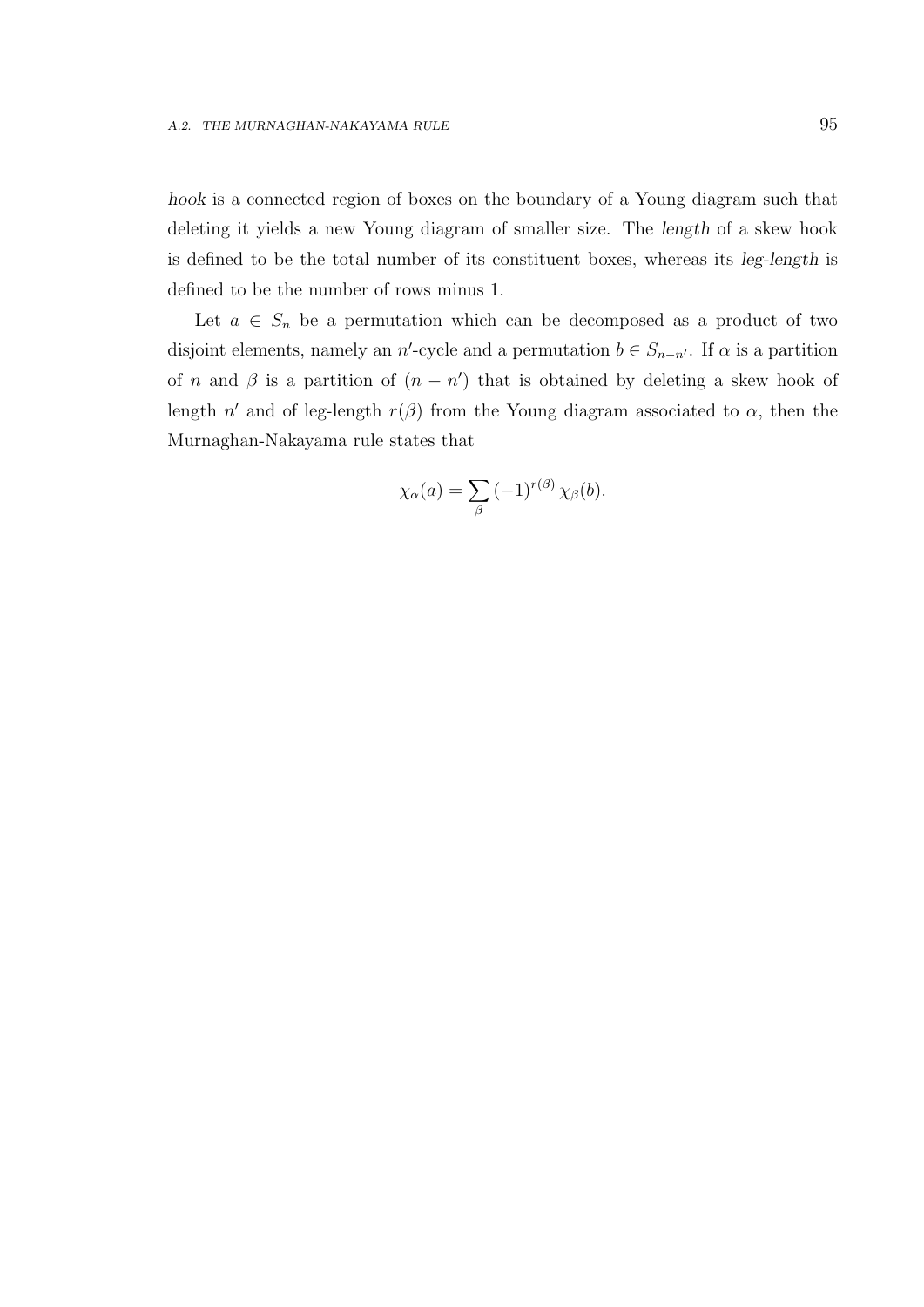hook is a connected region of boxes on the boundary of a Young diagram such that deleting it yields a new Young diagram of smaller size. The length of a skew hook is defined to be the total number of its constituent boxes, whereas its leg-length is defined to be the number of rows minus 1.

Let  $a \in S_n$  be a permutation which can be decomposed as a product of two disjoint elements, namely an n'-cycle and a permutation  $b \in S_{n-n'}$ . If  $\alpha$  is a partition of n and  $\beta$  is a partition of  $(n - n')$  that is obtained by deleting a skew hook of length n' and of leg-length  $r(\beta)$  from the Young diagram associated to  $\alpha$ , then the Murnaghan-Nakayama rule states that

$$
\chi_{\alpha}(a) = \sum_{\beta} (-1)^{r(\beta)} \chi_{\beta}(b).
$$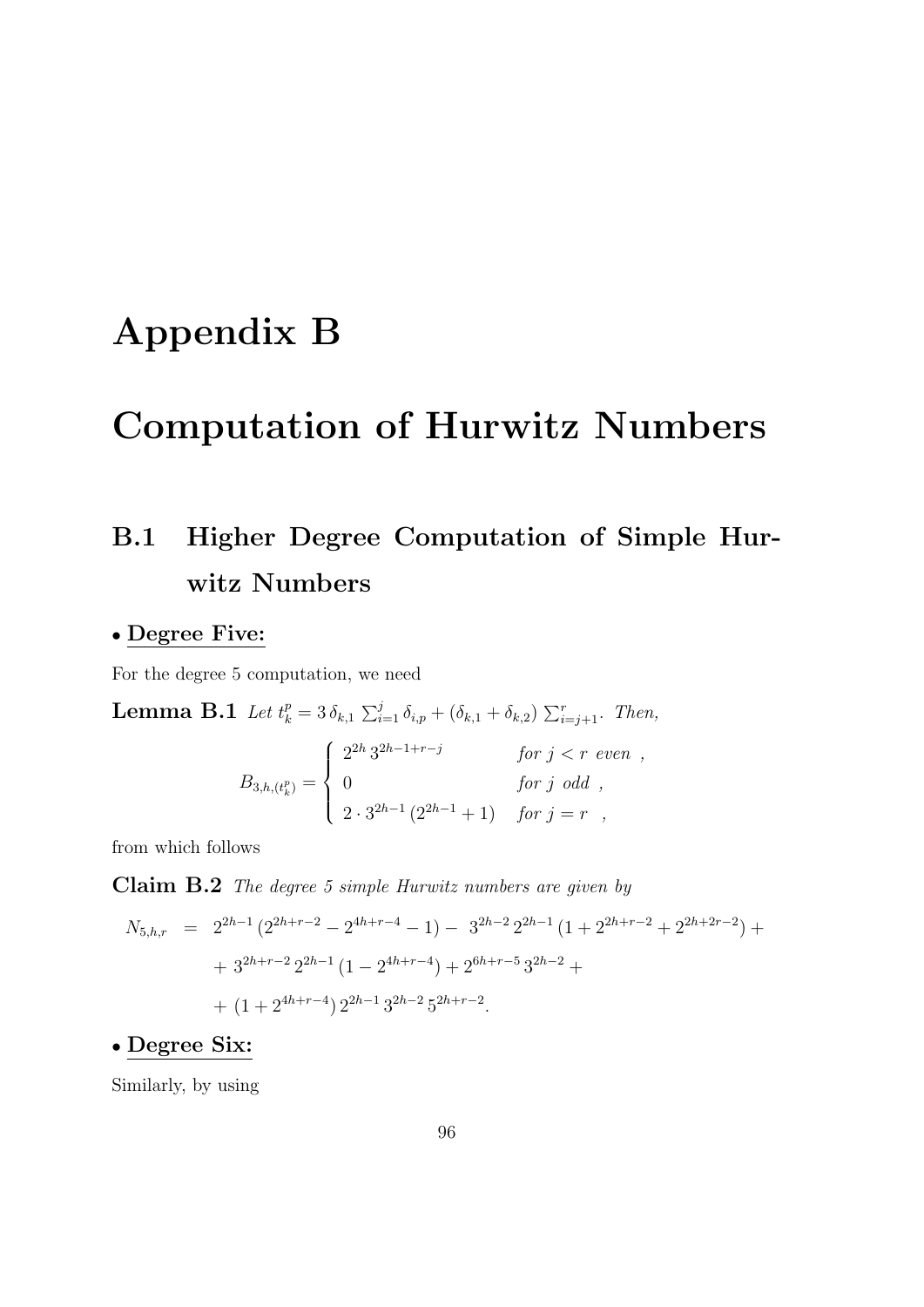# Appendix B

# Computation of Hurwitz Numbers

# B.1 Higher Degree Computation of Simple Hurwitz Numbers

#### • Degree Five:

For the degree 5 computation, we need

**Lemma B.1** Let  $t_k^p = 3 \delta_{k,1} \sum_{i=1}^j \delta_{i,p} + (\delta_{k,1} + \delta_{k,2}) \sum_{i=j+1}^r$ . Then,

$$
B_{3,h,(t_k^p)} = \begin{cases} 2^{2h} 3^{2h-1+r-j} & \text{for } j < r \text{ even }, \\ 0 & \text{for } j \text{ odd }, \\ 2 \cdot 3^{2h-1} (2^{2h-1}+1) & \text{for } j = r , \end{cases}
$$

from which follows

Claim B.2 The degree 5 simple Hurwitz numbers are given by

$$
N_{5,h,r} = 2^{2h-1} (2^{2h+r-2} - 2^{4h+r-4} - 1) - 3^{2h-2} 2^{2h-1} (1 + 2^{2h+r-2} + 2^{2h+2r-2}) +
$$
  
+ 3<sup>2h+r-2</sup> 2<sup>2h-1</sup> (1 - 2<sup>4h+r-4</sup>) + 2<sup>6h+r-5</sup> 3<sup>2h-2</sup> +  
+ (1 + 2<sup>4h+r-4</sup>) 2<sup>2h-1</sup> 3<sup>2h-2</sup> 5<sup>2h+r-2</sup>.

#### • Degree Six:

Similarly, by using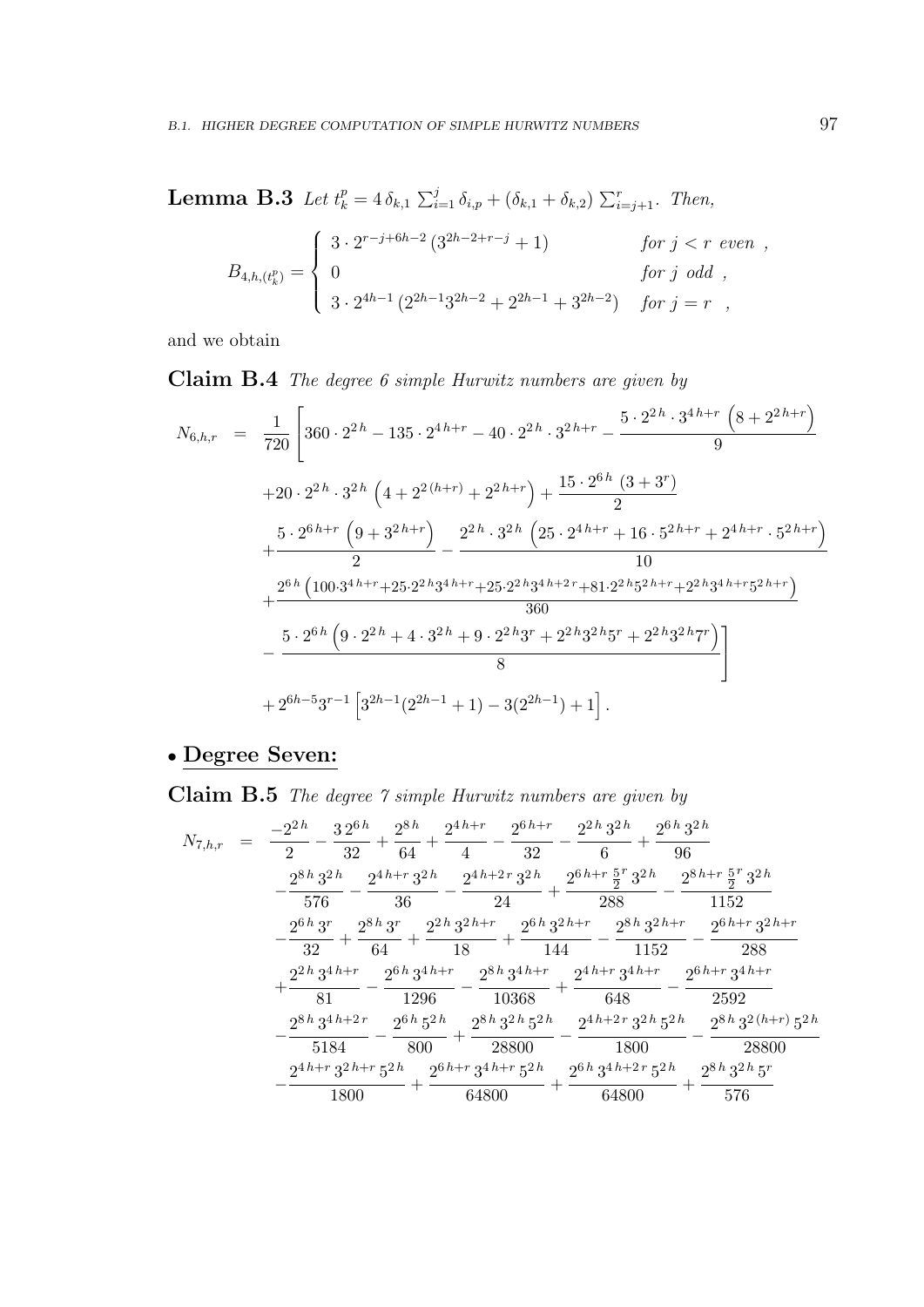**Lemma B.3** Let  $t_k^p = 4 \delta_{k,1} \sum_{i=1}^j \delta_{i,p} + (\delta_{k,1} + \delta_{k,2}) \sum_{i=j+1}^r$ . Then,

$$
B_{4,h,(t_k^p)} = \begin{cases} 3 \cdot 2^{r-j+6h-2} (3^{2h-2+r-j} + 1) & \text{for } j < r \text{ even} ,\\ 0 & \text{for } j \text{ odd} ,\\ 3 \cdot 2^{4h-1} (2^{2h-1}3^{2h-2} + 2^{2h-1} + 3^{2h-2}) & \text{for } j = r , \end{cases}
$$

and we obtain

Claim B.4 The degree 6 simple Hurwitz numbers are given by

$$
N_{6,h,r} = \frac{1}{720} \left[ 360 \cdot 2^{2h} - 135 \cdot 2^{4h+r} - 40 \cdot 2^{2h} \cdot 3^{2h+r} - \frac{5 \cdot 2^{2h} \cdot 3^{4h+r} \left( 8 + 2^{2h+r} \right)}{9} \right.
$$
  
\n
$$
+ 20 \cdot 2^{2h} \cdot 3^{2h} \left( 4 + 2^{2(h+r)} + 2^{2h+r} \right) + \frac{15 \cdot 2^{6h} \left( 3 + 3^{r} \right)}{2} + \frac{5 \cdot 2^{6h+r} \left( 9 + 3^{2h+r} \right)}{2} - \frac{2^{2h} \cdot 3^{2h} \left( 25 \cdot 2^{4h+r} + 16 \cdot 5^{2h+r} + 2^{4h+r} \cdot 5^{2h+r} \right)}{10} + \frac{2^{6h} \left( 100 \cdot 3^{4h+r} + 25 \cdot 2^{2h} 3^{4h+r} + 25 \cdot 2^{2h} 3^{4h+2r} + 81 \cdot 2^{2h} 5^{2h+r} + 2^{2h} 3^{4h+r} 5^{2h+r} \right)}{360} - \frac{5 \cdot 2^{6h} \left( 9 \cdot 2^{2h} + 4 \cdot 3^{2h} + 9 \cdot 2^{2h} 3^{r} + 2^{2h} 3^{2h} 5^{r} + 2^{2h} 3^{2h} 7^{r} \right)}{8} + 2^{6h-5} 3^{r-1} \left[ 3^{2h-1} (2^{2h-1} + 1) - 3(2^{2h-1}) + 1 \right].
$$

#### • Degree Seven:

Claim B.5 The degree 7 simple Hurwitz numbers are given by

$$
N_{7,h,r} = \frac{-2^{2h}}{2} - \frac{32^{6h}}{32} + \frac{2^{8h}}{64} + \frac{2^{4h+r}}{4} - \frac{2^{6h+r}}{32} - \frac{2^{2h}3^{2h}}{6} + \frac{2^{6h}3^{2h}}{96} - \frac{2^{8h}3^{2h}}{576} - \frac{2^{4h+r}3^{2h}}{36} - \frac{2^{4h+2r}3^{2h}}{24} + \frac{2^{6h+r}\frac{5}{2}r3^{2h}}{288} - \frac{2^{8h+r}\frac{5}{2}r3^{2h}}{1152} - \frac{2^{6h}3^r}{32} + \frac{2^{8h}3^r}{64} + \frac{2^{2h}3^{2h+r}}{18} + \frac{2^{6h}3^{2h+r}}{144} - \frac{2^{8h}3^{2h+r}}{1152} - \frac{2^{6h+r}3^{2h+r}}{288} + \frac{2^{2h}3^{4h+r}}{81} - \frac{2^{6h}3^{4h+r}}{1296} - \frac{2^{8h}3^{4h+r}}{10368} + \frac{2^{4h+r}3^{4h+r}}{648} - \frac{2^{6h+r}3^{4h+r}}{2592} - \frac{2^{8h}3^{4h+2r}}{5184} - \frac{2^{6h}5^{2h}}{800} + \frac{2^{8h}3^{2h}5^{2h}}{28800} - \frac{2^{4h+2r}3^{2h}5^{2h}}{1800} - \frac{2^{8h}3^{2(h+r)}5^{2h}}{1800} - \frac{2^{4h+r}3^{2h+r}5^{2h}}{64800} + \frac{2^{6h+r}3^{4h+2r}5^{2h}}{64800} + \frac{2^{8h}3^{2h}5^{2r}}{576}
$$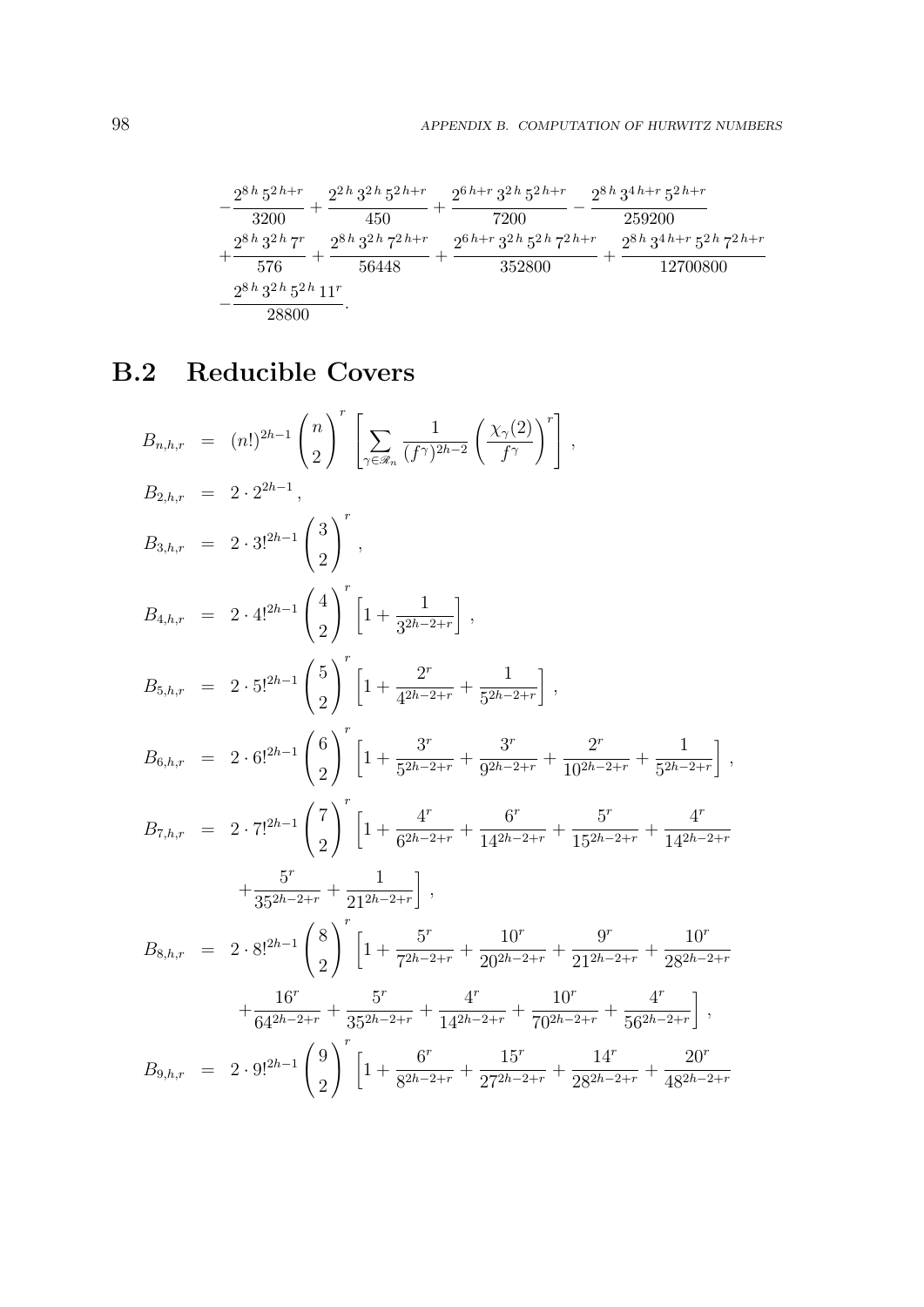$$
\begin{aligned}[t] -\frac{2^{8\,h}\,5^{2\,h+r}}{3200} + \frac{2^{2\,h}\,3^{2\,h}\,5^{2\,h+r}}{450} + \frac{2^{6\,h+r}\,3^{2\,h}\,5^{2\,h+r}}{7200} - \frac{2^{8\,h}\,3^{4\,h+r}\,5^{2\,h+r}}{259200} \\ + \frac{2^{8\,h}\,3^{2\,h}\,7^r}{576} + \frac{2^{8\,h}\,3^{2\,h}\,7^{2\,h+r}}{56448} + \frac{2^{6\,h+r}\,3^{2\,h}\,5^{2\,h}\,7^{2\,h+r}}{352800} + \frac{2^{8\,h}\,3^{4\,h+r}\,5^{2\,h}\,7^{2\,h+r}}{12700800} \\ - \frac{2^{8\,h}\,3^{2\,h}\,5^{2\,h}\,11^r}{28800}. \end{aligned}
$$

# B.2 Reducible Covers

$$
B_{n,h,r} = (n!)^{2h-1} {n \choose 2}^r \left[ \sum_{\gamma \in \mathscr{R}_n} \frac{1}{(f^{\gamma})^{2h-2}} \left( \frac{\chi_{\gamma}(2)}{f^{\gamma}} \right)^r \right],
$$
  
\n
$$
B_{2,h,r} = 2 \cdot 2^{2h-1},
$$
  
\n
$$
B_{3,h,r} = 2 \cdot 3^{2h-1} {3 \choose 2}^r,
$$
  
\n
$$
B_{4,h,r} = 2 \cdot 4^{2h-1} {4 \choose 2}^r \left[ 1 + \frac{1}{3^{2h-2+r}} \right],
$$
  
\n
$$
B_{5,h,r} = 2 \cdot 5^{2h-1} {5 \choose 2}^r \left[ 1 + \frac{2^r}{4^{2h-2+r}} + \frac{1}{5^{2h-2+r}} \right],
$$
  
\n
$$
B_{6,h,r} = 2 \cdot 6^{2h-1} {6 \choose 2}^r \left[ 1 + \frac{3^r}{5^{2h-2+r}} + \frac{3^r}{9^{2h-2+r}} + \frac{2^r}{10^{2h-2+r}} + \frac{1}{5^{2h-2+r}} \right],
$$
  
\n
$$
B_{7,h,r} = 2 \cdot 7^{2h-1} {7 \choose 2}^r \left[ 1 + \frac{4^r}{6^{2h-2+r}} + \frac{6^r}{14^{2h-2+r}} + \frac{5^r}{15^{2h-2+r}} + \frac{4^r}{14^{2h-2+r}}
$$
  
\n
$$
+ \frac{5^r}{35^{2h-2+r}} + \frac{1}{21^{2h-2+r}} \right],
$$
  
\n
$$
B_{8,h,r} = 2 \cdot 8^{2h-1} {8 \choose 2}^r \left[ 1 + \frac{5^r}{7^{2h-2+r}} + \frac{10^r}{20^{2h-2+r}} + \frac{9^r}{21^{2h-2+r}} + \frac{10^r}{28^{2h-2+r}}
$$
  
\n
$$
+ \frac{16^r}{64^{2h-2+r}} + \frac{5^r}{35^{2h-2+r}} + \frac{4^r}{14^{2h-2+r}} + \frac{10^r}{70^{2h-2
$$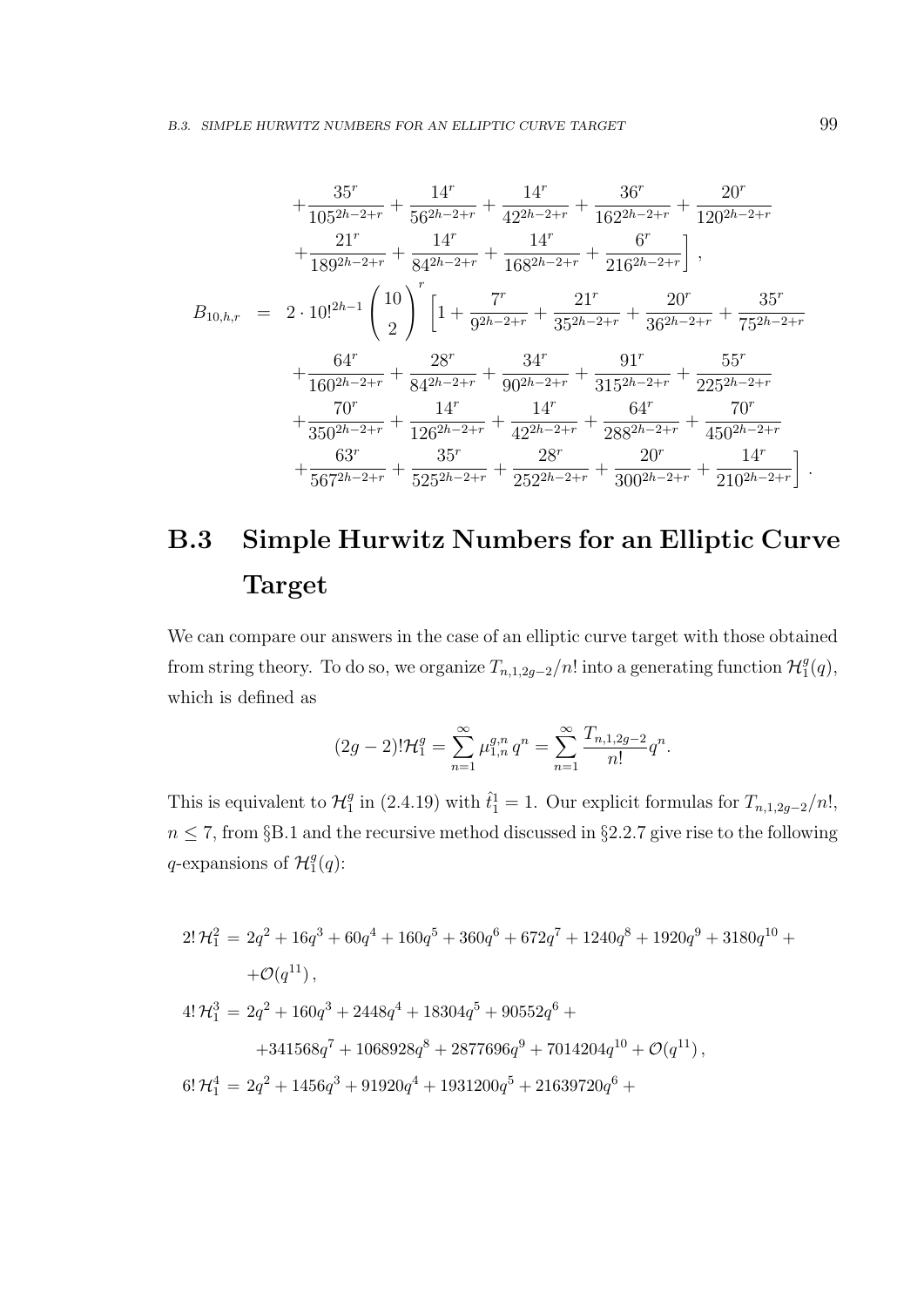$$
+\frac{35^r}{105^{2h-2+r}}+\frac{14^r}{56^{2h-2+r}}+\frac{14^r}{42^{2h-2+r}}+\frac{36^r}{162^{2h-2+r}}+\frac{20^r}{120^{2h-2+r}}
$$
  

$$
+\frac{21^r}{189^{2h-2+r}}+\frac{14^r}{84^{2h-2+r}}+\frac{14^r}{168^{2h-2+r}}+\frac{6^r}{216^{2h-2+r}}\Big],
$$
  

$$
B_{10,h,r} = 2 \cdot 10!^{2h-1} \left(\frac{10}{2}\right)^r \left[1+\frac{7^r}{9^{2h-2+r}}+\frac{21^r}{35^{2h-2+r}}+\frac{20^r}{36^{2h-2+r}}+\frac{35^r}{75^{2h-2+r}}\right.
$$
  

$$
+\frac{64^r}{160^{2h-2+r}}+\frac{28^r}{84^{2h-2+r}}+\frac{34^r}{90^{2h-2+r}}+\frac{91^r}{315^{2h-2+r}}+\frac{55^r}{225^{2h-2+r}}
$$
  

$$
+\frac{70^r}{350^{2h-2+r}}+\frac{14^r}{126^{2h-2+r}}+\frac{14^r}{42^{2h-2+r}}+\frac{64^r}{288^{2h-2+r}}+\frac{70^r}{450^{2h-2+r}}
$$
  

$$
+\frac{63^r}{567^{2h-2+r}}+\frac{35^r}{525^{2h-2+r}}+\frac{28^r}{252^{2h-2+r}}+\frac{20^r}{300^{2h-2+r}}+\frac{14^r}{210^{2h-2+r}}\Big].
$$

# B.3 Simple Hurwitz Numbers for an Elliptic Curve Target

We can compare our answers in the case of an elliptic curve target with those obtained from string theory. To do so, we organize  $T_{n,1,2g-2}/n!$  into a generating function  $\mathcal{H}_1^g$  $\binom{g}{1}(q),$ which is defined as

$$
(2g-2)! \mathcal{H}_1^g = \sum_{n=1}^{\infty} \mu_{1,n}^{g,n} q^n = \sum_{n=1}^{\infty} \frac{T_{n,1,2g-2}}{n!} q^n.
$$

This is equivalent to  $\mathcal{H}_1^g$  $_{1}^{g}$  in (2.4.19) with  $\hat{t}_{1}^{1}=1$ . Our explicit formulas for  $T_{n,1,2g-2}/n!$ ,  $n \leq 7$ , from §B.1 and the recursive method discussed in §2.2.7 give rise to the following q-expansions of  $\mathcal{H}_1^g$  $\frac{g}{1}(q)$ :

$$
\begin{array}{l} 2!\, \mathcal{H}_1^2\,=\,2q^2+16q^3+60q^4+160q^5+360q^6+672q^7+1240q^8+1920q^9+3180q^{10}+\\ \quad+\mathcal{O}(q^{11})\,,\\ 4!\,\mathcal{H}_1^3\,=\,2q^2+160q^3+2448q^4+18304q^5+90552q^6+\\ \quad+341568q^7+1068928q^8+2877696q^9+7014204q^{10}+\mathcal{O}(q^{11})\,,\\ 6!\,\mathcal{H}_1^4\,=\,2q^2+1456q^3+91920q^4+1931200q^5+21639720q^6+\\ \end{array}
$$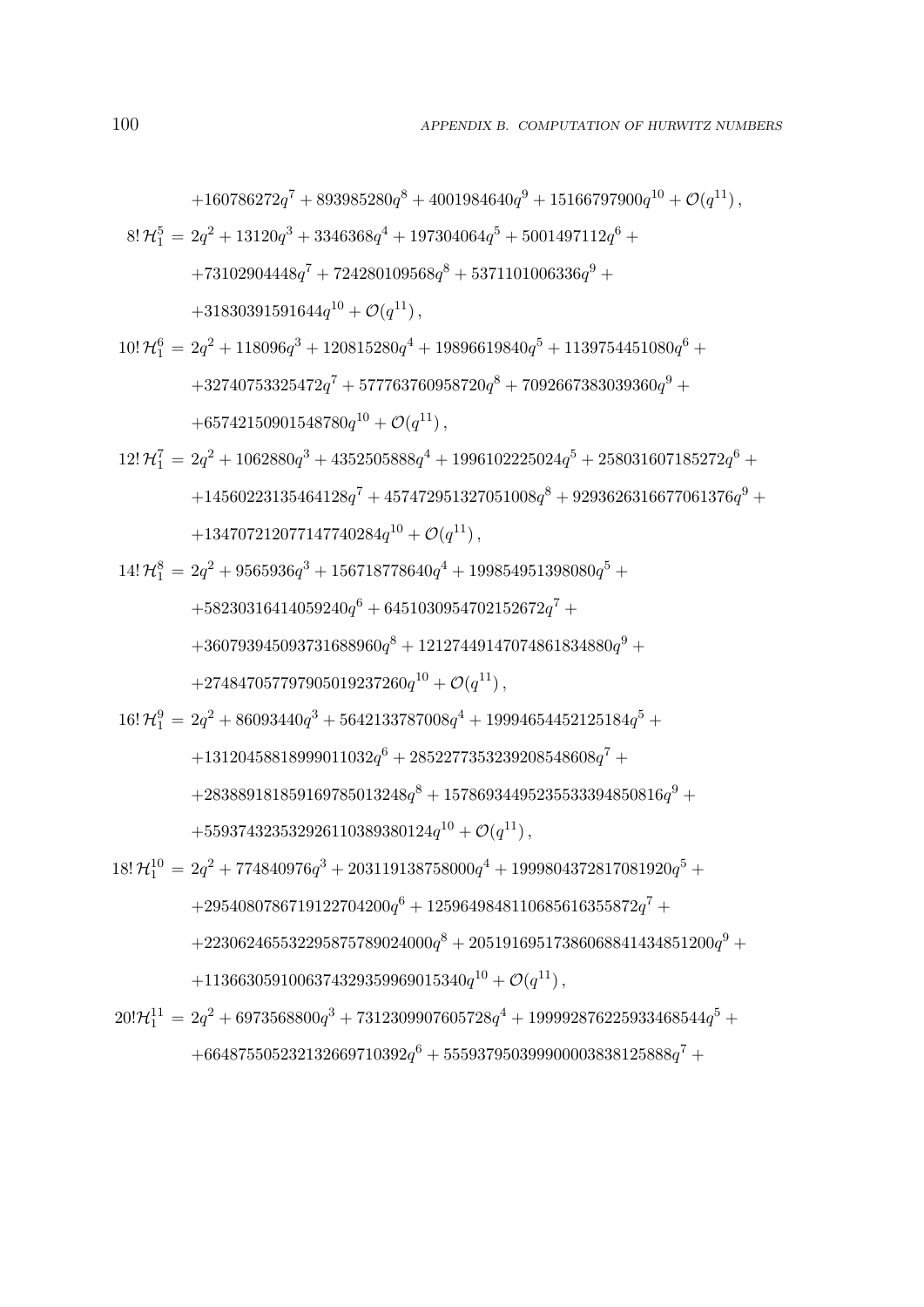$$
+160786272q^{7} + 893985280q^{8} + 4001984640q^{9} + 15166797900q^{10} + \mathcal{O}(q^{11}),
$$
  
\n8!  $\mathcal{H}_{1}^{5} = 2q^{2} + 13120q^{3} + 3346368q^{4} + 197304064q^{5} + 5001497112q^{6} +$   
\n
$$
+73102904448q^{7} + 724280109568q^{8} + 5371101006336q^{9} +
$$
  
\n
$$
+31830391591644q^{10} + \mathcal{O}(q^{11}),
$$
  
\n10!  $\mathcal{H}_{1}^{6} = 2q^{2} + 118096q^{3} + 120815280q^{4} + 19896619840q^{5} + 1139754451080q^{6} +$   
\n
$$
+32740753325472q^{7} + 577763760958720q^{8} + 7092667383039360q^{9} +
$$
  
\n
$$
+65742150901548780q^{10} + \mathcal{O}(q^{11}),
$$

$$
\begin{aligned} 12!\, \mathcal{H}_1^7&=2q^2+1062880q^3+4352505888q^4+1996102225024q^5+258031607185272q^6+\\ &\quad+14560223135464128q^7+457472951327051008q^8+9293626316677061376q^9+\\ &\quad+134707212077147740284q^{10}+\mathcal{O}(q^{11})\,, \end{aligned}
$$

$$
\begin{aligned} 14!\,\mathcal{H}_1^8&=2q^2+9565936q^3+156718778640q^4+199854951398080q^5+\\ &\quad+58230316414059240q^6+6451030954702152672q^7+\\ &\quad+360793945093731688960q^8+12127449147074861834880q^9+\\ &\quad+274847057797905019237260q^{10}+\mathcal{O}(q^{11})\,, \end{aligned}
$$

$$
16! \mathcal{H}_1^9 = 2q^2 + 86093440q^3 + 5642133787008q^4 + 19994654452125184q^5 +
$$

$$
+ 13120458818999011032q^6 + 2852277353239208548608q^7 + \newline
$$

$$
+283889181859169785013248q^8 + 15786934495235533394850816q^9 + \notag
$$

$$
+559374323532926110389380124q^{10} + \mathcal{O}(q^{11}),
$$

$$
18!\,\mathcal{H}_{1}^{10}=2q^{2}+774840976q^{3}+203119138758000q^{4}+1999804372817081920q^{5}+ \\+2954080786719122704200q^{6}+1259649848110685616355872q^{7}+ \\+223062465532295875789024000q^{8}+20519169517386068841434851200q^{9}+ \\+1136630591006374329359969015340q^{10}+\mathcal{O}(q^{11})\,,
$$

$$
\begin{aligned} 20!\mathcal{H}^{11}_1&=2q^2+6973568800 q^3+7312309907605728 q^4+199992876225933468544 q^5+\\ &\quad+664875505232132669710392 q^6+555937950399900003838125888 q^7+ \end{aligned}
$$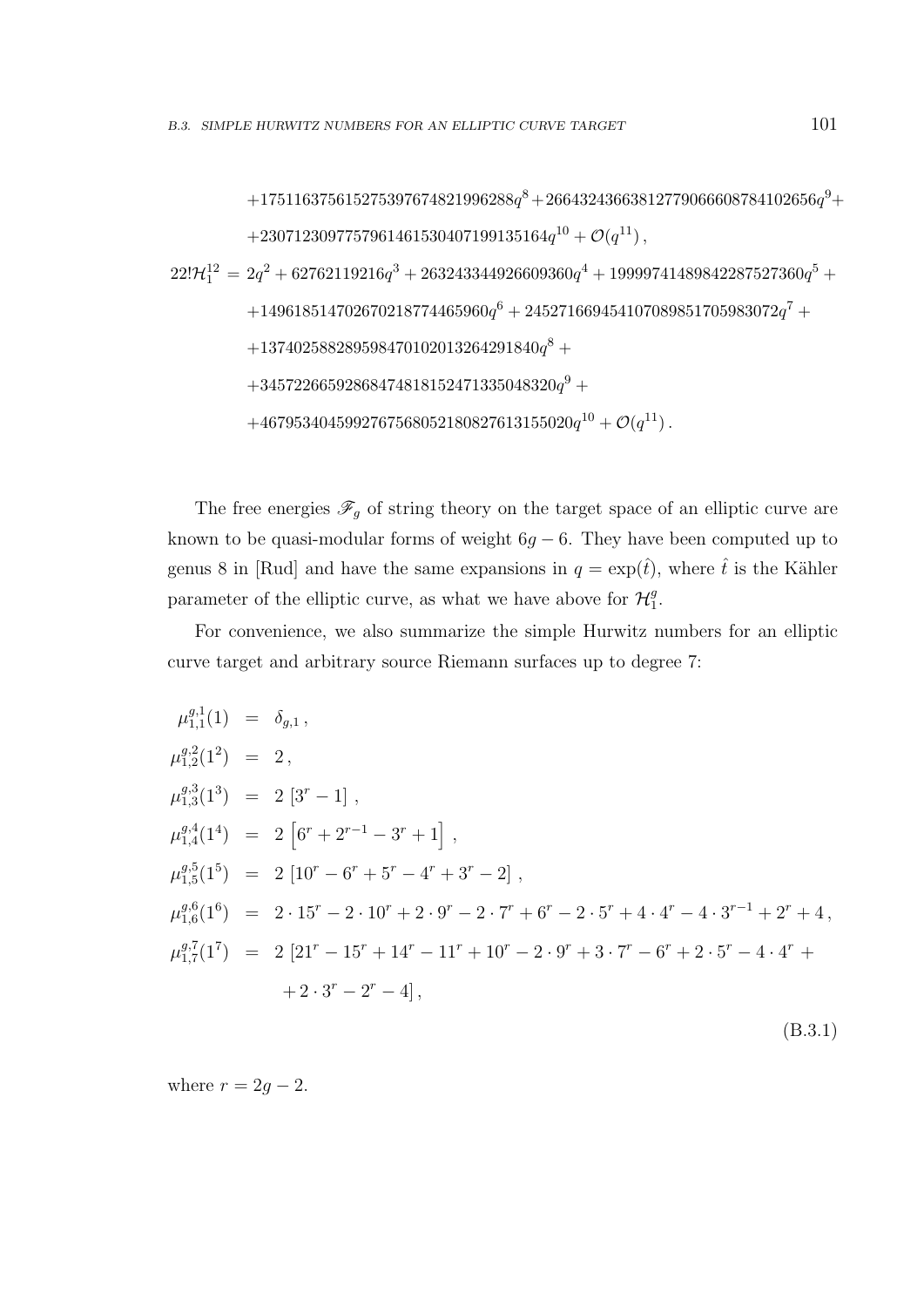$$
+175116375615275397674821996288q^8+26643243663812779066608784102656q^9+
$$
  
\n
$$
+2307123097757961461530407199135164q^{10} + \mathcal{O}(q^{11}),
$$
  
\n
$$
22!\mathcal{H}_1^{12} = 2q^2 + 62762119216q^3 + 263243344926609360q^4 + 19999741489842287527360q^5 +
$$
  
\n
$$
+149618514702670218774465960q^6 + 245271669454107089851705983072q^7 +
$$
  
\n
$$
+137402588289598470102013264291840q^8 +
$$
  
\n
$$
+34572266592868474818152471335048320q^9 +
$$
  
\n
$$
+4679534045992767568052180827613155020q^{10} + \mathcal{O}(q^{11}).
$$

The free energies  $\mathscr{F}_{g}$  of string theory on the target space of an elliptic curve are known to be quasi-modular forms of weight  $6g - 6$ . They have been computed up to genus 8 in [Rud] and have the same expansions in  $q = \exp(\hat{t})$ , where  $\hat{t}$  is the Kähler parameter of the elliptic curve, as what we have above for  $\mathcal{H}_1^g$  $\frac{g}{1}$ .

For convenience, we also summarize the simple Hurwitz numbers for an elliptic curve target and arbitrary source Riemann surfaces up to degree 7:

$$
\mu_{1,1}^{g,1}(1) = \delta_{g,1},
$$
\n
$$
\mu_{1,2}^{g,2}(1^2) = 2,
$$
\n
$$
\mu_{1,3}^{g,3}(1^3) = 2[3^r - 1],
$$
\n
$$
\mu_{1,4}^{g,4}(1^4) = 2[6^r + 2^{r-1} - 3^r + 1],
$$
\n
$$
\mu_{1,5}^{g,5}(1^5) = 2[10^r - 6^r + 5^r - 4^r + 3^r - 2],
$$
\n
$$
\mu_{1,6}^{g,6}(1^6) = 2 \cdot 15^r - 2 \cdot 10^r + 2 \cdot 9^r - 2 \cdot 7^r + 6^r - 2 \cdot 5^r + 4 \cdot 4^r - 4 \cdot 3^{r-1} + 2^r + 4,
$$
\n
$$
\mu_{1,7}^{g,7}(1^7) = 2[21^r - 15^r + 14^r - 11^r + 10^r - 2 \cdot 9^r + 3 \cdot 7^r - 6^r + 2 \cdot 5^r - 4 \cdot 4^r + 2 \cdot 3^r - 2^r - 4],
$$
\n(B.3.1)

where  $r = 2g - 2$ .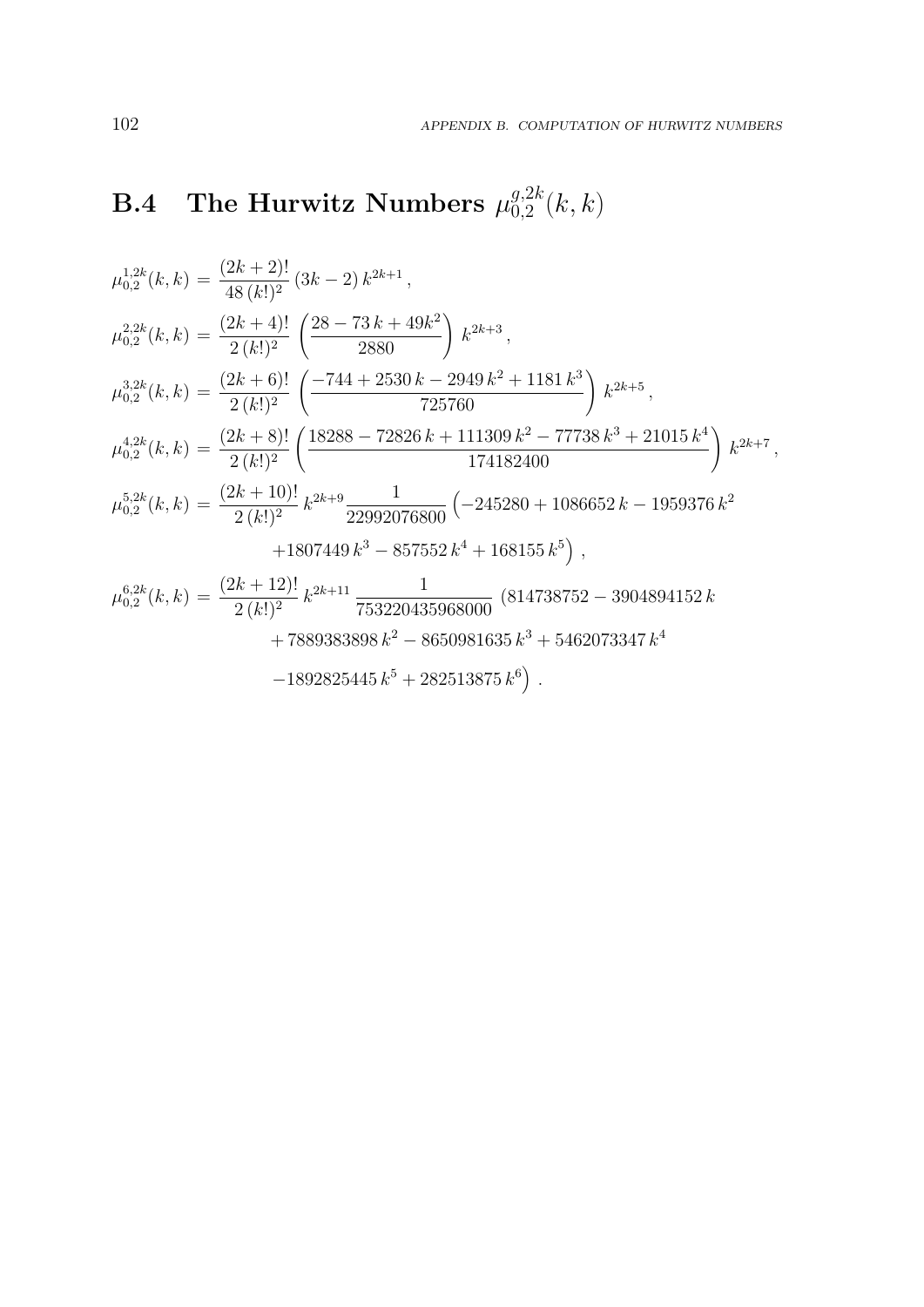## $\rm\,B.4$  The Hurwitz Numbers  $\mu_{0.2}^{g,2k}$  $_{0,2}^{g,2\kappa}(k,k)$

$$
\mu_{0,2}^{1,2k}(k,k) = \frac{(2k+2)!}{48(k!)^2} (3k-2) k^{2k+1},
$$
  
\n
$$
\mu_{0,2}^{2,2k}(k,k) = \frac{(2k+4)!}{2(k!)^2} \left( \frac{28-73 k+49 k^2}{2880} \right) k^{2k+3},
$$
  
\n
$$
\mu_{0,2}^{3,2k}(k,k) = \frac{(2k+6)!}{2(k!)^2} \left( \frac{-744+2530 k-2949 k^2+1181 k^3}{725760} \right) k^{2k+5},
$$
  
\n
$$
\mu_{0,2}^{4,2k}(k,k) = \frac{(2k+8)!}{2(k!)^2} \left( \frac{18288-72826 k+111309 k^2-77738 k^3+21015 k^4}{174182400} \right) k^{2k+7},
$$
  
\n
$$
\mu_{0,2}^{5,2k}(k,k) = \frac{(2k+10)!}{2(k!)^2} k^{2k+9} \frac{1}{22992076800} \left( -245280+1086652 k-1959376 k^2 +1807449 k^3 -857552 k^4 +168155 k^5 \right),
$$
  
\n
$$
\mu_{0,2}^{6,2k}(k,k) = \frac{(2k+12)!}{2(k!)^2} k^{2k+11} \frac{1}{753220435968000} (814738752-3904894152 k +7889383898 k^2 - 8650981635 k^3 + 5462073347 k^4 -1892825445 k^5 + 282513875 k^6).
$$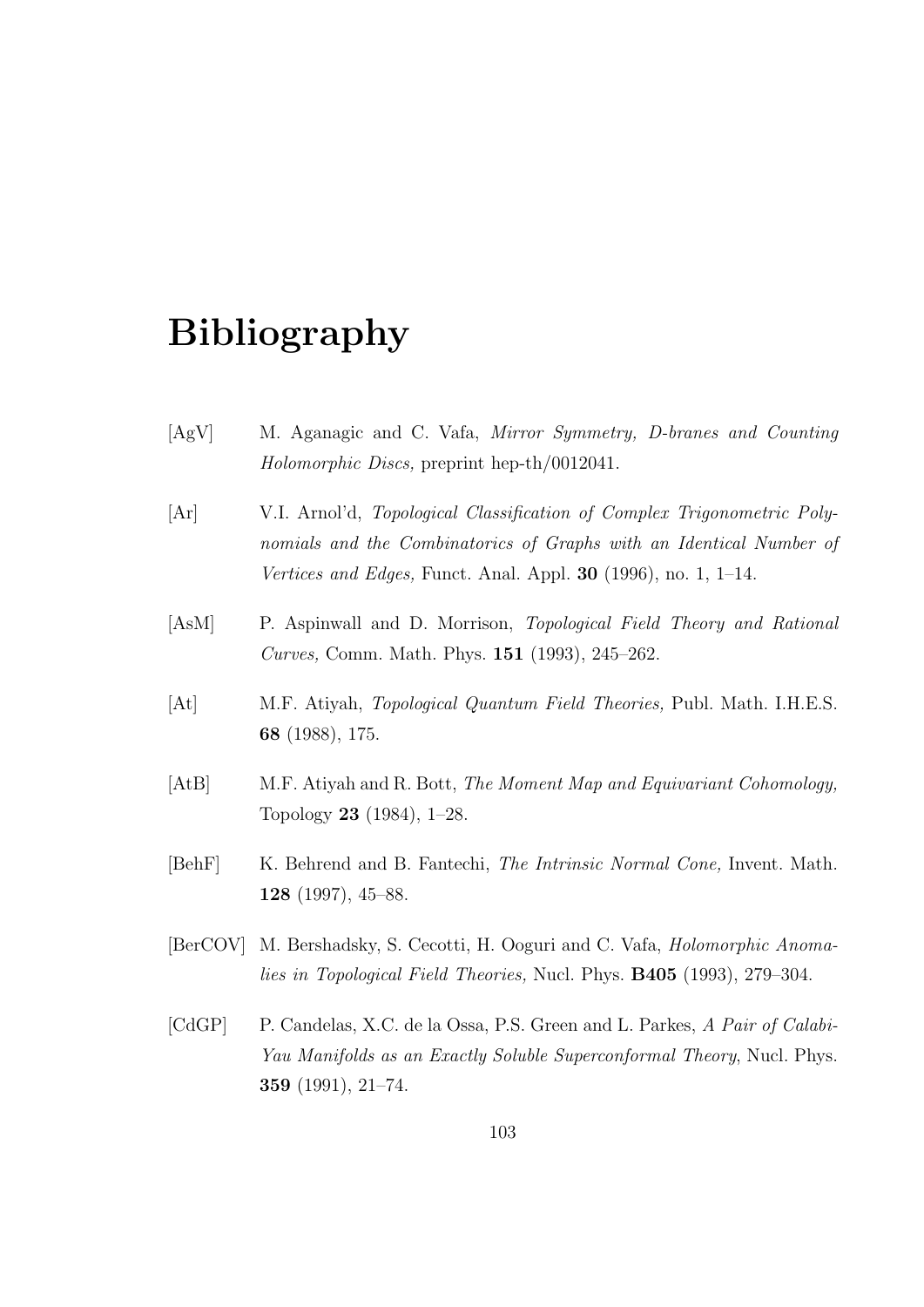## Bibliography

- [AgV] M. Aganagic and C. Vafa, Mirror Symmetry, D-branes and Counting Holomorphic Discs, preprint hep-th/0012041.
- [Ar] V.I. Arnol'd, Topological Classification of Complex Trigonometric Polynomials and the Combinatorics of Graphs with an Identical Number of Vertices and Edges, Funct. Anal. Appl.  $30$  (1996), no. 1, 1–14.
- [AsM] P. Aspinwall and D. Morrison, Topological Field Theory and Rational Curves, Comm. Math. Phys. 151 (1993), 245–262.
- [At] M.F. Atiyah, Topological Quantum Field Theories, Publ. Math. I.H.E.S. 68 (1988), 175.
- [AtB] M.F. Atiyah and R. Bott, The Moment Map and Equivariant Cohomology, Topology 23 (1984), 1–28.
- [BehF] K. Behrend and B. Fantechi, *The Intrinsic Normal Cone*, Invent. Math. 128 (1997), 45–88.
- [BerCOV] M. Bershadsky, S. Cecotti, H. Ooguri and C. Vafa, Holomorphic Anomalies in Topological Field Theories, Nucl. Phys. B405 (1993), 279–304.
- [CdGP] P. Candelas, X.C. de la Ossa, P.S. Green and L. Parkes, A Pair of Calabi-Yau Manifolds as an Exactly Soluble Superconformal Theory, Nucl. Phys. 359 (1991), 21–74.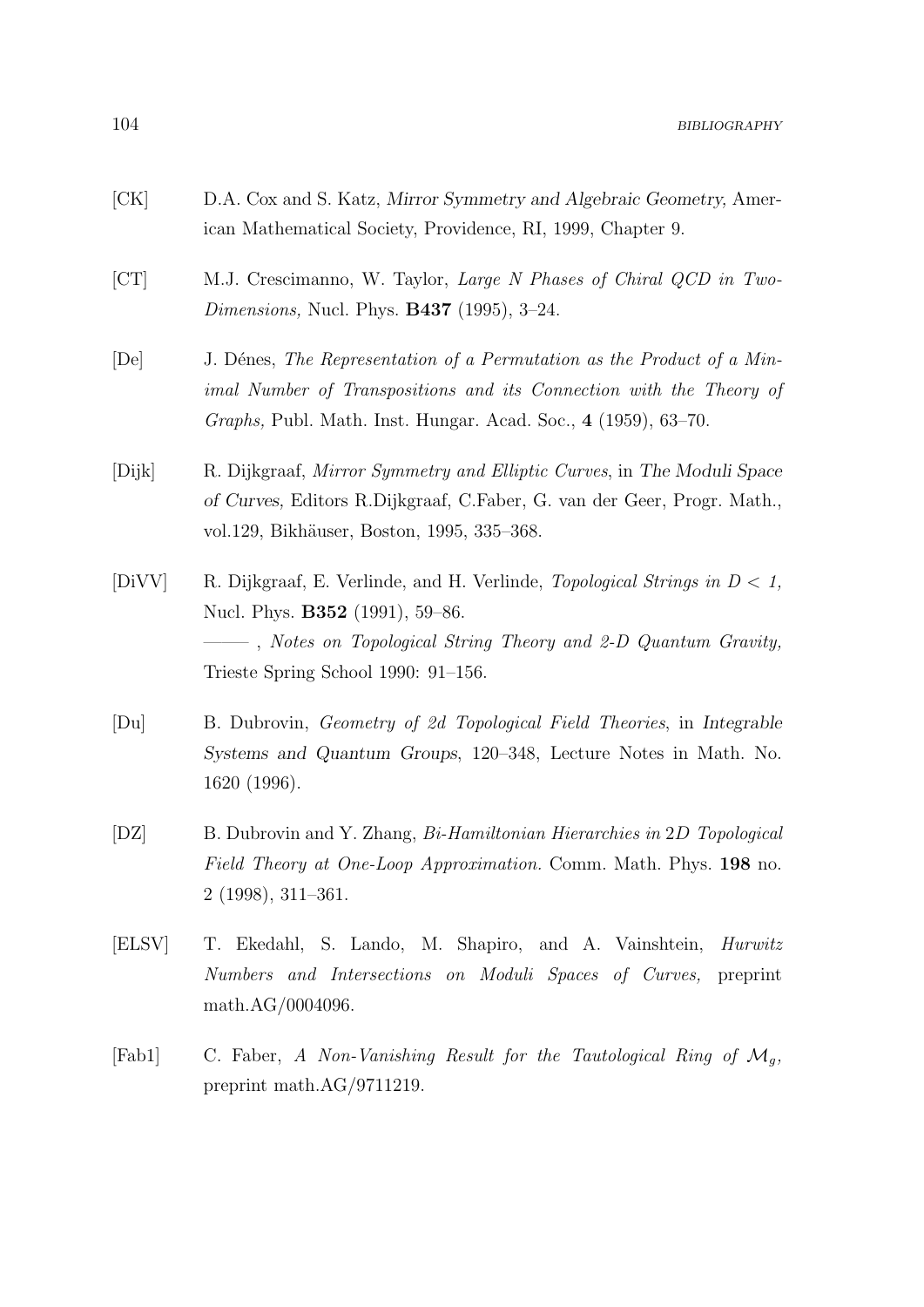- [CK] D.A. Cox and S. Katz, Mirror Symmetry and Algebraic Geometry, American Mathematical Society, Providence, RI, 1999, Chapter 9.
- [CT] M.J. Crescimanno, W. Taylor, Large N Phases of Chiral QCD in Two-*Dimensions*, Nucl. Phys. **B437** (1995), 3-24.
- [De] J. Dénes, The Representation of a Permutation as the Product of a Minimal Number of Transpositions and its Connection with the Theory of Graphs, Publ. Math. Inst. Hungar. Acad. Soc., 4 (1959), 63–70.
- [Dijk] R. Dijkgraaf, Mirror Symmetry and Elliptic Curves, in The Moduli Space of Curves, Editors R.Dijkgraaf, C.Faber, G. van der Geer, Progr. Math., vol.129, Bikhäuser, Boston, 1995, 335–368.
- [DiVV] R. Dijkgraaf, E. Verlinde, and H. Verlinde, Topological Strings in  $D < 1$ , Nucl. Phys. **B352** (1991), 59–86. ——– , Notes on Topological String Theory and 2-D Quantum Gravity, Trieste Spring School 1990: 91–156.
- [Du] B. Dubrovin, Geometry of 2d Topological Field Theories, in Integrable Systems and Quantum Groups, 120–348, Lecture Notes in Math. No. 1620 (1996).
- [DZ] B. Dubrovin and Y. Zhang, Bi-Hamiltonian Hierarchies in 2D Topological Field Theory at One-Loop Approximation. Comm. Math. Phys. 198 no. 2 (1998), 311–361.
- [ELSV] T. Ekedahl, S. Lando, M. Shapiro, and A. Vainshtein, Hurwitz Numbers and Intersections on Moduli Spaces of Curves, preprint math.AG/0004096.
- [Fab1] C. Faber, A Non-Vanishing Result for the Tautological Ring of  $\mathcal{M}_q$ , preprint math.AG/9711219.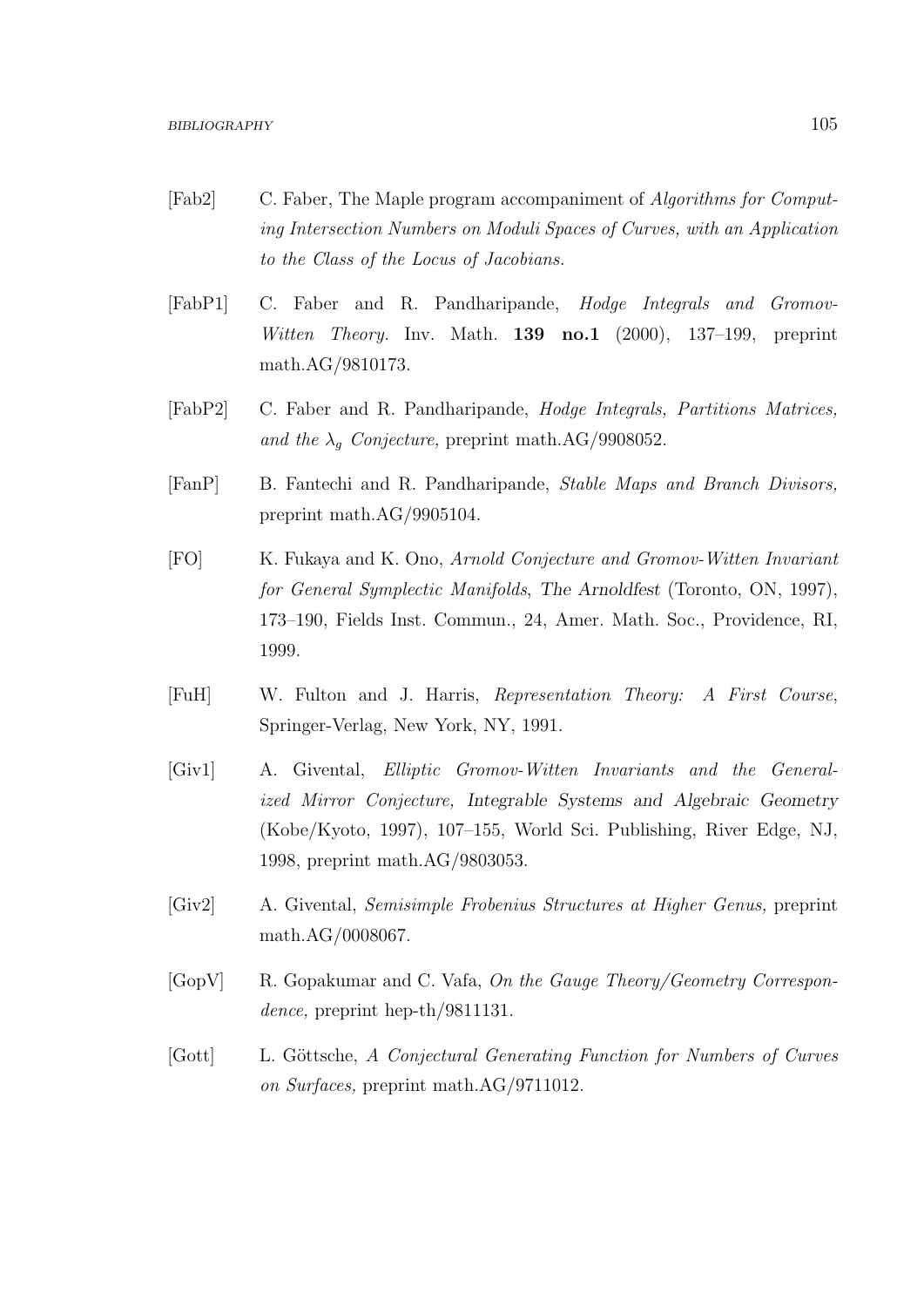- [Fab2] C. Faber, The Maple program accompaniment of Algorithms for Computing Intersection Numbers on Moduli Spaces of Curves, with an Application to the Class of the Locus of Jacobians.
- [FabP1] C. Faber and R. Pandharipande, Hodge Integrals and Gromov-Witten Theory. Inv. Math.  $139 \text{ no.1}$  (2000), 137–199, preprint math.AG/9810173.
- [FabP2] C. Faber and R. Pandharipande, Hodge Integrals, Partitions Matrices, and the  $\lambda_q$  Conjecture, preprint math.AG/9908052.
- [FanP] B. Fantechi and R. Pandharipande, Stable Maps and Branch Divisors, preprint math.AG/9905104.
- [FO] K. Fukaya and K. Ono, Arnold Conjecture and Gromov-Witten Invariant for General Symplectic Manifolds, The Arnoldfest (Toronto, ON, 1997), 173–190, Fields Inst. Commun., 24, Amer. Math. Soc., Providence, RI, 1999.
- [FuH] W. Fulton and J. Harris, Representation Theory: A First Course, Springer-Verlag, New York, NY, 1991.
- [Giv1] A. Givental, Elliptic Gromov-Witten Invariants and the Generalized Mirror Conjecture, Integrable Systems and Algebraic Geometry (Kobe/Kyoto, 1997), 107–155, World Sci. Publishing, River Edge, NJ, 1998, preprint math.AG/9803053.
- [Giv2] A. Givental, Semisimple Frobenius Structures at Higher Genus, preprint math.AG/0008067.
- [GopV] R. Gopakumar and C. Vafa, On the Gauge Theory/Geometry Correspondence, preprint hep-th/9811131.
- [Gott] L. Göttsche, A Conjectural Generating Function for Numbers of Curves on Surfaces, preprint math.AG/9711012.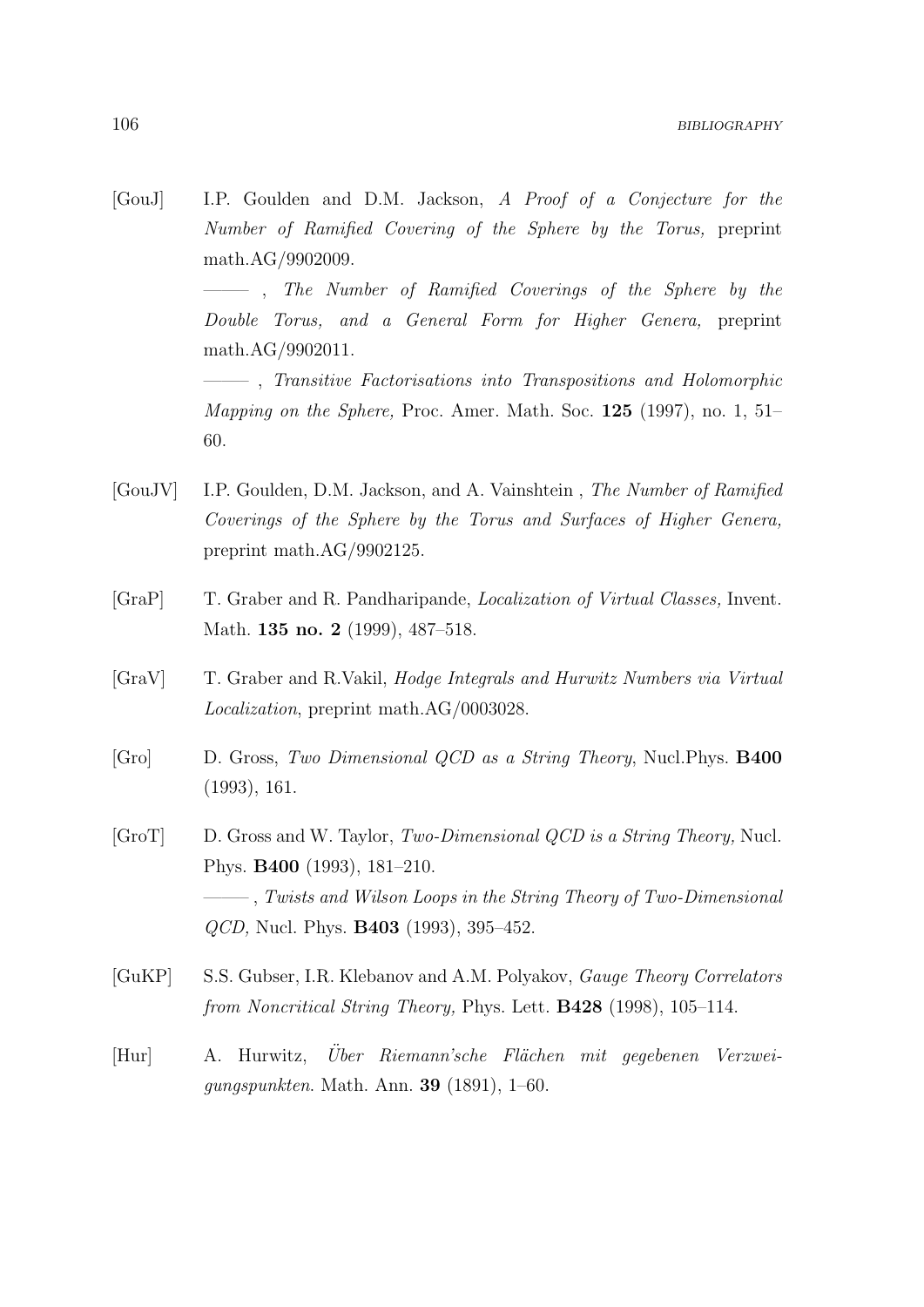[GouJ] I.P. Goulden and D.M. Jackson, A Proof of a Conjecture for the Number of Ramified Covering of the Sphere by the Torus, preprint math.AG/9902009.

> ——– , The Number of Ramified Coverings of the Sphere by the Double Torus, and a General Form for Higher Genera, preprint math.AG/9902011.

> ——– , Transitive Factorisations into Transpositions and Holomorphic *Mapping on the Sphere, Proc. Amer. Math. Soc.*  $125$  (1997), no. 1, 51– 60.

- [GouJV] I.P. Goulden, D.M. Jackson, and A. Vainshtein , The Number of Ramified Coverings of the Sphere by the Torus and Surfaces of Higher Genera, preprint math.AG/9902125.
- [GraP] T. Graber and R. Pandharipande, Localization of Virtual Classes, Invent. Math. **135 no. 2** (1999), 487–518.
- [GraV] T. Graber and R.Vakil, Hodge Integrals and Hurwitz Numbers via Virtual Localization, preprint math.AG/0003028.
- [Gro] D. Gross, Two Dimensional QCD as a String Theory, Nucl.Phys. B400 (1993), 161.
- [GroT] D. Gross and W. Taylor, Two-Dimensional QCD is a String Theory, Nucl. Phys. B400 (1993), 181–210. ——– , Twists and Wilson Loops in the String Theory of Two-Dimensional QCD, Nucl. Phys. B403 (1993), 395–452.
- [GuKP] S.S. Gubser, I.R. Klebanov and A.M. Polyakov, Gauge Theory Correlators from Noncritical String Theory, Phys. Lett. B428 (1998), 105–114.
- [Hur] A. Hurwitz, Über Riemann'sche Flächen mit gegebenen Verzweigungspunkten. Math. Ann. 39 (1891), 1–60.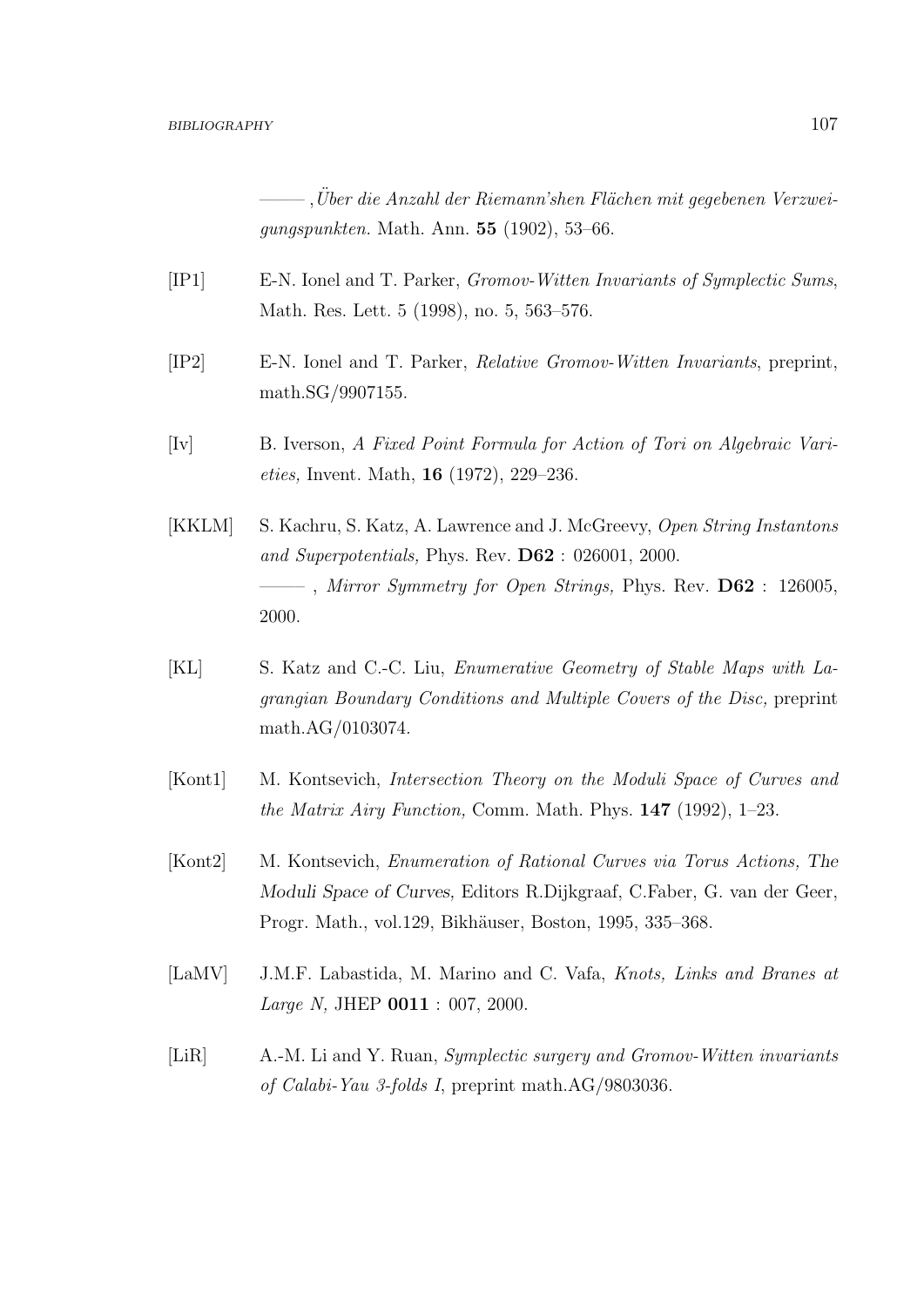$\ddot{C}$ , Über die Anzahl der Riemann'shen Flächen mit gegebenen Verzweigungspunkten. Math. Ann. 55 (1902), 53–66.

- [IP1] E-N. Ionel and T. Parker, Gromov-Witten Invariants of Symplectic Sums, Math. Res. Lett. 5 (1998), no. 5, 563–576.
- [IP2] E-N. Ionel and T. Parker, Relative Gromov-Witten Invariants, preprint, math.SG/9907155.
- [Iv] B. Iverson, A Fixed Point Formula for Action of Tori on Algebraic Varieties, Invent. Math, 16 (1972), 229–236.
- [KKLM] S. Kachru, S. Katz, A. Lawrence and J. McGreevy, Open String Instantons and Superpotentials, Phys. Rev. D62 : 026001, 2000.  $-$ , Mirror Symmetry for Open Strings, Phys. Rev.  $\overline{D62}$ : 126005, 2000.
- [KL] S. Katz and C.-C. Liu, Enumerative Geometry of Stable Maps with Lagrangian Boundary Conditions and Multiple Covers of the Disc, preprint math.AG/0103074.
- [Kont1] M. Kontsevich, *Intersection Theory on the Moduli Space of Curves and* the Matrix Airy Function, Comm. Math. Phys. 147 (1992), 1–23.
- [Kont2] M. Kontsevich, Enumeration of Rational Curves via Torus Actions, The Moduli Space of Curves, Editors R.Dijkgraaf, C.Faber, G. van der Geer, Progr. Math., vol.129, Bikhäuser, Boston, 1995, 335–368.
- [LaMV] J.M.F. Labastida, M. Marino and C. Vafa, Knots, Links and Branes at Large N, JHEP 0011 : 007, 2000.
- [LiR] A.-M. Li and Y. Ruan, Symplectic surgery and Gromov-Witten invariants of Calabi-Yau 3-folds I, preprint math.AG/9803036.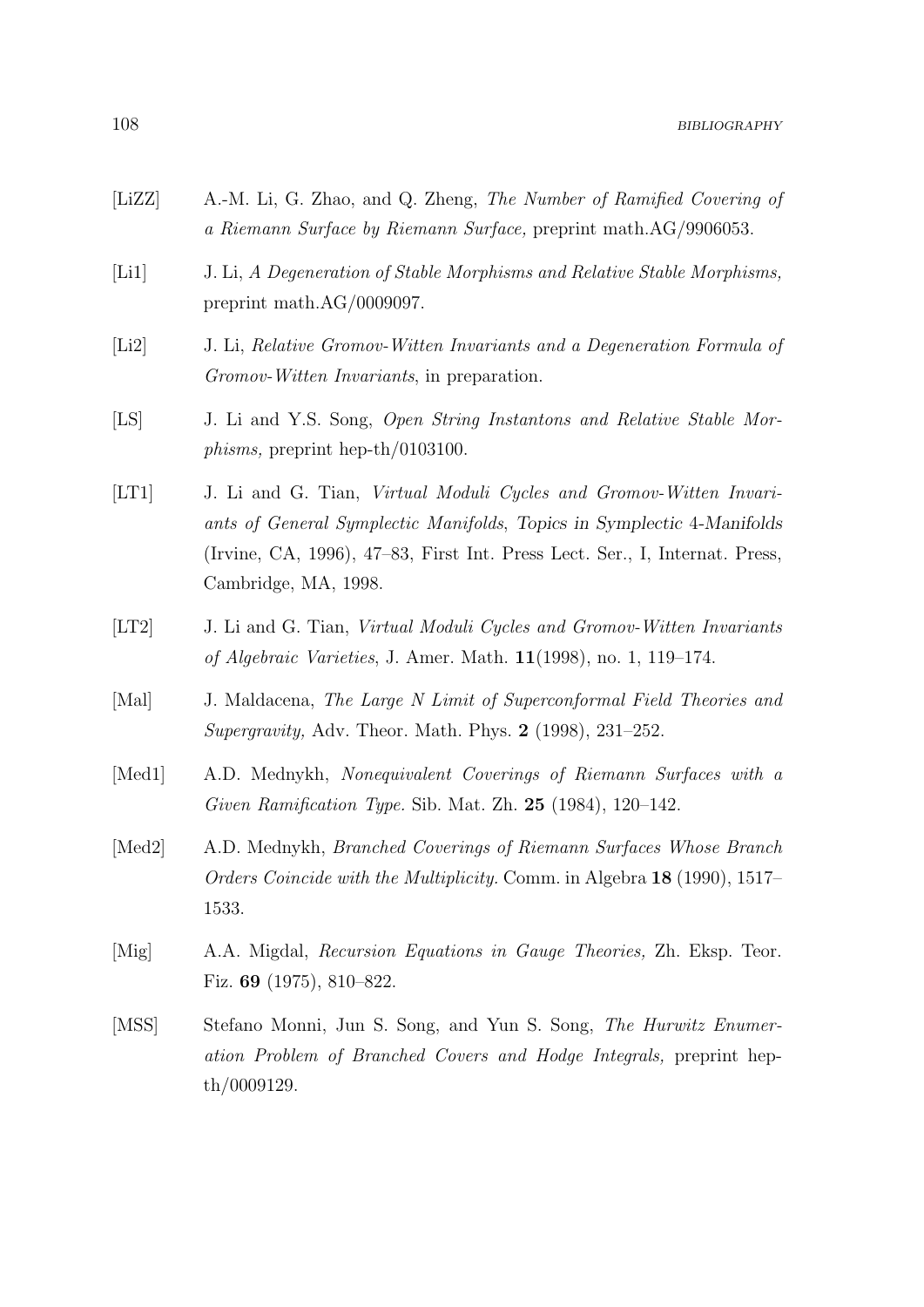- [LiZZ] A.-M. Li, G. Zhao, and Q. Zheng, The Number of Ramified Covering of a Riemann Surface by Riemann Surface, preprint math.AG/9906053.
- [Li1] J. Li, A Degeneration of Stable Morphisms and Relative Stable Morphisms, preprint math.AG/0009097.
- [Li2] J. Li, Relative Gromov-Witten Invariants and a Degeneration Formula of Gromov-Witten Invariants, in preparation.
- [LS] J. Li and Y.S. Song, Open String Instantons and Relative Stable Morphisms, preprint hep-th/0103100.
- [LT1] J. Li and G. Tian, Virtual Moduli Cycles and Gromov-Witten Invariants of General Symplectic Manifolds, Topics in Symplectic 4-Manifolds (Irvine, CA, 1996), 47–83, First Int. Press Lect. Ser., I, Internat. Press, Cambridge, MA, 1998.
- [LT2] J. Li and G. Tian, Virtual Moduli Cycles and Gromov-Witten Invariants of Algebraic Varieties, J. Amer. Math. 11(1998), no. 1, 119–174.
- [Mal] J. Maldacena, The Large N Limit of Superconformal Field Theories and Supergravity, Adv. Theor. Math. Phys. 2 (1998), 231–252.
- [Med1] A.D. Mednykh, Nonequivalent Coverings of Riemann Surfaces with a Given Ramification Type. Sib. Mat. Zh. 25 (1984), 120–142.
- [Med2] A.D. Mednykh, Branched Coverings of Riemann Surfaces Whose Branch Orders Coincide with the Multiplicity. Comm. in Algebra 18 (1990), 1517– 1533.
- [Mig] A.A. Migdal, Recursion Equations in Gauge Theories, Zh. Eksp. Teor. Fiz. 69 (1975), 810–822.
- [MSS] Stefano Monni, Jun S. Song, and Yun S. Song, The Hurwitz Enumeration Problem of Branched Covers and Hodge Integrals, preprint hepth/0009129.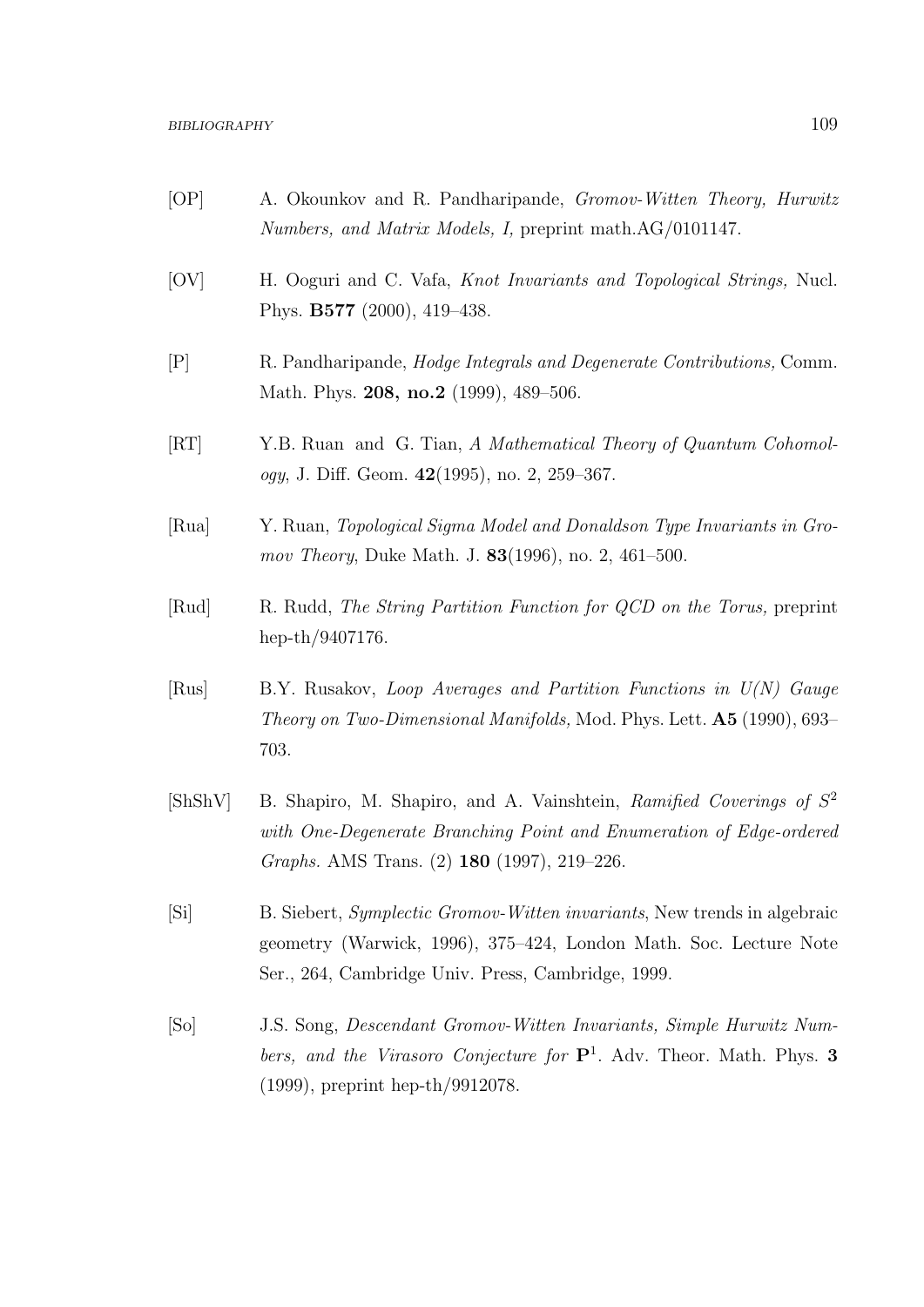- [OP] A. Okounkov and R. Pandharipande, Gromov-Witten Theory, Hurwitz Numbers, and Matrix Models, I, preprint math.AG/0101147.
- [OV] H. Ooguri and C. Vafa, Knot Invariants and Topological Strings, Nucl. Phys. B577 (2000), 419–438.
- [P] R. Pandharipande, Hodge Integrals and Degenerate Contributions, Comm. Math. Phys. **208, no.2** (1999), 489-506.
- [RT] Y.B. Ruan and G. Tian, A Mathematical Theory of Quantum Cohomology, J. Diff. Geom. 42(1995), no. 2, 259–367.
- [Rua] Y. Ruan, Topological Sigma Model and Donaldson Type Invariants in Gromov Theory, Duke Math. J. 83(1996), no. 2, 461–500.
- [Rud] R. Rudd, The String Partition Function for QCD on the Torus, preprint hep-th/9407176.
- [Rus] B.Y. Rusakov, Loop Averages and Partition Functions in U(N) Gauge Theory on Two-Dimensional Manifolds, Mod. Phys. Lett. A5 (1990), 693– 703.
- [ShShV] B. Shapiro, M. Shapiro, and A. Vainshtein, Ramified Coverings of  $S^2$ with One-Degenerate Branching Point and Enumeration of Edge-ordered Graphs. AMS Trans. (2) 180 (1997), 219–226.
- [Si] B. Siebert, Symplectic Gromov-Witten invariants, New trends in algebraic geometry (Warwick, 1996), 375–424, London Math. Soc. Lecture Note Ser., 264, Cambridge Univ. Press, Cambridge, 1999.
- [So] J.S. Song, Descendant Gromov-Witten Invariants, Simple Hurwitz Numbers, and the Virasoro Conjecture for  $P^1$ . Adv. Theor. Math. Phys. 3 (1999), preprint hep-th/9912078.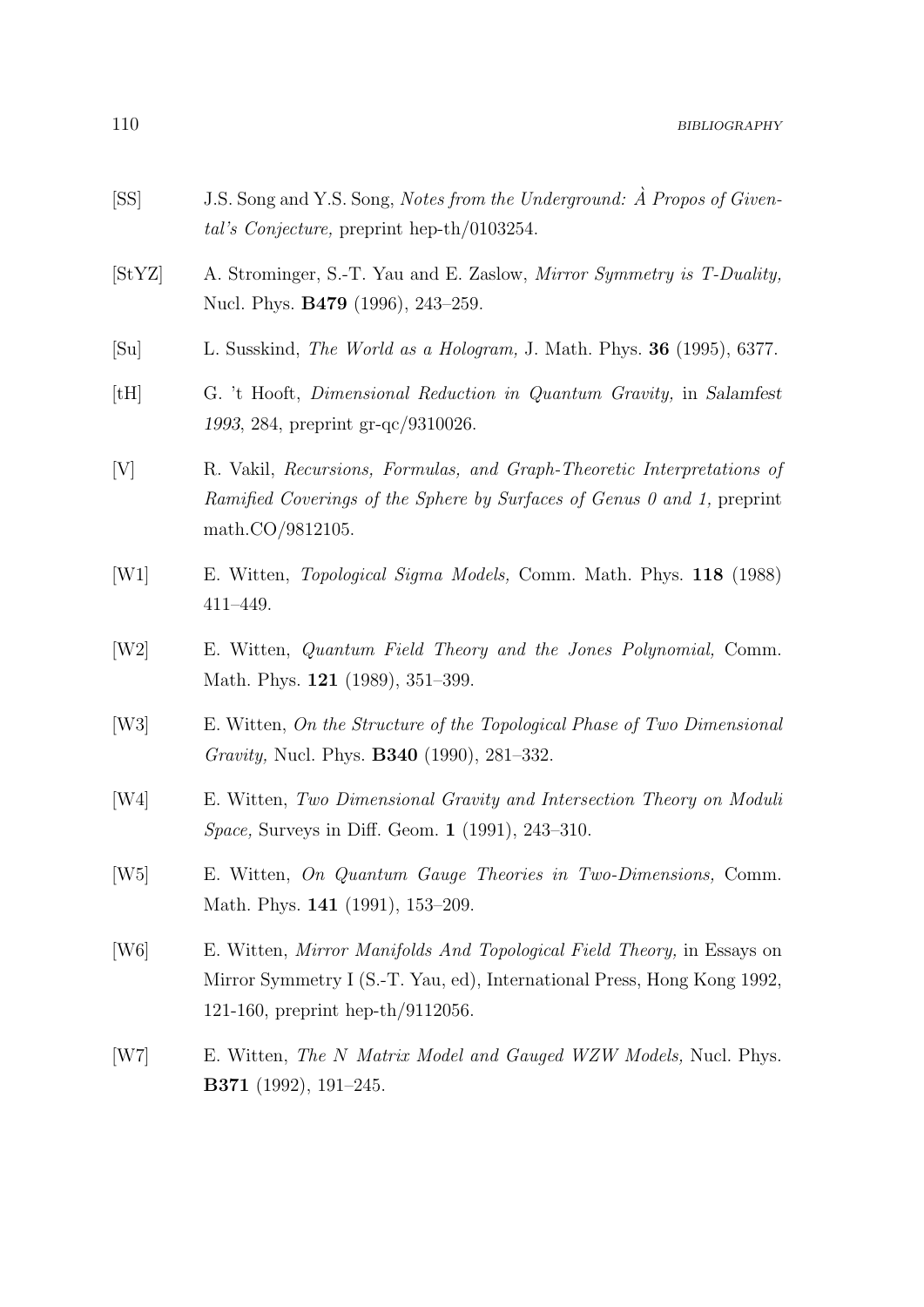- [SS] J.S. Song and Y.S. Song, Notes from the Underground:  $\hat{A}$  Propos of Givental's Conjecture, preprint hep-th/0103254.
- [StYZ] A. Strominger, S.-T. Yau and E. Zaslow, Mirror Symmetry is T-Duality, Nucl. Phys. B479 (1996), 243–259.
- [Su] L. Susskind, The World as a Hologram, J. Math. Phys. 36 (1995), 6377.
- [tH] G. 't Hooft, Dimensional Reduction in Quantum Gravity, in Salamfest 1993, 284, preprint gr-qc/9310026.
- [V] R. Vakil, Recursions, Formulas, and Graph-Theoretic Interpretations of Ramified Coverings of the Sphere by Surfaces of Genus 0 and 1, preprint math.CO/9812105.
- [W1] E. Witten, Topological Sigma Models, Comm. Math. Phys. 118 (1988) 411–449.
- [W2] E. Witten, Quantum Field Theory and the Jones Polynomial, Comm. Math. Phys. 121 (1989), 351–399.
- [W3] E. Witten, On the Structure of the Topological Phase of Two Dimensional Gravity, Nucl. Phys. B340 (1990), 281–332.
- [W4] E. Witten, Two Dimensional Gravity and Intersection Theory on Moduli Space, Surveys in Diff. Geom. 1 (1991), 243–310.
- [W5] E. Witten, On Quantum Gauge Theories in Two-Dimensions, Comm. Math. Phys. 141 (1991), 153–209.
- [W6] E. Witten, Mirror Manifolds And Topological Field Theory, in Essays on Mirror Symmetry I (S.-T. Yau, ed), International Press, Hong Kong 1992, 121-160, preprint hep-th/9112056.
- [W7] E. Witten, The N Matrix Model and Gauged WZW Models, Nucl. Phys. B371 (1992), 191–245.